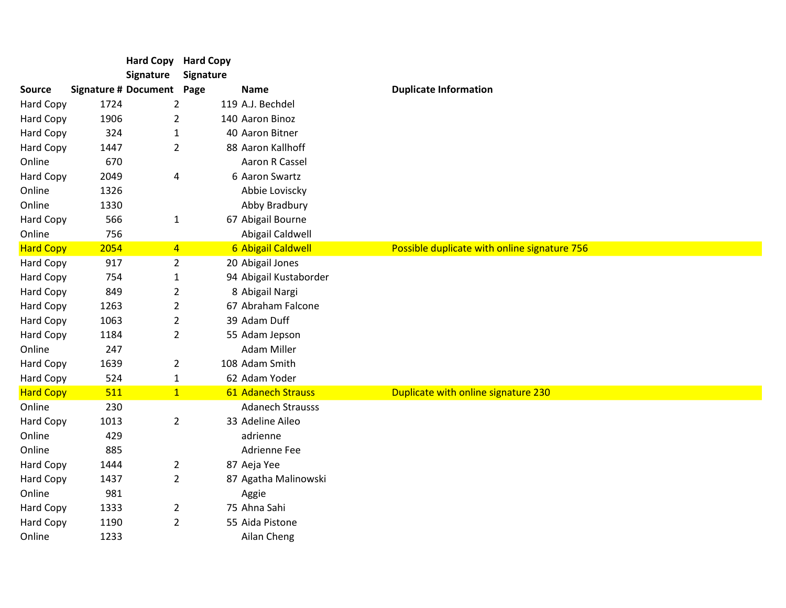|                  |      |                                  | <b>Hard Copy Hard Copy</b> |                         |                                              |
|------------------|------|----------------------------------|----------------------------|-------------------------|----------------------------------------------|
|                  |      | Signature                        | Signature                  |                         |                                              |
| <b>Source</b>    |      | <b>Signature # Document Page</b> |                            | <b>Name</b>             | <b>Duplicate Information</b>                 |
| Hard Copy        | 1724 | 2                                |                            | 119 A.J. Bechdel        |                                              |
| Hard Copy        | 1906 | 2                                |                            | 140 Aaron Binoz         |                                              |
| Hard Copy        | 324  | $\mathbf{1}$                     |                            | 40 Aaron Bitner         |                                              |
| Hard Copy        | 1447 | $\overline{2}$                   |                            | 88 Aaron Kallhoff       |                                              |
| Online           | 670  |                                  |                            | Aaron R Cassel          |                                              |
| <b>Hard Copy</b> | 2049 | 4                                |                            | 6 Aaron Swartz          |                                              |
| Online           | 1326 |                                  |                            | Abbie Loviscky          |                                              |
| Online           | 1330 |                                  |                            | Abby Bradbury           |                                              |
| Hard Copy        | 566  | $\mathbf{1}$                     |                            | 67 Abigail Bourne       |                                              |
| Online           | 756  |                                  |                            | Abigail Caldwell        |                                              |
| <b>Hard Copy</b> | 2054 | $\overline{4}$                   |                            | 6 Abigail Caldwell      | Possible duplicate with online signature 756 |
| Hard Copy        | 917  | $\overline{2}$                   |                            | 20 Abigail Jones        |                                              |
| Hard Copy        | 754  | $\mathbf{1}$                     |                            | 94 Abigail Kustaborder  |                                              |
| Hard Copy        | 849  | 2                                |                            | 8 Abigail Nargi         |                                              |
| Hard Copy        | 1263 | $\overline{2}$                   |                            | 67 Abraham Falcone      |                                              |
| Hard Copy        | 1063 | $\overline{2}$                   |                            | 39 Adam Duff            |                                              |
| Hard Copy        | 1184 | $\overline{2}$                   |                            | 55 Adam Jepson          |                                              |
| Online           | 247  |                                  |                            | <b>Adam Miller</b>      |                                              |
| Hard Copy        | 1639 | $\overline{2}$                   |                            | 108 Adam Smith          |                                              |
| Hard Copy        | 524  | $\mathbf{1}$                     |                            | 62 Adam Yoder           |                                              |
| <b>Hard Copy</b> | 511  | 1                                |                            | 61 Adanech Strauss      | Duplicate with online signature 230          |
| Online           | 230  |                                  |                            | <b>Adanech Strausss</b> |                                              |
| <b>Hard Copy</b> | 1013 | $\overline{2}$                   |                            | 33 Adeline Aileo        |                                              |
| Online           | 429  |                                  |                            | adrienne                |                                              |
| Online           | 885  |                                  |                            | Adrienne Fee            |                                              |
| Hard Copy        | 1444 | $\overline{2}$                   |                            | 87 Aeja Yee             |                                              |
| Hard Copy        | 1437 | $\overline{2}$                   |                            | 87 Agatha Malinowski    |                                              |
| Online           | 981  |                                  |                            | Aggie                   |                                              |
| Hard Copy        | 1333 | $\overline{2}$                   |                            | 75 Ahna Sahi            |                                              |
| Hard Copy        | 1190 | $\overline{2}$                   |                            | 55 Aida Pistone         |                                              |
| Online           | 1233 |                                  |                            | Ailan Cheng             |                                              |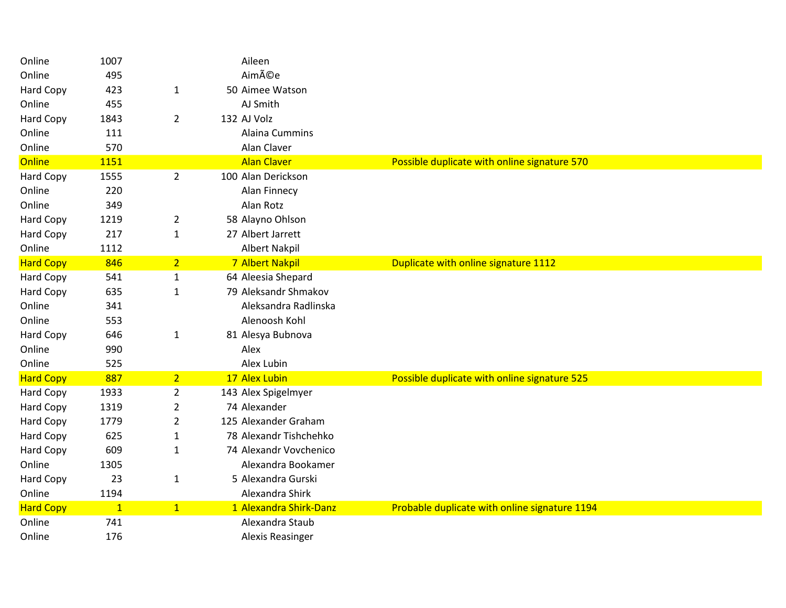| Online           | 1007         |                | Aileen                 |                                               |
|------------------|--------------|----------------|------------------------|-----------------------------------------------|
| Online           | 495          |                | Aimée                  |                                               |
| <b>Hard Copy</b> | 423          | $\mathbf{1}$   | 50 Aimee Watson        |                                               |
| Online           | 455          |                | AJ Smith               |                                               |
| Hard Copy        | 1843         | $\overline{2}$ | 132 AJ Volz            |                                               |
| Online           | 111          |                | Alaina Cummins         |                                               |
| Online           | 570          |                | Alan Claver            |                                               |
| <b>Online</b>    | 1151         |                | <b>Alan Claver</b>     | Possible duplicate with online signature 570  |
| Hard Copy        | 1555         | $\overline{2}$ | 100 Alan Derickson     |                                               |
| Online           | 220          |                | Alan Finnecy           |                                               |
| Online           | 349          |                | Alan Rotz              |                                               |
| Hard Copy        | 1219         | $\overline{2}$ | 58 Alayno Ohlson       |                                               |
| Hard Copy        | 217          | $\mathbf 1$    | 27 Albert Jarrett      |                                               |
| Online           | 1112         |                | <b>Albert Nakpil</b>   |                                               |
| <b>Hard Copy</b> | 846          | 2 <sup>1</sup> | 7 Albert Nakpil        | Duplicate with online signature 1112          |
| Hard Copy        | 541          | $\mathbf{1}$   | 64 Aleesia Shepard     |                                               |
| Hard Copy        | 635          | $\mathbf{1}$   | 79 Aleksandr Shmakov   |                                               |
| Online           | 341          |                | Aleksandra Radlinska   |                                               |
| Online           | 553          |                | Alenoosh Kohl          |                                               |
| Hard Copy        | 646          | $\mathbf{1}$   | 81 Alesya Bubnova      |                                               |
| Online           | 990          |                | Alex                   |                                               |
| Online           | 525          |                | Alex Lubin             |                                               |
| <b>Hard Copy</b> | 887          | 2 <sup>1</sup> | 17 Alex Lubin          | Possible duplicate with online signature 525  |
| Hard Copy        | 1933         | $\overline{2}$ | 143 Alex Spigelmyer    |                                               |
| Hard Copy        | 1319         | $\overline{2}$ | 74 Alexander           |                                               |
| Hard Copy        | 1779         | $\overline{2}$ | 125 Alexander Graham   |                                               |
| Hard Copy        | 625          | $\mathbf{1}$   | 78 Alexandr Tishchehko |                                               |
| <b>Hard Copy</b> | 609          | $\mathbf{1}$   | 74 Alexandr Vovchenico |                                               |
| Online           | 1305         |                | Alexandra Bookamer     |                                               |
| Hard Copy        | 23           | $\mathbf{1}$   | 5 Alexandra Gurski     |                                               |
| Online           | 1194         |                | Alexandra Shirk        |                                               |
| <b>Hard Copy</b> | $\mathbf{1}$ | 1              | 1 Alexandra Shirk-Danz | Probable duplicate with online signature 1194 |
| Online           | 741          |                | Alexandra Staub        |                                               |
| Online           | 176          |                | Alexis Reasinger       |                                               |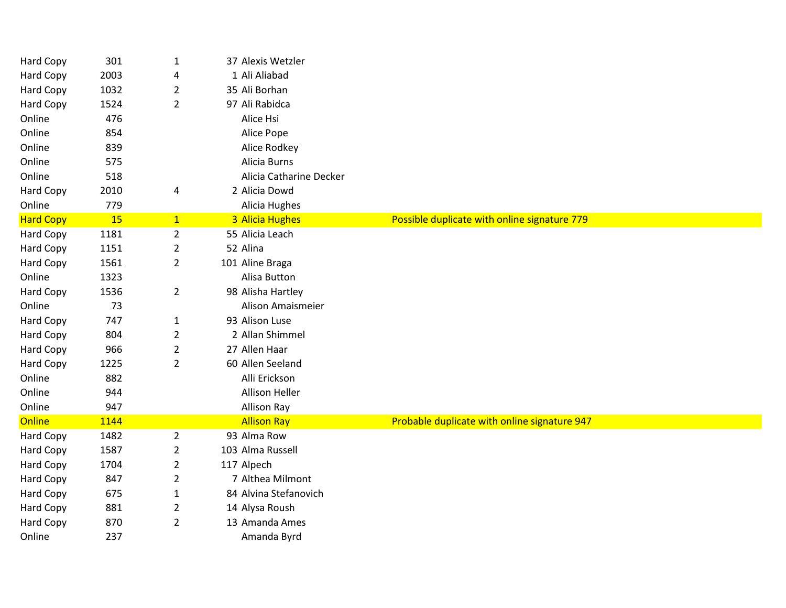| Hard Copy        | 301  | $\mathbf{1}$   | 37 Alexis Wetzler       |                                              |
|------------------|------|----------------|-------------------------|----------------------------------------------|
| Hard Copy        | 2003 | 4              | 1 Ali Aliabad           |                                              |
| Hard Copy        | 1032 | $\overline{2}$ | 35 Ali Borhan           |                                              |
| <b>Hard Copy</b> | 1524 | $\overline{2}$ | 97 Ali Rabidca          |                                              |
| Online           | 476  |                | Alice Hsi               |                                              |
| Online           | 854  |                | Alice Pope              |                                              |
| Online           | 839  |                | Alice Rodkey            |                                              |
| Online           | 575  |                | Alicia Burns            |                                              |
| Online           | 518  |                | Alicia Catharine Decker |                                              |
| Hard Copy        | 2010 | 4              | 2 Alicia Dowd           |                                              |
| Online           | 779  |                | Alicia Hughes           |                                              |
| <b>Hard Copy</b> | 15   | $\mathbf{1}$   | 3 Alicia Hughes         | Possible duplicate with online signature 779 |
| Hard Copy        | 1181 | $\overline{2}$ | 55 Alicia Leach         |                                              |
| <b>Hard Copy</b> | 1151 | $\overline{2}$ | 52 Alina                |                                              |
| Hard Copy        | 1561 | $\overline{2}$ | 101 Aline Braga         |                                              |
| Online           | 1323 |                | Alisa Button            |                                              |
| <b>Hard Copy</b> | 1536 | $\overline{2}$ | 98 Alisha Hartley       |                                              |
| Online           | 73   |                | Alison Amaismeier       |                                              |
| Hard Copy        | 747  | $\mathbf{1}$   | 93 Alison Luse          |                                              |
| Hard Copy        | 804  | $\overline{2}$ | 2 Allan Shimmel         |                                              |
| Hard Copy        | 966  | $\overline{2}$ | 27 Allen Haar           |                                              |
| <b>Hard Copy</b> | 1225 | $\overline{2}$ | 60 Allen Seeland        |                                              |
| Online           | 882  |                | Alli Erickson           |                                              |
| Online           | 944  |                | <b>Allison Heller</b>   |                                              |
| Online           | 947  |                | Allison Ray             |                                              |
| Online           | 1144 |                | <b>Allison Ray</b>      | Probable duplicate with online signature 947 |
| Hard Copy        | 1482 | $\overline{2}$ | 93 Alma Row             |                                              |
| Hard Copy        | 1587 | $\overline{2}$ | 103 Alma Russell        |                                              |
| <b>Hard Copy</b> | 1704 | $\overline{c}$ | 117 Alpech              |                                              |
| Hard Copy        | 847  | 2              | 7 Althea Milmont        |                                              |
| Hard Copy        | 675  | 1              | 84 Alvina Stefanovich   |                                              |
| Hard Copy        | 881  | $\overline{2}$ | 14 Alysa Roush          |                                              |
| Hard Copy        | 870  | $\overline{2}$ | 13 Amanda Ames          |                                              |
| Online           | 237  |                | Amanda Byrd             |                                              |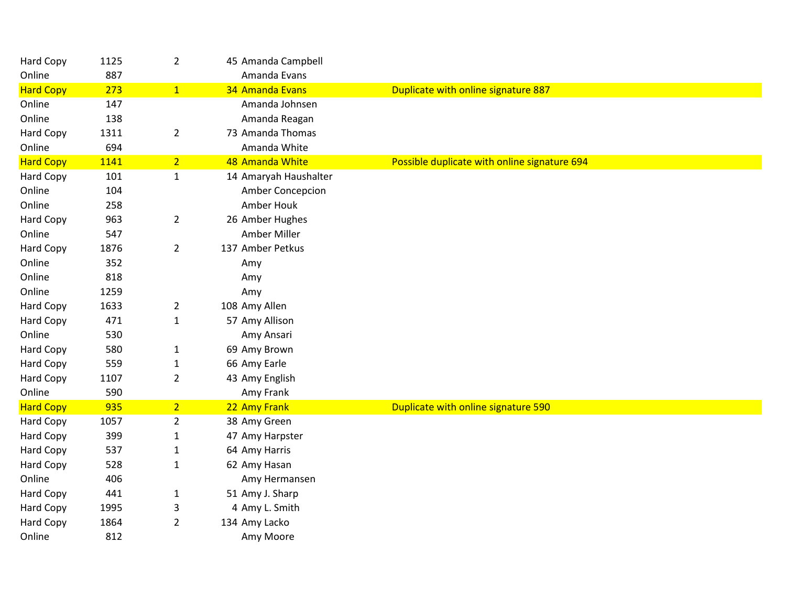| Hard Copy        | 1125 | $\overline{2}$ | 45 Amanda Campbell    |                                              |
|------------------|------|----------------|-----------------------|----------------------------------------------|
| Online           | 887  |                | Amanda Evans          |                                              |
| <b>Hard Copy</b> | 273  | 1              | 34 Amanda Evans       | Duplicate with online signature 887          |
| Online           | 147  |                | Amanda Johnsen        |                                              |
| Online           | 138  |                | Amanda Reagan         |                                              |
| <b>Hard Copy</b> | 1311 | $\overline{2}$ | 73 Amanda Thomas      |                                              |
| Online           | 694  |                | Amanda White          |                                              |
| <b>Hard Copy</b> | 1141 | $\overline{2}$ | 48 Amanda White       | Possible duplicate with online signature 694 |
| Hard Copy        | 101  | $\mathbf{1}$   | 14 Amaryah Haushalter |                                              |
| Online           | 104  |                | Amber Concepcion      |                                              |
| Online           | 258  |                | Amber Houk            |                                              |
| Hard Copy        | 963  | $\overline{2}$ | 26 Amber Hughes       |                                              |
| Online           | 547  |                | Amber Miller          |                                              |
| <b>Hard Copy</b> | 1876 | $\overline{2}$ | 137 Amber Petkus      |                                              |
| Online           | 352  |                | Amy                   |                                              |
| Online           | 818  |                | Amy                   |                                              |
| Online           | 1259 |                | Amy                   |                                              |
| Hard Copy        | 1633 | $\overline{2}$ | 108 Amy Allen         |                                              |
| Hard Copy        | 471  | $1\,$          | 57 Amy Allison        |                                              |
| Online           | 530  |                | Amy Ansari            |                                              |
| Hard Copy        | 580  | $\mathbf{1}$   | 69 Amy Brown          |                                              |
| Hard Copy        | 559  | $\mathbf{1}$   | 66 Amy Earle          |                                              |
| Hard Copy        | 1107 | $\overline{2}$ | 43 Amy English        |                                              |
| Online           | 590  |                | Amy Frank             |                                              |
| <b>Hard Copy</b> | 935  | $\overline{2}$ | 22 Amy Frank          | Duplicate with online signature 590          |
| Hard Copy        | 1057 | $\overline{2}$ | 38 Amy Green          |                                              |
| Hard Copy        | 399  | $\mathbf{1}$   | 47 Amy Harpster       |                                              |
| Hard Copy        | 537  | $\mathbf{1}$   | 64 Amy Harris         |                                              |
| Hard Copy        | 528  | $\mathbf{1}$   | 62 Amy Hasan          |                                              |
| Online           | 406  |                | Amy Hermansen         |                                              |
| Hard Copy        | 441  | $\mathbf{1}$   | 51 Amy J. Sharp       |                                              |
| Hard Copy        | 1995 | 3              | 4 Amy L. Smith        |                                              |
| Hard Copy        | 1864 | $\overline{2}$ | 134 Amy Lacko         |                                              |
| Online           | 812  |                | Amy Moore             |                                              |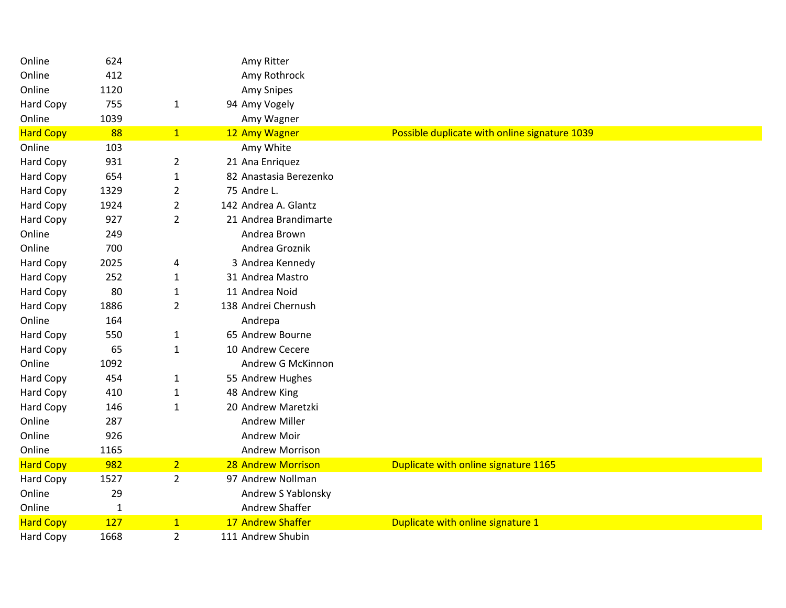| Online           | 624          |                | Amy Ritter             |                                               |
|------------------|--------------|----------------|------------------------|-----------------------------------------------|
| Online           | 412          |                | Amy Rothrock           |                                               |
| Online           | 1120         |                | Amy Snipes             |                                               |
| Hard Copy        | 755          | $\mathbf{1}$   | 94 Amy Vogely          |                                               |
| Online           | 1039         |                | Amy Wagner             |                                               |
| <b>Hard Copy</b> | 88           | 1              | 12 Amy Wagner          | Possible duplicate with online signature 1039 |
| Online           | 103          |                | Amy White              |                                               |
| Hard Copy        | 931          | $\overline{2}$ | 21 Ana Enriquez        |                                               |
| Hard Copy        | 654          | $\mathbf 1$    | 82 Anastasia Berezenko |                                               |
| Hard Copy        | 1329         | $\overline{2}$ | 75 Andre L.            |                                               |
| Hard Copy        | 1924         | $\overline{2}$ | 142 Andrea A. Glantz   |                                               |
| Hard Copy        | 927          | $\overline{2}$ | 21 Andrea Brandimarte  |                                               |
| Online           | 249          |                | Andrea Brown           |                                               |
| Online           | 700          |                | Andrea Groznik         |                                               |
| Hard Copy        | 2025         | 4              | 3 Andrea Kennedy       |                                               |
| Hard Copy        | 252          | $\mathbf{1}$   | 31 Andrea Mastro       |                                               |
| Hard Copy        | 80           | $\mathbf{1}$   | 11 Andrea Noid         |                                               |
| Hard Copy        | 1886         | $\overline{2}$ | 138 Andrei Chernush    |                                               |
| Online           | 164          |                | Andrepa                |                                               |
| Hard Copy        | 550          | $\mathbf{1}$   | 65 Andrew Bourne       |                                               |
| Hard Copy        | 65           | $\mathbf{1}$   | 10 Andrew Cecere       |                                               |
| Online           | 1092         |                | Andrew G McKinnon      |                                               |
| Hard Copy        | 454          | $\mathbf{1}$   | 55 Andrew Hughes       |                                               |
| Hard Copy        | 410          | $\mathbf{1}$   | 48 Andrew King         |                                               |
| Hard Copy        | 146          | $\mathbf{1}$   | 20 Andrew Maretzki     |                                               |
| Online           | 287          |                | <b>Andrew Miller</b>   |                                               |
| Online           | 926          |                | <b>Andrew Moir</b>     |                                               |
| Online           | 1165         |                | <b>Andrew Morrison</b> |                                               |
| <b>Hard Copy</b> | 982          | 2 <sup>1</sup> | 28 Andrew Morrison     | Duplicate with online signature 1165          |
| Hard Copy        | 1527         | $\overline{2}$ | 97 Andrew Nollman      |                                               |
| Online           | 29           |                | Andrew S Yablonsky     |                                               |
| Online           | $\mathbf{1}$ |                | Andrew Shaffer         |                                               |
| <b>Hard Copy</b> | 127          | $\mathbf{1}$   | 17 Andrew Shaffer      | Duplicate with online signature 1             |
| Hard Copy        | 1668         | $\overline{2}$ | 111 Andrew Shubin      |                                               |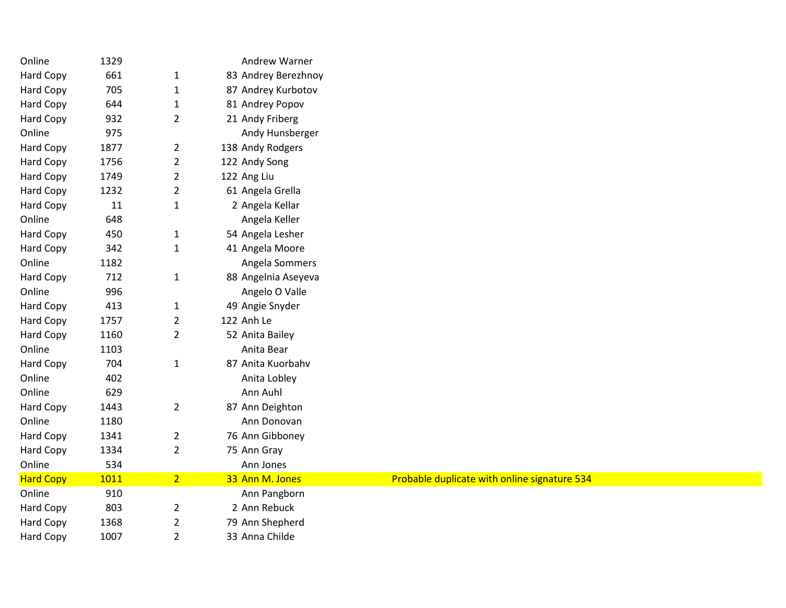| 1329   |                | Andrew Warner       |                                              |
|--------|----------------|---------------------|----------------------------------------------|
| 661    | $\mathbf{1}$   | 83 Andrey Berezhnoy |                                              |
| 705    | $\mathbf{1}$   | 87 Andrey Kurbotov  |                                              |
| 644    | $\mathbf{1}$   | 81 Andrey Popov     |                                              |
| 932    | $\overline{2}$ | 21 Andy Friberg     |                                              |
| 975    |                | Andy Hunsberger     |                                              |
| 1877   | $\overline{2}$ | 138 Andy Rodgers    |                                              |
| 1756   | $\overline{2}$ | 122 Andy Song       |                                              |
| 1749   | $\overline{2}$ | 122 Ang Liu         |                                              |
| 1232   | $\overline{2}$ | 61 Angela Grella    |                                              |
| $11\,$ | $\mathbf{1}$   | 2 Angela Kellar     |                                              |
| 648    |                | Angela Keller       |                                              |
| 450    | $\mathbf{1}$   | 54 Angela Lesher    |                                              |
| 342    | $\mathbf{1}$   | 41 Angela Moore     |                                              |
| 1182   |                | Angela Sommers      |                                              |
| 712    | $\mathbf{1}$   | 88 Angelnia Aseyeva |                                              |
| 996    |                | Angelo O Valle      |                                              |
| 413    | $\mathbf{1}$   | 49 Angie Snyder     |                                              |
| 1757   | $\overline{2}$ | 122 Anh Le          |                                              |
| 1160   | $\overline{2}$ | 52 Anita Bailey     |                                              |
| 1103   |                | Anita Bear          |                                              |
| 704    | $\mathbf 1$    | 87 Anita Kuorbahv   |                                              |
| 402    |                | Anita Lobley        |                                              |
| 629    |                | Ann Auhl            |                                              |
| 1443   | $\overline{2}$ | 87 Ann Deighton     |                                              |
| 1180   |                | Ann Donovan         |                                              |
| 1341   | $\overline{2}$ | 76 Ann Gibboney     |                                              |
| 1334   | $\overline{2}$ | 75 Ann Gray         |                                              |
| 534    |                | Ann Jones           |                                              |
| 1011   | 2 <sup>7</sup> | 33 Ann M. Jones     | Probable duplicate with online signature 534 |
| 910    |                | Ann Pangborn        |                                              |
| 803    | $\overline{2}$ | 2 Ann Rebuck        |                                              |
| 1368   | $\mathbf 2$    | 79 Ann Shepherd     |                                              |
| 1007   | $\overline{2}$ | 33 Anna Childe      |                                              |
|        |                |                     |                                              |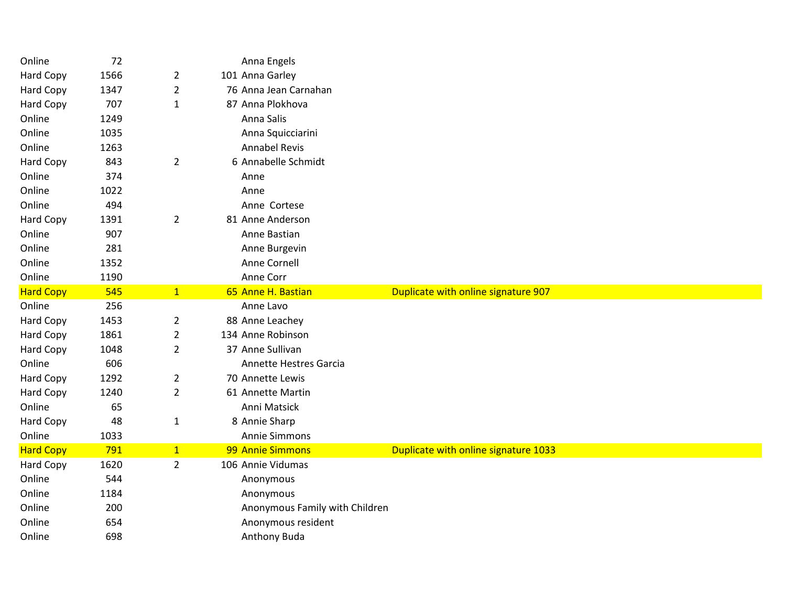| Online           | 72         |                | Anna Engels                    |                                      |
|------------------|------------|----------------|--------------------------------|--------------------------------------|
| Hard Copy        | 1566       | $\overline{2}$ | 101 Anna Garley                |                                      |
| <b>Hard Copy</b> | 1347       | $\overline{2}$ | 76 Anna Jean Carnahan          |                                      |
| Hard Copy        | 707        | $\mathbf{1}$   | 87 Anna Plokhova               |                                      |
| Online           | 1249       |                | Anna Salis                     |                                      |
| Online           | 1035       |                | Anna Squicciarini              |                                      |
| Online           | 1263       |                | <b>Annabel Revis</b>           |                                      |
| Hard Copy        | 843        | $\overline{2}$ | 6 Annabelle Schmidt            |                                      |
| Online           | 374        |                | Anne                           |                                      |
| Online           | 1022       |                | Anne                           |                                      |
| Online           | 494        |                | Anne Cortese                   |                                      |
| Hard Copy        | 1391       | $\overline{2}$ | 81 Anne Anderson               |                                      |
| Online           | 907        |                | Anne Bastian                   |                                      |
| Online           | 281        |                | Anne Burgevin                  |                                      |
| Online           | 1352       |                | Anne Cornell                   |                                      |
| Online           | 1190       |                | Anne Corr                      |                                      |
| <b>Hard Copy</b> | 545        | 1              | 65 Anne H. Bastian             | Duplicate with online signature 907  |
|                  |            |                | Anne Lavo                      |                                      |
| Online           | 256        |                |                                |                                      |
| <b>Hard Copy</b> | 1453       | $\overline{2}$ | 88 Anne Leachey                |                                      |
| Hard Copy        | 1861       | $\overline{2}$ | 134 Anne Robinson              |                                      |
| <b>Hard Copy</b> | 1048       | $\overline{2}$ | 37 Anne Sullivan               |                                      |
| Online           | 606        |                | Annette Hestres Garcia         |                                      |
| <b>Hard Copy</b> | 1292       | $\overline{2}$ | 70 Annette Lewis               |                                      |
| Hard Copy        | 1240       | $\overline{2}$ | 61 Annette Martin              |                                      |
| Online           | 65         |                | Anni Matsick                   |                                      |
| Hard Copy        | 48         | $\mathbf{1}$   | 8 Annie Sharp                  |                                      |
| Online           | 1033       |                | Annie Simmons                  |                                      |
| <b>Hard Copy</b> | 791        | 1              | 99 Annie Simmons               | Duplicate with online signature 1033 |
| Hard Copy        | 1620       | $\overline{2}$ | 106 Annie Vidumas              |                                      |
| Online           | 544        |                | Anonymous                      |                                      |
| Online           | 1184       |                | Anonymous                      |                                      |
| Online           | 200        |                | Anonymous Family with Children |                                      |
| Online           | 654<br>698 |                | Anonymous resident             |                                      |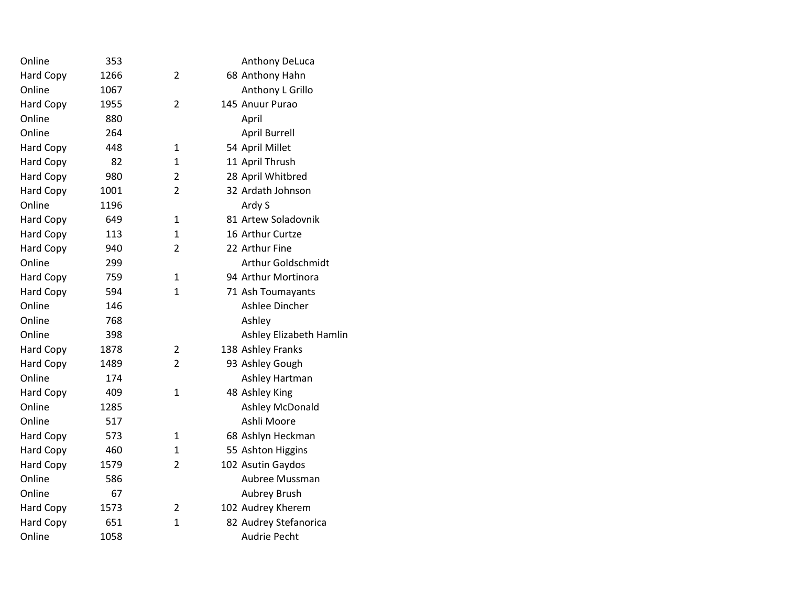| Online           | 353  |                | Anthony DeLuca          |
|------------------|------|----------------|-------------------------|
| <b>Hard Copy</b> | 1266 | 2              | 68 Anthony Hahn         |
| Online           | 1067 |                | Anthony L Grillo        |
| <b>Hard Copy</b> | 1955 | $\overline{2}$ | 145 Anuur Purao         |
| Online           | 880  |                | April                   |
| Online           | 264  |                | <b>April Burrell</b>    |
| <b>Hard Copy</b> | 448  | $\mathbf{1}$   | 54 April Millet         |
| Hard Copy        | 82   | 1              | 11 April Thrush         |
| Hard Copy        | 980  | 2              | 28 April Whitbred       |
| <b>Hard Copy</b> | 1001 | $\overline{2}$ | 32 Ardath Johnson       |
| Online           | 1196 |                | Ardy S                  |
| <b>Hard Copy</b> | 649  | $\mathbf{1}$   | 81 Artew Soladovnik     |
| <b>Hard Copy</b> | 113  | 1              | 16 Arthur Curtze        |
| <b>Hard Copy</b> | 940  | $\mathcal{P}$  | 22 Arthur Fine          |
| Online           | 299  |                | Arthur Goldschmidt      |
| Hard Copy        | 759  | $\mathbf{1}$   | 94 Arthur Mortinora     |
| Hard Copy        | 594  | $\mathbf{1}$   | 71 Ash Toumayants       |
| Online           | 146  |                | Ashlee Dincher          |
| Online           | 768  |                | Ashley                  |
| Online           | 398  |                | Ashley Elizabeth Hamlin |
| <b>Hard Copy</b> | 1878 | $\overline{2}$ | 138 Ashley Franks       |
| Hard Copy        | 1489 | $\overline{2}$ | 93 Ashley Gough         |
| Online           | 174  |                | Ashley Hartman          |
| <b>Hard Copy</b> | 409  | $\mathbf{1}$   | 48 Ashley King          |
| Online           | 1285 |                | Ashley McDonald         |
| Online           | 517  |                | Ashli Moore             |
| <b>Hard Copy</b> | 573  | 1              | 68 Ashlyn Heckman       |
| Hard Copy        | 460  | $\mathbf{1}$   | 55 Ashton Higgins       |
| Hard Copy        | 1579 | $\overline{2}$ | 102 Asutin Gaydos       |
| Online           | 586  |                | Aubree Mussman          |
| Online           | 67   |                | Aubrey Brush            |
| <b>Hard Copy</b> | 1573 | $\overline{2}$ | 102 Audrey Kherem       |
| Hard Copy        | 651  | $\mathbf{1}$   | 82 Audrey Stefanorica   |
| Online           | 1058 |                | Audrie Pecht            |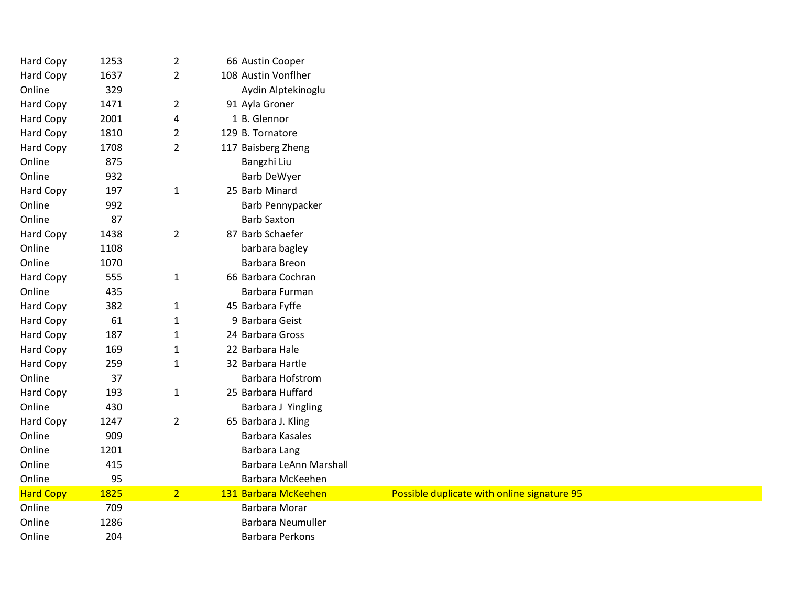| Hard Copy        | 1253 | $\overline{2}$ | 66 Austin Cooper         |                                             |  |
|------------------|------|----------------|--------------------------|---------------------------------------------|--|
| Hard Copy        | 1637 | $\overline{2}$ | 108 Austin Vonflher      |                                             |  |
| Online           | 329  |                | Aydin Alptekinoglu       |                                             |  |
| Hard Copy        | 1471 | $\overline{2}$ | 91 Ayla Groner           |                                             |  |
| Hard Copy        | 2001 | 4              | 1 B. Glennor             |                                             |  |
| Hard Copy        | 1810 | $\overline{2}$ | 129 B. Tornatore         |                                             |  |
| Hard Copy        | 1708 | $\overline{2}$ | 117 Baisberg Zheng       |                                             |  |
| Online           | 875  |                | Bangzhi Liu              |                                             |  |
| Online           | 932  |                | <b>Barb DeWyer</b>       |                                             |  |
| <b>Hard Copy</b> | 197  | $\mathbf{1}$   | 25 Barb Minard           |                                             |  |
| Online           | 992  |                | Barb Pennypacker         |                                             |  |
| Online           | 87   |                | <b>Barb Saxton</b>       |                                             |  |
| Hard Copy        | 1438 | $\overline{2}$ | 87 Barb Schaefer         |                                             |  |
| Online           | 1108 |                | barbara bagley           |                                             |  |
| Online           | 1070 |                | Barbara Breon            |                                             |  |
| <b>Hard Copy</b> | 555  | $\mathbf{1}$   | 66 Barbara Cochran       |                                             |  |
| Online           | 435  |                | Barbara Furman           |                                             |  |
| Hard Copy        | 382  | $\mathbf{1}$   | 45 Barbara Fyffe         |                                             |  |
| Hard Copy        | 61   | $\mathbf{1}$   | 9 Barbara Geist          |                                             |  |
| Hard Copy        | 187  | $\mathbf{1}$   | 24 Barbara Gross         |                                             |  |
| Hard Copy        | 169  | $\mathbf{1}$   | 22 Barbara Hale          |                                             |  |
| Hard Copy        | 259  | $\mathbf{1}$   | 32 Barbara Hartle        |                                             |  |
| Online           | 37   |                | <b>Barbara Hofstrom</b>  |                                             |  |
| Hard Copy        | 193  | $\mathbf{1}$   | 25 Barbara Huffard       |                                             |  |
| Online           | 430  |                | Barbara J Yingling       |                                             |  |
| Hard Copy        | 1247 | $\overline{2}$ | 65 Barbara J. Kling      |                                             |  |
| Online           | 909  |                | Barbara Kasales          |                                             |  |
| Online           | 1201 |                | Barbara Lang             |                                             |  |
| Online           | 415  |                | Barbara LeAnn Marshall   |                                             |  |
| Online           | 95   |                | Barbara McKeehen         |                                             |  |
| <b>Hard Copy</b> | 1825 | 2 <sup>1</sup> | 131 Barbara McKeehen     | Possible duplicate with online signature 95 |  |
| Online           | 709  |                | Barbara Morar            |                                             |  |
| Online           | 1286 |                | <b>Barbara Neumuller</b> |                                             |  |
| Online           | 204  |                | <b>Barbara Perkons</b>   |                                             |  |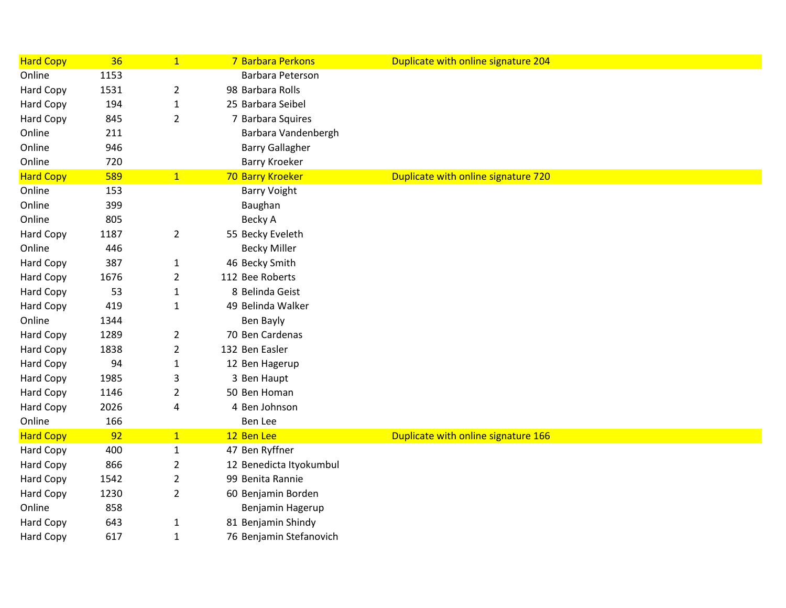| <b>Hard Copy</b> | 36   | $\mathbf{1}$   | 7 Barbara Perkons       | Duplicate with online signature 204 |  |
|------------------|------|----------------|-------------------------|-------------------------------------|--|
| Online           | 1153 |                | Barbara Peterson        |                                     |  |
| Hard Copy        | 1531 | $\overline{2}$ | 98 Barbara Rolls        |                                     |  |
| Hard Copy        | 194  | $\mathbf{1}$   | 25 Barbara Seibel       |                                     |  |
| Hard Copy        | 845  | $\overline{2}$ | 7 Barbara Squires       |                                     |  |
| Online           | 211  |                | Barbara Vandenbergh     |                                     |  |
| Online           | 946  |                | <b>Barry Gallagher</b>  |                                     |  |
| Online           | 720  |                | <b>Barry Kroeker</b>    |                                     |  |
| <b>Hard Copy</b> | 589  | 1              | 70 Barry Kroeker        | Duplicate with online signature 720 |  |
| Online           | 153  |                | <b>Barry Voight</b>     |                                     |  |
| Online           | 399  |                | Baughan                 |                                     |  |
| Online           | 805  |                | Becky A                 |                                     |  |
| Hard Copy        | 1187 | $\overline{2}$ | 55 Becky Eveleth        |                                     |  |
| Online           | 446  |                | <b>Becky Miller</b>     |                                     |  |
| Hard Copy        | 387  | $\mathbf{1}$   | 46 Becky Smith          |                                     |  |
| Hard Copy        | 1676 | $\overline{2}$ | 112 Bee Roberts         |                                     |  |
| Hard Copy        | 53   | $\mathbf{1}$   | 8 Belinda Geist         |                                     |  |
| Hard Copy        | 419  | $\mathbf{1}$   | 49 Belinda Walker       |                                     |  |
| Online           | 1344 |                | Ben Bayly               |                                     |  |
| Hard Copy        | 1289 | $\overline{2}$ | 70 Ben Cardenas         |                                     |  |
| Hard Copy        | 1838 | $\overline{2}$ | 132 Ben Easler          |                                     |  |
| Hard Copy        | 94   | $\mathbf{1}$   | 12 Ben Hagerup          |                                     |  |
| Hard Copy        | 1985 | 3              | 3 Ben Haupt             |                                     |  |
| Hard Copy        | 1146 | $\overline{2}$ | 50 Ben Homan            |                                     |  |
| <b>Hard Copy</b> | 2026 | 4              | 4 Ben Johnson           |                                     |  |
| Online           | 166  |                | Ben Lee                 |                                     |  |
| <b>Hard Copy</b> | 92   | 1              | 12 Ben Lee              | Duplicate with online signature 166 |  |
| Hard Copy        | 400  | 1              | 47 Ben Ryffner          |                                     |  |
| <b>Hard Copy</b> | 866  | $\overline{2}$ | 12 Benedicta Ityokumbul |                                     |  |
| Hard Copy        | 1542 | $\overline{2}$ | 99 Benita Rannie        |                                     |  |
| Hard Copy        | 1230 | $\overline{2}$ | 60 Benjamin Borden      |                                     |  |
| Online           | 858  |                | Benjamin Hagerup        |                                     |  |
| Hard Copy        | 643  | $\mathbf{1}$   | 81 Benjamin Shindy      |                                     |  |
| <b>Hard Copy</b> | 617  | $\mathbf{1}$   | 76 Benjamin Stefanovich |                                     |  |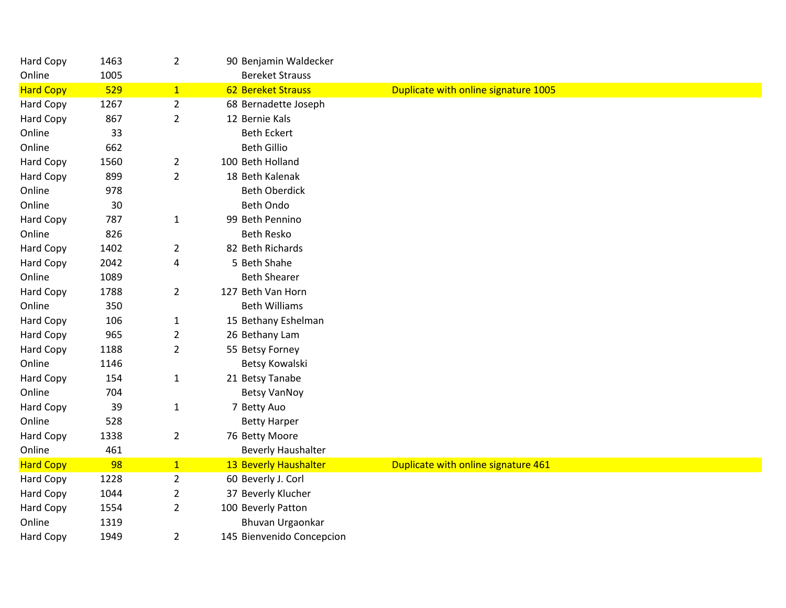| Hard Copy        | 1463 | $\overline{2}$ | 90 Benjamin Waldecker     |                                      |
|------------------|------|----------------|---------------------------|--------------------------------------|
| Online           | 1005 |                | <b>Bereket Strauss</b>    |                                      |
| <b>Hard Copy</b> | 529  | 1              | <b>62 Bereket Strauss</b> | Duplicate with online signature 1005 |
| Hard Copy        | 1267 | $\overline{2}$ | 68 Bernadette Joseph      |                                      |
| Hard Copy        | 867  | $\overline{2}$ | 12 Bernie Kals            |                                      |
| Online           | 33   |                | <b>Beth Eckert</b>        |                                      |
| Online           | 662  |                | <b>Beth Gillio</b>        |                                      |
| Hard Copy        | 1560 | $\overline{2}$ | 100 Beth Holland          |                                      |
| Hard Copy        | 899  | $\overline{2}$ | 18 Beth Kalenak           |                                      |
| Online           | 978  |                | <b>Beth Oberdick</b>      |                                      |
| Online           | 30   |                | <b>Beth Ondo</b>          |                                      |
| Hard Copy        | 787  | $\mathbf{1}$   | 99 Beth Pennino           |                                      |
| Online           | 826  |                | <b>Beth Resko</b>         |                                      |
| <b>Hard Copy</b> | 1402 | $\overline{2}$ | 82 Beth Richards          |                                      |
| Hard Copy        | 2042 | 4              | 5 Beth Shahe              |                                      |
| Online           | 1089 |                | <b>Beth Shearer</b>       |                                      |
| <b>Hard Copy</b> | 1788 | $\overline{2}$ | 127 Beth Van Horn         |                                      |
| Online           | 350  |                | <b>Beth Williams</b>      |                                      |
| Hard Copy        | 106  | $\mathbf{1}$   | 15 Bethany Eshelman       |                                      |
| <b>Hard Copy</b> | 965  | $\overline{2}$ | 26 Bethany Lam            |                                      |
| <b>Hard Copy</b> | 1188 | $\overline{2}$ | 55 Betsy Forney           |                                      |
| Online           | 1146 |                | Betsy Kowalski            |                                      |
| Hard Copy        | 154  | $\mathbf{1}$   | 21 Betsy Tanabe           |                                      |
| Online           | 704  |                | <b>Betsy VanNoy</b>       |                                      |
| Hard Copy        | 39   | $\mathbf{1}$   | 7 Betty Auo               |                                      |
| Online           | 528  |                | <b>Betty Harper</b>       |                                      |
| <b>Hard Copy</b> | 1338 | $\overline{2}$ | 76 Betty Moore            |                                      |
| Online           | 461  |                | <b>Beverly Haushalter</b> |                                      |
| <b>Hard Copy</b> | 98   | $\overline{1}$ | 13 Beverly Haushalter     | Duplicate with online signature 461  |
| Hard Copy        | 1228 | $\overline{2}$ | 60 Beverly J. Corl        |                                      |
| Hard Copy        | 1044 | 2              | 37 Beverly Klucher        |                                      |
| Hard Copy        | 1554 | $\overline{2}$ | 100 Beverly Patton        |                                      |
| Online           | 1319 |                | Bhuvan Urgaonkar          |                                      |
| <b>Hard Copy</b> | 1949 | $\overline{2}$ | 145 Bienvenido Concepcion |                                      |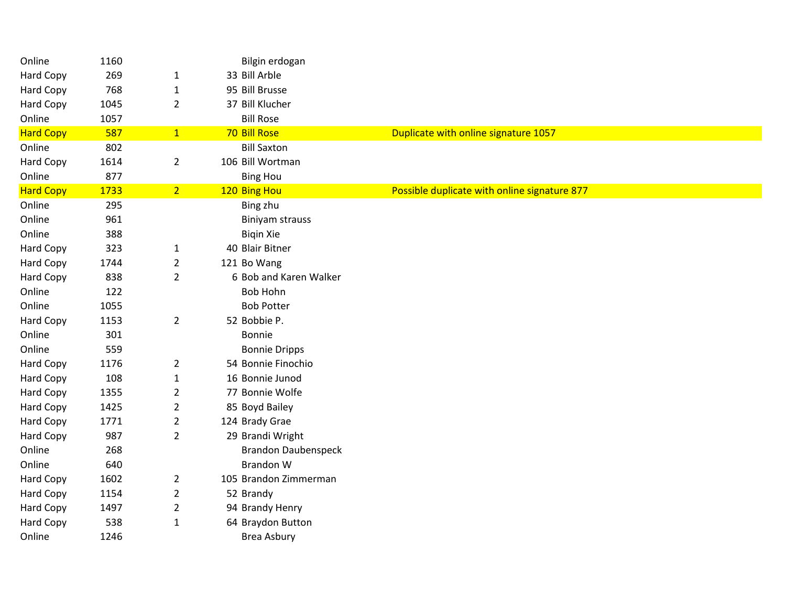| Online           | 1160 |                | Bilgin erdogan             |                                              |
|------------------|------|----------------|----------------------------|----------------------------------------------|
| <b>Hard Copy</b> | 269  | $\mathbf{1}$   | 33 Bill Arble              |                                              |
| Hard Copy        | 768  | $\mathbf{1}$   | 95 Bill Brusse             |                                              |
| Hard Copy        | 1045 | $\overline{2}$ | 37 Bill Klucher            |                                              |
| Online           | 1057 |                | <b>Bill Rose</b>           |                                              |
| <b>Hard Copy</b> | 587  | 1              | 70 Bill Rose               | Duplicate with online signature 1057         |
| Online           | 802  |                | <b>Bill Saxton</b>         |                                              |
| Hard Copy        | 1614 | $\overline{2}$ | 106 Bill Wortman           |                                              |
| Online           | 877  |                | <b>Bing Hou</b>            |                                              |
| <b>Hard Copy</b> | 1733 | 2 <sup>7</sup> | 120 Bing Hou               | Possible duplicate with online signature 877 |
| Online           | 295  |                | Bing zhu                   |                                              |
| Online           | 961  |                | <b>Biniyam strauss</b>     |                                              |
| Online           | 388  |                | <b>Bigin Xie</b>           |                                              |
| Hard Copy        | 323  | 1              | 40 Blair Bitner            |                                              |
| Hard Copy        | 1744 | $\overline{2}$ | 121 Bo Wang                |                                              |
| Hard Copy        | 838  | $\overline{2}$ | 6 Bob and Karen Walker     |                                              |
| Online           | 122  |                | <b>Bob Hohn</b>            |                                              |
| Online           | 1055 |                | <b>Bob Potter</b>          |                                              |
| Hard Copy        | 1153 | $\overline{2}$ | 52 Bobbie P.               |                                              |
| Online           | 301  |                | Bonnie                     |                                              |
| Online           | 559  |                | <b>Bonnie Dripps</b>       |                                              |
| <b>Hard Copy</b> | 1176 | $\overline{2}$ | 54 Bonnie Finochio         |                                              |
| Hard Copy        | 108  | $\mathbf{1}$   | 16 Bonnie Junod            |                                              |
| Hard Copy        | 1355 | $\overline{2}$ | 77 Bonnie Wolfe            |                                              |
| <b>Hard Copy</b> | 1425 | $\overline{2}$ | 85 Boyd Bailey             |                                              |
| Hard Copy        | 1771 | $\overline{2}$ | 124 Brady Grae             |                                              |
| Hard Copy        | 987  | $\overline{2}$ | 29 Brandi Wright           |                                              |
| Online           | 268  |                | <b>Brandon Daubenspeck</b> |                                              |
| Online           | 640  |                | <b>Brandon W</b>           |                                              |
| Hard Copy        | 1602 | $\overline{2}$ | 105 Brandon Zimmerman      |                                              |
| <b>Hard Copy</b> | 1154 | $\overline{2}$ | 52 Brandy                  |                                              |
| Hard Copy        | 1497 | $\overline{2}$ | 94 Brandy Henry            |                                              |
| Hard Copy        | 538  | $\mathbf{1}$   | 64 Braydon Button          |                                              |
| Online           | 1246 |                | Brea Asbury                |                                              |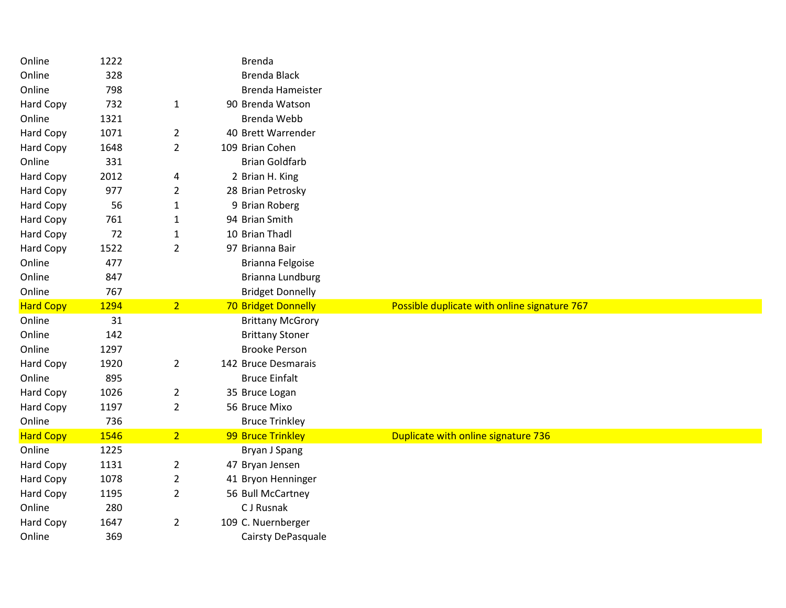| Online           | 1222        |                | <b>Brenda</b>           |                                              |
|------------------|-------------|----------------|-------------------------|----------------------------------------------|
| Online           | 328         |                | <b>Brenda Black</b>     |                                              |
| Online           | 798         |                | <b>Brenda Hameister</b> |                                              |
| Hard Copy        | 732         | $\mathbf{1}$   | 90 Brenda Watson        |                                              |
| Online           | 1321        |                | <b>Brenda Webb</b>      |                                              |
| Hard Copy        | 1071        | $\overline{2}$ | 40 Brett Warrender      |                                              |
| <b>Hard Copy</b> | 1648        | $\overline{2}$ | 109 Brian Cohen         |                                              |
| Online           | 331         |                | <b>Brian Goldfarb</b>   |                                              |
| <b>Hard Copy</b> | 2012        | 4              | 2 Brian H. King         |                                              |
| Hard Copy        | 977         | $\overline{2}$ | 28 Brian Petrosky       |                                              |
| Hard Copy        | 56          | $\mathbf{1}$   | 9 Brian Roberg          |                                              |
| Hard Copy        | 761         | $\mathbf{1}$   | 94 Brian Smith          |                                              |
| Hard Copy        | 72          | $\mathbf{1}$   | 10 Brian Thadl          |                                              |
| Hard Copy        | 1522        | $\overline{2}$ | 97 Brianna Bair         |                                              |
| Online           | 477         |                | Brianna Felgoise        |                                              |
| Online           | 847         |                | Brianna Lundburg        |                                              |
| Online           | 767         |                | <b>Bridget Donnelly</b> |                                              |
| <b>Hard Copy</b> | 1294        | 2 <sup>1</sup> | 70 Bridget Donnelly     | Possible duplicate with online signature 767 |
|                  |             |                |                         |                                              |
| Online           | 31          |                | <b>Brittany McGrory</b> |                                              |
| Online           | 142         |                | <b>Brittany Stoner</b>  |                                              |
| Online           | 1297        |                | <b>Brooke Person</b>    |                                              |
| <b>Hard Copy</b> | 1920        | $\overline{2}$ | 142 Bruce Desmarais     |                                              |
| Online           | 895         |                | <b>Bruce Einfalt</b>    |                                              |
| <b>Hard Copy</b> | 1026        | $\overline{2}$ | 35 Bruce Logan          |                                              |
| Hard Copy        | 1197        | $\overline{2}$ | 56 Bruce Mixo           |                                              |
| Online           | 736         |                | <b>Bruce Trinkley</b>   |                                              |
| <b>Hard Copy</b> | 1546        | $\overline{2}$ | 99 Bruce Trinkley       | Duplicate with online signature 736          |
| Online           | 1225        |                | Bryan J Spang           |                                              |
| Hard Copy        | 1131        | $\overline{2}$ | 47 Bryan Jensen         |                                              |
| <b>Hard Copy</b> | 1078        | $\overline{2}$ | 41 Bryon Henninger      |                                              |
| Hard Copy        | 1195        | $\overline{2}$ | 56 Bull McCartney       |                                              |
| Online           | 280         |                | C J Rusnak              |                                              |
| Hard Copy        | 1647<br>369 | $\overline{2}$ | 109 C. Nuernberger      |                                              |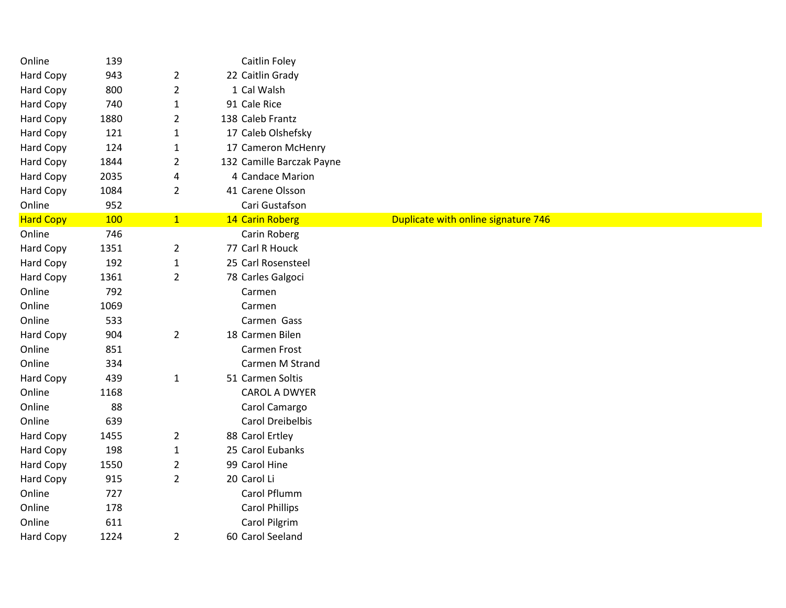| Online           | 139        |                | Caitlin Foley             |                                     |  |  |  |
|------------------|------------|----------------|---------------------------|-------------------------------------|--|--|--|
| Hard Copy        | 943        | $\overline{2}$ | 22 Caitlin Grady          |                                     |  |  |  |
| Hard Copy        | 800        | $\overline{2}$ | 1 Cal Walsh               |                                     |  |  |  |
| Hard Copy        | 740        | $\mathbf{1}$   | 91 Cale Rice              |                                     |  |  |  |
| Hard Copy        | 1880       | $\overline{2}$ | 138 Caleb Frantz          |                                     |  |  |  |
| <b>Hard Copy</b> | 121        | $\mathbf{1}$   | 17 Caleb Olshefsky        |                                     |  |  |  |
| <b>Hard Copy</b> | 124        | $\mathbf{1}$   | 17 Cameron McHenry        |                                     |  |  |  |
| <b>Hard Copy</b> | 1844       | $\overline{2}$ | 132 Camille Barczak Payne |                                     |  |  |  |
| Hard Copy        | 2035       | 4              | 4 Candace Marion          |                                     |  |  |  |
| Hard Copy        | 1084       | $\overline{2}$ | 41 Carene Olsson          |                                     |  |  |  |
| Online           | 952        |                | Cari Gustafson            |                                     |  |  |  |
| <b>Hard Copy</b> | <b>100</b> | 1              | 14 Carin Roberg           | Duplicate with online signature 746 |  |  |  |
| Online           | 746        |                | Carin Roberg              |                                     |  |  |  |
| Hard Copy        | 1351       | $\overline{2}$ | 77 Carl R Houck           |                                     |  |  |  |
| Hard Copy        | 192        | $\mathbf{1}$   | 25 Carl Rosensteel        |                                     |  |  |  |
| Hard Copy        | 1361       | $\overline{2}$ | 78 Carles Galgoci         |                                     |  |  |  |
| Online           | 792        |                | Carmen                    |                                     |  |  |  |
| Online           | 1069       |                | Carmen                    |                                     |  |  |  |
| Online           | 533        |                | Carmen Gass               |                                     |  |  |  |
| Hard Copy        | 904        | $\overline{2}$ | 18 Carmen Bilen           |                                     |  |  |  |
| Online           | 851        |                | Carmen Frost              |                                     |  |  |  |
| Online           | 334        |                | Carmen M Strand           |                                     |  |  |  |
| Hard Copy        | 439        | $\mathbf{1}$   | 51 Carmen Soltis          |                                     |  |  |  |
| Online           | 1168       |                | <b>CAROL A DWYER</b>      |                                     |  |  |  |
| Online           | 88         |                | Carol Camargo             |                                     |  |  |  |
| Online           | 639        |                | Carol Dreibelbis          |                                     |  |  |  |
| Hard Copy        | 1455       | $\overline{2}$ | 88 Carol Ertley           |                                     |  |  |  |
| Hard Copy        | 198        | $\mathbf{1}$   | 25 Carol Eubanks          |                                     |  |  |  |
| Hard Copy        | 1550       | $\overline{2}$ | 99 Carol Hine             |                                     |  |  |  |
| Hard Copy        | 915        | $\overline{2}$ | 20 Carol Li               |                                     |  |  |  |
| Online           | 727        |                | Carol Pflumm              |                                     |  |  |  |
| Online           | 178        |                | <b>Carol Phillips</b>     |                                     |  |  |  |
| Online           | 611        |                | Carol Pilgrim             |                                     |  |  |  |
| Hard Copy        | 1224       | $\overline{2}$ | 60 Carol Seeland          |                                     |  |  |  |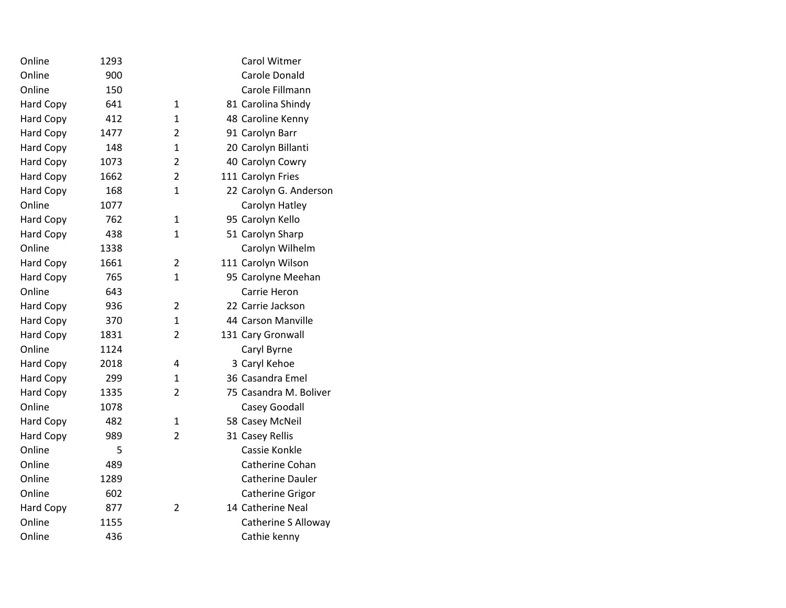| Online           | 1293 |                | Carol Witmer               |
|------------------|------|----------------|----------------------------|
| Online           | 900  |                | Carole Donald              |
| Online           | 150  |                | Carole Fillmann            |
| <b>Hard Copy</b> | 641  | 1              | 81 Carolina Shindy         |
| Hard Copy        | 412  | $\mathbf{1}$   | 48 Caroline Kenny          |
| Hard Copy        | 1477 | 2              | 91 Carolyn Barr            |
| Hard Copy        | 148  | 1              | 20 Carolyn Billanti        |
| Hard Copy        | 1073 | $\overline{2}$ | 40 Carolyn Cowry           |
| Hard Copy        | 1662 | 2              | 111 Carolyn Fries          |
| Hard Copy        | 168  | $\mathbf{1}$   | 22 Carolyn G. Anderson     |
| Online           | 1077 |                | Carolyn Hatley             |
| Hard Copy        | 762  | $\mathbf{1}$   | 95 Carolyn Kello           |
| <b>Hard Copy</b> | 438  | 1              | 51 Carolyn Sharp           |
| Online           | 1338 |                | Carolyn Wilhelm            |
| Hard Copy        | 1661 | $\overline{2}$ | 111 Carolyn Wilson         |
| <b>Hard Copy</b> | 765  | $\mathbf{1}$   | 95 Carolyne Meehan         |
| Online           | 643  |                | Carrie Heron               |
| <b>Hard Copy</b> | 936  | $\overline{2}$ | 22 Carrie Jackson          |
| <b>Hard Copy</b> | 370  | 1              | 44 Carson Manville         |
| Hard Copy        | 1831 | $\overline{2}$ | 131 Cary Gronwall          |
| Online           | 1124 |                | Caryl Byrne                |
| <b>Hard Copy</b> | 2018 | 4              | 3 Caryl Kehoe              |
| Hard Copy        | 299  | 1              | 36 Casandra Emel           |
| <b>Hard Copy</b> | 1335 | $\overline{2}$ | 75 Casandra M. Boliver     |
| Online           | 1078 |                | Casey Goodall              |
| <b>Hard Copy</b> | 482  | $\mathbf{1}$   | 58 Casey McNeil            |
| <b>Hard Copy</b> | 989  | $\overline{2}$ | 31 Casey Rellis            |
| Online           | 5    |                | Cassie Konkle              |
| Online           | 489  |                | Catherine Cohan            |
| Online           | 1289 |                | <b>Catherine Dauler</b>    |
| Online           | 602  |                | Catherine Grigor           |
| <b>Hard Copy</b> | 877  | $\overline{2}$ | 14 Catherine Neal          |
| Online           | 1155 |                | <b>Catherine S Alloway</b> |
| Online           | 436  |                | Cathie kenny               |
|                  |      |                |                            |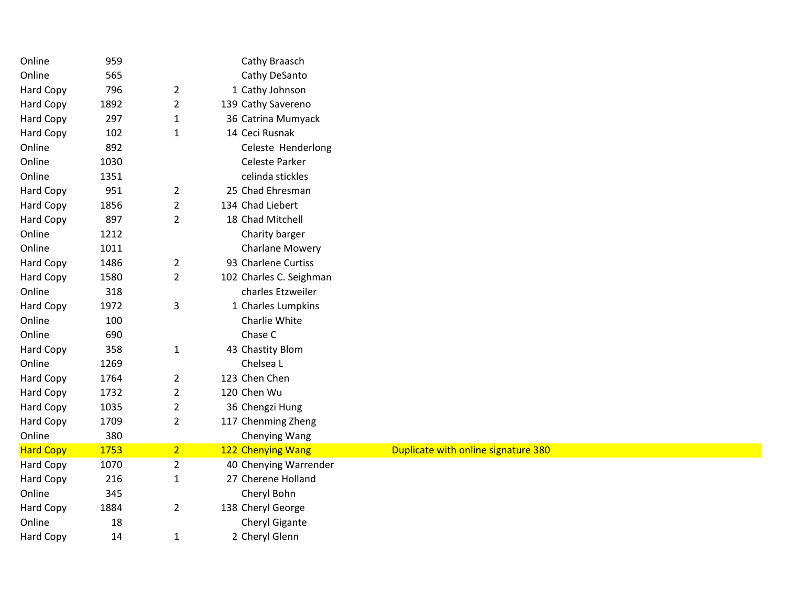| Online           | 959  |                | Cathy Braasch           |                                     |
|------------------|------|----------------|-------------------------|-------------------------------------|
| Online           | 565  |                | Cathy DeSanto           |                                     |
| Hard Copy        | 796  | $\overline{2}$ | 1 Cathy Johnson         |                                     |
| Hard Copy        | 1892 | $\overline{2}$ | 139 Cathy Savereno      |                                     |
| Hard Copy        | 297  | $\mathbf{1}$   | 36 Catrina Mumyack      |                                     |
| Hard Copy        | 102  | $\mathbf{1}$   | 14 Ceci Rusnak          |                                     |
| Online           | 892  |                | Celeste Henderlong      |                                     |
| Online           | 1030 |                | Celeste Parker          |                                     |
| Online           | 1351 |                | celinda stickles        |                                     |
| Hard Copy        | 951  | $\overline{2}$ | 25 Chad Ehresman        |                                     |
| Hard Copy        | 1856 | $\overline{2}$ | 134 Chad Liebert        |                                     |
| Hard Copy        | 897  | $\overline{2}$ | 18 Chad Mitchell        |                                     |
| Online           | 1212 |                | Charity barger          |                                     |
| Online           | 1011 |                | <b>Charlane Mowery</b>  |                                     |
| Hard Copy        | 1486 | $\overline{2}$ | 93 Charlene Curtiss     |                                     |
| Hard Copy        | 1580 | $\overline{2}$ | 102 Charles C. Seighman |                                     |
| Online           | 318  |                | charles Etzweiler       |                                     |
| Hard Copy        | 1972 | $\mathsf 3$    | 1 Charles Lumpkins      |                                     |
| Online           | 100  |                | Charlie White           |                                     |
| Online           | 690  |                | Chase C                 |                                     |
| Hard Copy        | 358  | $\mathbf{1}$   | 43 Chastity Blom        |                                     |
| Online           | 1269 |                | Chelsea L               |                                     |
| Hard Copy        | 1764 | $\overline{2}$ | 123 Chen Chen           |                                     |
| Hard Copy        | 1732 | $\overline{2}$ | 120 Chen Wu             |                                     |
| Hard Copy        | 1035 | $\overline{2}$ | 36 Chengzi Hung         |                                     |
| Hard Copy        | 1709 | $\overline{2}$ | 117 Chenming Zheng      |                                     |
| Online           | 380  |                | Chenying Wang           |                                     |
| <b>Hard Copy</b> | 1753 | $\overline{2}$ | 122 Chenying Wang       | Duplicate with online signature 380 |
| Hard Copy        | 1070 | $\overline{2}$ | 40 Chenying Warrender   |                                     |
| Hard Copy        | 216  | $\mathbf{1}$   | 27 Cherene Holland      |                                     |
| Online           | 345  |                | Cheryl Bohn             |                                     |
| Hard Copy        | 1884 | $\overline{2}$ | 138 Cheryl George       |                                     |
| Online           | 18   |                | Cheryl Gigante          |                                     |
| Hard Copy        | 14   | $\mathbf{1}$   | 2 Cheryl Glenn          |                                     |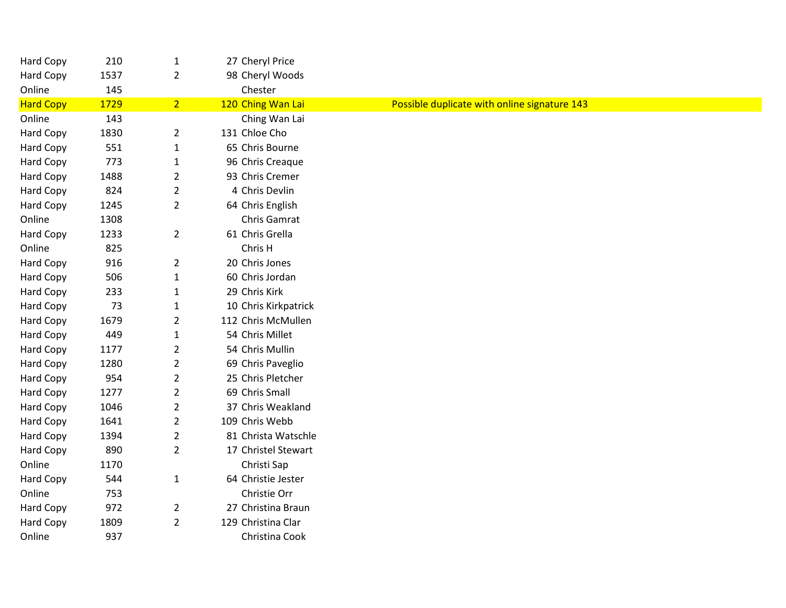| Hard Copy        | 210  | $\mathbf 1$    | 27 Cheryl Price      |                                              |
|------------------|------|----------------|----------------------|----------------------------------------------|
| Hard Copy        | 1537 | $\overline{2}$ | 98 Cheryl Woods      |                                              |
| Online           | 145  |                | Chester              |                                              |
| <b>Hard Copy</b> | 1729 | 2 <sup>1</sup> | 120 Ching Wan Lai    | Possible duplicate with online signature 143 |
| Online           | 143  |                | Ching Wan Lai        |                                              |
| Hard Copy        | 1830 | $\overline{2}$ | 131 Chloe Cho        |                                              |
| Hard Copy        | 551  | $\mathbf{1}$   | 65 Chris Bourne      |                                              |
| Hard Copy        | 773  | $\mathbf{1}$   | 96 Chris Creaque     |                                              |
| Hard Copy        | 1488 | $\overline{2}$ | 93 Chris Cremer      |                                              |
| Hard Copy        | 824  | $\overline{2}$ | 4 Chris Devlin       |                                              |
| Hard Copy        | 1245 | $\overline{2}$ | 64 Chris English     |                                              |
| Online           | 1308 |                | Chris Gamrat         |                                              |
| <b>Hard Copy</b> | 1233 | $\overline{2}$ | 61 Chris Grella      |                                              |
| Online           | 825  |                | Chris H              |                                              |
| Hard Copy        | 916  | $\overline{2}$ | 20 Chris Jones       |                                              |
| Hard Copy        | 506  | $\mathbf 1$    | 60 Chris Jordan      |                                              |
| Hard Copy        | 233  | $\mathbf{1}$   | 29 Chris Kirk        |                                              |
| Hard Copy        | 73   | $\mathbf{1}$   | 10 Chris Kirkpatrick |                                              |
| Hard Copy        | 1679 | $\overline{2}$ | 112 Chris McMullen   |                                              |
| Hard Copy        | 449  | $\mathbf 1$    | 54 Chris Millet      |                                              |
| Hard Copy        | 1177 | $\overline{2}$ | 54 Chris Mullin      |                                              |
| Hard Copy        | 1280 | $\overline{2}$ | 69 Chris Paveglio    |                                              |
| Hard Copy        | 954  | $\overline{2}$ | 25 Chris Pletcher    |                                              |
| Hard Copy        | 1277 | $\overline{2}$ | 69 Chris Small       |                                              |
| Hard Copy        | 1046 | $\overline{2}$ | 37 Chris Weakland    |                                              |
| Hard Copy        | 1641 | $\overline{2}$ | 109 Chris Webb       |                                              |
| Hard Copy        | 1394 | $\overline{2}$ | 81 Christa Watschle  |                                              |
| Hard Copy        | 890  | $\overline{2}$ | 17 Christel Stewart  |                                              |
| Online           | 1170 |                | Christi Sap          |                                              |
| Hard Copy        | 544  | $\mathbf{1}$   | 64 Christie Jester   |                                              |
| Online           | 753  |                | Christie Orr         |                                              |
| Hard Copy        | 972  | $\overline{2}$ | 27 Christina Braun   |                                              |
| Hard Copy        | 1809 | $\overline{2}$ | 129 Christina Clar   |                                              |
| Online           | 937  |                | Christina Cook       |                                              |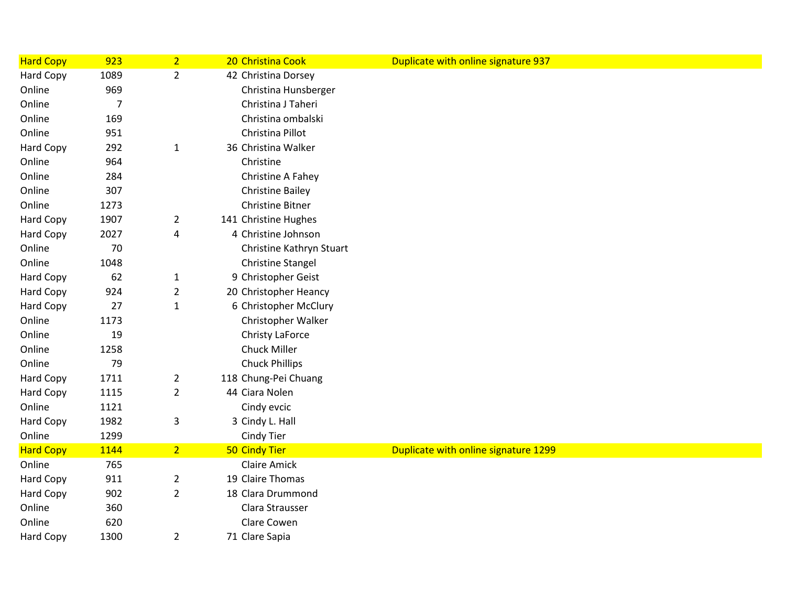| <b>Hard Copy</b> | 923            | $\overline{2}$          | 20 Christina Cook        | Duplicate with online signature 937  |
|------------------|----------------|-------------------------|--------------------------|--------------------------------------|
| Hard Copy        | 1089           | $\overline{2}$          | 42 Christina Dorsey      |                                      |
| Online           | 969            |                         | Christina Hunsberger     |                                      |
| Online           | $\overline{7}$ |                         | Christina J Taheri       |                                      |
| Online           | 169            |                         | Christina ombalski       |                                      |
| Online           | 951            |                         | Christina Pillot         |                                      |
| Hard Copy        | 292            | $\mathbf{1}$            | 36 Christina Walker      |                                      |
| Online           | 964            |                         | Christine                |                                      |
| Online           | 284            |                         | Christine A Fahey        |                                      |
| Online           | 307            |                         | <b>Christine Bailey</b>  |                                      |
| Online           | 1273           |                         | <b>Christine Bitner</b>  |                                      |
| Hard Copy        | 1907           | $\overline{2}$          | 141 Christine Hughes     |                                      |
| Hard Copy        | 2027           | 4                       | 4 Christine Johnson      |                                      |
| Online           | 70             |                         | Christine Kathryn Stuart |                                      |
| Online           | 1048           |                         | <b>Christine Stangel</b> |                                      |
| <b>Hard Copy</b> | 62             | $\mathbf{1}$            | 9 Christopher Geist      |                                      |
| Hard Copy        | 924            | $\overline{2}$          | 20 Christopher Heancy    |                                      |
| Hard Copy        | 27             | $\mathbf{1}$            | 6 Christopher McClury    |                                      |
| Online           | 1173           |                         | Christopher Walker       |                                      |
| Online           | 19             |                         | Christy LaForce          |                                      |
| Online           | 1258           |                         | Chuck Miller             |                                      |
| Online           | 79             |                         | <b>Chuck Phillips</b>    |                                      |
| Hard Copy        | 1711           | $\overline{2}$          | 118 Chung-Pei Chuang     |                                      |
| Hard Copy        | 1115           | $\overline{\mathbf{c}}$ | 44 Ciara Nolen           |                                      |
| Online           | 1121           |                         | Cindy evcic              |                                      |
| Hard Copy        | 1982           | 3                       | 3 Cindy L. Hall          |                                      |
| Online           | 1299           |                         | Cindy Tier               |                                      |
| <b>Hard Copy</b> | 1144           | 2 <sup>1</sup>          | <b>50 Cindy Tier</b>     | Duplicate with online signature 1299 |
| Online           | 765            |                         | <b>Claire Amick</b>      |                                      |
| Hard Copy        | 911            | 2                       | 19 Claire Thomas         |                                      |
| Hard Copy        | 902            | $\overline{2}$          | 18 Clara Drummond        |                                      |
| Online           | 360            |                         | Clara Strausser          |                                      |
| Online           | 620            |                         | Clare Cowen              |                                      |
| <b>Hard Copy</b> | 1300           | 2                       | 71 Clare Sapia           |                                      |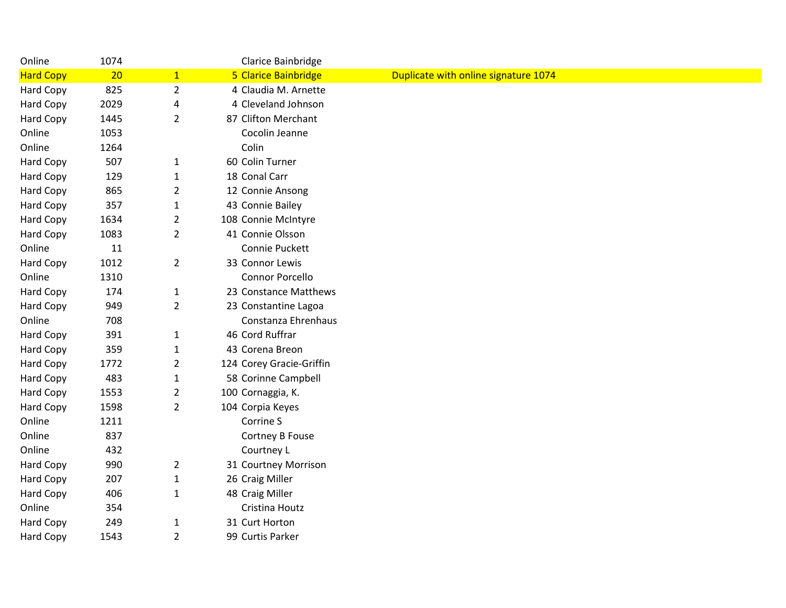| Online           | 1074 |                | Clarice Bainbridge       |                                      |
|------------------|------|----------------|--------------------------|--------------------------------------|
| <b>Hard Copy</b> | 20   | $\overline{1}$ | 5 Clarice Bainbridge     | Duplicate with online signature 1074 |
| Hard Copy        | 825  | $\overline{2}$ | 4 Claudia M. Arnette     |                                      |
| Hard Copy        | 2029 | 4              | 4 Cleveland Johnson      |                                      |
| Hard Copy        | 1445 | $\overline{2}$ | 87 Clifton Merchant      |                                      |
| Online           | 1053 |                | Cocolin Jeanne           |                                      |
| Online           | 1264 |                | Colin                    |                                      |
| Hard Copy        | 507  | $\mathbf{1}$   | 60 Colin Turner          |                                      |
| Hard Copy        | 129  | $\mathbf{1}$   | 18 Conal Carr            |                                      |
| Hard Copy        | 865  | $\overline{2}$ | 12 Connie Ansong         |                                      |
| Hard Copy        | 357  | $\mathbf{1}$   | 43 Connie Bailey         |                                      |
| Hard Copy        | 1634 | $\overline{2}$ | 108 Connie McIntyre      |                                      |
| Hard Copy        | 1083 | $\overline{2}$ | 41 Connie Olsson         |                                      |
| Online           | 11   |                | Connie Puckett           |                                      |
| Hard Copy        | 1012 | $\overline{2}$ | 33 Connor Lewis          |                                      |
| Online           | 1310 |                | <b>Connor Porcello</b>   |                                      |
| Hard Copy        | 174  | $\mathbf{1}$   | 23 Constance Matthews    |                                      |
| <b>Hard Copy</b> | 949  | $\overline{2}$ | 23 Constantine Lagoa     |                                      |
| Online           | 708  |                | Constanza Ehrenhaus      |                                      |
| Hard Copy        | 391  | $\mathbf{1}$   | 46 Cord Ruffrar          |                                      |
| Hard Copy        | 359  | $\mathbf{1}$   | 43 Corena Breon          |                                      |
| Hard Copy        | 1772 | 2              | 124 Corey Gracie-Griffin |                                      |
| Hard Copy        | 483  | $\mathbf{1}$   | 58 Corinne Campbell      |                                      |
| Hard Copy        | 1553 | $\overline{2}$ | 100 Cornaggia, K.        |                                      |
| Hard Copy        | 1598 | $\overline{2}$ | 104 Corpia Keyes         |                                      |
| Online           | 1211 |                | Corrine S                |                                      |
| Online           | 837  |                | Cortney B Fouse          |                                      |
| Online           | 432  |                | Courtney L               |                                      |
| Hard Copy        | 990  | $\overline{2}$ | 31 Courtney Morrison     |                                      |
| Hard Copy        | 207  | $\mathbf{1}$   | 26 Craig Miller          |                                      |
| Hard Copy        | 406  | $\mathbf{1}$   | 48 Craig Miller          |                                      |
| Online           | 354  |                | Cristina Houtz           |                                      |
| Hard Copy        | 249  | $\mathbf{1}$   | 31 Curt Horton           |                                      |
| Hard Copy        | 1543 | $\overline{2}$ | 99 Curtis Parker         |                                      |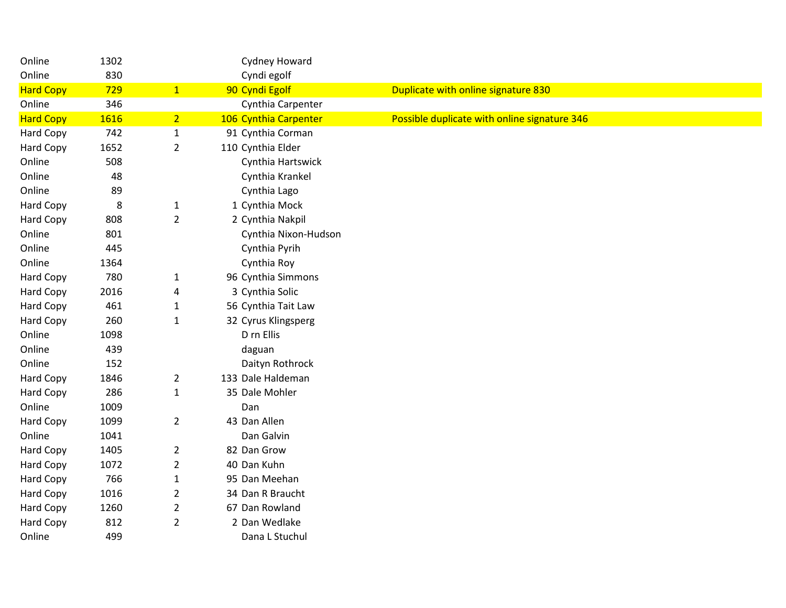| Online           | 1302 |                | Cydney Howard         |                                              |
|------------------|------|----------------|-----------------------|----------------------------------------------|
| Online           | 830  |                | Cyndi egolf           |                                              |
| <b>Hard Copy</b> | 729  | $\mathbf{1}$   | 90 Cyndi Egolf        | Duplicate with online signature 830          |
| Online           | 346  |                | Cynthia Carpenter     |                                              |
| <b>Hard Copy</b> | 1616 | 2 <sup>7</sup> | 106 Cynthia Carpenter | Possible duplicate with online signature 346 |
| Hard Copy        | 742  | $\mathbf 1$    | 91 Cynthia Corman     |                                              |
| Hard Copy        | 1652 | $\overline{2}$ | 110 Cynthia Elder     |                                              |
| Online           | 508  |                | Cynthia Hartswick     |                                              |
| Online           | 48   |                | Cynthia Krankel       |                                              |
| Online           | 89   |                | Cynthia Lago          |                                              |
| Hard Copy        | 8    | $\mathbf{1}$   | 1 Cynthia Mock        |                                              |
| Hard Copy        | 808  | $\overline{2}$ | 2 Cynthia Nakpil      |                                              |
| Online           | 801  |                | Cynthia Nixon-Hudson  |                                              |
| Online           | 445  |                | Cynthia Pyrih         |                                              |
| Online           | 1364 |                | Cynthia Roy           |                                              |
| Hard Copy        | 780  | $\mathbf{1}$   | 96 Cynthia Simmons    |                                              |
| Hard Copy        | 2016 | 4              | 3 Cynthia Solic       |                                              |
| Hard Copy        | 461  | $\mathbf{1}$   | 56 Cynthia Tait Law   |                                              |
| Hard Copy        | 260  | $\mathbf{1}$   | 32 Cyrus Klingsperg   |                                              |
| Online           | 1098 |                | D rn Ellis            |                                              |
| Online           | 439  |                | daguan                |                                              |
| Online           | 152  |                | Daityn Rothrock       |                                              |
| Hard Copy        | 1846 | $\overline{2}$ | 133 Dale Haldeman     |                                              |
| Hard Copy        | 286  | $\mathbf 1$    | 35 Dale Mohler        |                                              |
| Online           | 1009 |                | Dan                   |                                              |
| Hard Copy        | 1099 | $\overline{2}$ | 43 Dan Allen          |                                              |
| Online           | 1041 |                | Dan Galvin            |                                              |
| Hard Copy        | 1405 | $\overline{2}$ | 82 Dan Grow           |                                              |
| Hard Copy        | 1072 | $\overline{2}$ | 40 Dan Kuhn           |                                              |
| Hard Copy        | 766  | $\mathbf 1$    | 95 Dan Meehan         |                                              |
| Hard Copy        | 1016 | $\overline{2}$ | 34 Dan R Braucht      |                                              |
| Hard Copy        | 1260 | $\overline{2}$ | 67 Dan Rowland        |                                              |
| Hard Copy        | 812  | $\overline{2}$ | 2 Dan Wedlake         |                                              |
| Online           | 499  |                | Dana L Stuchul        |                                              |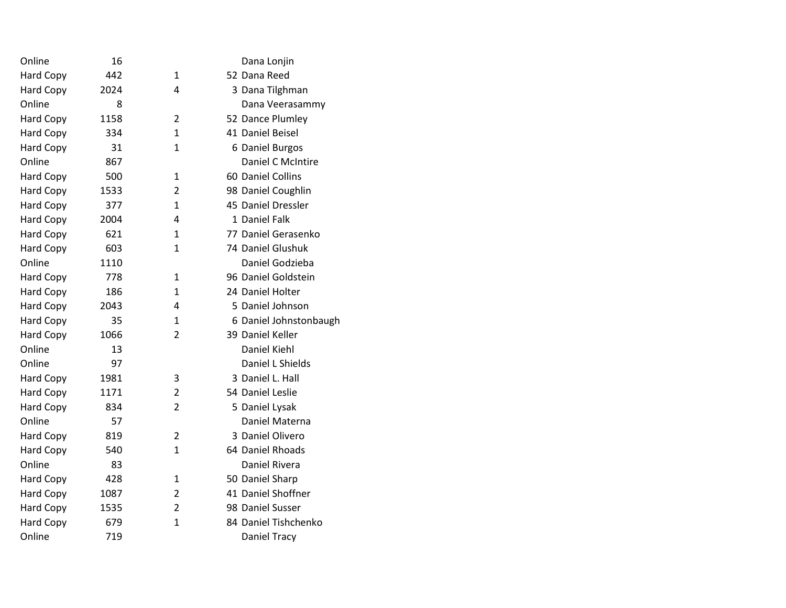| 16   |                | Dana Lonjin            |
|------|----------------|------------------------|
| 442  | 1              | 52 Dana Reed           |
| 2024 | 4              | 3 Dana Tilghman        |
| 8    |                | Dana Veerasammy        |
| 1158 | $\overline{2}$ | 52 Dance Plumley       |
| 334  | 1              | 41 Daniel Beisel       |
| 31   | 1              | 6 Daniel Burgos        |
| 867  |                | Daniel C McIntire      |
| 500  | 1              | 60 Daniel Collins      |
| 1533 | $\overline{2}$ | 98 Daniel Coughlin     |
| 377  | 1              | 45 Daniel Dressler     |
| 2004 | 4              | 1 Daniel Falk          |
| 621  | 1              | 77 Daniel Gerasenko    |
| 603  | $\mathbf{1}$   | 74 Daniel Glushuk      |
| 1110 |                | Daniel Godzieba        |
| 778  | 1              | 96 Daniel Goldstein    |
| 186  | 1              | 24 Daniel Holter       |
| 2043 | 4              | 5 Daniel Johnson       |
| 35   | $\mathbf{1}$   | 6 Daniel Johnstonbaugh |
| 1066 | $\overline{2}$ | 39 Daniel Keller       |
| 13   |                | Daniel Kiehl           |
| 97   |                | Daniel L Shields       |
| 1981 | 3              | 3 Daniel L. Hall       |
| 1171 | $\overline{2}$ | 54 Daniel Leslie       |
| 834  | $\overline{2}$ | 5 Daniel Lysak         |
| 57   |                | Daniel Materna         |
| 819  | $\overline{2}$ | 3 Daniel Olivero       |
| 540  | $\mathbf{1}$   | 64 Daniel Rhoads       |
| 83   |                | Daniel Rivera          |
| 428  | 1              | 50 Daniel Sharp        |
| 1087 | $\overline{2}$ | 41 Daniel Shoffner     |
| 1535 | $\overline{2}$ | 98 Daniel Susser       |
| 679  | $\mathbf 1$    | 84 Daniel Tishchenko   |
| 719  |                | Daniel Tracy           |
|      |                |                        |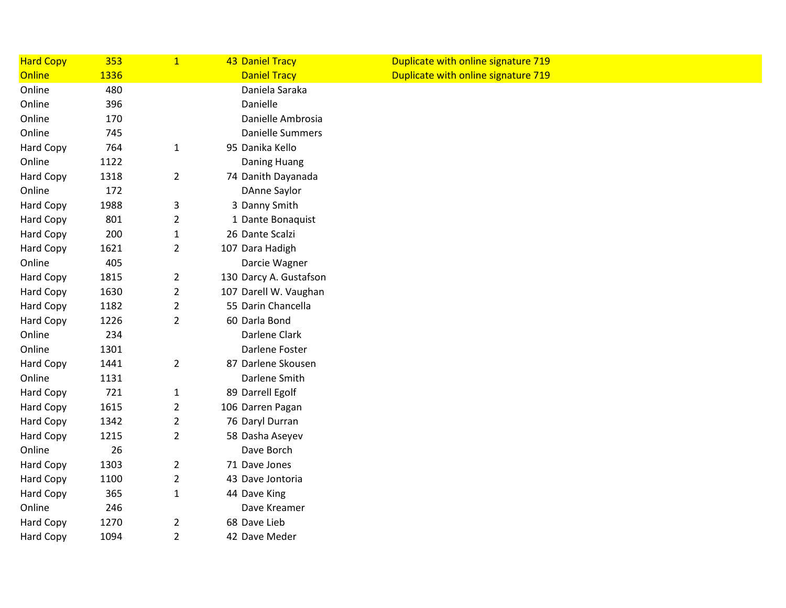| <b>Hard Copy</b> | 353  | $\mathbf{1}$   | <b>43 Daniel Tracy</b>  | Duplicate with online signature 719 |
|------------------|------|----------------|-------------------------|-------------------------------------|
| Online           | 1336 |                | <b>Daniel Tracy</b>     | Duplicate with online signature 719 |
| Online           | 480  |                | Daniela Saraka          |                                     |
| Online           | 396  |                | Danielle                |                                     |
| Online           | 170  |                | Danielle Ambrosia       |                                     |
| Online           | 745  |                | <b>Danielle Summers</b> |                                     |
| Hard Copy        | 764  | $\mathbf{1}$   | 95 Danika Kello         |                                     |
| Online           | 1122 |                | Daning Huang            |                                     |
| <b>Hard Copy</b> | 1318 | $\overline{2}$ | 74 Danith Dayanada      |                                     |
| Online           | 172  |                | <b>DAnne Saylor</b>     |                                     |
| Hard Copy        | 1988 | 3              | 3 Danny Smith           |                                     |
| Hard Copy        | 801  | $\overline{2}$ | 1 Dante Bonaquist       |                                     |
| Hard Copy        | 200  | $\mathbf{1}$   | 26 Dante Scalzi         |                                     |
| Hard Copy        | 1621 | $\overline{2}$ | 107 Dara Hadigh         |                                     |
| Online           | 405  |                | Darcie Wagner           |                                     |
| Hard Copy        | 1815 | $\overline{2}$ | 130 Darcy A. Gustafson  |                                     |
| Hard Copy        | 1630 | $\overline{2}$ | 107 Darell W. Vaughan   |                                     |
| Hard Copy        | 1182 | $\overline{2}$ | 55 Darin Chancella      |                                     |
| Hard Copy        | 1226 | $\overline{2}$ | 60 Darla Bond           |                                     |
| Online           | 234  |                | Darlene Clark           |                                     |
| Online           | 1301 |                | Darlene Foster          |                                     |
| Hard Copy        | 1441 | $\overline{2}$ | 87 Darlene Skousen      |                                     |
| Online           | 1131 |                | Darlene Smith           |                                     |
| Hard Copy        | 721  | $\mathbf{1}$   | 89 Darrell Egolf        |                                     |
| Hard Copy        | 1615 | $\overline{2}$ | 106 Darren Pagan        |                                     |
| Hard Copy        | 1342 | $\overline{2}$ | 76 Daryl Durran         |                                     |
| Hard Copy        | 1215 | $\overline{2}$ | 58 Dasha Aseyev         |                                     |
| Online           | 26   |                | Dave Borch              |                                     |
| Hard Copy        | 1303 | $\overline{2}$ | 71 Dave Jones           |                                     |
| Hard Copy        | 1100 | $\overline{2}$ | 43 Dave Jontoria        |                                     |
| <b>Hard Copy</b> | 365  | $\mathbf 1$    | 44 Dave King            |                                     |
| Online           | 246  |                | Dave Kreamer            |                                     |
| Hard Copy        | 1270 | $\overline{2}$ | 68 Dave Lieb            |                                     |
| Hard Copy        | 1094 | $\overline{2}$ | 42 Dave Meder           |                                     |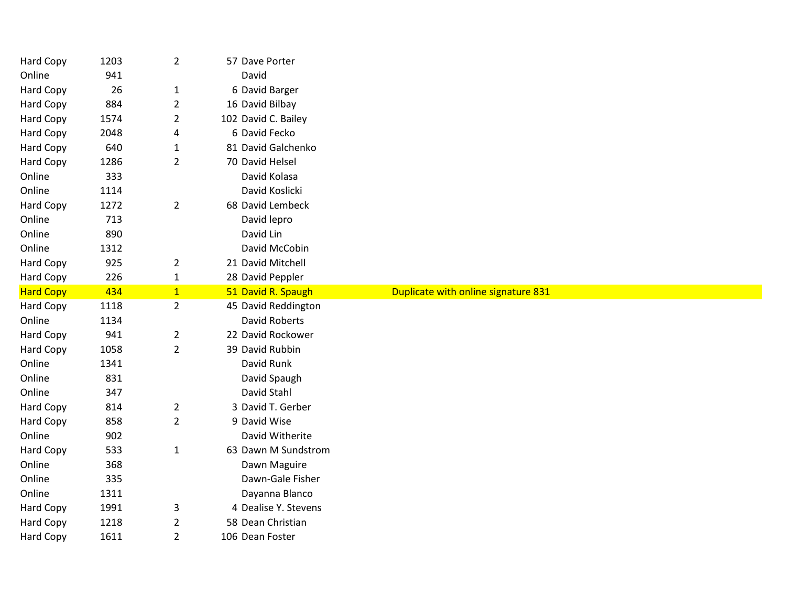| Hard Copy        | 1203 | $\overline{2}$ | 57 Dave Porter       |                                     |
|------------------|------|----------------|----------------------|-------------------------------------|
| Online           | 941  |                | David                |                                     |
| Hard Copy        | 26   | $\mathbf 1$    | 6 David Barger       |                                     |
| Hard Copy        | 884  | $\overline{2}$ | 16 David Bilbay      |                                     |
| Hard Copy        | 1574 | $\overline{2}$ | 102 David C. Bailey  |                                     |
| <b>Hard Copy</b> | 2048 | 4              | 6 David Fecko        |                                     |
| Hard Copy        | 640  | $\mathbf 1$    | 81 David Galchenko   |                                     |
| Hard Copy        | 1286 | $\overline{2}$ | 70 David Helsel      |                                     |
| Online           | 333  |                | David Kolasa         |                                     |
| Online           | 1114 |                | David Koslicki       |                                     |
| Hard Copy        | 1272 | $\overline{2}$ | 68 David Lembeck     |                                     |
| Online           | 713  |                | David lepro          |                                     |
| Online           | 890  |                | David Lin            |                                     |
| Online           | 1312 |                | David McCobin        |                                     |
| Hard Copy        | 925  | $\overline{2}$ | 21 David Mitchell    |                                     |
| <b>Hard Copy</b> | 226  | $\mathbf{1}$   | 28 David Peppler     |                                     |
| <b>Hard Copy</b> | 434  | $\overline{1}$ | 51 David R. Spaugh   | Duplicate with online signature 831 |
|                  |      |                |                      |                                     |
| Hard Copy        | 1118 | $\overline{2}$ | 45 David Reddington  |                                     |
| Online           | 1134 |                | David Roberts        |                                     |
| <b>Hard Copy</b> | 941  | $\overline{2}$ | 22 David Rockower    |                                     |
| Hard Copy        | 1058 | $\overline{2}$ | 39 David Rubbin      |                                     |
| Online           | 1341 |                | David Runk           |                                     |
| Online           | 831  |                | David Spaugh         |                                     |
| Online           | 347  |                | David Stahl          |                                     |
| Hard Copy        | 814  | $\overline{2}$ | 3 David T. Gerber    |                                     |
| Hard Copy        | 858  | $\overline{2}$ | 9 David Wise         |                                     |
| Online           | 902  |                | David Witherite      |                                     |
| <b>Hard Copy</b> | 533  | $\mathbf{1}$   | 63 Dawn M Sundstrom  |                                     |
| Online           | 368  |                | Dawn Maguire         |                                     |
| Online           | 335  |                | Dawn-Gale Fisher     |                                     |
| Online           | 1311 |                | Dayanna Blanco       |                                     |
| <b>Hard Copy</b> | 1991 | 3              | 4 Dealise Y. Stevens |                                     |
| Hard Copy        | 1218 | $\overline{2}$ | 58 Dean Christian    |                                     |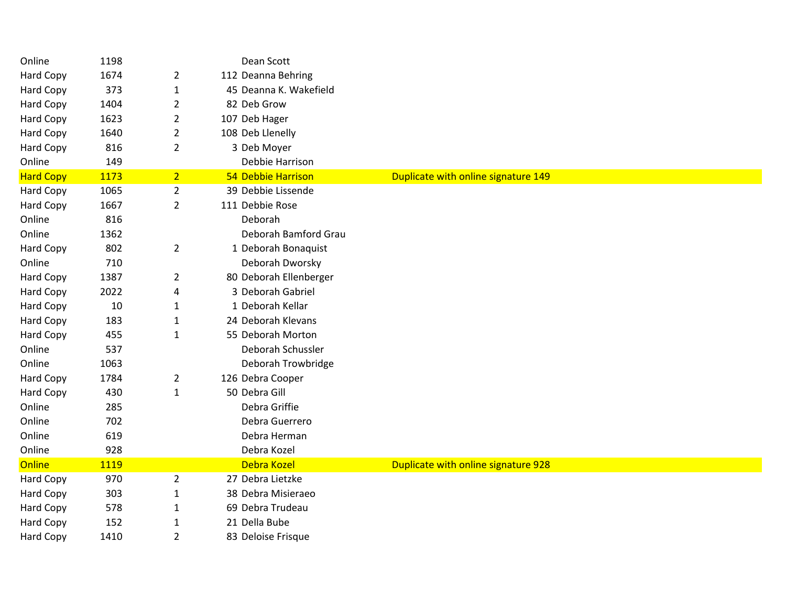| Online           | 1198 |                | Dean Scott             |                                     |  |  |
|------------------|------|----------------|------------------------|-------------------------------------|--|--|
| Hard Copy        | 1674 | $\overline{2}$ | 112 Deanna Behring     |                                     |  |  |
| Hard Copy        | 373  | $\mathbf{1}$   | 45 Deanna K. Wakefield |                                     |  |  |
| Hard Copy        | 1404 | $\overline{2}$ | 82 Deb Grow            |                                     |  |  |
| <b>Hard Copy</b> | 1623 | $\overline{2}$ | 107 Deb Hager          |                                     |  |  |
| Hard Copy        | 1640 | $\overline{2}$ | 108 Deb Llenelly       |                                     |  |  |
| <b>Hard Copy</b> | 816  | $\overline{2}$ | 3 Deb Moyer            |                                     |  |  |
| Online           | 149  |                | Debbie Harrison        |                                     |  |  |
| <b>Hard Copy</b> | 1173 | 2 <sup>1</sup> | 54 Debbie Harrison     | Duplicate with online signature 149 |  |  |
| Hard Copy        | 1065 | $\overline{2}$ | 39 Debbie Lissende     |                                     |  |  |
| <b>Hard Copy</b> | 1667 | $\overline{2}$ | 111 Debbie Rose        |                                     |  |  |
| Online           | 816  |                | Deborah                |                                     |  |  |
| Online           | 1362 |                | Deborah Bamford Grau   |                                     |  |  |
| <b>Hard Copy</b> | 802  | $\overline{2}$ | 1 Deborah Bonaquist    |                                     |  |  |
| Online           | 710  |                | Deborah Dworsky        |                                     |  |  |
| Hard Copy        | 1387 | $\overline{2}$ | 80 Deborah Ellenberger |                                     |  |  |
| Hard Copy        | 2022 | 4              | 3 Deborah Gabriel      |                                     |  |  |
| Hard Copy        | 10   | $\mathbf{1}$   | 1 Deborah Kellar       |                                     |  |  |
| Hard Copy        | 183  | $\mathbf{1}$   | 24 Deborah Klevans     |                                     |  |  |
| Hard Copy        | 455  | $\mathbf{1}$   | 55 Deborah Morton      |                                     |  |  |
| Online           | 537  |                | Deborah Schussler      |                                     |  |  |
| Online           | 1063 |                | Deborah Trowbridge     |                                     |  |  |
| <b>Hard Copy</b> | 1784 | $\overline{2}$ | 126 Debra Cooper       |                                     |  |  |
| Hard Copy        | 430  | $\mathbf{1}$   | 50 Debra Gill          |                                     |  |  |
| Online           | 285  |                | Debra Griffie          |                                     |  |  |
| Online           | 702  |                | Debra Guerrero         |                                     |  |  |
| Online           | 619  |                | Debra Herman           |                                     |  |  |
| Online           | 928  |                | Debra Kozel            |                                     |  |  |
| <b>Online</b>    | 1119 |                | Debra Kozel            | Duplicate with online signature 928 |  |  |
| Hard Copy        | 970  | $\overline{2}$ | 27 Debra Lietzke       |                                     |  |  |
| Hard Copy        | 303  | $\mathbf{1}$   | 38 Debra Misieraeo     |                                     |  |  |
| Hard Copy        | 578  | $\mathbf{1}$   | 69 Debra Trudeau       |                                     |  |  |
| Hard Copy        | 152  | $\mathbf{1}$   | 21 Della Bube          |                                     |  |  |
| <b>Hard Copy</b> | 1410 | $\overline{2}$ | 83 Deloise Frisque     |                                     |  |  |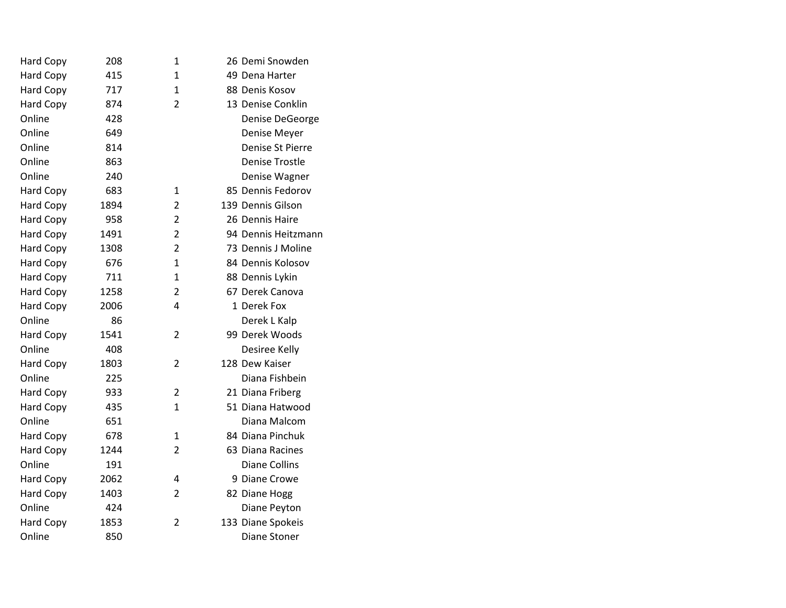| Hard Copy        | 208  | $\mathbf{1}$   | 26 Demi Snowden       |
|------------------|------|----------------|-----------------------|
| Hard Copy        | 415  | $\mathbf{1}$   | 49 Dena Harter        |
| Hard Copy        | 717  | $\mathbf{1}$   | 88 Denis Kosov        |
| Hard Copy        | 874  | $\overline{2}$ | 13 Denise Conklin     |
| Online           | 428  |                | Denise DeGeorge       |
| Online           | 649  |                | Denise Meyer          |
| Online           | 814  |                | Denise St Pierre      |
| Online           | 863  |                | <b>Denise Trostle</b> |
| Online           | 240  |                | Denise Wagner         |
| Hard Copy        | 683  | 1              | 85 Dennis Fedorov     |
| <b>Hard Copy</b> | 1894 | 2              | 139 Dennis Gilson     |
| Hard Copy        | 958  | $\overline{2}$ | 26 Dennis Haire       |
| <b>Hard Copy</b> | 1491 | $\overline{2}$ | 94 Dennis Heitzmann   |
| Hard Copy        | 1308 | $\overline{2}$ | 73 Dennis J Moline    |
| <b>Hard Copy</b> | 676  | $\mathbf{1}$   | 84 Dennis Kolosov     |
| Hard Copy        | 711  | $\mathbf{1}$   | 88 Dennis Lykin       |
| Hard Copy        | 1258 | $\overline{2}$ | 67 Derek Canova       |
| Hard Copy        | 2006 | 4              | 1 Derek Fox           |
| Online           | 86   |                | Derek L Kalp          |
| <b>Hard Copy</b> | 1541 | $\overline{2}$ | 99 Derek Woods        |
| Online           | 408  |                | Desiree Kelly         |
| Hard Copy        | 1803 | 2              | 128 Dew Kaiser        |
| Online           | 225  |                | Diana Fishbein        |
| <b>Hard Copy</b> | 933  | $\overline{2}$ | 21 Diana Friberg      |
| <b>Hard Copy</b> | 435  | $\mathbf{1}$   | 51 Diana Hatwood      |
| Online           | 651  |                | Diana Malcom          |
| Hard Copy        | 678  | 1              | 84 Diana Pinchuk      |
| <b>Hard Copy</b> | 1244 | $\overline{2}$ | 63 Diana Racines      |
| Online           | 191  |                | <b>Diane Collins</b>  |
| Hard Copy        | 2062 | 4              | 9 Diane Crowe         |
| <b>Hard Copy</b> | 1403 | $\overline{2}$ | 82 Diane Hogg         |
| Online           | 424  |                | Diane Peyton          |
| Hard Copy        | 1853 | $\overline{2}$ | 133 Diane Spokeis     |
| Online           | 850  |                | <b>Diane Stoner</b>   |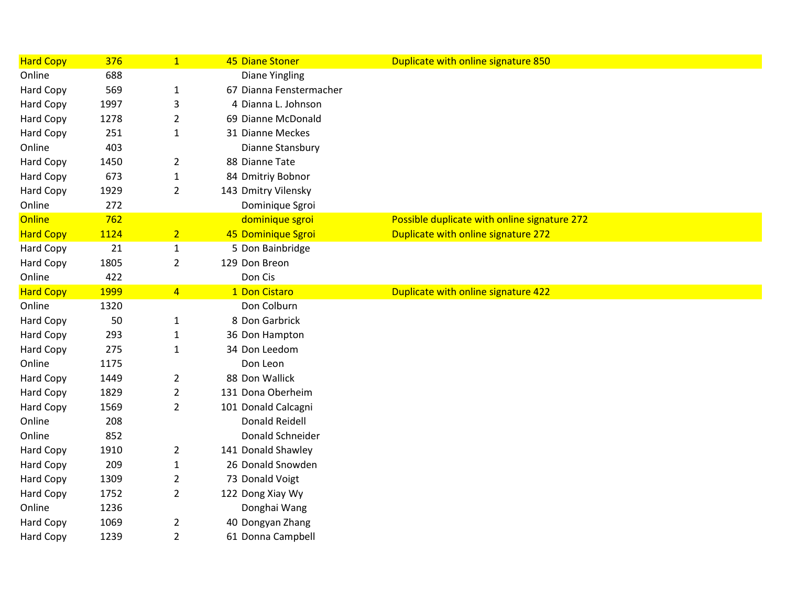| <b>Hard Copy</b> | 376         | $\mathbf{1}$   | 45 Diane Stoner         | Duplicate with online signature 850          |
|------------------|-------------|----------------|-------------------------|----------------------------------------------|
| Online           | 688         |                | <b>Diane Yingling</b>   |                                              |
| <b>Hard Copy</b> | 569         | $\mathbf 1$    | 67 Dianna Fenstermacher |                                              |
| Hard Copy        | 1997        | 3              | 4 Dianna L. Johnson     |                                              |
| Hard Copy        | 1278        | $\overline{2}$ | 69 Dianne McDonald      |                                              |
| Hard Copy        | 251         | 1              | 31 Dianne Meckes        |                                              |
| Online           | 403         |                | Dianne Stansbury        |                                              |
| Hard Copy        | 1450        | $\overline{2}$ | 88 Dianne Tate          |                                              |
| Hard Copy        | 673         | $\mathbf{1}$   | 84 Dmitriy Bobnor       |                                              |
| Hard Copy        | 1929        | $\overline{2}$ | 143 Dmitry Vilensky     |                                              |
| Online           | 272         |                | Dominique Sgroi         |                                              |
| Online           | 762         |                | dominique sgroi         | Possible duplicate with online signature 272 |
| <b>Hard Copy</b> | 1124        | $\overline{2}$ | 45 Dominique Sgroi      | Duplicate with online signature 272          |
| <b>Hard Copy</b> | 21          | $\mathbf{1}$   | 5 Don Bainbridge        |                                              |
| Hard Copy        | 1805        | $\overline{2}$ | 129 Don Breon           |                                              |
| Online           | 422         |                | Don Cis                 |                                              |
| <b>Hard Copy</b> | <b>1999</b> | 4 <sup>1</sup> | 1 Don Cistaro           | Duplicate with online signature 422          |
| Online           | 1320        |                | Don Colburn             |                                              |
| Hard Copy        | 50          | $\mathbf 1$    | 8 Don Garbrick          |                                              |
| Hard Copy        | 293         | $\mathbf{1}$   | 36 Don Hampton          |                                              |
| Hard Copy        | 275         | 1              | 34 Don Leedom           |                                              |
| Online           | 1175        |                | Don Leon                |                                              |
| <b>Hard Copy</b> | 1449        | $\overline{2}$ | 88 Don Wallick          |                                              |
| Hard Copy        | 1829        | $\overline{2}$ | 131 Dona Oberheim       |                                              |
| Hard Copy        | 1569        | $\overline{2}$ | 101 Donald Calcagni     |                                              |
| Online           | 208         |                | <b>Donald Reidell</b>   |                                              |
| Online           | 852         |                | Donald Schneider        |                                              |
| Hard Copy        | 1910        | $\overline{2}$ | 141 Donald Shawley      |                                              |
| Hard Copy        | 209         | 1              | 26 Donald Snowden       |                                              |
| Hard Copy        | 1309        | $\overline{2}$ | 73 Donald Voigt         |                                              |
| Hard Copy        | 1752        | $\overline{2}$ | 122 Dong Xiay Wy        |                                              |
| Online           | 1236        |                | Donghai Wang            |                                              |
| Hard Copy        | 1069        | $\overline{2}$ | 40 Dongyan Zhang        |                                              |
| Hard Copy        | 1239        | $\overline{2}$ | 61 Donna Campbell       |                                              |
|                  |             |                |                         |                                              |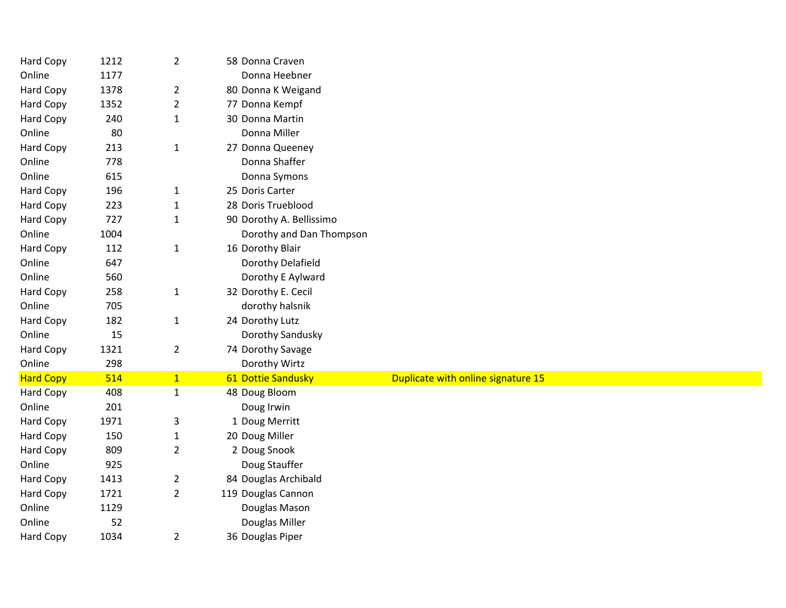| Hard Copy        | 1212 | $\overline{2}$ | 58 Donna Craven          |                                    |  |  |
|------------------|------|----------------|--------------------------|------------------------------------|--|--|
| Online           | 1177 |                | Donna Heebner            |                                    |  |  |
| <b>Hard Copy</b> | 1378 | $\overline{2}$ | 80 Donna K Weigand       |                                    |  |  |
| Hard Copy        | 1352 | $\overline{2}$ | 77 Donna Kempf           |                                    |  |  |
| Hard Copy        | 240  | $\mathbf{1}$   | 30 Donna Martin          |                                    |  |  |
| Online           | 80   |                | Donna Miller             |                                    |  |  |
| Hard Copy        | 213  | $\mathbf{1}$   | 27 Donna Queeney         |                                    |  |  |
| Online           | 778  |                | Donna Shaffer            |                                    |  |  |
| Online           | 615  |                | Donna Symons             |                                    |  |  |
| Hard Copy        | 196  | $\mathbf{1}$   | 25 Doris Carter          |                                    |  |  |
| Hard Copy        | 223  | $\mathbf{1}$   | 28 Doris Trueblood       |                                    |  |  |
| Hard Copy        | 727  | $\mathbf{1}$   | 90 Dorothy A. Bellissimo |                                    |  |  |
| Online           | 1004 |                | Dorothy and Dan Thompson |                                    |  |  |
| Hard Copy        | 112  | $\mathbf{1}$   | 16 Dorothy Blair         |                                    |  |  |
| Online           | 647  |                | Dorothy Delafield        |                                    |  |  |
| Online           | 560  |                | Dorothy E Aylward        |                                    |  |  |
| <b>Hard Copy</b> | 258  | $\mathbf{1}$   | 32 Dorothy E. Cecil      |                                    |  |  |
| Online           | 705  |                | dorothy halsnik          |                                    |  |  |
| <b>Hard Copy</b> | 182  | $\mathbf{1}$   | 24 Dorothy Lutz          |                                    |  |  |
| Online           | 15   |                | Dorothy Sandusky         |                                    |  |  |
| Hard Copy        | 1321 | $\overline{2}$ | 74 Dorothy Savage        |                                    |  |  |
| Online           | 298  |                | Dorothy Wirtz            |                                    |  |  |
| <b>Hard Copy</b> | 514  | 1              | 61 Dottie Sandusky       | Duplicate with online signature 15 |  |  |
| Hard Copy        | 408  | $\mathbf{1}$   | 48 Doug Bloom            |                                    |  |  |
| Online           | 201  |                | Doug Irwin               |                                    |  |  |
| Hard Copy        | 1971 | 3              | 1 Doug Merritt           |                                    |  |  |
| Hard Copy        | 150  | $\mathbf{1}$   | 20 Doug Miller           |                                    |  |  |
| <b>Hard Copy</b> | 809  | $\overline{2}$ | 2 Doug Snook             |                                    |  |  |
| Online           | 925  |                | Doug Stauffer            |                                    |  |  |
| Hard Copy        | 1413 | $\overline{2}$ | 84 Douglas Archibald     |                                    |  |  |
| Hard Copy        | 1721 | $\overline{2}$ | 119 Douglas Cannon       |                                    |  |  |
| Online           | 1129 |                | Douglas Mason            |                                    |  |  |
| Online           | 52   |                | Douglas Miller           |                                    |  |  |
| Hard Copy        | 1034 | $\overline{2}$ | 36 Douglas Piper         |                                    |  |  |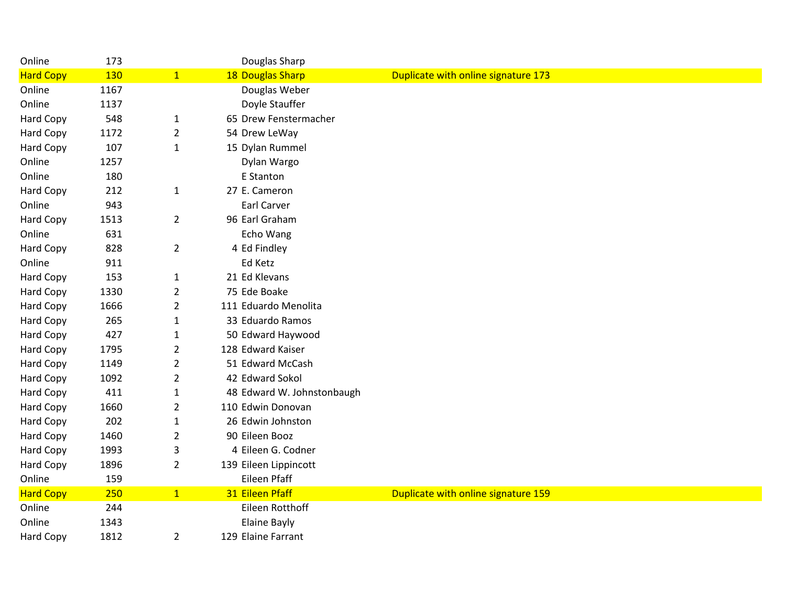| Online           | 173        |                | Douglas Sharp              |                                     |
|------------------|------------|----------------|----------------------------|-------------------------------------|
| <b>Hard Copy</b> | <b>130</b> | 1              | 18 Douglas Sharp           | Duplicate with online signature 173 |
| Online           | 1167       |                | Douglas Weber              |                                     |
| Online           | 1137       |                | Doyle Stauffer             |                                     |
| <b>Hard Copy</b> | 548        | $\mathbf{1}$   | 65 Drew Fenstermacher      |                                     |
| Hard Copy        | 1172       | $\overline{2}$ | 54 Drew LeWay              |                                     |
| <b>Hard Copy</b> | 107        | $\mathbf{1}$   | 15 Dylan Rummel            |                                     |
| Online           | 1257       |                | Dylan Wargo                |                                     |
| Online           | 180        |                | E Stanton                  |                                     |
| Hard Copy        | 212        | $\mathbf{1}$   | 27 E. Cameron              |                                     |
| Online           | 943        |                | Earl Carver                |                                     |
| Hard Copy        | 1513       | $\overline{2}$ | 96 Earl Graham             |                                     |
| Online           | 631        |                | Echo Wang                  |                                     |
| <b>Hard Copy</b> | 828        | $\overline{2}$ | 4 Ed Findley               |                                     |
| Online           | 911        |                | Ed Ketz                    |                                     |
| Hard Copy        | 153        | $\mathbf{1}$   | 21 Ed Klevans              |                                     |
| Hard Copy        | 1330       | $\overline{2}$ | 75 Ede Boake               |                                     |
| <b>Hard Copy</b> | 1666       | $\overline{2}$ | 111 Eduardo Menolita       |                                     |
| <b>Hard Copy</b> | 265        | $\mathbf{1}$   | 33 Eduardo Ramos           |                                     |
| Hard Copy        | 427        | $\mathbf{1}$   | 50 Edward Haywood          |                                     |
| Hard Copy        | 1795       | $\overline{2}$ | 128 Edward Kaiser          |                                     |
| Hard Copy        | 1149       | $\overline{2}$ | 51 Edward McCash           |                                     |
| Hard Copy        | 1092       | $\overline{2}$ | 42 Edward Sokol            |                                     |
| <b>Hard Copy</b> | 411        | $\mathbf{1}$   | 48 Edward W. Johnstonbaugh |                                     |
| Hard Copy        | 1660       | $\overline{2}$ | 110 Edwin Donovan          |                                     |
| Hard Copy        | 202        | $\mathbf{1}$   | 26 Edwin Johnston          |                                     |
| Hard Copy        | 1460       | $\overline{2}$ | 90 Eileen Booz             |                                     |
| <b>Hard Copy</b> | 1993       | 3              | 4 Eileen G. Codner         |                                     |
| Hard Copy        | 1896       | $\overline{2}$ | 139 Eileen Lippincott      |                                     |
| Online           | 159        |                | Eileen Pfaff               |                                     |
| <b>Hard Copy</b> | 250        | 1              | 31 Eileen Pfaff            | Duplicate with online signature 159 |
| Online           | 244        |                | Eileen Rotthoff            |                                     |
| Online           | 1343       |                | <b>Elaine Bayly</b>        |                                     |
| <b>Hard Copy</b> | 1812       | $\overline{2}$ | 129 Elaine Farrant         |                                     |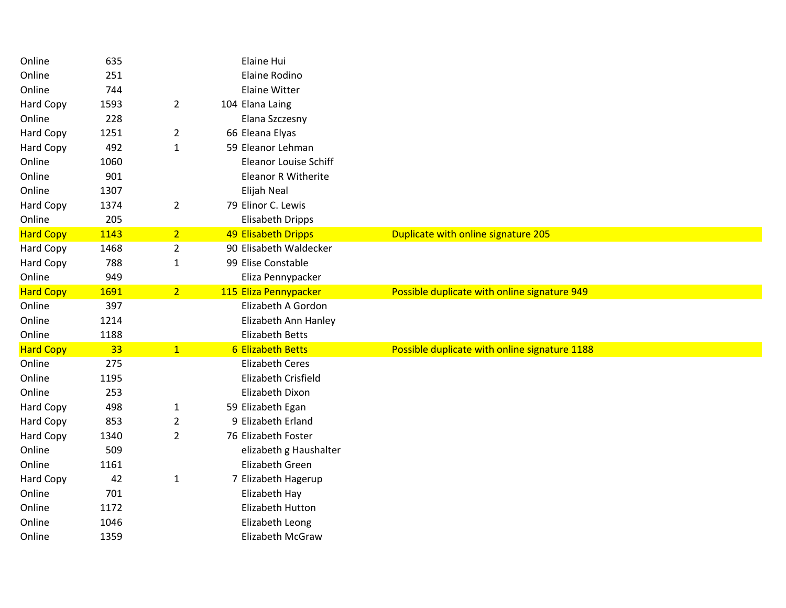| Online           | 635  |                | Elaine Hui                   |                                               |
|------------------|------|----------------|------------------------------|-----------------------------------------------|
| Online           | 251  |                | Elaine Rodino                |                                               |
| Online           | 744  |                | <b>Elaine Witter</b>         |                                               |
| <b>Hard Copy</b> | 1593 | $\overline{2}$ | 104 Elana Laing              |                                               |
| Online           | 228  |                | Elana Szczesny               |                                               |
| Hard Copy        | 1251 | $\overline{a}$ | 66 Eleana Elyas              |                                               |
| Hard Copy        | 492  | $\mathbf{1}$   | 59 Eleanor Lehman            |                                               |
| Online           | 1060 |                | <b>Eleanor Louise Schiff</b> |                                               |
| Online           | 901  |                | <b>Eleanor R Witherite</b>   |                                               |
| Online           | 1307 |                | Elijah Neal                  |                                               |
| Hard Copy        | 1374 | $\overline{2}$ | 79 Elinor C. Lewis           |                                               |
| Online           | 205  |                | <b>Elisabeth Dripps</b>      |                                               |
| <b>Hard Copy</b> | 1143 | 2 <sup>1</sup> | 49 Elisabeth Dripps          | Duplicate with online signature 205           |
| Hard Copy        | 1468 | $\overline{2}$ | 90 Elisabeth Waldecker       |                                               |
| Hard Copy        | 788  | $\mathbf{1}$   | 99 Elise Constable           |                                               |
| Online           | 949  |                | Eliza Pennypacker            |                                               |
| <b>Hard Copy</b> | 1691 | 2 <sup>1</sup> | 115 Eliza Pennypacker        | Possible duplicate with online signature 949  |
| Online           | 397  |                | Elizabeth A Gordon           |                                               |
| Online           | 1214 |                | Elizabeth Ann Hanley         |                                               |
| Online           | 1188 |                | <b>Elizabeth Betts</b>       |                                               |
| <b>Hard Copy</b> | 33   | 1              | <b>6 Elizabeth Betts</b>     | Possible duplicate with online signature 1188 |
| Online           | 275  |                | <b>Elizabeth Ceres</b>       |                                               |
| Online           | 1195 |                | Elizabeth Crisfield          |                                               |
| Online           | 253  |                | Elizabeth Dixon              |                                               |
| Hard Copy        | 498  | $\mathbf{1}$   | 59 Elizabeth Egan            |                                               |
| Hard Copy        | 853  | $\overline{2}$ | 9 Elizabeth Erland           |                                               |
| Hard Copy        | 1340 | $\overline{2}$ | 76 Elizabeth Foster          |                                               |
| Online           | 509  |                | elizabeth g Haushalter       |                                               |
| Online           | 1161 |                | Elizabeth Green              |                                               |
| Hard Copy        | 42   | $\mathbf{1}$   | 7 Elizabeth Hagerup          |                                               |
| Online           | 701  |                | Elizabeth Hay                |                                               |
| Online           | 1172 |                | Elizabeth Hutton             |                                               |
| Online           | 1046 |                | Elizabeth Leong              |                                               |
| Online           | 1359 |                | Elizabeth McGraw             |                                               |
|                  |      |                |                              |                                               |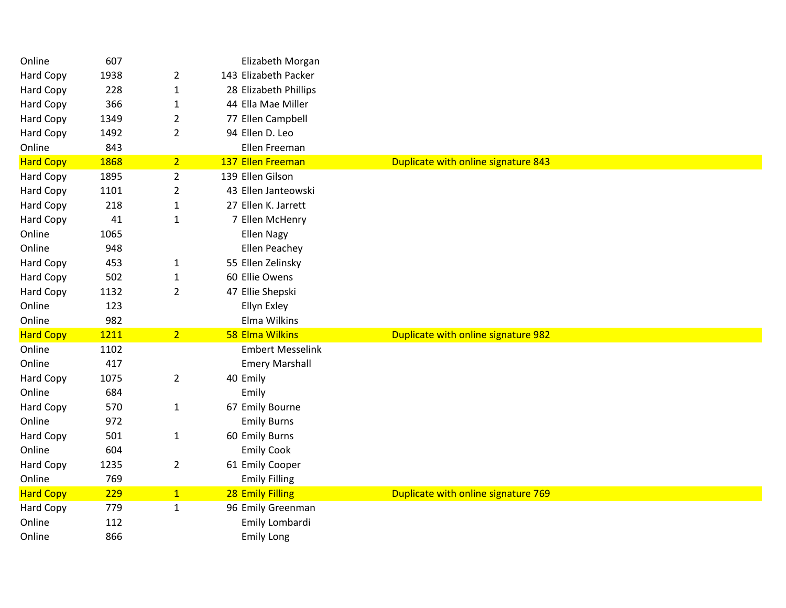| Online           | 607  |                | Elizabeth Morgan        |                                     |
|------------------|------|----------------|-------------------------|-------------------------------------|
| Hard Copy        | 1938 | $\overline{2}$ | 143 Elizabeth Packer    |                                     |
| Hard Copy        | 228  | $\mathbf 1$    | 28 Elizabeth Phillips   |                                     |
| <b>Hard Copy</b> | 366  | 1              | 44 Ella Mae Miller      |                                     |
| Hard Copy        | 1349 | $\overline{2}$ | 77 Ellen Campbell       |                                     |
| <b>Hard Copy</b> | 1492 | $\overline{2}$ | 94 Ellen D. Leo         |                                     |
| Online           | 843  |                | Ellen Freeman           |                                     |
| <b>Hard Copy</b> | 1868 | 2 <sub>1</sub> | 137 Ellen Freeman       | Duplicate with online signature 843 |
| Hard Copy        | 1895 | $\overline{2}$ | 139 Ellen Gilson        |                                     |
| Hard Copy        | 1101 | $\overline{2}$ | 43 Ellen Janteowski     |                                     |
| Hard Copy        | 218  | $\mathbf{1}$   | 27 Ellen K. Jarrett     |                                     |
| Hard Copy        | 41   | $\mathbf{1}$   | 7 Ellen McHenry         |                                     |
| Online           | 1065 |                | <b>Ellen Nagy</b>       |                                     |
| Online           | 948  |                | <b>Ellen Peachey</b>    |                                     |
| Hard Copy        | 453  | $\mathbf{1}$   | 55 Ellen Zelinsky       |                                     |
| Hard Copy        | 502  | 1              | 60 Ellie Owens          |                                     |
| Hard Copy        | 1132 | $\overline{2}$ | 47 Ellie Shepski        |                                     |
| Online           | 123  |                | Ellyn Exley             |                                     |
| Online           | 982  |                | Elma Wilkins            |                                     |
| <b>Hard Copy</b> | 1211 | 2 <sup>7</sup> | 58 Elma Wilkins         | Duplicate with online signature 982 |
| Online           | 1102 |                | <b>Embert Messelink</b> |                                     |
| Online           | 417  |                | <b>Emery Marshall</b>   |                                     |
| Hard Copy        | 1075 | $\overline{2}$ | 40 Emily                |                                     |
| Online           | 684  |                | Emily                   |                                     |
| <b>Hard Copy</b> | 570  | $\mathbf{1}$   | 67 Emily Bourne         |                                     |
| Online           | 972  |                | <b>Emily Burns</b>      |                                     |
| Hard Copy        | 501  | $\mathbf{1}$   | 60 Emily Burns          |                                     |
| Online           | 604  |                | <b>Emily Cook</b>       |                                     |
| Hard Copy        | 1235 | $\overline{2}$ | 61 Emily Cooper         |                                     |
| Online           | 769  |                | <b>Emily Filling</b>    |                                     |
| <b>Hard Copy</b> | 229  | $\mathbf{1}$   | 28 Emily Filling        | Duplicate with online signature 769 |
| Hard Copy        | 779  | $\mathbf{1}$   | 96 Emily Greenman       |                                     |
| Online           | 112  |                | Emily Lombardi          |                                     |
| Online           | 866  |                | <b>Emily Long</b>       |                                     |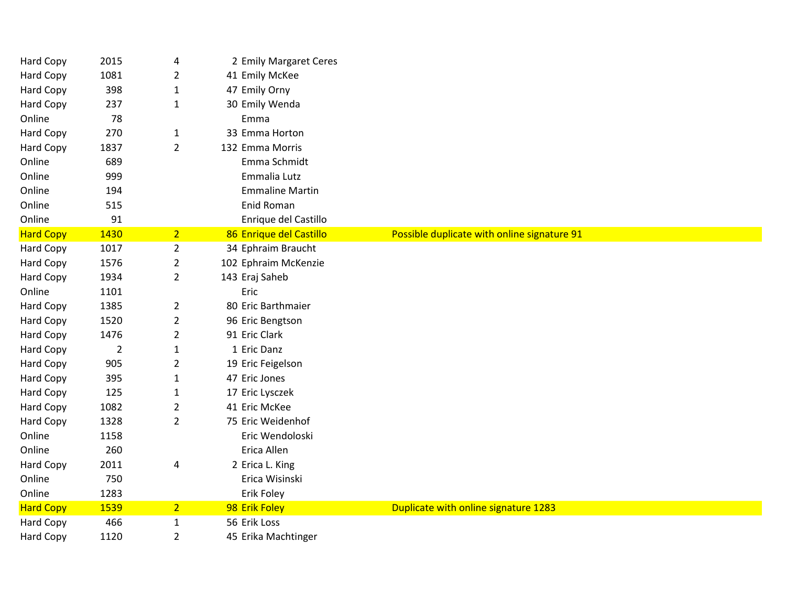| Hard Copy        | 2015           | 4              | 2 Emily Margaret Ceres  |                                             |
|------------------|----------------|----------------|-------------------------|---------------------------------------------|
| Hard Copy        | 1081           | $\overline{2}$ | 41 Emily McKee          |                                             |
| <b>Hard Copy</b> | 398            | $\mathbf{1}$   | 47 Emily Orny           |                                             |
| Hard Copy        | 237            | $\mathbf{1}$   | 30 Emily Wenda          |                                             |
| Online           | 78             |                | Emma                    |                                             |
| <b>Hard Copy</b> | 270            | $\mathbf{1}$   | 33 Emma Horton          |                                             |
| Hard Copy        | 1837           | $\overline{2}$ | 132 Emma Morris         |                                             |
| Online           | 689            |                | Emma Schmidt            |                                             |
| Online           | 999            |                | Emmalia Lutz            |                                             |
| Online           | 194            |                | <b>Emmaline Martin</b>  |                                             |
| Online           | 515            |                | Enid Roman              |                                             |
| Online           | 91             |                | Enrique del Castillo    |                                             |
| <b>Hard Copy</b> | 1430           | 2 <sup>1</sup> | 86 Enrique del Castillo | Possible duplicate with online signature 91 |
| <b>Hard Copy</b> | 1017           | $\overline{2}$ | 34 Ephraim Braucht      |                                             |
| Hard Copy        | 1576           | $\overline{2}$ | 102 Ephraim McKenzie    |                                             |
| Hard Copy        | 1934           | $\overline{2}$ | 143 Eraj Saheb          |                                             |
| Online           | 1101           |                | Eric                    |                                             |
| <b>Hard Copy</b> | 1385           | $\overline{2}$ | 80 Eric Barthmaier      |                                             |
| <b>Hard Copy</b> | 1520           | $\overline{2}$ | 96 Eric Bengtson        |                                             |
| Hard Copy        | 1476           | $\overline{2}$ | 91 Eric Clark           |                                             |
| Hard Copy        | $\overline{2}$ | $\mathbf{1}$   | 1 Eric Danz             |                                             |
| Hard Copy        | 905            | $\overline{2}$ | 19 Eric Feigelson       |                                             |
| <b>Hard Copy</b> | 395            | $\mathbf{1}$   | 47 Eric Jones           |                                             |
| Hard Copy        | 125            | $\mathbf{1}$   | 17 Eric Lysczek         |                                             |
| Hard Copy        | 1082           | $\overline{2}$ | 41 Eric McKee           |                                             |
| Hard Copy        | 1328           | $\overline{2}$ | 75 Eric Weidenhof       |                                             |
| Online           | 1158           |                | Eric Wendoloski         |                                             |
| Online           | 260            |                | Erica Allen             |                                             |
| Hard Copy        | 2011           | 4              | 2 Erica L. King         |                                             |
| Online           | 750            |                | Erica Wisinski          |                                             |
| Online           | 1283           |                | Erik Foley              |                                             |
| <b>Hard Copy</b> | 1539           | 2 <sup>1</sup> | 98 Erik Foley           | Duplicate with online signature 1283        |
| Hard Copy        | 466            | $\mathbf{1}$   | 56 Erik Loss            |                                             |
| <b>Hard Copy</b> | 1120           | $\overline{2}$ | 45 Erika Machtinger     |                                             |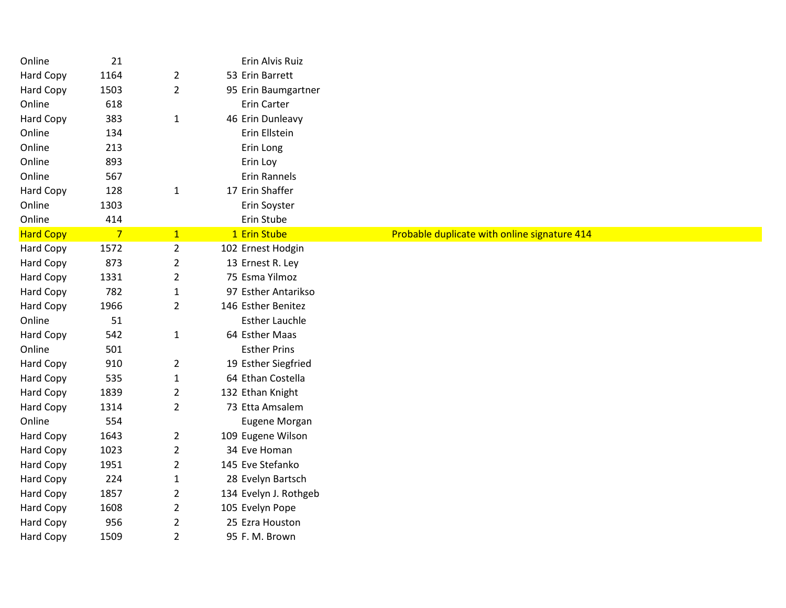| Online           | 21             |                | Erin Alvis Ruiz       |                                              |
|------------------|----------------|----------------|-----------------------|----------------------------------------------|
| Hard Copy        | 1164           | $\overline{2}$ | 53 Erin Barrett       |                                              |
| Hard Copy        | 1503           | $\overline{2}$ | 95 Erin Baumgartner   |                                              |
| Online           | 618            |                | Erin Carter           |                                              |
| Hard Copy        | 383            | $\mathbf{1}$   | 46 Erin Dunleavy      |                                              |
| Online           | 134            |                | Erin Ellstein         |                                              |
| Online           | 213            |                | Erin Long             |                                              |
| Online           | 893            |                | Erin Loy              |                                              |
| Online           | 567            |                | <b>Erin Rannels</b>   |                                              |
| Hard Copy        | 128            | $\mathbf{1}$   | 17 Erin Shaffer       |                                              |
| Online           | 1303           |                | Erin Soyster          |                                              |
| Online           | 414            |                | Erin Stube            |                                              |
| <b>Hard Copy</b> | $\overline{7}$ | $\mathbf{1}$   | 1 Erin Stube          | Probable duplicate with online signature 414 |
| Hard Copy        | 1572           | $\overline{2}$ | 102 Ernest Hodgin     |                                              |
| Hard Copy        | 873            | $\overline{2}$ | 13 Ernest R. Ley      |                                              |
| Hard Copy        | 1331           | $\overline{2}$ | 75 Esma Yilmoz        |                                              |
| Hard Copy        | 782            | $\mathbf{1}$   | 97 Esther Antarikso   |                                              |
| Hard Copy        | 1966           | $\overline{2}$ | 146 Esther Benitez    |                                              |
| Online           | 51             |                | <b>Esther Lauchle</b> |                                              |
| Hard Copy        | 542            | $\mathbf{1}$   | 64 Esther Maas        |                                              |
| Online           | 501            |                | <b>Esther Prins</b>   |                                              |
| Hard Copy        | 910            | $\overline{2}$ | 19 Esther Siegfried   |                                              |
| Hard Copy        | 535            | $\mathbf{1}$   | 64 Ethan Costella     |                                              |
| Hard Copy        | 1839           | $\overline{2}$ | 132 Ethan Knight      |                                              |
| Hard Copy        | 1314           | $\overline{2}$ | 73 Etta Amsalem       |                                              |
| Online           | 554            |                | Eugene Morgan         |                                              |
| Hard Copy        | 1643           | $\overline{2}$ | 109 Eugene Wilson     |                                              |
| Hard Copy        | 1023           | $\overline{2}$ | 34 Eve Homan          |                                              |
| <b>Hard Copy</b> | 1951           | $\overline{2}$ | 145 Eve Stefanko      |                                              |
| Hard Copy        | 224            | $\mathbf{1}$   | 28 Evelyn Bartsch     |                                              |
| Hard Copy        | 1857           | $\overline{2}$ | 134 Evelyn J. Rothgeb |                                              |
| Hard Copy        | 1608           | $\overline{2}$ | 105 Evelyn Pope       |                                              |
| Hard Copy        | 956            | $\overline{2}$ | 25 Ezra Houston       |                                              |
| Hard Copy        | 1509           | $\overline{2}$ | 95 F. M. Brown        |                                              |
|                  |                |                |                       |                                              |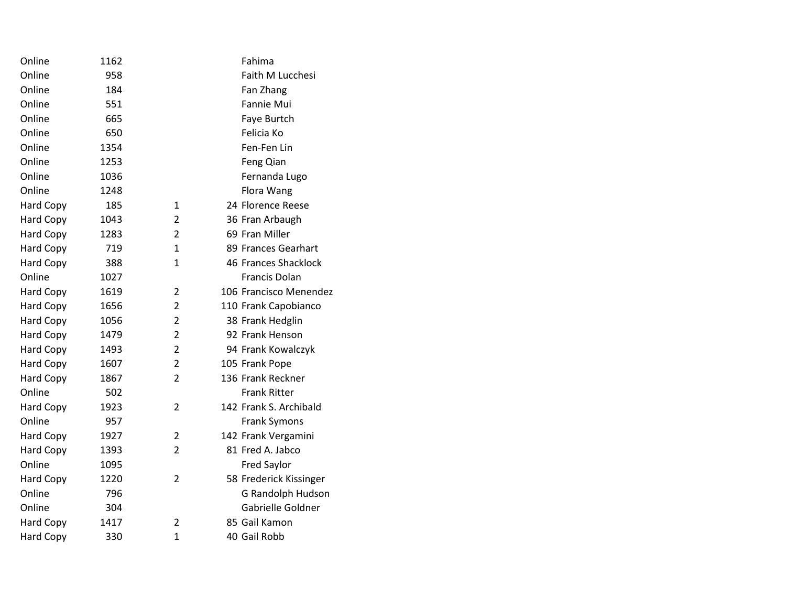| Online           | 1162 |                | Fahima                 |
|------------------|------|----------------|------------------------|
| Online           | 958  |                | Faith M Lucchesi       |
| Online           | 184  |                | Fan Zhang              |
| Online           | 551  |                | Fannie Mui             |
| Online           | 665  |                | Faye Burtch            |
| Online           | 650  |                | Felicia Ko             |
| Online           | 1354 |                | Fen-Fen Lin            |
| Online           | 1253 |                | Feng Qian              |
| Online           | 1036 |                | Fernanda Lugo          |
| Online           | 1248 |                | Flora Wang             |
| <b>Hard Copy</b> | 185  | $\mathbf{1}$   | 24 Florence Reese      |
| Hard Copy        | 1043 | 2              | 36 Fran Arbaugh        |
| Hard Copy        | 1283 | $\overline{2}$ | 69 Fran Miller         |
| Hard Copy        | 719  | $\mathbf{1}$   | 89 Frances Gearhart    |
| <b>Hard Copy</b> | 388  | $\mathbf{1}$   | 46 Frances Shacklock   |
| Online           | 1027 |                | Francis Dolan          |
| <b>Hard Copy</b> | 1619 | $\overline{2}$ | 106 Francisco Menendez |
| Hard Copy        | 1656 | $\overline{2}$ | 110 Frank Capobianco   |
| Hard Copy        | 1056 | $\overline{2}$ | 38 Frank Hedglin       |
| Hard Copy        | 1479 | $\overline{2}$ | 92 Frank Henson        |
| <b>Hard Copy</b> | 1493 | $\overline{2}$ | 94 Frank Kowalczyk     |
| Hard Copy        | 1607 | $\overline{2}$ | 105 Frank Pope         |
| <b>Hard Copy</b> | 1867 | $\overline{2}$ | 136 Frank Reckner      |
| Online           | 502  |                | <b>Frank Ritter</b>    |
| <b>Hard Copy</b> | 1923 | $\overline{2}$ | 142 Frank S. Archibald |
| Online           | 957  |                | <b>Frank Symons</b>    |
| <b>Hard Copy</b> | 1927 | $\overline{2}$ | 142 Frank Vergamini    |
| <b>Hard Copy</b> | 1393 | $\overline{2}$ | 81 Fred A. Jabco       |
| Online           | 1095 |                | <b>Fred Saylor</b>     |
| <b>Hard Copy</b> | 1220 | $\overline{2}$ | 58 Frederick Kissinger |
| Online           | 796  |                | G Randolph Hudson      |
| Online           | 304  |                | Gabrielle Goldner      |
| <b>Hard Copy</b> | 1417 | $\overline{2}$ | 85 Gail Kamon          |
| <b>Hard Copy</b> | 330  | $\mathbf{1}$   | 40 Gail Robb           |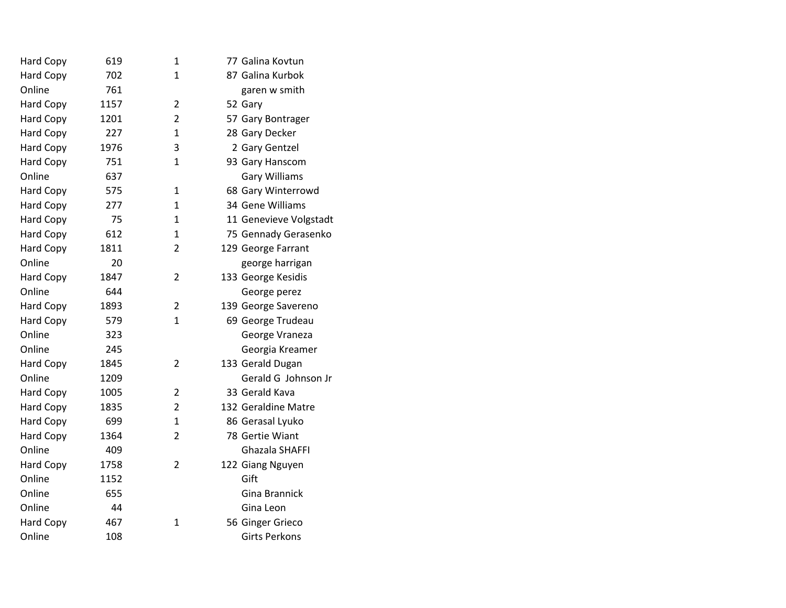| Hard Copy        | 619  | 1              | 77 Galina Kovtun       |
|------------------|------|----------------|------------------------|
| <b>Hard Copy</b> | 702  | $\mathbf{1}$   | 87 Galina Kurbok       |
| Online           | 761  |                | garen w smith          |
| <b>Hard Copy</b> | 1157 | $\overline{2}$ | 52 Gary                |
| <b>Hard Copy</b> | 1201 | $\overline{2}$ | 57 Gary Bontrager      |
| Hard Copy        | 227  | $\mathbf{1}$   | 28 Gary Decker         |
| Hard Copy        | 1976 | 3              | 2 Gary Gentzel         |
| Hard Copy        | 751  | $\mathbf{1}$   | 93 Gary Hanscom        |
| Online           | 637  |                | <b>Gary Williams</b>   |
| Hard Copy        | 575  | $\mathbf{1}$   | 68 Gary Winterrowd     |
| <b>Hard Copy</b> | 277  | $\mathbf{1}$   | 34 Gene Williams       |
| <b>Hard Copy</b> | 75   | 1              | 11 Genevieve Volgstadt |
| <b>Hard Copy</b> | 612  | 1              | 75 Gennady Gerasenko   |
| Hard Copy        | 1811 | $\overline{2}$ | 129 George Farrant     |
| Online           | 20   |                | george harrigan        |
| <b>Hard Copy</b> | 1847 | $\overline{2}$ | 133 George Kesidis     |
| Online           | 644  |                | George perez           |
| <b>Hard Copy</b> | 1893 | 2              | 139 George Savereno    |
| <b>Hard Copy</b> | 579  | $\mathbf{1}$   | 69 George Trudeau      |
| Online           | 323  |                | George Vraneza         |
| Online           | 245  |                | Georgia Kreamer        |
| <b>Hard Copy</b> | 1845 | $\overline{2}$ | 133 Gerald Dugan       |
| Online           | 1209 |                | Gerald G Johnson Jr    |
| <b>Hard Copy</b> | 1005 | $\overline{2}$ | 33 Gerald Kava         |
| <b>Hard Copy</b> | 1835 | $\overline{2}$ | 132 Geraldine Matre    |
| Hard Copy        | 699  | $\mathbf{1}$   | 86 Gerasal Lyuko       |
| <b>Hard Copy</b> | 1364 | 2              | 78 Gertie Wiant        |
| Online           | 409  |                | Ghazala SHAFFI         |
| <b>Hard Copy</b> | 1758 | $\overline{2}$ | 122 Giang Nguyen       |
| Online           | 1152 |                | Gift                   |
| Online           | 655  |                | Gina Brannick          |
| Online           | 44   |                | Gina Leon              |
| Hard Copy        | 467  | 1              | 56 Ginger Grieco       |
| Online           | 108  |                | <b>Girts Perkons</b>   |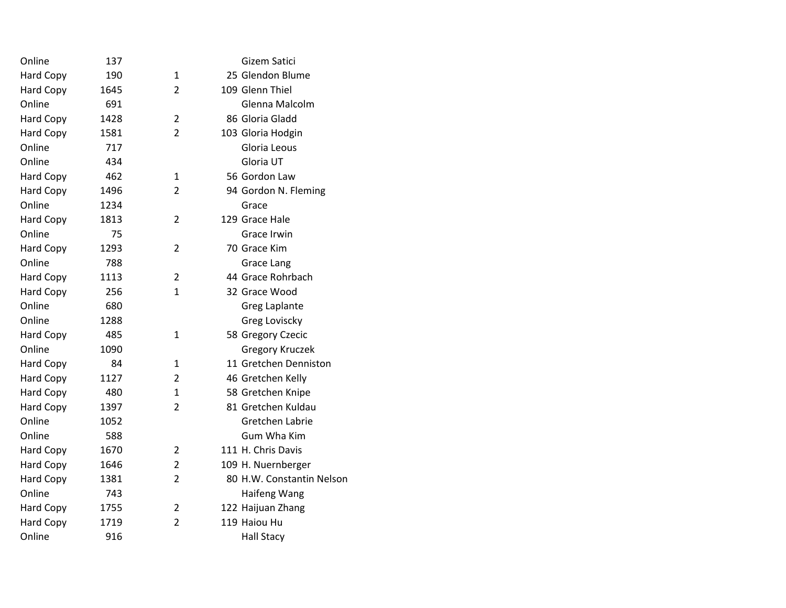| Online           | 137  |                | Gizem Satici              |
|------------------|------|----------------|---------------------------|
| Hard Copy        | 190  | $\mathbf{1}$   | 25 Glendon Blume          |
| Hard Copy        | 1645 | $\overline{2}$ | 109 Glenn Thiel           |
| Online           | 691  |                | Glenna Malcolm            |
| Hard Copy        | 1428 | $\overline{2}$ | 86 Gloria Gladd           |
| <b>Hard Copy</b> | 1581 | $\overline{2}$ | 103 Gloria Hodgin         |
| Online           | 717  |                | Gloria Leous              |
| Online           | 434  |                | Gloria UT                 |
| <b>Hard Copy</b> | 462  | $\mathbf{1}$   | 56 Gordon Law             |
| <b>Hard Copy</b> | 1496 | $\overline{2}$ | 94 Gordon N. Fleming      |
| Online           | 1234 |                | Grace                     |
| <b>Hard Copy</b> | 1813 | $\overline{2}$ | 129 Grace Hale            |
| Online           | 75   |                | Grace Irwin               |
| <b>Hard Copy</b> | 1293 | $\overline{2}$ | 70 Grace Kim              |
| Online           | 788  |                | Grace Lang                |
| <b>Hard Copy</b> | 1113 | $\overline{2}$ | 44 Grace Rohrbach         |
| <b>Hard Copy</b> | 256  | 1              | 32 Grace Wood             |
| Online           | 680  |                | Greg Laplante             |
| Online           | 1288 |                | Greg Loviscky             |
| Hard Copy        | 485  | $\mathbf{1}$   | 58 Gregory Czecic         |
| Online           | 1090 |                | <b>Gregory Kruczek</b>    |
| Hard Copy        | 84   | 1              | 11 Gretchen Denniston     |
| <b>Hard Copy</b> | 1127 | $\overline{2}$ | 46 Gretchen Kelly         |
| <b>Hard Copy</b> | 480  | $\mathbf{1}$   | 58 Gretchen Knipe         |
| <b>Hard Copy</b> | 1397 | $\overline{2}$ | 81 Gretchen Kuldau        |
| Online           | 1052 |                | <b>Gretchen Labrie</b>    |
| Online           | 588  |                | <b>Gum Wha Kim</b>        |
| <b>Hard Copy</b> | 1670 | 2              | 111 H. Chris Davis        |
| <b>Hard Copy</b> | 1646 | $\overline{2}$ | 109 H. Nuernberger        |
| Hard Copy        | 1381 | $\overline{2}$ | 80 H.W. Constantin Nelson |
| Online           | 743  |                | Haifeng Wang              |
| Hard Copy        | 1755 | $\overline{2}$ | 122 Haijuan Zhang         |
| Hard Copy        | 1719 | $\overline{2}$ | 119 Haiou Hu              |
| Online           | 916  |                | <b>Hall Stacy</b>         |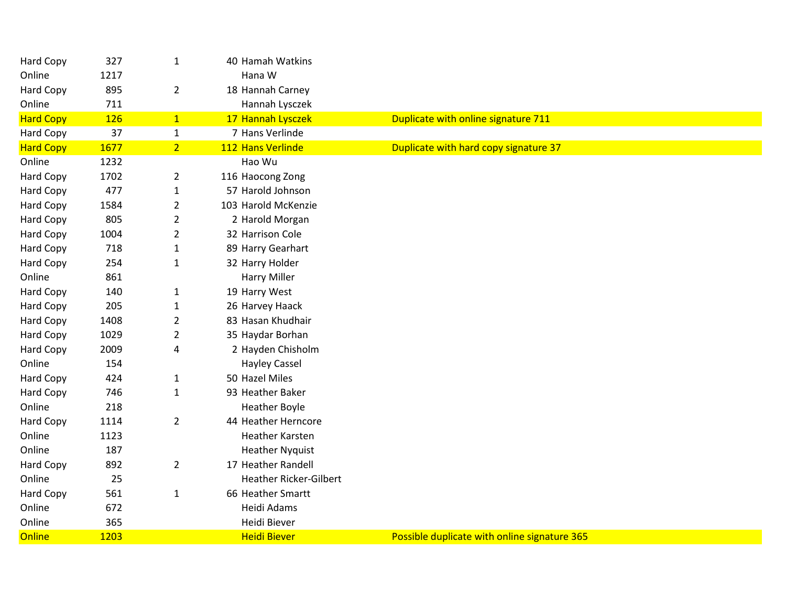| Hard Copy        | 327        | $\mathbf{1}$   | 40 Hamah Watkins              |                                              |
|------------------|------------|----------------|-------------------------------|----------------------------------------------|
| Online           | 1217       |                | Hana W                        |                                              |
| Hard Copy        | 895        | $\overline{2}$ | 18 Hannah Carney              |                                              |
| Online           | 711        |                | Hannah Lysczek                |                                              |
| <b>Hard Copy</b> | <b>126</b> | 1              | 17 Hannah Lysczek             | Duplicate with online signature 711          |
| Hard Copy        | 37         | $\mathbf{1}$   | 7 Hans Verlinde               |                                              |
| <b>Hard Copy</b> | 1677       | 2 <sup>1</sup> | 112 Hans Verlinde             | Duplicate with hard copy signature 37        |
| Online           | 1232       |                | Hao Wu                        |                                              |
| Hard Copy        | 1702       | $\overline{2}$ | 116 Haocong Zong              |                                              |
| Hard Copy        | 477        | $\mathbf{1}$   | 57 Harold Johnson             |                                              |
| Hard Copy        | 1584       | $\overline{2}$ | 103 Harold McKenzie           |                                              |
| Hard Copy        | 805        | $\overline{2}$ | 2 Harold Morgan               |                                              |
| Hard Copy        | 1004       | $\overline{2}$ | 32 Harrison Cole              |                                              |
| Hard Copy        | 718        | $\mathbf{1}$   | 89 Harry Gearhart             |                                              |
| Hard Copy        | 254        | $\mathbf{1}$   | 32 Harry Holder               |                                              |
| Online           | 861        |                | <b>Harry Miller</b>           |                                              |
| <b>Hard Copy</b> | 140        | $\mathbf{1}$   | 19 Harry West                 |                                              |
| <b>Hard Copy</b> | 205        | $\mathbf{1}$   | 26 Harvey Haack               |                                              |
| Hard Copy        | 1408       | $\overline{2}$ | 83 Hasan Khudhair             |                                              |
| Hard Copy        | 1029       | $\overline{2}$ | 35 Haydar Borhan              |                                              |
| Hard Copy        | 2009       | 4              | 2 Hayden Chisholm             |                                              |
| Online           | 154        |                | <b>Hayley Cassel</b>          |                                              |
| Hard Copy        | 424        | $\mathbf{1}$   | 50 Hazel Miles                |                                              |
| Hard Copy        | 746        | $\mathbf{1}$   | 93 Heather Baker              |                                              |
| Online           | 218        |                | <b>Heather Boyle</b>          |                                              |
| Hard Copy        | 1114       | $\overline{2}$ | 44 Heather Herncore           |                                              |
| Online           | 1123       |                | <b>Heather Karsten</b>        |                                              |
| Online           | 187        |                | <b>Heather Nyquist</b>        |                                              |
| Hard Copy        | 892        | $\overline{2}$ | 17 Heather Randell            |                                              |
| Online           | 25         |                | <b>Heather Ricker-Gilbert</b> |                                              |
| Hard Copy        | 561        | $\mathbf{1}$   | 66 Heather Smartt             |                                              |
| Online           | 672        |                | Heidi Adams                   |                                              |
| Online           | 365        |                | Heidi Biever                  |                                              |
| Online           | 1203       |                | <b>Heidi Biever</b>           | Possible duplicate with online signature 365 |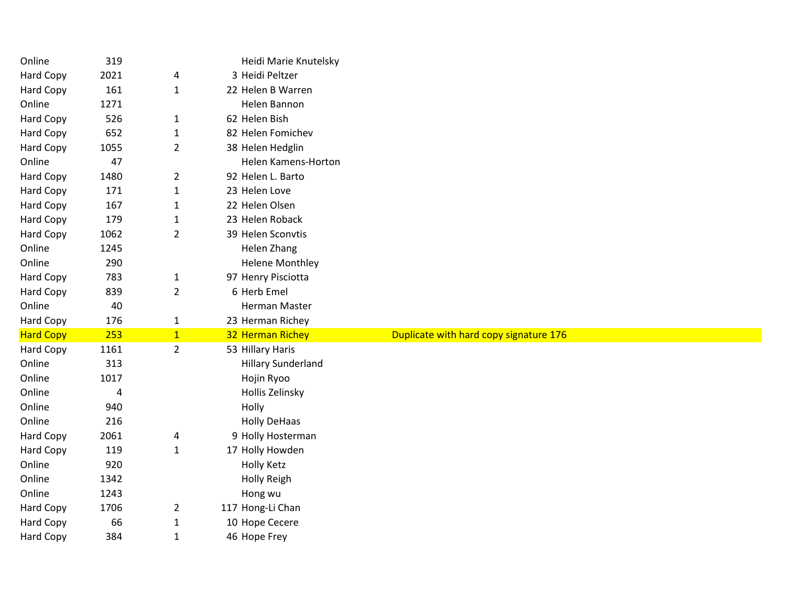| Online                 | 319       |                | Heidi Marie Knutelsky          |                                        |
|------------------------|-----------|----------------|--------------------------------|----------------------------------------|
| Hard Copy              | 2021      | 4              | 3 Heidi Peltzer                |                                        |
| Hard Copy              | 161       | $\mathbf{1}$   | 22 Helen B Warren              |                                        |
| Online                 | 1271      |                | Helen Bannon                   |                                        |
| Hard Copy              | 526       | 1              | 62 Helen Bish                  |                                        |
| Hard Copy              | 652       | $\mathbf{1}$   | 82 Helen Fomichev              |                                        |
| Hard Copy              | 1055      | $\overline{2}$ | 38 Helen Hedglin               |                                        |
| Online                 | 47        |                | Helen Kamens-Horton            |                                        |
| <b>Hard Copy</b>       | 1480      | $\overline{2}$ | 92 Helen L. Barto              |                                        |
| Hard Copy              | 171       | $\mathbf{1}$   | 23 Helen Love                  |                                        |
| Hard Copy              | 167       | 1              | 22 Helen Olsen                 |                                        |
| Hard Copy              | 179       | $\mathbf{1}$   | 23 Helen Roback                |                                        |
| Hard Copy              | 1062      | $\overline{2}$ | 39 Helen Sconvtis              |                                        |
| Online                 | 1245      |                | Helen Zhang                    |                                        |
| Online                 | 290       |                | <b>Helene Monthley</b>         |                                        |
| Hard Copy              | 783       | $\mathbf{1}$   | 97 Henry Pisciotta             |                                        |
| <b>Hard Copy</b>       | 839       | $\overline{2}$ | 6 Herb Emel                    |                                        |
| Online                 | 40        |                | Herman Master                  |                                        |
| <b>Hard Copy</b>       | 176       | $\mathbf{1}$   | 23 Herman Richey               |                                        |
|                        |           |                |                                |                                        |
| <b>Hard Copy</b>       | 253       | $\overline{1}$ | 32 Herman Richey               | Duplicate with hard copy signature 176 |
| Hard Copy              | 1161      | $\overline{2}$ | 53 Hillary Haris               |                                        |
| Online                 | 313       |                | <b>Hillary Sunderland</b>      |                                        |
| Online                 | 1017      |                | Hojin Ryoo                     |                                        |
| Online                 | 4         |                | Hollis Zelinsky                |                                        |
| Online                 | 940       |                | Holly                          |                                        |
| Online                 | 216       |                | <b>Holly DeHaas</b>            |                                        |
| Hard Copy              | 2061      | 4              | 9 Holly Hosterman              |                                        |
| <b>Hard Copy</b>       | 119       | 1              | 17 Holly Howden                |                                        |
| Online                 | 920       |                | <b>Holly Ketz</b>              |                                        |
| Online                 | 1342      |                | <b>Holly Reigh</b>             |                                        |
| Online                 | 1243      |                | Hong wu                        |                                        |
| <b>Hard Copy</b>       | 1706      | $\overline{2}$ | 117 Hong-Li Chan               |                                        |
| Hard Copy<br>Hard Copy | 66<br>384 | $\mathbf{1}$   | 10 Hope Cecere<br>46 Hope Frey |                                        |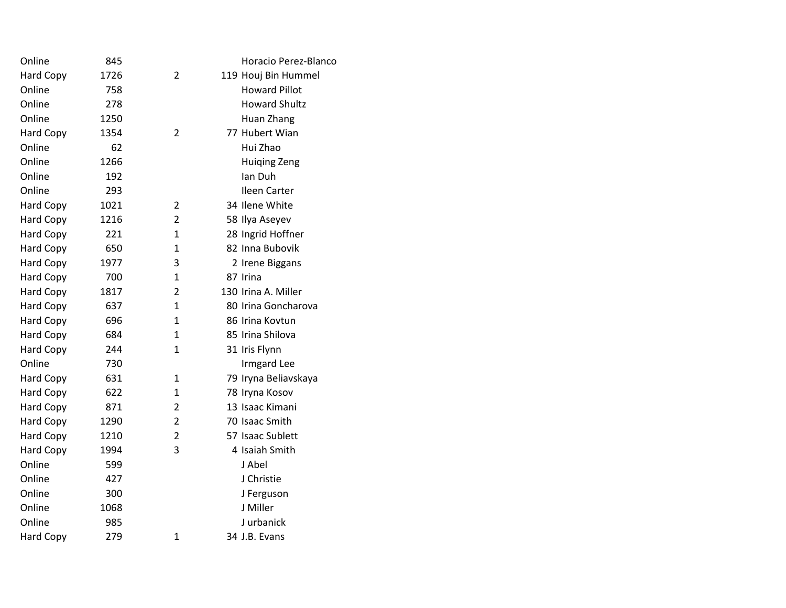| Online           | 845  |                | Horacio Perez-Blanco |
|------------------|------|----------------|----------------------|
| <b>Hard Copy</b> | 1726 | 2              | 119 Houj Bin Hummel  |
| Online           | 758  |                | <b>Howard Pillot</b> |
| Online           | 278  |                | <b>Howard Shultz</b> |
| Online           | 1250 |                | Huan Zhang           |
| <b>Hard Copy</b> | 1354 | $\overline{2}$ | 77 Hubert Wian       |
| Online           | 62   |                | Hui Zhao             |
| Online           | 1266 |                | <b>Huiqing Zeng</b>  |
| Online           | 192  |                | Ian Duh              |
| Online           | 293  |                | Ileen Carter         |
| <b>Hard Copy</b> | 1021 | 2              | 34 Ilene White       |
| <b>Hard Copy</b> | 1216 | $\overline{2}$ | 58 Ilya Aseyev       |
| <b>Hard Copy</b> | 221  | 1              | 28 Ingrid Hoffner    |
| <b>Hard Copy</b> | 650  | 1              | 82 Inna Bubovik      |
| <b>Hard Copy</b> | 1977 | 3              | 2 Irene Biggans      |
| <b>Hard Copy</b> | 700  | 1              | 87 Irina             |
| <b>Hard Copy</b> | 1817 | 2              | 130 Irina A. Miller  |
| <b>Hard Copy</b> | 637  | 1              | 80 Irina Goncharova  |
| Hard Copy        | 696  | 1              | 86 Irina Kovtun      |
| <b>Hard Copy</b> | 684  | 1              | 85 Irina Shilova     |
| <b>Hard Copy</b> | 244  | 1              | 31 Iris Flynn        |
| Online           | 730  |                | <b>Irmgard Lee</b>   |
| Hard Copy        | 631  | 1              | 79 Iryna Beliavskaya |
| <b>Hard Copy</b> | 622  | 1              | 78 Iryna Kosov       |
| <b>Hard Copy</b> | 871  | 2              | 13 Isaac Kimani      |
| <b>Hard Copy</b> | 1290 | $\overline{2}$ | 70 Isaac Smith       |
| <b>Hard Copy</b> | 1210 | 2              | 57 Isaac Sublett     |
| <b>Hard Copy</b> | 1994 | 3              | 4 Isaiah Smith       |
| Online           | 599  |                | J Abel               |
| Online           | 427  |                | J Christie           |
| Online           | 300  |                | J Ferguson           |
| Online           | 1068 |                | J Miller             |
| Online           | 985  |                | J urbanick           |
| <b>Hard Copy</b> | 279  | 1              | 34 J.B. Evans        |
|                  |      |                |                      |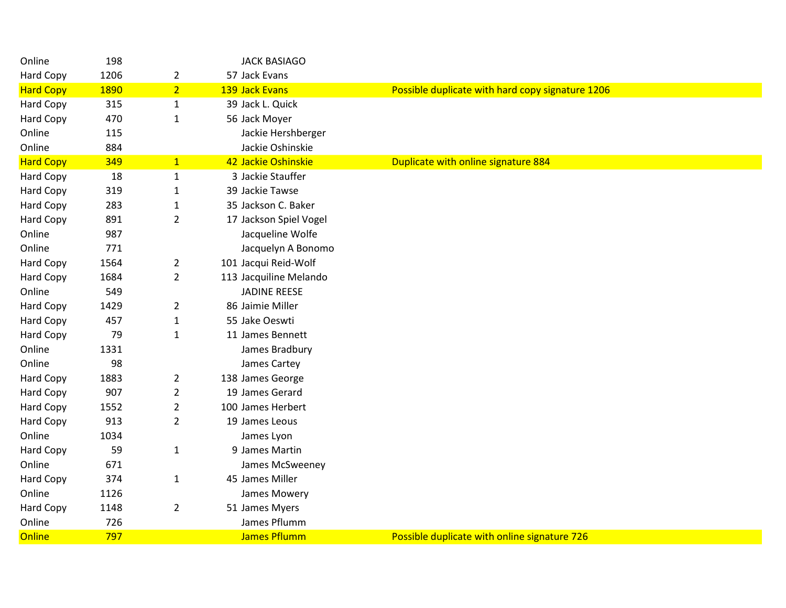| Online           | 198  |                | <b>JACK BASIAGO</b>    |                                                  |
|------------------|------|----------------|------------------------|--------------------------------------------------|
| <b>Hard Copy</b> | 1206 | $\overline{2}$ | 57 Jack Evans          |                                                  |
| <b>Hard Copy</b> | 1890 | 2 <sup>1</sup> | 139 Jack Evans         | Possible duplicate with hard copy signature 1206 |
| Hard Copy        | 315  | $\mathbf{1}$   | 39 Jack L. Quick       |                                                  |
| Hard Copy        | 470  | $\mathbf{1}$   | 56 Jack Moyer          |                                                  |
| Online           | 115  |                | Jackie Hershberger     |                                                  |
| Online           | 884  |                | Jackie Oshinskie       |                                                  |
| <b>Hard Copy</b> | 349  | $\mathbf{1}$   | 42 Jackie Oshinskie    | Duplicate with online signature 884              |
| Hard Copy        | 18   | $\mathbf{1}$   | 3 Jackie Stauffer      |                                                  |
| Hard Copy        | 319  | $\mathbf{1}$   | 39 Jackie Tawse        |                                                  |
| <b>Hard Copy</b> | 283  | $\mathbf{1}$   | 35 Jackson C. Baker    |                                                  |
| Hard Copy        | 891  | $\overline{2}$ | 17 Jackson Spiel Vogel |                                                  |
| Online           | 987  |                | Jacqueline Wolfe       |                                                  |
| Online           | 771  |                | Jacquelyn A Bonomo     |                                                  |
| <b>Hard Copy</b> | 1564 | $\overline{2}$ | 101 Jacqui Reid-Wolf   |                                                  |
| <b>Hard Copy</b> | 1684 | $\overline{2}$ | 113 Jacquiline Melando |                                                  |
| Online           | 549  |                | <b>JADINE REESE</b>    |                                                  |
| Hard Copy        | 1429 | $\overline{2}$ | 86 Jaimie Miller       |                                                  |
| Hard Copy        | 457  | $\mathbf{1}$   | 55 Jake Oeswti         |                                                  |
| Hard Copy        | 79   | $\mathbf{1}$   | 11 James Bennett       |                                                  |
| Online           | 1331 |                | James Bradbury         |                                                  |
| Online           | 98   |                | James Cartey           |                                                  |
| Hard Copy        | 1883 | $\overline{2}$ | 138 James George       |                                                  |
| Hard Copy        | 907  | $\overline{2}$ | 19 James Gerard        |                                                  |
| Hard Copy        | 1552 | $\overline{2}$ | 100 James Herbert      |                                                  |
| Hard Copy        | 913  | $\overline{2}$ | 19 James Leous         |                                                  |
| Online           | 1034 |                | James Lyon             |                                                  |
| Hard Copy        | 59   | $\mathbf{1}$   | 9 James Martin         |                                                  |
| Online           | 671  |                | James McSweeney        |                                                  |
| Hard Copy        | 374  | 1              | 45 James Miller        |                                                  |
| Online           | 1126 |                | James Mowery           |                                                  |
| Hard Copy        | 1148 | $\overline{2}$ | 51 James Myers         |                                                  |
| Online           | 726  |                | James Pflumm           |                                                  |
| Online           | 797  |                | <b>James Pflumm</b>    | Possible duplicate with online signature 726     |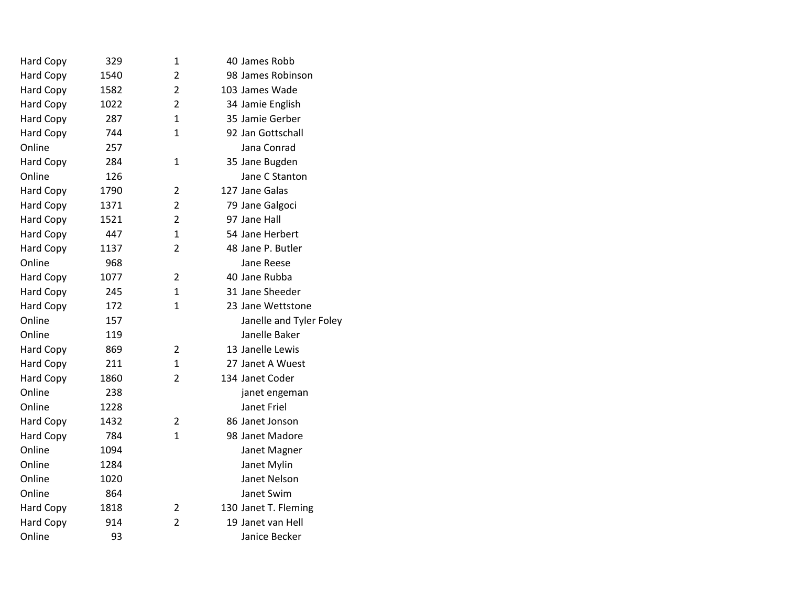| Hard Copy        | 329  | 1              | 40 James Robb           |
|------------------|------|----------------|-------------------------|
| Hard Copy        | 1540 | $\overline{2}$ | 98 James Robinson       |
| Hard Copy        | 1582 | $\overline{2}$ | 103 James Wade          |
| <b>Hard Copy</b> | 1022 | $\overline{2}$ | 34 Jamie English        |
| Hard Copy        | 287  | 1              | 35 Jamie Gerber         |
| Hard Copy        | 744  | $\mathbf{1}$   | 92 Jan Gottschall       |
| Online           | 257  |                | Jana Conrad             |
| Hard Copy        | 284  | $\mathbf{1}$   | 35 Jane Bugden          |
| Online           | 126  |                | Jane C Stanton          |
| <b>Hard Copy</b> | 1790 | $\overline{2}$ | 127 Jane Galas          |
| Hard Copy        | 1371 | $\overline{2}$ | 79 Jane Galgoci         |
| <b>Hard Copy</b> | 1521 | 2              | 97 Jane Hall            |
| Hard Copy        | 447  | 1              | 54 Jane Herbert         |
| <b>Hard Copy</b> | 1137 | $\overline{2}$ | 48 Jane P. Butler       |
| Online           | 968  |                | Jane Reese              |
| <b>Hard Copy</b> | 1077 | $\overline{2}$ | 40 Jane Rubba           |
| <b>Hard Copy</b> | 245  | $\mathbf{1}$   | 31 Jane Sheeder         |
| Hard Copy        | 172  | 1              | 23 Jane Wettstone       |
| Online           | 157  |                | Janelle and Tyler Foley |
| Online           | 119  |                | Janelle Baker           |
| <b>Hard Copy</b> | 869  | 2              | 13 Janelle Lewis        |
| Hard Copy        | 211  | 1              | 27 Janet A Wuest        |
| <b>Hard Copy</b> | 1860 | $\overline{2}$ | 134 Janet Coder         |
| Online           | 238  |                | janet engeman           |
| Online           | 1228 |                | Janet Friel             |
| <b>Hard Copy</b> | 1432 | 2              | 86 Janet Jonson         |
| <b>Hard Copy</b> | 784  | 1              | 98 Janet Madore         |
| Online           | 1094 |                | Janet Magner            |
| Online           | 1284 |                | Janet Mylin             |
| Online           | 1020 |                | Janet Nelson            |
| Online           | 864  |                | Janet Swim              |
| Hard Copy        | 1818 | 2              | 130 Janet T. Fleming    |
| Hard Copy        | 914  | $\overline{2}$ | 19 Janet van Hell       |
| Online           | 93   |                | Janice Becker           |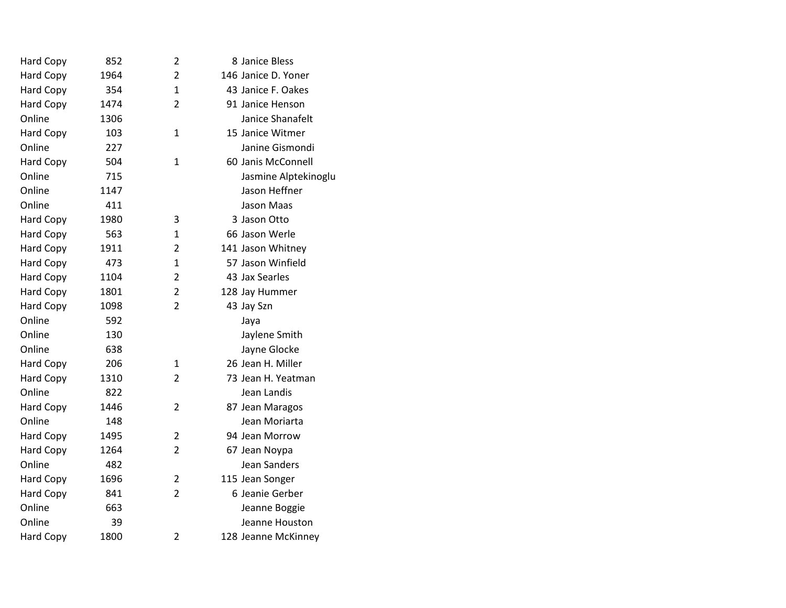| Hard Copy        | 852  | $\overline{\mathbf{c}}$ | 8 Janice Bless       |
|------------------|------|-------------------------|----------------------|
| Hard Copy        | 1964 | $\overline{2}$          | 146 Janice D. Yoner  |
| Hard Copy        | 354  | $\mathbf{1}$            | 43 Janice F. Oakes   |
| Hard Copy        | 1474 | $\overline{2}$          | 91 Janice Henson     |
| Online           | 1306 |                         | Janice Shanafelt     |
| Hard Copy        | 103  | $\mathbf{1}$            | 15 Janice Witmer     |
| Online           | 227  |                         | Janine Gismondi      |
| Hard Copy        | 504  | $\mathbf{1}$            | 60 Janis McConnell   |
| Online           | 715  |                         | Jasmine Alptekinoglu |
| Online           | 1147 |                         | Jason Heffner        |
| Online           | 411  |                         | <b>Jason Maas</b>    |
| <b>Hard Copy</b> | 1980 | 3                       | 3 Jason Otto         |
| Hard Copy        | 563  | 1                       | 66 Jason Werle       |
| Hard Copy        | 1911 | 2                       | 141 Jason Whitney    |
| Hard Copy        | 473  | 1                       | 57 Jason Winfield    |
| <b>Hard Copy</b> | 1104 | $\overline{2}$          | 43 Jax Searles       |
| <b>Hard Copy</b> | 1801 | $\overline{2}$          | 128 Jay Hummer       |
| <b>Hard Copy</b> | 1098 | $\overline{2}$          | 43 Jay Szn           |
| Online           | 592  |                         | Jaya                 |
| Online           | 130  |                         | Jaylene Smith        |
| Online           | 638  |                         | Jayne Glocke         |
| <b>Hard Copy</b> | 206  | 1                       | 26 Jean H. Miller    |
| <b>Hard Copy</b> | 1310 | $\overline{2}$          | 73 Jean H. Yeatman   |
| Online           | 822  |                         | Jean Landis          |
| <b>Hard Copy</b> | 1446 | $\overline{2}$          | 87 Jean Maragos      |
| Online           | 148  |                         | Jean Moriarta        |
| Hard Copy        | 1495 | 2                       | 94 Jean Morrow       |
| <b>Hard Copy</b> | 1264 | 2                       | 67 Jean Noypa        |
| Online           | 482  |                         | Jean Sanders         |
| <b>Hard Copy</b> | 1696 | $\overline{2}$          | 115 Jean Songer      |
| Hard Copy        | 841  | $\overline{2}$          | 6 Jeanie Gerber      |
| Online           | 663  |                         | Jeanne Boggie        |
| Online           | 39   |                         | Jeanne Houston       |
| Hard Copy        | 1800 | $\overline{2}$          | 128 Jeanne McKinney  |
|                  |      |                         |                      |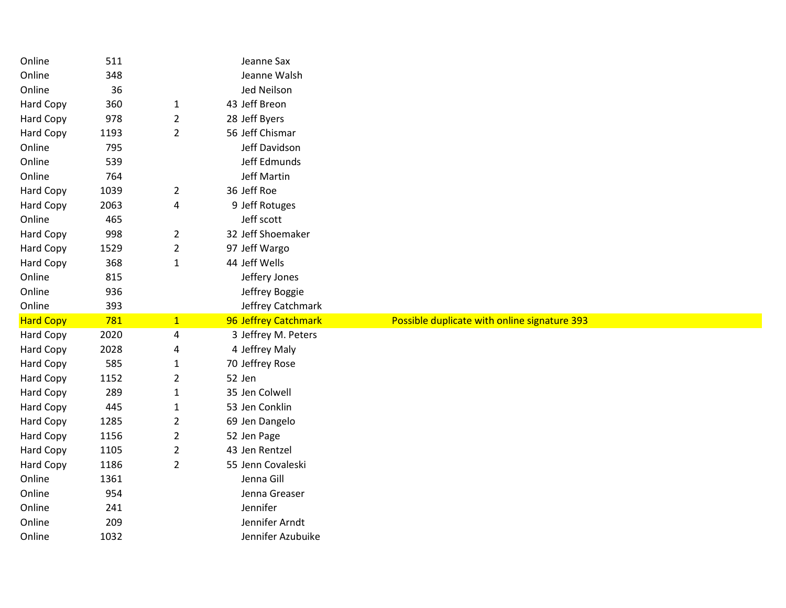| Online           | 511         |                | Jeanne Sax                          |                                              |
|------------------|-------------|----------------|-------------------------------------|----------------------------------------------|
| Online           | 348         |                | Jeanne Walsh                        |                                              |
| Online           | 36          |                | Jed Neilson                         |                                              |
| Hard Copy        | 360         | $\mathbf{1}$   | 43 Jeff Breon                       |                                              |
| <b>Hard Copy</b> | 978         | $\overline{2}$ | 28 Jeff Byers                       |                                              |
| Hard Copy        | 1193        | $\overline{2}$ | 56 Jeff Chismar                     |                                              |
| Online           | 795         |                | Jeff Davidson                       |                                              |
| Online           | 539         |                | Jeff Edmunds                        |                                              |
| Online           | 764         |                | Jeff Martin                         |                                              |
| <b>Hard Copy</b> | 1039        | $\overline{2}$ | 36 Jeff Roe                         |                                              |
| <b>Hard Copy</b> | 2063        | 4              | 9 Jeff Rotuges                      |                                              |
| Online           | 465         |                | Jeff scott                          |                                              |
| <b>Hard Copy</b> | 998         | $\overline{2}$ | 32 Jeff Shoemaker                   |                                              |
| Hard Copy        | 1529        | $\overline{2}$ | 97 Jeff Wargo                       |                                              |
| Hard Copy        | 368         | $\mathbf{1}$   | 44 Jeff Wells                       |                                              |
| Online           | 815         |                | Jeffery Jones                       |                                              |
| Online           | 936         |                | Jeffrey Boggie                      |                                              |
|                  |             |                |                                     |                                              |
| Online           | 393         |                | Jeffrey Catchmark                   |                                              |
| <b>Hard Copy</b> | 781         | 1              | 96 Jeffrey Catchmark                | Possible duplicate with online signature 393 |
| Hard Copy        | 2020        | 4              | 3 Jeffrey M. Peters                 |                                              |
| Hard Copy        | 2028        | 4              | 4 Jeffrey Maly                      |                                              |
| Hard Copy        | 585         | 1              | 70 Jeffrey Rose                     |                                              |
| Hard Copy        | 1152        | $\overline{2}$ | 52 Jen                              |                                              |
| Hard Copy        | 289         | $\mathbf{1}$   | 35 Jen Colwell                      |                                              |
| Hard Copy        | 445         | 1              | 53 Jen Conklin                      |                                              |
| Hard Copy        | 1285        | $\overline{2}$ | 69 Jen Dangelo                      |                                              |
| Hard Copy        | 1156        | $\overline{2}$ | 52 Jen Page                         |                                              |
| <b>Hard Copy</b> | 1105        | $\overline{2}$ | 43 Jen Rentzel                      |                                              |
| Hard Copy        | 1186        | $\overline{2}$ | 55 Jenn Covaleski                   |                                              |
| Online           | 1361        |                | Jenna Gill                          |                                              |
| Online           | 954         |                | Jenna Greaser                       |                                              |
| Online           | 241         |                | Jennifer                            |                                              |
| Online           | 209<br>1032 |                | Jennifer Arndt<br>Jennifer Azubuike |                                              |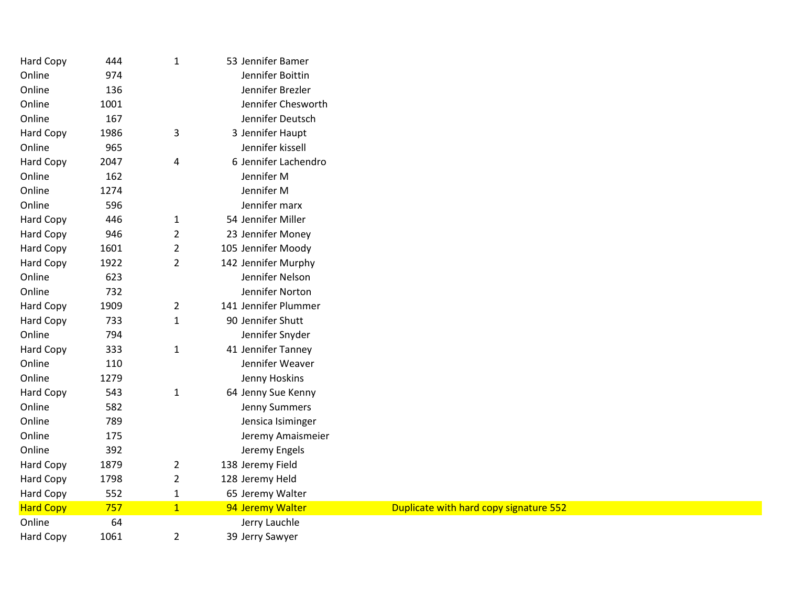| Hard Copy        | 444  | $\mathbf{1}$   | 53 Jennifer Bamer    |                                        |
|------------------|------|----------------|----------------------|----------------------------------------|
| Online           | 974  |                | Jennifer Boittin     |                                        |
| Online           | 136  |                | Jennifer Brezler     |                                        |
| Online           | 1001 |                | Jennifer Chesworth   |                                        |
| Online           | 167  |                | Jennifer Deutsch     |                                        |
| Hard Copy        | 1986 | 3              | 3 Jennifer Haupt     |                                        |
| Online           | 965  |                | Jennifer kissell     |                                        |
| Hard Copy        | 2047 | 4              | 6 Jennifer Lachendro |                                        |
| Online           | 162  |                | Jennifer M           |                                        |
| Online           | 1274 |                | Jennifer M           |                                        |
| Online           | 596  |                | Jennifer marx        |                                        |
| Hard Copy        | 446  | $\mathbf{1}$   | 54 Jennifer Miller   |                                        |
| Hard Copy        | 946  | $\overline{2}$ | 23 Jennifer Money    |                                        |
| Hard Copy        | 1601 | $\overline{2}$ | 105 Jennifer Moody   |                                        |
| Hard Copy        | 1922 | $\overline{2}$ | 142 Jennifer Murphy  |                                        |
| Online           | 623  |                | Jennifer Nelson      |                                        |
| Online           | 732  |                | Jennifer Norton      |                                        |
| Hard Copy        | 1909 | $\overline{2}$ | 141 Jennifer Plummer |                                        |
| Hard Copy        | 733  | $\mathbf{1}$   | 90 Jennifer Shutt    |                                        |
| Online           | 794  |                | Jennifer Snyder      |                                        |
| Hard Copy        | 333  | $\mathbf{1}$   | 41 Jennifer Tanney   |                                        |
| Online           | 110  |                | Jennifer Weaver      |                                        |
| Online           | 1279 |                | Jenny Hoskins        |                                        |
| Hard Copy        | 543  | $\mathbf{1}$   | 64 Jenny Sue Kenny   |                                        |
| Online           | 582  |                | Jenny Summers        |                                        |
| Online           | 789  |                | Jensica Isiminger    |                                        |
| Online           | 175  |                | Jeremy Amaismeier    |                                        |
| Online           | 392  |                | Jeremy Engels        |                                        |
| Hard Copy        | 1879 | $\overline{2}$ | 138 Jeremy Field     |                                        |
| Hard Copy        | 1798 | $\overline{2}$ | 128 Jeremy Held      |                                        |
| <b>Hard Copy</b> | 552  | $\mathbf{1}$   | 65 Jeremy Walter     |                                        |
| <b>Hard Copy</b> | 757  | $\mathbf{1}$   | 94 Jeremy Walter     | Duplicate with hard copy signature 552 |
| Online           | 64   |                | Jerry Lauchle        |                                        |
| <b>Hard Copy</b> | 1061 | $\overline{2}$ | 39 Jerry Sawyer      |                                        |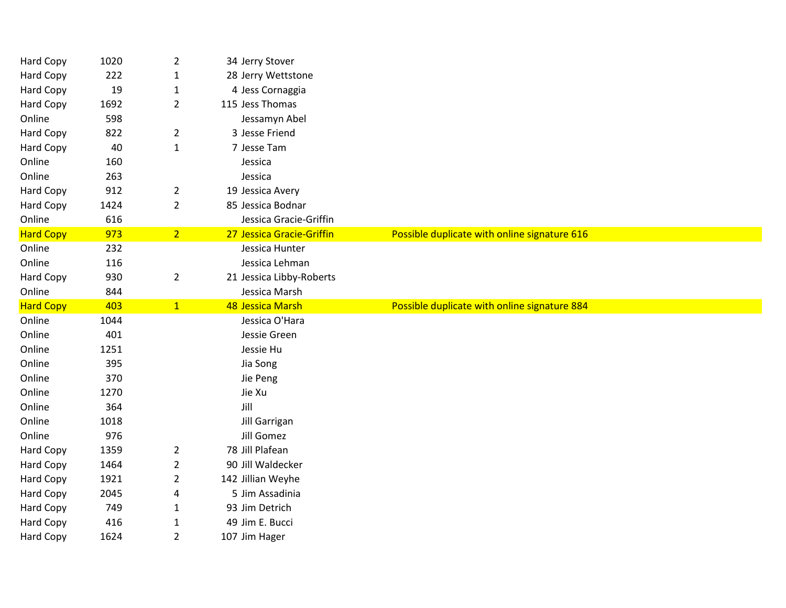| Hard Copy        | 1020 | $\overline{2}$ | 34 Jerry Stover           |                                              |
|------------------|------|----------------|---------------------------|----------------------------------------------|
| Hard Copy        | 222  | $\mathbf{1}$   | 28 Jerry Wettstone        |                                              |
| Hard Copy        | 19   | $\mathbf{1}$   | 4 Jess Cornaggia          |                                              |
| Hard Copy        | 1692 | $\overline{2}$ | 115 Jess Thomas           |                                              |
| Online           | 598  |                | Jessamyn Abel             |                                              |
| Hard Copy        | 822  | $\overline{2}$ | 3 Jesse Friend            |                                              |
| Hard Copy        | 40   | $\mathbf{1}$   | 7 Jesse Tam               |                                              |
| Online           | 160  |                | Jessica                   |                                              |
| Online           | 263  |                | Jessica                   |                                              |
| <b>Hard Copy</b> | 912  | $\overline{a}$ | 19 Jessica Avery          |                                              |
| Hard Copy        | 1424 | $\overline{2}$ | 85 Jessica Bodnar         |                                              |
| Online           | 616  |                | Jessica Gracie-Griffin    |                                              |
| <b>Hard Copy</b> | 973  | 2 <sup>1</sup> | 27 Jessica Gracie-Griffin | Possible duplicate with online signature 616 |
| Online           | 232  |                | Jessica Hunter            |                                              |
| Online           | 116  |                | Jessica Lehman            |                                              |
| Hard Copy        | 930  | $\overline{2}$ | 21 Jessica Libby-Roberts  |                                              |
| Online           | 844  |                | Jessica Marsh             |                                              |
|                  |      |                | 48 Jessica Marsh          | Possible duplicate with online signature 884 |
| <b>Hard Copy</b> | 403  | 1              |                           |                                              |
| Online           | 1044 |                | Jessica O'Hara            |                                              |
| Online           | 401  |                | Jessie Green              |                                              |
| Online           | 1251 |                | Jessie Hu                 |                                              |
| Online           | 395  |                | Jia Song                  |                                              |
| Online           | 370  |                | Jie Peng                  |                                              |
| Online           | 1270 |                | Jie Xu                    |                                              |
| Online           | 364  |                | Jill                      |                                              |
| Online           | 1018 |                | Jill Garrigan             |                                              |
| Online           | 976  |                | Jill Gomez                |                                              |
| Hard Copy        | 1359 | $\overline{2}$ | 78 Jill Plafean           |                                              |
| Hard Copy        | 1464 | $\overline{2}$ | 90 Jill Waldecker         |                                              |
| Hard Copy        | 1921 | $\overline{2}$ | 142 Jillian Weyhe         |                                              |
| Hard Copy        | 2045 | 4              | 5 Jim Assadinia           |                                              |
| Hard Copy        | 749  | $\mathbf{1}$   | 93 Jim Detrich            |                                              |
| Hard Copy        | 416  | $\mathbf{1}$   | 49 Jim E. Bucci           |                                              |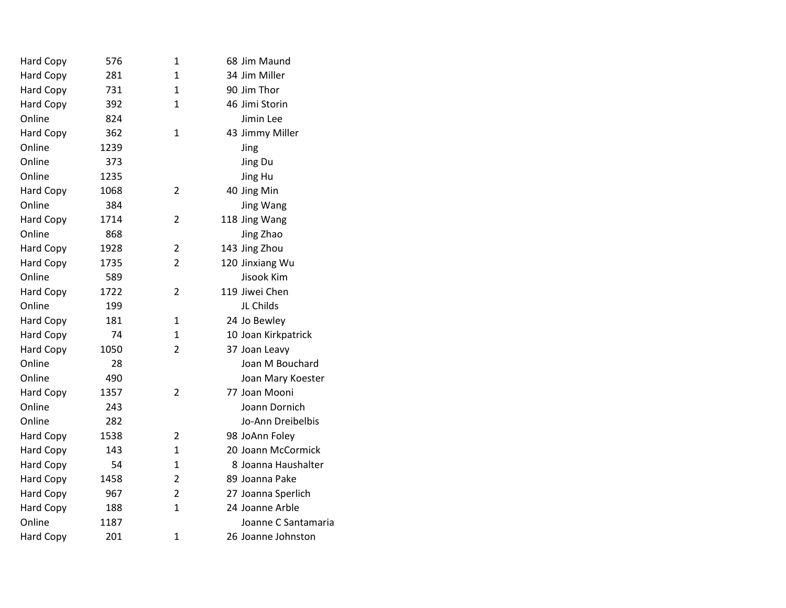| Hard Copy        | 576  | 1              | 68 Jim Maund        |
|------------------|------|----------------|---------------------|
| Hard Copy        | 281  | $\mathbf{1}$   | 34 Jim Miller       |
| Hard Copy        | 731  | $\mathbf{1}$   | 90 Jim Thor         |
| Hard Copy        | 392  | 1              | 46 Jimi Storin      |
| Online           | 824  |                | Jimin Lee           |
| <b>Hard Copy</b> | 362  | $\mathbf{1}$   | 43 Jimmy Miller     |
| Online           | 1239 |                | Jing                |
| Online           | 373  |                | Jing Du             |
| Online           | 1235 |                | Jing Hu             |
| <b>Hard Copy</b> | 1068 | $\overline{2}$ | 40 Jing Min         |
| Online           | 384  |                | Jing Wang           |
| Hard Copy        | 1714 | 2              | 118 Jing Wang       |
| Online           | 868  |                | Jing Zhao           |
| Hard Copy        | 1928 | 2              | 143 Jing Zhou       |
| <b>Hard Copy</b> | 1735 | $\overline{2}$ | 120 Jinxiang Wu     |
| Online           | 589  |                | Jisook Kim          |
| <b>Hard Copy</b> | 1722 | $\overline{2}$ | 119 Jiwei Chen      |
| Online           | 199  |                | JL Childs           |
| Hard Copy        | 181  | 1              | 24 Jo Bewley        |
| <b>Hard Copy</b> | 74   | 1              | 10 Joan Kirkpatrick |
| <b>Hard Copy</b> | 1050 | $\overline{2}$ | 37 Joan Leavy       |
| Online           | 28   |                | Joan M Bouchard     |
| Online           | 490  |                | Joan Mary Koester   |
| <b>Hard Copy</b> | 1357 | $\overline{2}$ | 77 Joan Mooni       |
| Online           | 243  |                | Joann Dornich       |
| Online           | 282  |                | Jo-Ann Dreibelbis   |
| <b>Hard Copy</b> | 1538 | $\overline{2}$ | 98 JoAnn Foley      |
| <b>Hard Copy</b> | 143  | $\mathbf{1}$   | 20 Joann McCormick  |
| <b>Hard Copy</b> | 54   | $\mathbf{1}$   | 8 Joanna Haushalter |
| Hard Copy        | 1458 | $\overline{2}$ | 89 Joanna Pake      |
| Hard Copy        | 967  | $\overline{2}$ | 27 Joanna Sperlich  |
| Hard Copy        | 188  | $\overline{1}$ | 24 Joanne Arble     |
| Online           | 1187 |                | Joanne C Santamaria |
| <b>Hard Copy</b> | 201  | $\mathbf{1}$   | 26 Joanne Johnston  |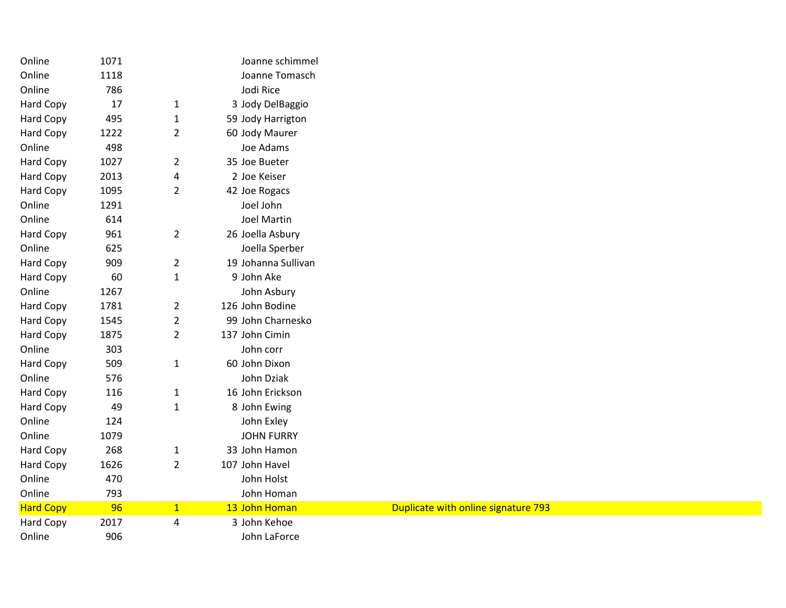| Online           | 1071 |                | Joanne schimmel     |                                     |
|------------------|------|----------------|---------------------|-------------------------------------|
| Online           | 1118 |                | Joanne Tomasch      |                                     |
| Online           | 786  |                | Jodi Rice           |                                     |
| Hard Copy        | 17   | $\mathbf{1}$   | 3 Jody DelBaggio    |                                     |
| Hard Copy        | 495  | $\mathbf{1}$   | 59 Jody Harrigton   |                                     |
| Hard Copy        | 1222 | $\overline{2}$ | 60 Jody Maurer      |                                     |
| Online           | 498  |                | Joe Adams           |                                     |
| Hard Copy        | 1027 | $\overline{2}$ | 35 Joe Bueter       |                                     |
| Hard Copy        | 2013 | 4              | 2 Joe Keiser        |                                     |
| Hard Copy        | 1095 | $\overline{2}$ | 42 Joe Rogacs       |                                     |
| Online           | 1291 |                | Joel John           |                                     |
| Online           | 614  |                | <b>Joel Martin</b>  |                                     |
| Hard Copy        | 961  | $\overline{2}$ | 26 Joella Asbury    |                                     |
| Online           | 625  |                | Joella Sperber      |                                     |
| Hard Copy        | 909  | $\overline{2}$ | 19 Johanna Sullivan |                                     |
| Hard Copy        | 60   | $\mathbf 1$    | 9 John Ake          |                                     |
| Online           | 1267 |                | John Asbury         |                                     |
| Hard Copy        | 1781 | $\overline{2}$ | 126 John Bodine     |                                     |
| Hard Copy        | 1545 | $\overline{2}$ | 99 John Charnesko   |                                     |
| Hard Copy        | 1875 | $\overline{2}$ | 137 John Cimin      |                                     |
| Online           | 303  |                | John corr           |                                     |
| Hard Copy        | 509  | $\mathbf{1}$   | 60 John Dixon       |                                     |
| Online           | 576  |                | John Dziak          |                                     |
| Hard Copy        | 116  | $\mathbf{1}$   | 16 John Erickson    |                                     |
| Hard Copy        | 49   | $\mathbf 1$    | 8 John Ewing        |                                     |
| Online           | 124  |                | John Exley          |                                     |
| Online           | 1079 |                | <b>JOHN FURRY</b>   |                                     |
| Hard Copy        | 268  | $\mathbf{1}$   | 33 John Hamon       |                                     |
| Hard Copy        | 1626 | $\overline{2}$ | 107 John Havel      |                                     |
| Online           | 470  |                | John Holst          |                                     |
| Online           | 793  |                | John Homan          |                                     |
| <b>Hard Copy</b> | 96   | $\mathbf{1}$   | 13 John Homan       | Duplicate with online signature 793 |
| Hard Copy        | 2017 | 4              | 3 John Kehoe        |                                     |
| Online           | 906  |                | John LaForce        |                                     |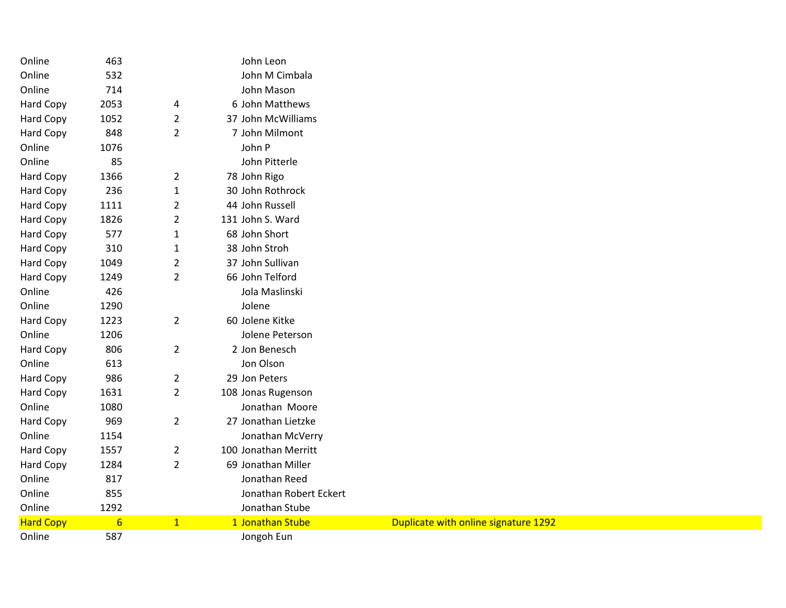| Online           | 463             |                | John Leon              |                                      |
|------------------|-----------------|----------------|------------------------|--------------------------------------|
| Online           | 532             |                | John M Cimbala         |                                      |
| Online           | 714             |                | John Mason             |                                      |
| <b>Hard Copy</b> | 2053            | 4              | 6 John Matthews        |                                      |
| Hard Copy        | 1052            | $\overline{2}$ | 37 John McWilliams     |                                      |
| Hard Copy        | 848             | $\overline{2}$ | 7 John Milmont         |                                      |
| Online           | 1076            |                | John P                 |                                      |
| Online           | 85              |                | John Pitterle          |                                      |
| Hard Copy        | 1366            | $\overline{2}$ | 78 John Rigo           |                                      |
| Hard Copy        | 236             | $\mathbf 1$    | 30 John Rothrock       |                                      |
| Hard Copy        | 1111            | $\overline{2}$ | 44 John Russell        |                                      |
| Hard Copy        | 1826            | $\overline{2}$ | 131 John S. Ward       |                                      |
| Hard Copy        | 577             | $\mathbf{1}$   | 68 John Short          |                                      |
| Hard Copy        | 310             | $\mathbf{1}$   | 38 John Stroh          |                                      |
| Hard Copy        | 1049            | $\overline{2}$ | 37 John Sullivan       |                                      |
| Hard Copy        | 1249            | $\overline{2}$ | 66 John Telford        |                                      |
| Online           | 426             |                | Jola Maslinski         |                                      |
| Online           | 1290            |                | Jolene                 |                                      |
| Hard Copy        | 1223            | $\overline{2}$ | 60 Jolene Kitke        |                                      |
| Online           | 1206            |                | Jolene Peterson        |                                      |
| Hard Copy        | 806             | $\overline{2}$ | 2 Jon Benesch          |                                      |
| Online           | 613             |                | Jon Olson              |                                      |
| Hard Copy        | 986             | $\overline{2}$ | 29 Jon Peters          |                                      |
| Hard Copy        | 1631            | $\overline{2}$ | 108 Jonas Rugenson     |                                      |
| Online           | 1080            |                | Jonathan Moore         |                                      |
| Hard Copy        | 969             | $\overline{2}$ | 27 Jonathan Lietzke    |                                      |
| Online           | 1154            |                | Jonathan McVerry       |                                      |
| <b>Hard Copy</b> | 1557            | $\overline{2}$ | 100 Jonathan Merritt   |                                      |
| Hard Copy        | 1284            | $\overline{2}$ | 69 Jonathan Miller     |                                      |
| Online           | 817             |                | Jonathan Reed          |                                      |
| Online           | 855             |                | Jonathan Robert Eckert |                                      |
| Online           | 1292            |                | Jonathan Stube         |                                      |
| <b>Hard Copy</b> | $6\overline{6}$ | $\mathbf{1}$   | 1 Jonathan Stube       | Duplicate with online signature 1292 |
| Online           | 587             |                | Jongoh Eun             |                                      |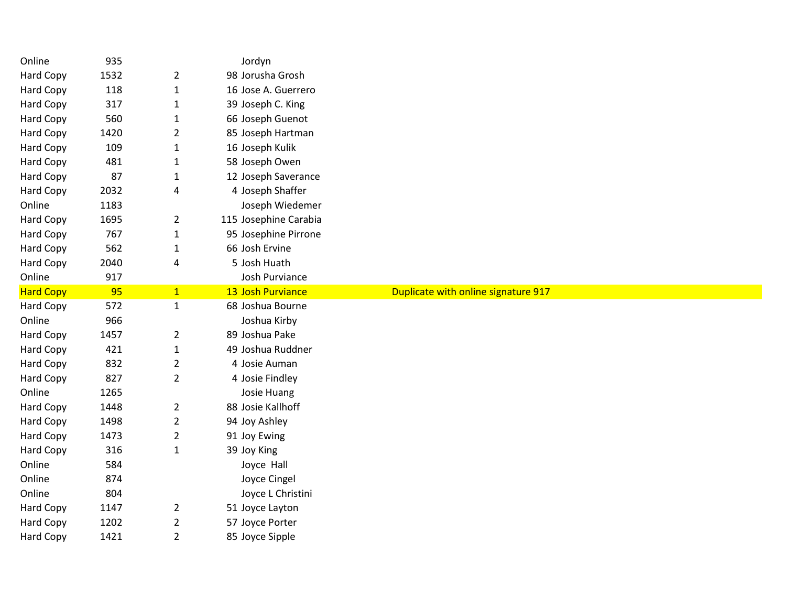| Online           | 935  |                | Jordyn                |                                     |
|------------------|------|----------------|-----------------------|-------------------------------------|
| Hard Copy        | 1532 | $\overline{2}$ | 98 Jorusha Grosh      |                                     |
| Hard Copy        | 118  | $\mathbf{1}$   | 16 Jose A. Guerrero   |                                     |
| Hard Copy        | 317  | $\mathbf{1}$   | 39 Joseph C. King     |                                     |
| Hard Copy        | 560  | $\mathbf{1}$   | 66 Joseph Guenot      |                                     |
| Hard Copy        | 1420 | $\overline{2}$ | 85 Joseph Hartman     |                                     |
| Hard Copy        | 109  | $\mathbf{1}$   | 16 Joseph Kulik       |                                     |
| Hard Copy        | 481  | $\mathbf{1}$   | 58 Joseph Owen        |                                     |
| Hard Copy        | 87   | $\mathbf{1}$   | 12 Joseph Saverance   |                                     |
| Hard Copy        | 2032 | 4              | 4 Joseph Shaffer      |                                     |
| Online           | 1183 |                | Joseph Wiedemer       |                                     |
| Hard Copy        | 1695 | $\overline{2}$ | 115 Josephine Carabia |                                     |
| Hard Copy        | 767  | $1\,$          | 95 Josephine Pirrone  |                                     |
| Hard Copy        | 562  | $\mathbf{1}$   | 66 Josh Ervine        |                                     |
| Hard Copy        | 2040 | 4              | 5 Josh Huath          |                                     |
| Online           | 917  |                | Josh Purviance        |                                     |
| <b>Hard Copy</b> | 95   | 1              | 13 Josh Purviance     | Duplicate with online signature 917 |
| Hard Copy        | 572  | $1\,$          | 68 Joshua Bourne      |                                     |
| Online           | 966  |                | Joshua Kirby          |                                     |
| Hard Copy        | 1457 | $\overline{2}$ | 89 Joshua Pake        |                                     |
| Hard Copy        | 421  | $\mathbf{1}$   | 49 Joshua Ruddner     |                                     |
| Hard Copy        | 832  | $\overline{2}$ | 4 Josie Auman         |                                     |
| Hard Copy        | 827  | $\overline{2}$ | 4 Josie Findley       |                                     |
| Online           | 1265 |                | Josie Huang           |                                     |
| Hard Copy        | 1448 | $\overline{2}$ | 88 Josie Kallhoff     |                                     |
| Hard Copy        | 1498 | $\overline{2}$ | 94 Joy Ashley         |                                     |
| Hard Copy        | 1473 | $\overline{2}$ | 91 Joy Ewing          |                                     |
| Hard Copy        | 316  | $\mathbf{1}$   | 39 Joy King           |                                     |
| Online           | 584  |                | Joyce Hall            |                                     |
| Online           | 874  |                | Joyce Cingel          |                                     |
| Online           | 804  |                | Joyce L Christini     |                                     |
| Hard Copy        | 1147 | $\overline{2}$ | 51 Joyce Layton       |                                     |
| Hard Copy        | 1202 | $\overline{2}$ | 57 Joyce Porter       |                                     |
| Hard Copy        | 1421 | $\overline{2}$ | 85 Joyce Sipple       |                                     |
|                  |      |                |                       |                                     |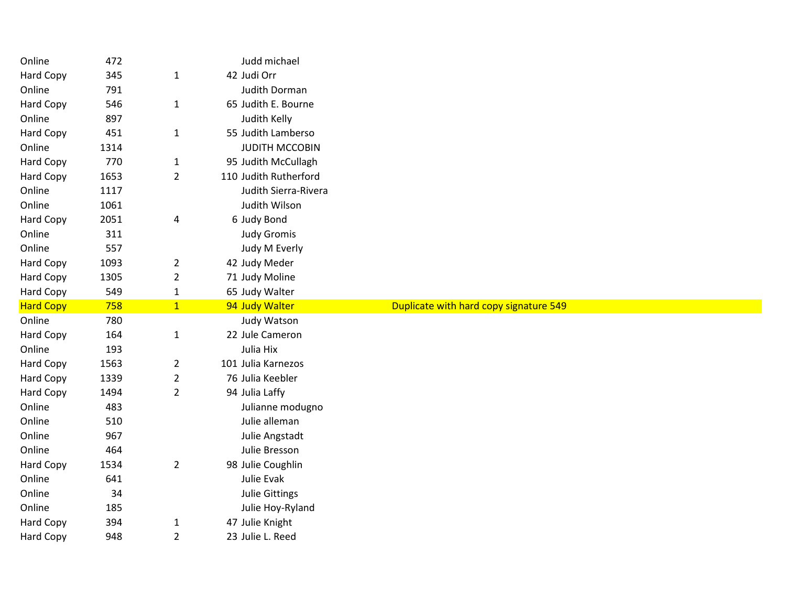| Online           | 472  |                | Judd michael          |                                        |
|------------------|------|----------------|-----------------------|----------------------------------------|
| Hard Copy        | 345  | $\mathbf{1}$   | 42 Judi Orr           |                                        |
| Online           | 791  |                | Judith Dorman         |                                        |
| Hard Copy        | 546  | $\mathbf{1}$   | 65 Judith E. Bourne   |                                        |
| Online           | 897  |                | Judith Kelly          |                                        |
| Hard Copy        | 451  | $\mathbf{1}$   | 55 Judith Lamberso    |                                        |
| Online           | 1314 |                | <b>JUDITH MCCOBIN</b> |                                        |
| Hard Copy        | 770  | $\mathbf{1}$   | 95 Judith McCullagh   |                                        |
| Hard Copy        | 1653 | $\overline{2}$ | 110 Judith Rutherford |                                        |
| Online           | 1117 |                | Judith Sierra-Rivera  |                                        |
| Online           | 1061 |                | Judith Wilson         |                                        |
| Hard Copy        | 2051 | 4              | 6 Judy Bond           |                                        |
| Online           | 311  |                | <b>Judy Gromis</b>    |                                        |
| Online           | 557  |                | Judy M Everly         |                                        |
| Hard Copy        | 1093 | $\overline{2}$ | 42 Judy Meder         |                                        |
| Hard Copy        | 1305 | $\overline{2}$ | 71 Judy Moline        |                                        |
| Hard Copy        | 549  | $\mathbf{1}$   | 65 Judy Walter        |                                        |
| <b>Hard Copy</b> | 758  | $\mathbf{1}$   | 94 Judy Walter        | Duplicate with hard copy signature 549 |
| Online           | 780  |                | Judy Watson           |                                        |
| Hard Copy        | 164  | $\mathbf{1}$   | 22 Jule Cameron       |                                        |
|                  |      |                |                       |                                        |
| Online           | 193  |                | Julia Hix             |                                        |
| Hard Copy        | 1563 | $\overline{a}$ | 101 Julia Karnezos    |                                        |
| Hard Copy        | 1339 | $\overline{2}$ | 76 Julia Keebler      |                                        |
| Hard Copy        | 1494 | $\overline{2}$ | 94 Julia Laffy        |                                        |
| Online           | 483  |                | Julianne modugno      |                                        |
| Online           | 510  |                | Julie alleman         |                                        |
| Online           | 967  |                | Julie Angstadt        |                                        |
| Online           | 464  |                | Julie Bresson         |                                        |
| Hard Copy        | 1534 | $\overline{2}$ | 98 Julie Coughlin     |                                        |
| Online           | 641  |                | Julie Evak            |                                        |
| Online           | 34   |                | <b>Julie Gittings</b> |                                        |
| Online           | 185  |                | Julie Hoy-Ryland      |                                        |
| Hard Copy        | 394  | $\mathbf{1}$   | 47 Julie Knight       |                                        |
| Hard Copy        | 948  | $\overline{2}$ | 23 Julie L. Reed      |                                        |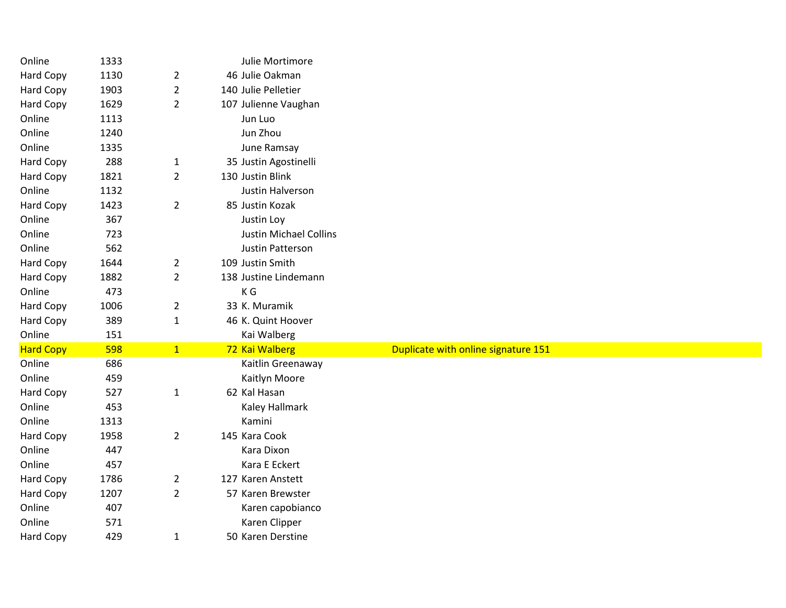| Online              | 1333       |                | Julie Mortimore                    |                                     |  |
|---------------------|------------|----------------|------------------------------------|-------------------------------------|--|
| Hard Copy           | 1130       | $\overline{2}$ | 46 Julie Oakman                    |                                     |  |
| Hard Copy           | 1903       | $\overline{2}$ | 140 Julie Pelletier                |                                     |  |
| Hard Copy           | 1629       | $\overline{2}$ | 107 Julienne Vaughan               |                                     |  |
| Online              | 1113       |                | Jun Luo                            |                                     |  |
| Online              | 1240       |                | Jun Zhou                           |                                     |  |
| Online              | 1335       |                | June Ramsay                        |                                     |  |
| Hard Copy           | 288        | $\mathbf{1}$   | 35 Justin Agostinelli              |                                     |  |
| Hard Copy           | 1821       | $\overline{2}$ | 130 Justin Blink                   |                                     |  |
| Online              | 1132       |                | Justin Halverson                   |                                     |  |
| Hard Copy           | 1423       | $\overline{2}$ | 85 Justin Kozak                    |                                     |  |
| Online              | 367        |                | Justin Loy                         |                                     |  |
| Online              | 723        |                | <b>Justin Michael Collins</b>      |                                     |  |
| Online              | 562        |                | Justin Patterson                   |                                     |  |
| <b>Hard Copy</b>    | 1644       | $\overline{2}$ | 109 Justin Smith                   |                                     |  |
| Hard Copy           | 1882       | $\overline{2}$ | 138 Justine Lindemann              |                                     |  |
| Online              | 473        |                | K G                                |                                     |  |
| Hard Copy           | 1006       | $\overline{2}$ | 33 K. Muramik                      |                                     |  |
| Hard Copy           | 389        | $\mathbf{1}$   | 46 K. Quint Hoover                 |                                     |  |
| Online              | 151        |                | Kai Walberg                        |                                     |  |
| <b>Hard Copy</b>    | 598        | 1              | 72 Kai Walberg                     | Duplicate with online signature 151 |  |
| Online              | 686        |                | Kaitlin Greenaway                  |                                     |  |
| Online              | 459        |                | Kaitlyn Moore                      |                                     |  |
| Hard Copy           | 527        | $\mathbf{1}$   | 62 Kal Hasan                       |                                     |  |
| Online              | 453        |                | Kaley Hallmark                     |                                     |  |
| Online              | 1313       |                | Kamini                             |                                     |  |
| Hard Copy           | 1958       | $\overline{2}$ | 145 Kara Cook                      |                                     |  |
| Online              | 447        |                | Kara Dixon                         |                                     |  |
| Online              | 457        |                | Kara E Eckert                      |                                     |  |
| Hard Copy           | 1786       | $\overline{2}$ | 127 Karen Anstett                  |                                     |  |
| Hard Copy           | 1207       | $\overline{2}$ | 57 Karen Brewster                  |                                     |  |
|                     |            |                |                                    |                                     |  |
| Online              | 407        |                | Karen capobianco                   |                                     |  |
| Online<br>Hard Copy | 571<br>429 |                | Karen Clipper<br>50 Karen Derstine |                                     |  |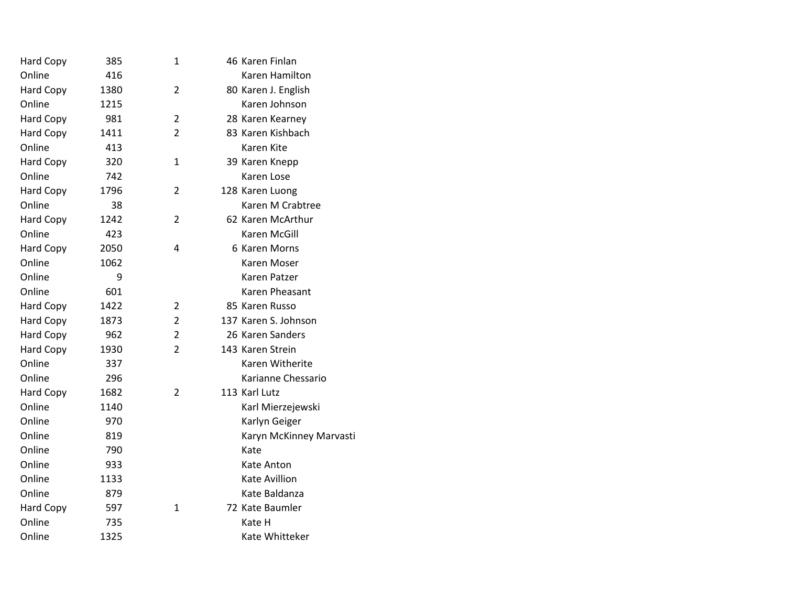| Hard Copy        | 385  | 1              | 46 Karen Finlan         |
|------------------|------|----------------|-------------------------|
| Online           | 416  |                | Karen Hamilton          |
| Hard Copy        | 1380 | 2              | 80 Karen J. English     |
| Online           | 1215 |                | Karen Johnson           |
| <b>Hard Copy</b> | 981  | $\overline{2}$ | 28 Karen Kearney        |
| Hard Copy        | 1411 | $\overline{2}$ | 83 Karen Kishbach       |
| Online           | 413  |                | Karen Kite              |
| <b>Hard Copy</b> | 320  | 1              | 39 Karen Knepp          |
| Online           | 742  |                | Karen Lose              |
| <b>Hard Copy</b> | 1796 | 2              | 128 Karen Luong         |
| Online           | 38   |                | Karen M Crabtree        |
| <b>Hard Copy</b> | 1242 | 2              | 62 Karen McArthur       |
| Online           | 423  |                | Karen McGill            |
| <b>Hard Copy</b> | 2050 | 4              | 6 Karen Morns           |
| Online           | 1062 |                | Karen Moser             |
| Online           | 9    |                | Karen Patzer            |
| Online           | 601  |                | Karen Pheasant          |
| <b>Hard Copy</b> | 1422 | 2              | 85 Karen Russo          |
| <b>Hard Copy</b> | 1873 | $\overline{2}$ | 137 Karen S. Johnson    |
| Hard Copy        | 962  | $\overline{2}$ | 26 Karen Sanders        |
| Hard Copy        | 1930 | 2              | 143 Karen Strein        |
| Online           | 337  |                | Karen Witherite         |
| Online           | 296  |                | Karianne Chessario      |
| <b>Hard Copy</b> | 1682 | 2              | 113 Karl Lutz           |
| Online           | 1140 |                | Karl Mierzejewski       |
| Online           | 970  |                | Karlyn Geiger           |
| Online           | 819  |                | Karyn McKinney Marvasti |
| Online           | 790  |                | Kate                    |
| Online           | 933  |                | Kate Anton              |
| Online           | 1133 |                | <b>Kate Avillion</b>    |
| Online           | 879  |                | Kate Baldanza           |
| Hard Copy        | 597  | $\mathbf{1}$   | 72 Kate Baumler         |
| Online           | 735  |                | Kate H                  |
| Online           | 1325 |                | Kate Whitteker          |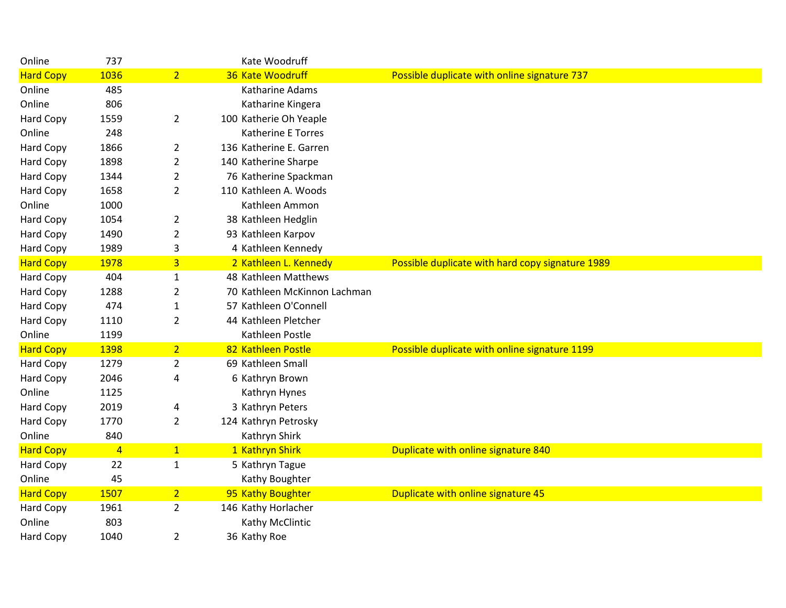| Online           | 737            |                | Kate Woodruff                |                                                  |
|------------------|----------------|----------------|------------------------------|--------------------------------------------------|
| <b>Hard Copy</b> | 1036           | 2 <sup>1</sup> | 36 Kate Woodruff             | Possible duplicate with online signature 737     |
| Online           | 485            |                | Katharine Adams              |                                                  |
| Online           | 806            |                | Katharine Kingera            |                                                  |
| Hard Copy        | 1559           | $\overline{2}$ | 100 Katherie Oh Yeaple       |                                                  |
| Online           | 248            |                | Katherine E Torres           |                                                  |
| Hard Copy        | 1866           | 2              | 136 Katherine E. Garren      |                                                  |
| Hard Copy        | 1898           | 2              | 140 Katherine Sharpe         |                                                  |
| Hard Copy        | 1344           | $\overline{2}$ | 76 Katherine Spackman        |                                                  |
| Hard Copy        | 1658           | $\overline{2}$ | 110 Kathleen A. Woods        |                                                  |
| Online           | 1000           |                | Kathleen Ammon               |                                                  |
| Hard Copy        | 1054           | $\overline{2}$ | 38 Kathleen Hedglin          |                                                  |
| Hard Copy        | 1490           | $\overline{2}$ | 93 Kathleen Karpov           |                                                  |
| Hard Copy        | 1989           | 3              | 4 Kathleen Kennedy           |                                                  |
| <b>Hard Copy</b> | 1978           | $\overline{3}$ | 2 Kathleen L. Kennedy        | Possible duplicate with hard copy signature 1989 |
| Hard Copy        | 404            | $\mathbf{1}$   | 48 Kathleen Matthews         |                                                  |
| Hard Copy        | 1288           | $\overline{2}$ | 70 Kathleen McKinnon Lachman |                                                  |
| Hard Copy        | 474            | 1              | 57 Kathleen O'Connell        |                                                  |
| Hard Copy        | 1110           | $\overline{2}$ | 44 Kathleen Pletcher         |                                                  |
| Online           | 1199           |                | Kathleen Postle              |                                                  |
| <b>Hard Copy</b> | 1398           | $\overline{2}$ | 82 Kathleen Postle           | Possible duplicate with online signature 1199    |
| Hard Copy        | 1279           | 2              | 69 Kathleen Small            |                                                  |
| Hard Copy        | 2046           | 4              | 6 Kathryn Brown              |                                                  |
| Online           | 1125           |                | Kathryn Hynes                |                                                  |
| Hard Copy        | 2019           | 4              | 3 Kathryn Peters             |                                                  |
| Hard Copy        | 1770           | $\overline{2}$ | 124 Kathryn Petrosky         |                                                  |
| Online           | 840            |                | Kathryn Shirk                |                                                  |
| <b>Hard Copy</b> | $\overline{4}$ | 1              | 1 Kathryn Shirk              | Duplicate with online signature 840              |
| Hard Copy        | 22             | $\mathbf{1}$   | 5 Kathryn Tague              |                                                  |
| Online           | 45             |                | Kathy Boughter               |                                                  |
| <b>Hard Copy</b> | 1507           | $\overline{2}$ | 95 Kathy Boughter            | Duplicate with online signature 45               |
| Hard Copy        | 1961           | $\mathbf{2}$   | 146 Kathy Horlacher          |                                                  |
| Online           | 803            |                | Kathy McClintic              |                                                  |
| <b>Hard Copy</b> | 1040           | $\overline{2}$ | 36 Kathy Roe                 |                                                  |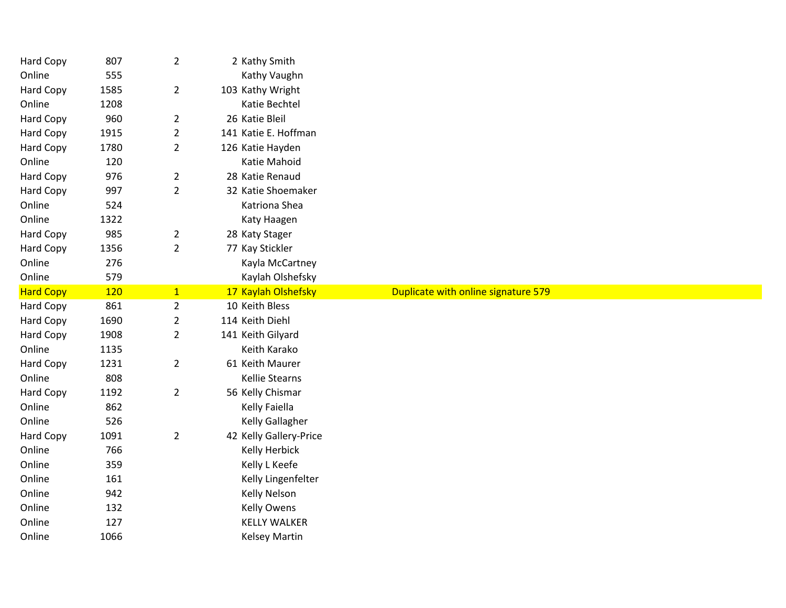| Hard Copy        | 807  | $\overline{2}$ | 2 Kathy Smith          |                                     |
|------------------|------|----------------|------------------------|-------------------------------------|
| Online           | 555  |                | Kathy Vaughn           |                                     |
| <b>Hard Copy</b> | 1585 | $\overline{2}$ | 103 Kathy Wright       |                                     |
| Online           | 1208 |                | Katie Bechtel          |                                     |
| Hard Copy        | 960  | $\overline{2}$ | 26 Katie Bleil         |                                     |
| Hard Copy        | 1915 | $\overline{2}$ | 141 Katie E. Hoffman   |                                     |
| <b>Hard Copy</b> | 1780 | $\overline{2}$ | 126 Katie Hayden       |                                     |
| Online           | 120  |                | Katie Mahoid           |                                     |
| Hard Copy        | 976  | $\overline{2}$ | 28 Katie Renaud        |                                     |
| Hard Copy        | 997  | $\overline{2}$ | 32 Katie Shoemaker     |                                     |
| Online           | 524  |                | Katriona Shea          |                                     |
| Online           | 1322 |                | Katy Haagen            |                                     |
| Hard Copy        | 985  | $\overline{2}$ | 28 Katy Stager         |                                     |
| Hard Copy        | 1356 | $\overline{2}$ | 77 Kay Stickler        |                                     |
| Online           | 276  |                | Kayla McCartney        |                                     |
| Online           | 579  |                | Kaylah Olshefsky       |                                     |
| <b>Hard Copy</b> | 120  | 1              | 17 Kaylah Olshefsky    | Duplicate with online signature 579 |
|                  |      |                |                        |                                     |
| Hard Copy        | 861  | $\overline{2}$ | 10 Keith Bless         |                                     |
| Hard Copy        | 1690 | $\overline{2}$ | 114 Keith Diehl        |                                     |
| Hard Copy        | 1908 | $\overline{2}$ | 141 Keith Gilyard      |                                     |
| Online           | 1135 |                | Keith Karako           |                                     |
| Hard Copy        | 1231 | $\overline{2}$ | 61 Keith Maurer        |                                     |
| Online           | 808  |                | <b>Kellie Stearns</b>  |                                     |
| <b>Hard Copy</b> | 1192 | $\overline{2}$ | 56 Kelly Chismar       |                                     |
| Online           | 862  |                | Kelly Faiella          |                                     |
| Online           | 526  |                | Kelly Gallagher        |                                     |
| Hard Copy        | 1091 | $\overline{2}$ | 42 Kelly Gallery-Price |                                     |
| Online           | 766  |                | Kelly Herbick          |                                     |
| Online           | 359  |                | Kelly L Keefe          |                                     |
| Online           | 161  |                | Kelly Lingenfelter     |                                     |
| Online           | 942  |                | <b>Kelly Nelson</b>    |                                     |
| Online           | 132  |                | <b>Kelly Owens</b>     |                                     |
| Online           | 127  |                | <b>KELLY WALKER</b>    |                                     |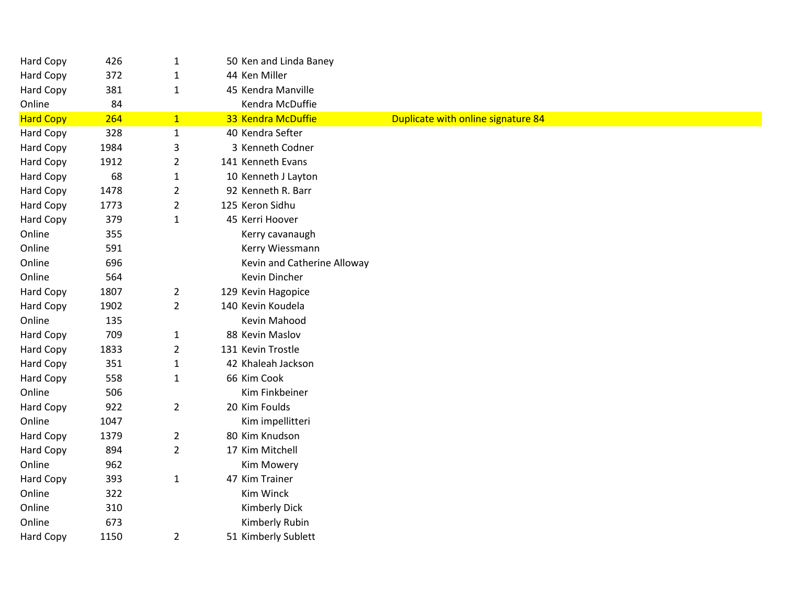| <b>Hard Copy</b> | 426  | $\mathbf{1}$   | 50 Ken and Linda Baney      |                                    |
|------------------|------|----------------|-----------------------------|------------------------------------|
| Hard Copy        | 372  | $\mathbf{1}$   | 44 Ken Miller               |                                    |
| Hard Copy        | 381  | $\mathbf{1}$   | 45 Kendra Manville          |                                    |
| Online           | 84   |                | Kendra McDuffie             |                                    |
| <b>Hard Copy</b> | 264  | $\mathbf{1}$   | 33 Kendra McDuffie          | Duplicate with online signature 84 |
| Hard Copy        | 328  | $\mathbf{1}$   | 40 Kendra Sefter            |                                    |
| Hard Copy        | 1984 | 3              | 3 Kenneth Codner            |                                    |
| Hard Copy        | 1912 | $\overline{2}$ | 141 Kenneth Evans           |                                    |
| Hard Copy        | 68   | $\mathbf{1}$   | 10 Kenneth J Layton         |                                    |
| <b>Hard Copy</b> | 1478 | $\overline{2}$ | 92 Kenneth R. Barr          |                                    |
| Hard Copy        | 1773 | $\overline{2}$ | 125 Keron Sidhu             |                                    |
| Hard Copy        | 379  | $\mathbf{1}$   | 45 Kerri Hoover             |                                    |
| Online           | 355  |                | Kerry cavanaugh             |                                    |
| Online           | 591  |                | Kerry Wiessmann             |                                    |
| Online           | 696  |                | Kevin and Catherine Alloway |                                    |
| Online           | 564  |                | Kevin Dincher               |                                    |
| Hard Copy        | 1807 | $\overline{2}$ | 129 Kevin Hagopice          |                                    |
| Hard Copy        | 1902 | $\overline{2}$ | 140 Kevin Koudela           |                                    |
| Online           | 135  |                | Kevin Mahood                |                                    |
| Hard Copy        | 709  | $\mathbf{1}$   | 88 Kevin Maslov             |                                    |
| Hard Copy        | 1833 | $\overline{2}$ | 131 Kevin Trostle           |                                    |
| Hard Copy        | 351  | $\mathbf{1}$   | 42 Khaleah Jackson          |                                    |
| Hard Copy        | 558  | $\mathbf{1}$   | 66 Kim Cook                 |                                    |
| Online           | 506  |                | Kim Finkbeiner              |                                    |
| Hard Copy        | 922  | $\overline{2}$ | 20 Kim Foulds               |                                    |
| Online           | 1047 |                | Kim impellitteri            |                                    |
| Hard Copy        | 1379 | $\overline{2}$ | 80 Kim Knudson              |                                    |
| Hard Copy        | 894  | $\overline{2}$ | 17 Kim Mitchell             |                                    |
| Online           | 962  |                | Kim Mowery                  |                                    |
| Hard Copy        | 393  | $\mathbf{1}$   | 47 Kim Trainer              |                                    |
| Online           | 322  |                | Kim Winck                   |                                    |
| Online           | 310  |                | <b>Kimberly Dick</b>        |                                    |
| Online           | 673  |                | Kimberly Rubin              |                                    |
| Hard Copy        | 1150 | $\overline{2}$ | 51 Kimberly Sublett         |                                    |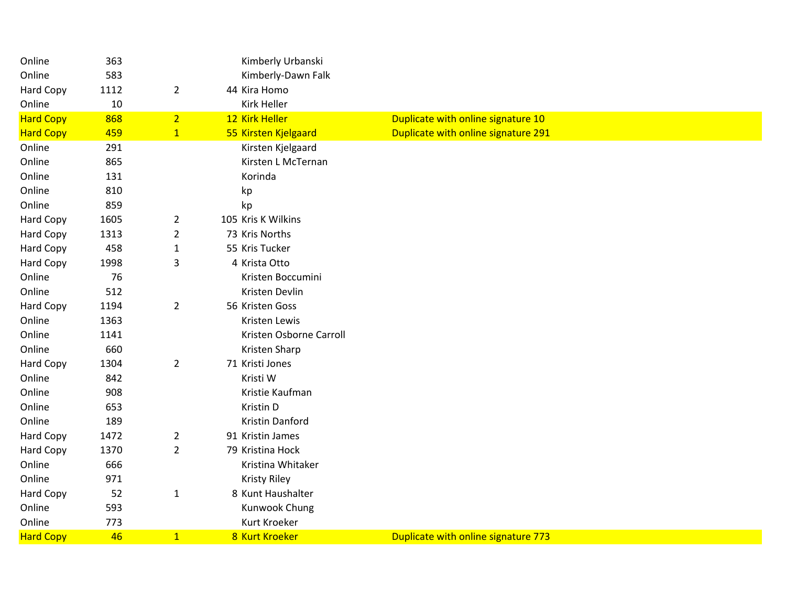| <b>Hard Copy</b> | 46     | $\mathbf{1}$   | 8 Kurt Kroeker          | Duplicate with online signature 773 |
|------------------|--------|----------------|-------------------------|-------------------------------------|
| Online           | 773    |                | Kurt Kroeker            |                                     |
| Online           | 593    |                | Kunwook Chung           |                                     |
| Hard Copy        | 52     | $\mathbf{1}$   | 8 Kunt Haushalter       |                                     |
| Online           | 971    |                | <b>Kristy Riley</b>     |                                     |
| Online           | 666    |                | Kristina Whitaker       |                                     |
| Hard Copy        | 1370   | $\overline{2}$ | 79 Kristina Hock        |                                     |
| Hard Copy        | 1472   | $\overline{2}$ | 91 Kristin James        |                                     |
| Online           | 189    |                | Kristin Danford         |                                     |
| Online           | 653    |                | Kristin D               |                                     |
| Online           | 908    |                | Kristie Kaufman         |                                     |
| Online           | 842    |                | Kristi W                |                                     |
| Hard Copy        | 1304   | $\overline{2}$ | 71 Kristi Jones         |                                     |
| Online           | 660    |                | Kristen Sharp           |                                     |
| Online           | 1141   |                | Kristen Osborne Carroll |                                     |
| Online           | 1363   |                | Kristen Lewis           |                                     |
| Hard Copy        | 1194   | $\overline{2}$ | 56 Kristen Goss         |                                     |
| Online           | 512    |                | Kristen Devlin          |                                     |
| Online           | 76     |                | Kristen Boccumini       |                                     |
| <b>Hard Copy</b> | 1998   | 3              | 4 Krista Otto           |                                     |
| Hard Copy        | 458    | $\mathbf{1}$   | 55 Kris Tucker          |                                     |
| Hard Copy        | 1313   | $\overline{2}$ | 73 Kris Norths          |                                     |
| Hard Copy        | 1605   | $\overline{2}$ | 105 Kris K Wilkins      |                                     |
| Online           | 859    |                | kp                      |                                     |
| Online           | 810    |                | kp                      |                                     |
| Online           | 131    |                | Korinda                 |                                     |
| Online           | 865    |                | Kirsten L McTernan      |                                     |
| Online           | 291    |                | Kirsten Kjelgaard       |                                     |
| <b>Hard Copy</b> | 459    | $\mathbf{1}$   | 55 Kirsten Kjelgaard    | Duplicate with online signature 291 |
| <b>Hard Copy</b> | 868    | $\overline{2}$ | 12 Kirk Heller          | Duplicate with online signature 10  |
| Online           | $10\,$ |                | <b>Kirk Heller</b>      |                                     |
| <b>Hard Copy</b> | 1112   | $\overline{2}$ | 44 Kira Homo            |                                     |
| Online           | 583    |                | Kimberly-Dawn Falk      |                                     |
| Online           | 363    |                | Kimberly Urbanski       |                                     |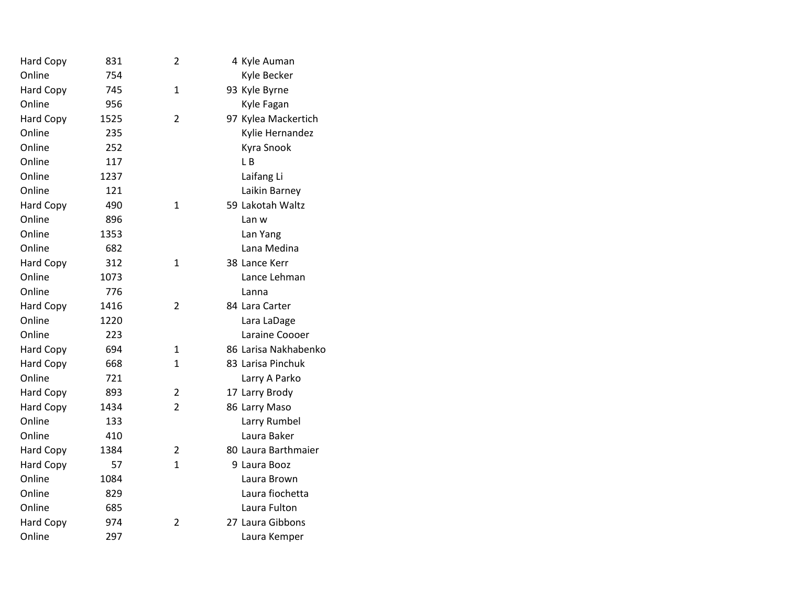| <b>Hard Copy</b> | 831  | 2              | 4 Kyle Auman         |
|------------------|------|----------------|----------------------|
| Online           | 754  |                | Kyle Becker          |
| <b>Hard Copy</b> | 745  | $\mathbf{1}$   | 93 Kyle Byrne        |
| Online           | 956  |                | Kyle Fagan           |
| <b>Hard Copy</b> | 1525 | 2              | 97 Kylea Mackertich  |
| Online           | 235  |                | Kylie Hernandez      |
| Online           | 252  |                | Kyra Snook           |
| Online           | 117  |                | LΒ                   |
| Online           | 1237 |                | Laifang Li           |
| Online           | 121  |                | Laikin Barney        |
| <b>Hard Copy</b> | 490  | 1              | 59 Lakotah Waltz     |
| Online           | 896  |                | Lan w                |
| Online           | 1353 |                | Lan Yang             |
| Online           | 682  |                | Lana Medina          |
| <b>Hard Copy</b> | 312  | 1              | 38 Lance Kerr        |
| Online           | 1073 |                | Lance Lehman         |
| Online           | 776  |                | Lanna                |
| <b>Hard Copy</b> | 1416 | 2              | 84 Lara Carter       |
| Online           | 1220 |                | Lara LaDage          |
| Online           | 223  |                | Laraine Coooer       |
| <b>Hard Copy</b> | 694  | 1              | 86 Larisa Nakhabenko |
| <b>Hard Copy</b> | 668  | 1              | 83 Larisa Pinchuk    |
| Online           | 721  |                | Larry A Parko        |
| <b>Hard Copy</b> | 893  | $\overline{2}$ | 17 Larry Brody       |
| <b>Hard Copy</b> | 1434 | $\overline{2}$ | 86 Larry Maso        |
| Online           | 133  |                | Larry Rumbel         |
| Online           | 410  |                | Laura Baker          |
| <b>Hard Copy</b> | 1384 | 2              | 80 Laura Barthmaier  |
| <b>Hard Copy</b> | 57   | 1              | 9 Laura Booz         |
| Online           | 1084 |                | Laura Brown          |
| Online           | 829  |                | Laura fiochetta      |
| Online           | 685  |                | Laura Fulton         |
| <b>Hard Copy</b> | 974  | 2              | 27 Laura Gibbons     |
| Online           | 297  |                | Laura Kemper         |
|                  |      |                |                      |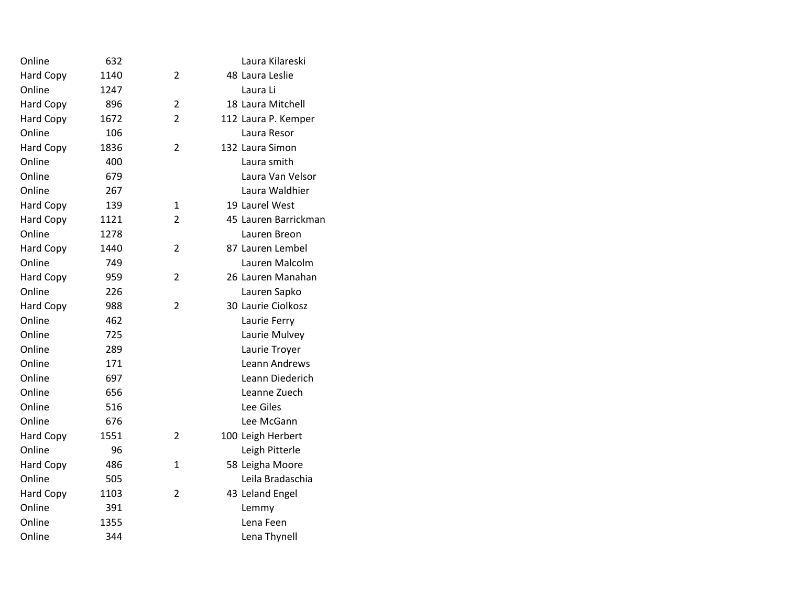| Online           | 632  |                | Laura Kilareski      |
|------------------|------|----------------|----------------------|
| <b>Hard Copy</b> | 1140 | 2              | 48 Laura Leslie      |
| Online           | 1247 |                | Laura Li             |
| <b>Hard Copy</b> | 896  | $\overline{2}$ | 18 Laura Mitchell    |
| <b>Hard Copy</b> | 1672 | $\overline{2}$ | 112 Laura P. Kemper  |
| Online           | 106  |                | Laura Resor          |
| <b>Hard Copy</b> | 1836 | $\overline{2}$ | 132 Laura Simon      |
| Online           | 400  |                | Laura smith          |
| Online           | 679  |                | Laura Van Velsor     |
| Online           | 267  |                | Laura Waldhier       |
| <b>Hard Copy</b> | 139  | 1              | 19 Laurel West       |
| <b>Hard Copy</b> | 1121 | $\overline{2}$ | 45 Lauren Barrickman |
| Online           | 1278 |                | Lauren Breon         |
| <b>Hard Copy</b> | 1440 | $\overline{2}$ | 87 Lauren Lembel     |
| Online           | 749  |                | Lauren Malcolm       |
| <b>Hard Copy</b> | 959  | $\overline{2}$ | 26 Lauren Manahan    |
| Online           | 226  |                | Lauren Sapko         |
| <b>Hard Copy</b> | 988  | $\overline{2}$ | 30 Laurie Ciolkosz   |
| Online           | 462  |                | Laurie Ferry         |
| Online           | 725  |                | Laurie Mulvey        |
| Online           | 289  |                | Laurie Troyer        |
| Online           | 171  |                | Leann Andrews        |
| Online           | 697  |                | Leann Diederich      |
| Online           | 656  |                | Leanne Zuech         |
| Online           | 516  |                | Lee Giles            |
| Online           | 676  |                | Lee McGann           |
| <b>Hard Copy</b> | 1551 | 2              | 100 Leigh Herbert    |
| Online           | 96   |                | Leigh Pitterle       |
| <b>Hard Copy</b> | 486  | 1              | 58 Leigha Moore      |
| Online           | 505  |                | Leila Bradaschia     |
| <b>Hard Copy</b> | 1103 | $\overline{2}$ | 43 Leland Engel      |
| Online           | 391  |                | Lemmy                |
| Online           | 1355 |                | Lena Feen            |
| Online           | 344  |                | Lena Thynell         |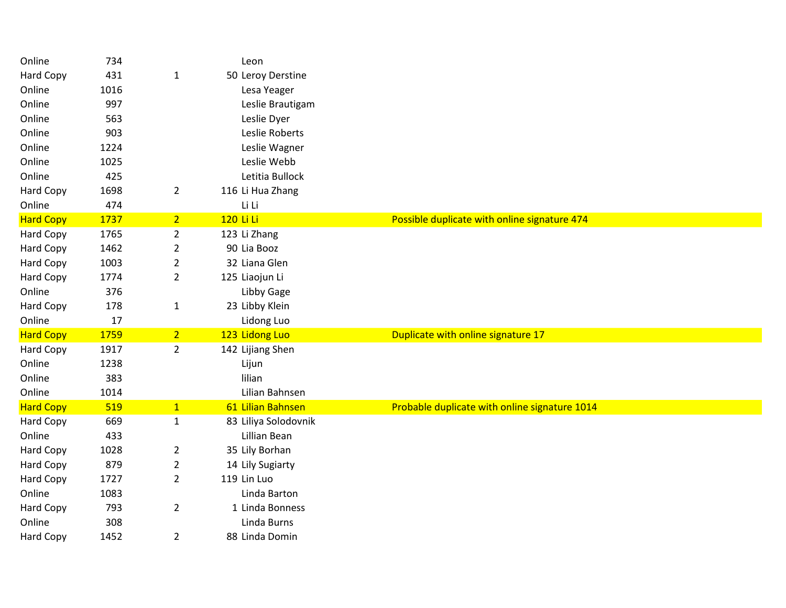| Online           | 734  |                | Leon                 |                                               |
|------------------|------|----------------|----------------------|-----------------------------------------------|
| Hard Copy        | 431  | $\mathbf{1}$   | 50 Leroy Derstine    |                                               |
| Online           | 1016 |                | Lesa Yeager          |                                               |
| Online           | 997  |                | Leslie Brautigam     |                                               |
| Online           | 563  |                | Leslie Dyer          |                                               |
| Online           | 903  |                | Leslie Roberts       |                                               |
| Online           | 1224 |                | Leslie Wagner        |                                               |
| Online           | 1025 |                | Leslie Webb          |                                               |
| Online           | 425  |                | Letitia Bullock      |                                               |
| Hard Copy        | 1698 | $\overline{2}$ | 116 Li Hua Zhang     |                                               |
| Online           | 474  |                | Li Li                |                                               |
| <b>Hard Copy</b> | 1737 | 2 <sub>1</sub> | 120 Li Li            | Possible duplicate with online signature 474  |
| Hard Copy        | 1765 | $\overline{2}$ | 123 Li Zhang         |                                               |
| Hard Copy        | 1462 | $\overline{2}$ | 90 Lia Booz          |                                               |
| <b>Hard Copy</b> | 1003 | $\overline{2}$ | 32 Liana Glen        |                                               |
| Hard Copy        | 1774 | $\overline{2}$ | 125 Liaojun Li       |                                               |
| Online           | 376  |                | Libby Gage           |                                               |
| <b>Hard Copy</b> | 178  | $\mathbf{1}$   | 23 Libby Klein       |                                               |
| Online           | 17   |                | Lidong Luo           |                                               |
| <b>Hard Copy</b> | 1759 | 2 <sup>1</sup> | 123 Lidong Luo       | Duplicate with online signature 17            |
| Hard Copy        | 1917 | $\overline{2}$ | 142 Lijiang Shen     |                                               |
| Online           | 1238 |                | Lijun                |                                               |
| Online           | 383  |                | lilian               |                                               |
| Online           | 1014 |                | Lilian Bahnsen       |                                               |
| <b>Hard Copy</b> | 519  | 1              | 61 Lilian Bahnsen    | Probable duplicate with online signature 1014 |
| Hard Copy        | 669  | $\mathbf{1}$   | 83 Liliya Solodovnik |                                               |
| Online           | 433  |                | Lillian Bean         |                                               |
| Hard Copy        | 1028 | $\overline{2}$ | 35 Lily Borhan       |                                               |
| <b>Hard Copy</b> | 879  | $\overline{2}$ | 14 Lily Sugiarty     |                                               |
| Hard Copy        | 1727 | $\overline{2}$ | 119 Lin Luo          |                                               |
| Online           | 1083 |                | Linda Barton         |                                               |
| Hard Copy        | 793  | $\overline{2}$ | 1 Linda Bonness      |                                               |
| Online           | 308  |                | Linda Burns          |                                               |
| Hard Copy        | 1452 | $\overline{2}$ | 88 Linda Domin       |                                               |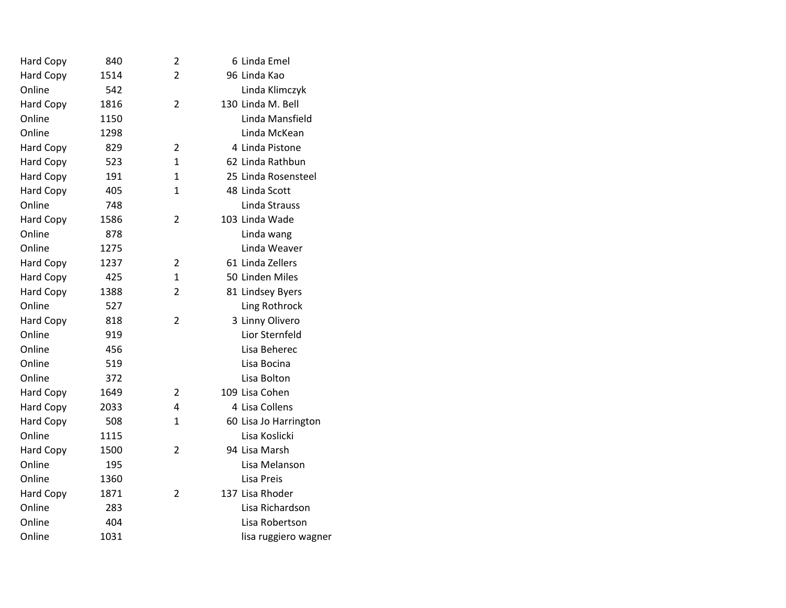| Hard Copy        | 840  | 2              | 6 Linda Emel          |
|------------------|------|----------------|-----------------------|
| <b>Hard Copy</b> | 1514 | $\overline{2}$ | 96 Linda Kao          |
| Online           | 542  |                | Linda Klimczyk        |
| Hard Copy        | 1816 | $\overline{2}$ | 130 Linda M. Bell     |
| Online           | 1150 |                | Linda Mansfield       |
| Online           | 1298 |                | Linda McKean          |
| Hard Copy        | 829  | $\overline{2}$ | 4 Linda Pistone       |
| Hard Copy        | 523  | 1              | 62 Linda Rathbun      |
| Hard Copy        | 191  | $\mathbf{1}$   | 25 Linda Rosensteel   |
| Hard Copy        | 405  | $\mathbf{1}$   | 48 Linda Scott        |
| Online           | 748  |                | Linda Strauss         |
| Hard Copy        | 1586 | 2              | 103 Linda Wade        |
| Online           | 878  |                | Linda wang            |
| Online           | 1275 |                | Linda Weaver          |
| Hard Copy        | 1237 | $\overline{2}$ | 61 Linda Zellers      |
| <b>Hard Copy</b> | 425  | $\mathbf{1}$   | 50 Linden Miles       |
| Hard Copy        | 1388 | $\overline{2}$ | 81 Lindsey Byers      |
| Online           | 527  |                | Ling Rothrock         |
| <b>Hard Copy</b> | 818  | $\overline{2}$ | 3 Linny Olivero       |
| Online           | 919  |                | Lior Sternfeld        |
| Online           | 456  |                | Lisa Beherec          |
| Online           | 519  |                | Lisa Bocina           |
| Online           | 372  |                | Lisa Bolton           |
| Hard Copy        | 1649 | 2              | 109 Lisa Cohen        |
| <b>Hard Copy</b> | 2033 | 4              | 4 Lisa Collens        |
| <b>Hard Copy</b> | 508  | $\mathbf{1}$   | 60 Lisa Jo Harrington |
| Online           | 1115 |                | Lisa Koslicki         |
| <b>Hard Copy</b> | 1500 | 2              | 94 Lisa Marsh         |
| Online           | 195  |                | Lisa Melanson         |
| Online           | 1360 |                | Lisa Preis            |
| <b>Hard Copy</b> | 1871 | $\overline{2}$ | 137 Lisa Rhoder       |
| Online           | 283  |                | Lisa Richardson       |
| Online           | 404  |                | Lisa Robertson        |
| Online           | 1031 |                | lisa ruggiero wagner  |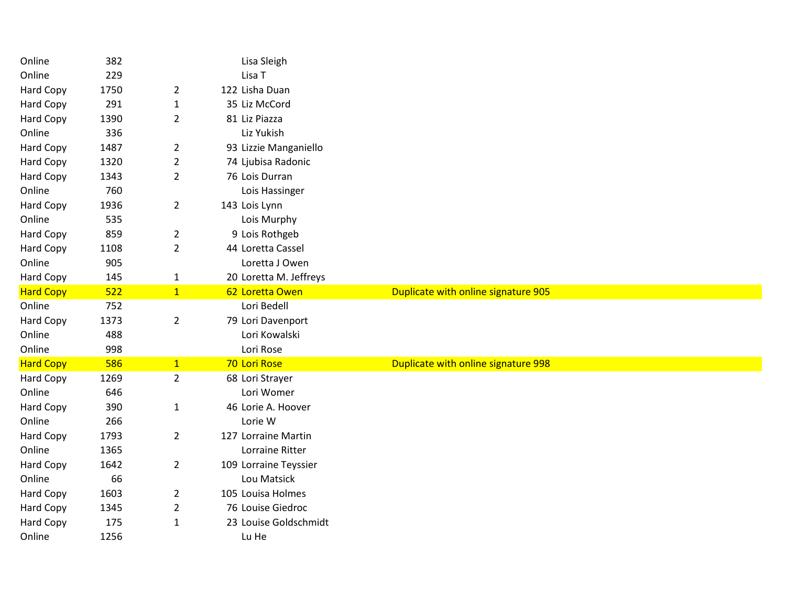| Online           | 382  |                | Lisa Sleigh            |                                     |
|------------------|------|----------------|------------------------|-------------------------------------|
| Online           | 229  |                | Lisa T                 |                                     |
| Hard Copy        | 1750 | $\overline{2}$ | 122 Lisha Duan         |                                     |
| Hard Copy        | 291  | $\mathbf{1}$   | 35 Liz McCord          |                                     |
| Hard Copy        | 1390 | $\overline{2}$ | 81 Liz Piazza          |                                     |
| Online           | 336  |                | Liz Yukish             |                                     |
| <b>Hard Copy</b> | 1487 | $\overline{2}$ | 93 Lizzie Manganiello  |                                     |
| Hard Copy        | 1320 | $\overline{2}$ | 74 Ljubisa Radonic     |                                     |
| Hard Copy        | 1343 | $\overline{2}$ | 76 Lois Durran         |                                     |
| Online           | 760  |                | Lois Hassinger         |                                     |
| Hard Copy        | 1936 | $\overline{2}$ | 143 Lois Lynn          |                                     |
| Online           | 535  |                | Lois Murphy            |                                     |
| Hard Copy        | 859  | $\overline{2}$ | 9 Lois Rothgeb         |                                     |
| Hard Copy        | 1108 | $\overline{2}$ | 44 Loretta Cassel      |                                     |
| Online           | 905  |                | Loretta J Owen         |                                     |
| <b>Hard Copy</b> | 145  | $\mathbf{1}$   | 20 Loretta M. Jeffreys |                                     |
| <b>Hard Copy</b> | 522  | $\overline{1}$ | 62 Loretta Owen        | Duplicate with online signature 905 |
| Online           | 752  |                | Lori Bedell            |                                     |
| Hard Copy        | 1373 | $\overline{2}$ | 79 Lori Davenport      |                                     |
| Online           | 488  |                | Lori Kowalski          |                                     |
| Online           | 998  |                | Lori Rose              |                                     |
| <b>Hard Copy</b> | 586  | $\mathbf{1}$   | 70 Lori Rose           | Duplicate with online signature 998 |
| Hard Copy        | 1269 | $\overline{2}$ | 68 Lori Strayer        |                                     |
| Online           | 646  |                | Lori Womer             |                                     |
| Hard Copy        | 390  | $\mathbf{1}$   | 46 Lorie A. Hoover     |                                     |
| Online           | 266  |                | Lorie W                |                                     |
| Hard Copy        | 1793 | $\overline{2}$ | 127 Lorraine Martin    |                                     |
| Online           | 1365 |                | Lorraine Ritter        |                                     |
|                  |      |                |                        |                                     |
| Hard Copy        | 1642 | $\overline{2}$ | 109 Lorraine Teyssier  |                                     |
| Online           | 66   |                | Lou Matsick            |                                     |
| <b>Hard Copy</b> | 1603 | $\overline{2}$ | 105 Louisa Holmes      |                                     |
| Hard Copy        | 1345 | $\overline{2}$ | 76 Louise Giedroc      |                                     |
| Hard Copy        | 175  | $\mathbf{1}$   | 23 Louise Goldschmidt  |                                     |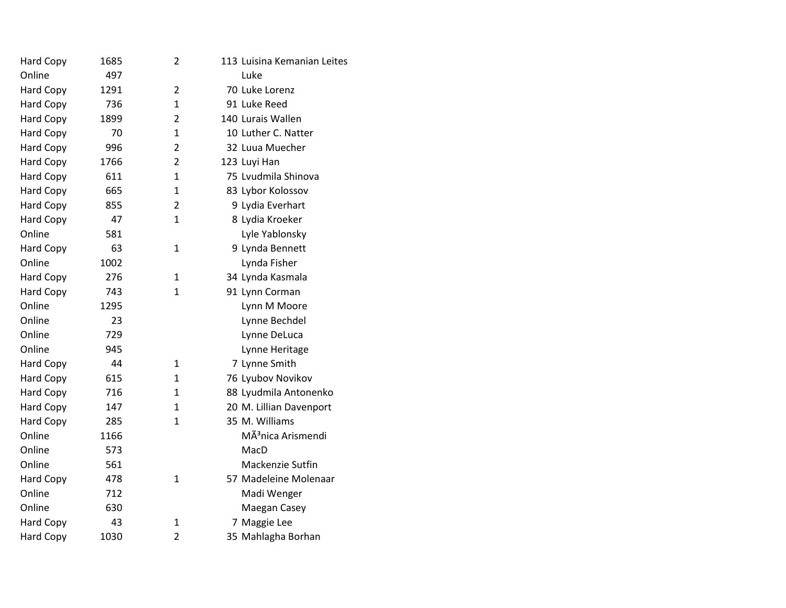| Hard Copy        | 1685 | 2              | 113 Luisina Kemanian Leites    |
|------------------|------|----------------|--------------------------------|
| Online           | 497  |                | Luke                           |
| Hard Copy        | 1291 | $\overline{2}$ | 70 Luke Lorenz                 |
| Hard Copy        | 736  | $\mathbf{1}$   | 91 Luke Reed                   |
| Hard Copy        | 1899 | $\overline{2}$ | 140 Lurais Wallen              |
| Hard Copy        | 70   | $\mathbf{1}$   | 10 Luther C. Natter            |
| <b>Hard Copy</b> | 996  | $\overline{2}$ | 32 Luua Muecher                |
| Hard Copy        | 1766 | $\overline{2}$ | 123 Luyi Han                   |
| <b>Hard Copy</b> | 611  | $\mathbf{1}$   | 75 Lvudmila Shinova            |
| Hard Copy        | 665  | $\mathbf{1}$   | 83 Lybor Kolossov              |
| <b>Hard Copy</b> | 855  | $\overline{2}$ | 9 Lydia Everhart               |
| Hard Copy        | 47   | 1              | 8 Lydia Kroeker                |
| Online           | 581  |                | Lyle Yablonsky                 |
| <b>Hard Copy</b> | 63   | $\mathbf{1}$   | 9 Lynda Bennett                |
| Online           | 1002 |                | Lynda Fisher                   |
| <b>Hard Copy</b> | 276  | $\mathbf{1}$   | 34 Lynda Kasmala               |
| <b>Hard Copy</b> | 743  | $\mathbf{1}$   | 91 Lynn Corman                 |
| Online           | 1295 |                | Lynn M Moore                   |
| Online           | 23   |                | Lynne Bechdel                  |
| Online           | 729  |                | Lynne DeLuca                   |
| Online           | 945  |                | Lynne Heritage                 |
| <b>Hard Copy</b> | 44   | 1              | 7 Lynne Smith                  |
| Hard Copy        | 615  | 1              | 76 Lyubov Novikov              |
| <b>Hard Copy</b> | 716  | $\mathbf{1}$   | 88 Lyudmila Antonenko          |
| <b>Hard Copy</b> | 147  | 1              | 20 M. Lillian Davenport        |
| <b>Hard Copy</b> | 285  | $\mathbf{1}$   | 35 M. Williams                 |
| Online           | 1166 |                | MÃ <sup>3</sup> nica Arismendi |
| Online           | 573  |                | MacD                           |
| Online           | 561  |                | Mackenzie Sutfin               |
| <b>Hard Copy</b> | 478  | $\mathbf{1}$   | 57 Madeleine Molenaar          |
| Online           | 712  |                | Madi Wenger                    |
| Online           | 630  |                | Maegan Casey                   |
| <b>Hard Copy</b> | 43   | 1              | 7 Maggie Lee                   |
| <b>Hard Copy</b> | 1030 | $\overline{2}$ | 35 Mahlagha Borhan             |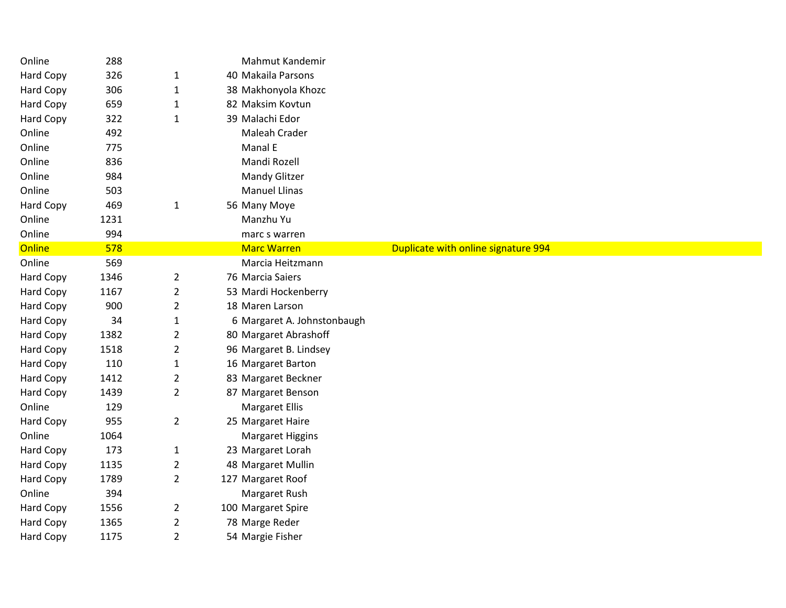| Online           | 288  |                | Mahmut Kandemir             |                                     |  |
|------------------|------|----------------|-----------------------------|-------------------------------------|--|
| Hard Copy        | 326  | $\mathbf{1}$   | 40 Makaila Parsons          |                                     |  |
| Hard Copy        | 306  | $\mathbf{1}$   | 38 Makhonyola Khozc         |                                     |  |
| Hard Copy        | 659  | $\mathbf{1}$   | 82 Maksim Kovtun            |                                     |  |
| Hard Copy        | 322  | $\mathbf{1}$   | 39 Malachi Edor             |                                     |  |
| Online           | 492  |                | Maleah Crader               |                                     |  |
| Online           | 775  |                | Manal E                     |                                     |  |
| Online           | 836  |                | Mandi Rozell                |                                     |  |
| Online           | 984  |                | <b>Mandy Glitzer</b>        |                                     |  |
| Online           | 503  |                | <b>Manuel Llinas</b>        |                                     |  |
| Hard Copy        | 469  | $\mathbf{1}$   | 56 Many Moye                |                                     |  |
| Online           | 1231 |                | Manzhu Yu                   |                                     |  |
| Online           | 994  |                | marc s warren               |                                     |  |
| Online           | 578  |                | <b>Marc Warren</b>          | Duplicate with online signature 994 |  |
| Online           | 569  |                | Marcia Heitzmann            |                                     |  |
| Hard Copy        | 1346 | $\overline{2}$ | 76 Marcia Saiers            |                                     |  |
| Hard Copy        | 1167 | $\overline{2}$ | 53 Mardi Hockenberry        |                                     |  |
| Hard Copy        | 900  | $\overline{2}$ | 18 Maren Larson             |                                     |  |
| Hard Copy        | 34   | $\mathbf{1}$   | 6 Margaret A. Johnstonbaugh |                                     |  |
| Hard Copy        | 1382 | $\overline{2}$ | 80 Margaret Abrashoff       |                                     |  |
| Hard Copy        | 1518 | $\overline{2}$ | 96 Margaret B. Lindsey      |                                     |  |
| Hard Copy        | 110  | $\mathbf{1}$   | 16 Margaret Barton          |                                     |  |
| Hard Copy        | 1412 | $\overline{2}$ | 83 Margaret Beckner         |                                     |  |
| Hard Copy        | 1439 | $\overline{2}$ | 87 Margaret Benson          |                                     |  |
| Online           | 129  |                | <b>Margaret Ellis</b>       |                                     |  |
| Hard Copy        | 955  | $\overline{2}$ | 25 Margaret Haire           |                                     |  |
| Online           | 1064 |                | <b>Margaret Higgins</b>     |                                     |  |
| Hard Copy        | 173  | $\mathbf{1}$   | 23 Margaret Lorah           |                                     |  |
| Hard Copy        | 1135 | $\overline{2}$ | 48 Margaret Mullin          |                                     |  |
| Hard Copy        | 1789 | $\overline{2}$ | 127 Margaret Roof           |                                     |  |
| Online           | 394  |                | Margaret Rush               |                                     |  |
| Hard Copy        | 1556 | $\overline{2}$ | 100 Margaret Spire          |                                     |  |
| Hard Copy        | 1365 | $\overline{2}$ | 78 Marge Reder              |                                     |  |
| <b>Hard Copy</b> | 1175 | $\overline{2}$ | 54 Margie Fisher            |                                     |  |
|                  |      |                |                             |                                     |  |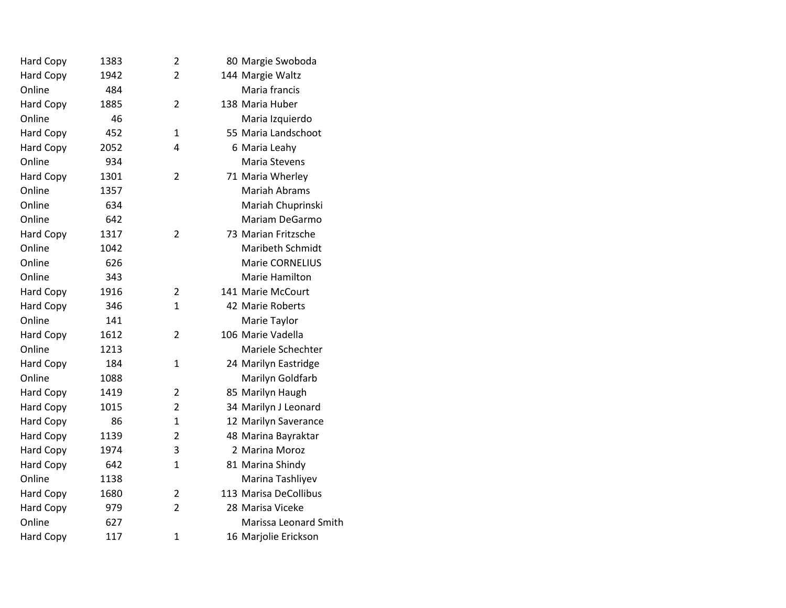| <b>Hard Copy</b> | 1383 | 2              | 80 Margie Swoboda       |
|------------------|------|----------------|-------------------------|
| <b>Hard Copy</b> | 1942 | $\overline{2}$ | 144 Margie Waltz        |
| Online           | 484  |                | Maria francis           |
| <b>Hard Copy</b> | 1885 | $\overline{2}$ | 138 Maria Huber         |
| Online           | 46   |                | Maria Izquierdo         |
| <b>Hard Copy</b> | 452  | $\mathbf{1}$   | 55 Maria Landschoot     |
| <b>Hard Copy</b> | 2052 | 4              | 6 Maria Leahy           |
| Online           | 934  |                | Maria Stevens           |
| <b>Hard Copy</b> | 1301 | $\overline{2}$ | 71 Maria Wherley        |
| Online           | 1357 |                | <b>Mariah Abrams</b>    |
| Online           | 634  |                | Mariah Chuprinski       |
| Online           | 642  |                | Mariam DeGarmo          |
| <b>Hard Copy</b> | 1317 | 2              | 73 Marian Fritzsche     |
| Online           | 1042 |                | <b>Maribeth Schmidt</b> |
| Online           | 626  |                | Marie CORNELIUS         |
| Online           | 343  |                | Marie Hamilton          |
| <b>Hard Copy</b> | 1916 | $\overline{2}$ | 141 Marie McCourt       |
| <b>Hard Copy</b> | 346  | 1              | 42 Marie Roberts        |
| Online           | 141  |                | Marie Taylor            |
| <b>Hard Copy</b> | 1612 | $\overline{2}$ | 106 Marie Vadella       |
| Online           | 1213 |                | Mariele Schechter       |
| <b>Hard Copy</b> | 184  | $\mathbf{1}$   | 24 Marilyn Eastridge    |
| Online           | 1088 |                | Marilyn Goldfarb        |
| <b>Hard Copy</b> | 1419 | $\overline{2}$ | 85 Marilyn Haugh        |
| <b>Hard Copy</b> | 1015 | $\overline{2}$ | 34 Marilyn J Leonard    |
| <b>Hard Copy</b> | 86   | $\mathbf{1}$   | 12 Marilyn Saverance    |
| <b>Hard Copy</b> | 1139 | $\overline{2}$ | 48 Marina Bayraktar     |
| <b>Hard Copy</b> | 1974 | 3              | 2 Marina Moroz          |
| <b>Hard Copy</b> | 642  | $\mathbf{1}$   | 81 Marina Shindy        |
| Online           | 1138 |                | Marina Tashliyev        |
| <b>Hard Copy</b> | 1680 | $\overline{2}$ | 113 Marisa DeCollibus   |
| <b>Hard Copy</b> | 979  | $\overline{2}$ | 28 Marisa Viceke        |
| Online           | 627  |                | Marissa Leonard Smith   |
| <b>Hard Copy</b> | 117  | $\mathbf{1}$   | 16 Marjolie Erickson    |
|                  |      |                |                         |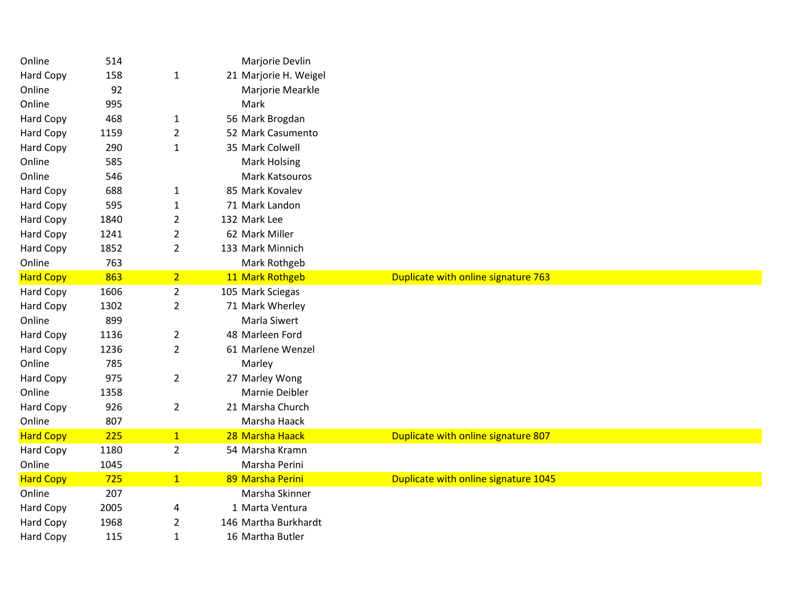| Online           | 514  |                | Marjorie Devlin       |                                      |
|------------------|------|----------------|-----------------------|--------------------------------------|
| <b>Hard Copy</b> | 158  | $\mathbf{1}$   | 21 Marjorie H. Weigel |                                      |
| Online           | 92   |                | Marjorie Mearkle      |                                      |
| Online           | 995  |                | Mark                  |                                      |
| <b>Hard Copy</b> | 468  | 1              | 56 Mark Brogdan       |                                      |
| Hard Copy        | 1159 | $\overline{2}$ | 52 Mark Casumento     |                                      |
| Hard Copy        | 290  | $\mathbf{1}$   | 35 Mark Colwell       |                                      |
| Online           | 585  |                | <b>Mark Holsing</b>   |                                      |
| Online           | 546  |                | Mark Katsouros        |                                      |
| Hard Copy        | 688  | $\mathbf{1}$   | 85 Mark Kovalev       |                                      |
| Hard Copy        | 595  | $\mathbf{1}$   | 71 Mark Landon        |                                      |
| Hard Copy        | 1840 | $\overline{2}$ | 132 Mark Lee          |                                      |
| Hard Copy        | 1241 | $\overline{2}$ | 62 Mark Miller        |                                      |
| Hard Copy        | 1852 | $\overline{2}$ | 133 Mark Minnich      |                                      |
| Online           | 763  |                | Mark Rothgeb          |                                      |
| <b>Hard Copy</b> | 863  | $\overline{2}$ | 11 Mark Rothgeb       | Duplicate with online signature 763  |
| Hard Copy        | 1606 | $\overline{2}$ | 105 Mark Sciegas      |                                      |
| Hard Copy        | 1302 | $\overline{2}$ | 71 Mark Wherley       |                                      |
| Online           | 899  |                | Marla Siwert          |                                      |
| Hard Copy        | 1136 | $\overline{2}$ | 48 Marleen Ford       |                                      |
| Hard Copy        | 1236 | $\overline{2}$ | 61 Marlene Wenzel     |                                      |
| Online           | 785  |                | Marley                |                                      |
| Hard Copy        | 975  | $\overline{2}$ | 27 Marley Wong        |                                      |
| Online           | 1358 |                | Marnie Deibler        |                                      |
| Hard Copy        | 926  | $\overline{2}$ | 21 Marsha Church      |                                      |
| Online           | 807  |                | Marsha Haack          |                                      |
| <b>Hard Copy</b> | 225  | 1              | 28 Marsha Haack       | Duplicate with online signature 807  |
| Hard Copy        | 1180 | $\overline{2}$ | 54 Marsha Kramn       |                                      |
| Online           | 1045 |                | Marsha Perini         |                                      |
| <b>Hard Copy</b> | 725  | 1              | 89 Marsha Perini      | Duplicate with online signature 1045 |
| Online           | 207  |                | Marsha Skinner        |                                      |
| Hard Copy        | 2005 | 4              | 1 Marta Ventura       |                                      |
| Hard Copy        | 1968 | $\overline{2}$ | 146 Martha Burkhardt  |                                      |
| <b>Hard Copy</b> | 115  | $\mathbf{1}$   | 16 Martha Butler      |                                      |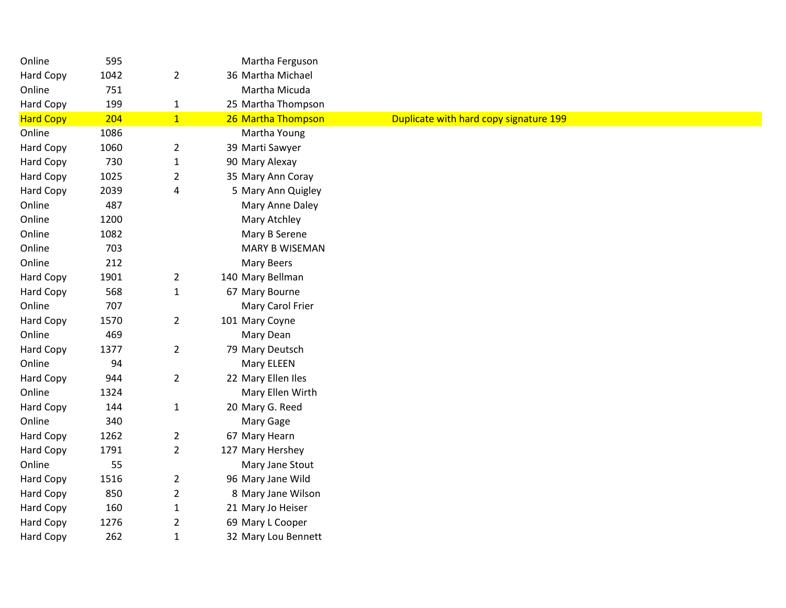| Online           | 595  |                | Martha Ferguson       |                                        |
|------------------|------|----------------|-----------------------|----------------------------------------|
| Hard Copy        | 1042 | $\overline{2}$ | 36 Martha Michael     |                                        |
| Online           | 751  |                | Martha Micuda         |                                        |
| Hard Copy        | 199  | $\mathbf{1}$   | 25 Martha Thompson    |                                        |
| <b>Hard Copy</b> | 204  | $\mathbf{1}$   | 26 Martha Thompson    | Duplicate with hard copy signature 199 |
| Online           | 1086 |                | Martha Young          |                                        |
| Hard Copy        | 1060 | $\overline{2}$ | 39 Marti Sawyer       |                                        |
| Hard Copy        | 730  | $\mathbf{1}$   | 90 Mary Alexay        |                                        |
| Hard Copy        | 1025 | $\overline{2}$ | 35 Mary Ann Coray     |                                        |
| Hard Copy        | 2039 | 4              | 5 Mary Ann Quigley    |                                        |
| Online           | 487  |                | Mary Anne Daley       |                                        |
| Online           | 1200 |                | Mary Atchley          |                                        |
| Online           | 1082 |                | Mary B Serene         |                                        |
| Online           | 703  |                | <b>MARY B WISEMAN</b> |                                        |
| Online           | 212  |                | Mary Beers            |                                        |
| Hard Copy        | 1901 | $\overline{2}$ | 140 Mary Bellman      |                                        |
| Hard Copy        | 568  | $\mathbf 1$    | 67 Mary Bourne        |                                        |
| Online           | 707  |                | Mary Carol Frier      |                                        |
| Hard Copy        | 1570 | $\overline{2}$ | 101 Mary Coyne        |                                        |
| Online           | 469  |                | Mary Dean             |                                        |
| Hard Copy        | 1377 | $\overline{2}$ | 79 Mary Deutsch       |                                        |
| Online           | 94   |                | Mary ELEEN            |                                        |
| Hard Copy        | 944  | $\overline{2}$ | 22 Mary Ellen Iles    |                                        |
| Online           | 1324 |                | Mary Ellen Wirth      |                                        |
| Hard Copy        | 144  | $\mathbf{1}$   | 20 Mary G. Reed       |                                        |
| Online           | 340  |                | Mary Gage             |                                        |
| Hard Copy        | 1262 | $\overline{2}$ | 67 Mary Hearn         |                                        |
| Hard Copy        | 1791 | $\overline{2}$ | 127 Mary Hershey      |                                        |
| Online           | 55   |                | Mary Jane Stout       |                                        |
| Hard Copy        | 1516 | $\overline{2}$ | 96 Mary Jane Wild     |                                        |
| Hard Copy        | 850  | $\overline{2}$ | 8 Mary Jane Wilson    |                                        |
| Hard Copy        | 160  | $\mathbf{1}$   | 21 Mary Jo Heiser     |                                        |
| Hard Copy        | 1276 | $\overline{2}$ | 69 Mary L Cooper      |                                        |
| Hard Copy        | 262  | $\mathbf{1}$   | 32 Mary Lou Bennett   |                                        |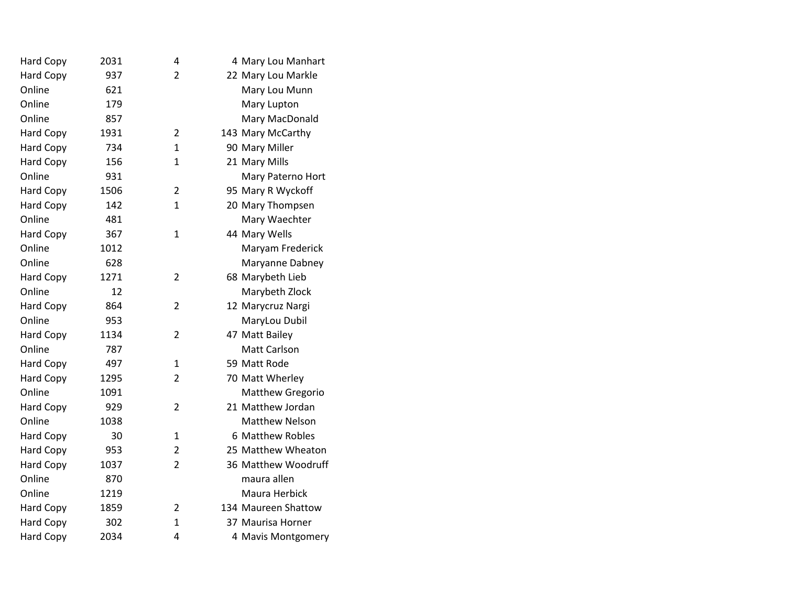| Hard Copy        | 2031 | 4              | 4 Mary Lou Manhart    |
|------------------|------|----------------|-----------------------|
| Hard Copy        | 937  | $\overline{2}$ | 22 Mary Lou Markle    |
| Online           | 621  |                | Mary Lou Munn         |
| Online           | 179  |                | Mary Lupton           |
| Online           | 857  |                | Mary MacDonald        |
| <b>Hard Copy</b> | 1931 | 2              | 143 Mary McCarthy     |
| Hard Copy        | 734  | $\mathbf{1}$   | 90 Mary Miller        |
| Hard Copy        | 156  | $\mathbf{1}$   | 21 Mary Mills         |
| Online           | 931  |                | Mary Paterno Hort     |
| <b>Hard Copy</b> | 1506 | $\overline{2}$ | 95 Mary R Wyckoff     |
| Hard Copy        | 142  | 1              | 20 Mary Thompsen      |
| Online           | 481  |                | Mary Waechter         |
| <b>Hard Copy</b> | 367  | $\mathbf{1}$   | 44 Mary Wells         |
| Online           | 1012 |                | Maryam Frederick      |
| Online           | 628  |                | Maryanne Dabney       |
| Hard Copy        | 1271 | $\overline{2}$ | 68 Marybeth Lieb      |
| Online           | 12   |                | Marybeth Zlock        |
| <b>Hard Copy</b> | 864  | $\overline{2}$ | 12 Marycruz Nargi     |
| Online           | 953  |                | MaryLou Dubil         |
| <b>Hard Copy</b> | 1134 | $\overline{2}$ | 47 Matt Bailey        |
| Online           | 787  |                | <b>Matt Carlson</b>   |
| Hard Copy        | 497  | $\mathbf{1}$   | 59 Matt Rode          |
| <b>Hard Copy</b> | 1295 | $\overline{2}$ | 70 Matt Wherley       |
| Online           | 1091 |                | Matthew Gregorio      |
| <b>Hard Copy</b> | 929  | $\overline{2}$ | 21 Matthew Jordan     |
| Online           | 1038 |                | <b>Matthew Nelson</b> |
| <b>Hard Copy</b> | 30   | 1              | 6 Matthew Robles      |
| <b>Hard Copy</b> | 953  | $\overline{2}$ | 25 Matthew Wheaton    |
| <b>Hard Copy</b> | 1037 | $\overline{2}$ | 36 Matthew Woodruff   |
| Online           | 870  |                | maura allen           |
| Online           | 1219 |                | Maura Herbick         |
| <b>Hard Copy</b> | 1859 | $\overline{2}$ | 134 Maureen Shattow   |
| Hard Copy        | 302  | 1              | 37 Maurisa Horner     |
| <b>Hard Copy</b> | 2034 | 4              | 4 Mavis Montgomery    |
|                  |      |                |                       |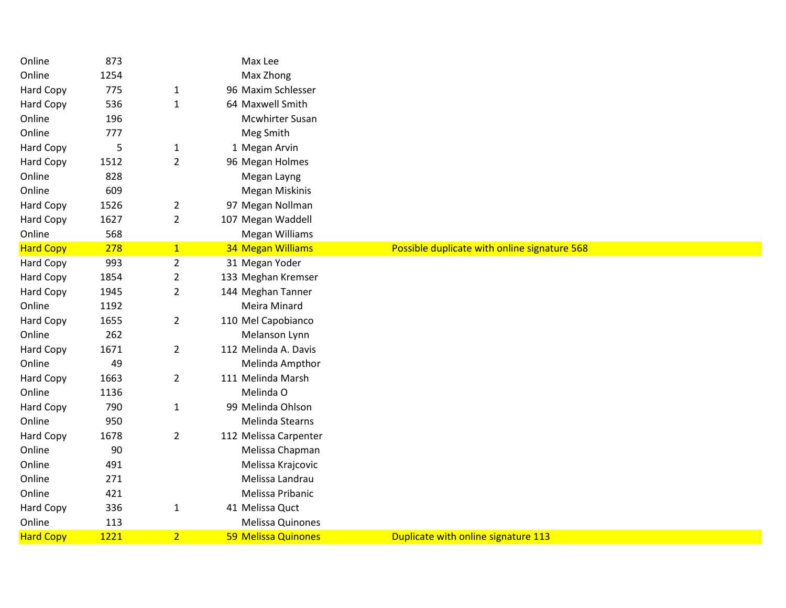| Online           | 873  |                | Max Lee               |                                              |
|------------------|------|----------------|-----------------------|----------------------------------------------|
| Online           | 1254 |                | Max Zhong             |                                              |
| <b>Hard Copy</b> | 775  | $\mathbf{1}$   | 96 Maxim Schlesser    |                                              |
| Hard Copy        | 536  | $\mathbf{1}$   | 64 Maxwell Smith      |                                              |
| Online           | 196  |                | Mcwhirter Susan       |                                              |
| Online           | 777  |                | Meg Smith             |                                              |
| <b>Hard Copy</b> | 5    | $\mathbf{1}$   | 1 Megan Arvin         |                                              |
| Hard Copy        | 1512 | $\overline{2}$ | 96 Megan Holmes       |                                              |
| Online           | 828  |                | Megan Layng           |                                              |
| Online           | 609  |                | <b>Megan Miskinis</b> |                                              |
| <b>Hard Copy</b> | 1526 | $\overline{2}$ | 97 Megan Nollman      |                                              |
| Hard Copy        | 1627 | $\overline{2}$ | 107 Megan Waddell     |                                              |
| Online           | 568  |                | <b>Megan Williams</b> |                                              |
| <b>Hard Copy</b> | 278  | $\mathbf{1}$   | 34 Megan Williams     | Possible duplicate with online signature 568 |
| <b>Hard Copy</b> | 993  | $\overline{2}$ | 31 Megan Yoder        |                                              |
| Hard Copy        | 1854 | $\overline{2}$ | 133 Meghan Kremser    |                                              |
| Hard Copy        | 1945 | $\overline{2}$ | 144 Meghan Tanner     |                                              |
| Online           | 1192 |                | Meira Minard          |                                              |
| <b>Hard Copy</b> | 1655 | $\overline{2}$ | 110 Mel Capobianco    |                                              |
| Online           | 262  |                | Melanson Lynn         |                                              |
| Hard Copy        | 1671 | $\overline{2}$ | 112 Melinda A. Davis  |                                              |
| Online           | 49   |                | Melinda Ampthor       |                                              |
| <b>Hard Copy</b> | 1663 | $\overline{2}$ | 111 Melinda Marsh     |                                              |
| Online           | 1136 |                | Melinda O             |                                              |
| <b>Hard Copy</b> | 790  | $\mathbf{1}$   | 99 Melinda Ohlson     |                                              |
| Online           | 950  |                | Melinda Stearns       |                                              |
| Hard Copy        | 1678 | $\overline{2}$ | 112 Melissa Carpenter |                                              |
| Online           | 90   |                | Melissa Chapman       |                                              |
| Online           | 491  |                | Melissa Krajcovic     |                                              |
| Online           | 271  |                | Melissa Landrau       |                                              |
| Online           | 421  |                | Melissa Pribanic      |                                              |
| Hard Copy        | 336  | $\mathbf{1}$   | 41 Melissa Quct       |                                              |
| Online           | 113  |                | Melissa Quinones      |                                              |
| <b>Hard Copy</b> | 1221 | 2 <sup>1</sup> | 59 Melissa Quinones   | Duplicate with online signature 113          |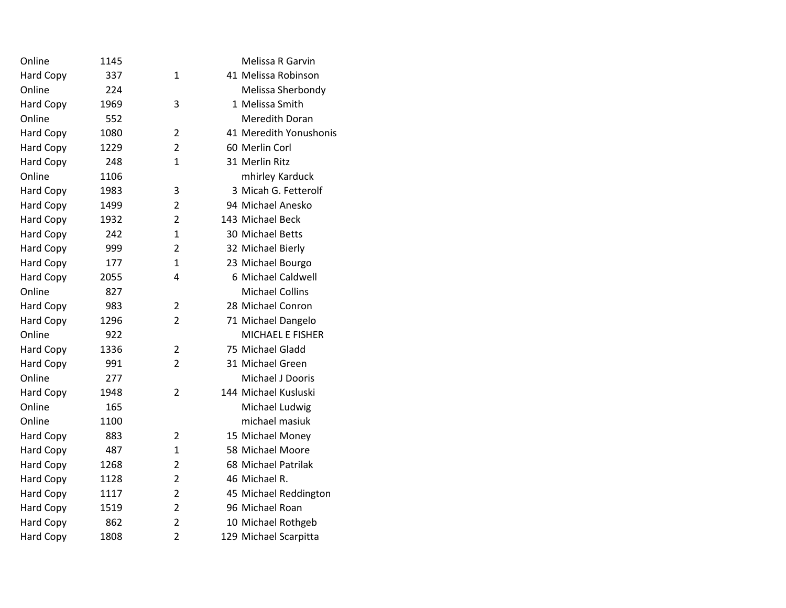| 1145 |                | Melissa R Garvin        |
|------|----------------|-------------------------|
| 337  | 1              | 41 Melissa Robinson     |
| 224  |                | Melissa Sherbondy       |
| 1969 | 3              | 1 Melissa Smith         |
| 552  |                | <b>Meredith Doran</b>   |
| 1080 | $\overline{2}$ | 41 Meredith Yonushonis  |
| 1229 | $\overline{2}$ | 60 Merlin Corl          |
| 248  | 1              | 31 Merlin Ritz          |
| 1106 |                | mhirley Karduck         |
| 1983 | 3              | 3 Micah G. Fetterolf    |
| 1499 | $\overline{2}$ | 94 Michael Anesko       |
| 1932 | $\overline{2}$ | 143 Michael Beck        |
| 242  | $\mathbf{1}$   | 30 Michael Betts        |
| 999  | $\overline{2}$ | 32 Michael Bierly       |
| 177  | $\mathbf{1}$   | 23 Michael Bourgo       |
| 2055 | 4              | 6 Michael Caldwell      |
| 827  |                | <b>Michael Collins</b>  |
| 983  | 2              | 28 Michael Conron       |
| 1296 | $\overline{2}$ | 71 Michael Dangelo      |
| 922  |                | <b>MICHAEL E FISHER</b> |
| 1336 | $\overline{2}$ | 75 Michael Gladd        |
| 991  | $\overline{2}$ | 31 Michael Green        |
| 277  |                | <b>Michael J Dooris</b> |
| 1948 | $\overline{2}$ | 144 Michael Kusluski    |
| 165  |                | Michael Ludwig          |
| 1100 |                | michael masiuk          |
| 883  | $\overline{2}$ | 15 Michael Money        |
| 487  | 1              | 58 Michael Moore        |
| 1268 | $\overline{2}$ | 68 Michael Patrilak     |
| 1128 | $\overline{2}$ | 46 Michael R.           |
| 1117 | $\overline{2}$ | 45 Michael Reddington   |
| 1519 | $\overline{2}$ | 96 Michael Roan         |
| 862  | $\overline{2}$ | 10 Michael Rothgeb      |
| 1808 | $\overline{2}$ | 129 Michael Scarpitta   |
|      |                |                         |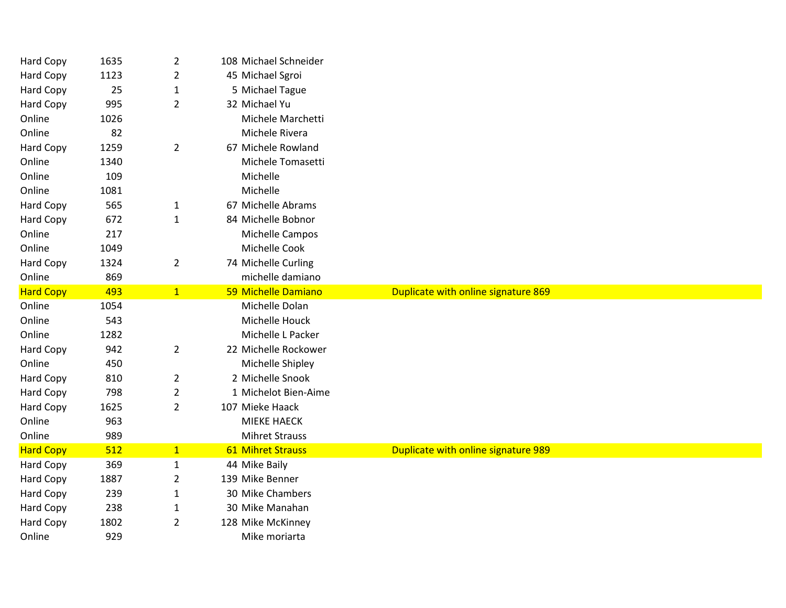| <b>Hard Copy</b>    | 1635        | $\overline{2}$ | 108 Michael Schneider              |                                     |
|---------------------|-------------|----------------|------------------------------------|-------------------------------------|
| Hard Copy           | 1123        | $\overline{2}$ | 45 Michael Sgroi                   |                                     |
| Hard Copy           | 25          | $\mathbf 1$    | 5 Michael Tague                    |                                     |
| Hard Copy           | 995         | $\overline{2}$ | 32 Michael Yu                      |                                     |
| Online              | 1026        |                | Michele Marchetti                  |                                     |
| Online              | 82          |                | Michele Rivera                     |                                     |
| Hard Copy           | 1259        | $\overline{2}$ | 67 Michele Rowland                 |                                     |
| Online              | 1340        |                | Michele Tomasetti                  |                                     |
| Online              | 109         |                | Michelle                           |                                     |
| Online              | 1081        |                | Michelle                           |                                     |
| Hard Copy           | 565         | $\mathbf{1}$   | 67 Michelle Abrams                 |                                     |
| Hard Copy           | 672         | $\mathbf{1}$   | 84 Michelle Bobnor                 |                                     |
| Online              | 217         |                | Michelle Campos                    |                                     |
| Online              | 1049        |                | Michelle Cook                      |                                     |
| <b>Hard Copy</b>    | 1324        | $\overline{2}$ | 74 Michelle Curling                |                                     |
| Online              | 869         |                | michelle damiano                   |                                     |
| <b>Hard Copy</b>    | 493         | $\mathbf{1}$   | 59 Michelle Damiano                | Duplicate with online signature 869 |
| Online              | 1054        |                | Michelle Dolan                     |                                     |
|                     |             |                |                                    |                                     |
| Online              | 543         |                | Michelle Houck                     |                                     |
| Online              | 1282        |                | Michelle L Packer                  |                                     |
| Hard Copy           | 942         | $\overline{2}$ | 22 Michelle Rockower               |                                     |
| Online              | 450         |                | Michelle Shipley                   |                                     |
| Hard Copy           | 810         | $\overline{2}$ | 2 Michelle Snook                   |                                     |
| Hard Copy           | 798         | $\overline{2}$ | 1 Michelot Bien-Aime               |                                     |
| <b>Hard Copy</b>    | 1625        | $\overline{2}$ | 107 Mieke Haack                    |                                     |
| Online              | 963         |                | <b>MIEKE HAECK</b>                 |                                     |
| Online              | 989         |                | <b>Mihret Strauss</b>              |                                     |
| <b>Hard Copy</b>    | 512         | $\mathbf{1}$   | 61 Mihret Strauss                  | Duplicate with online signature 989 |
| Hard Copy           | 369         | $\mathbf{1}$   | 44 Mike Baily                      |                                     |
| Hard Copy           | 1887        | $\overline{2}$ | 139 Mike Benner                    |                                     |
| Hard Copy           | 239         | $\mathbf{1}$   | 30 Mike Chambers                   |                                     |
| Hard Copy           | 238         | $\mathbf{1}$   | 30 Mike Manahan                    |                                     |
| Hard Copy<br>Online | 1802<br>929 | $\overline{2}$ | 128 Mike McKinney<br>Mike moriarta |                                     |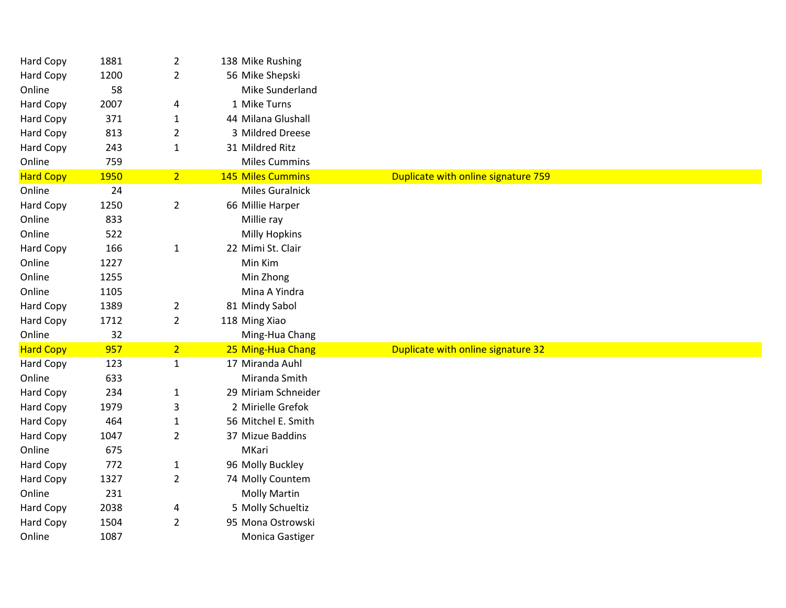| Hard Copy        | 1881 | $\overline{2}$ | 138 Mike Rushing         |                                     |
|------------------|------|----------------|--------------------------|-------------------------------------|
| Hard Copy        | 1200 | $\overline{2}$ | 56 Mike Shepski          |                                     |
| Online           | 58   |                | Mike Sunderland          |                                     |
| Hard Copy        | 2007 | 4              | 1 Mike Turns             |                                     |
| Hard Copy        | 371  | $\mathbf{1}$   | 44 Milana Glushall       |                                     |
| <b>Hard Copy</b> | 813  | $\overline{2}$ | 3 Mildred Dreese         |                                     |
| Hard Copy        | 243  | $\mathbf{1}$   | 31 Mildred Ritz          |                                     |
| Online           | 759  |                | <b>Miles Cummins</b>     |                                     |
| <b>Hard Copy</b> | 1950 | 2 <sup>1</sup> | <b>145 Miles Cummins</b> | Duplicate with online signature 759 |
| Online           | 24   |                | <b>Miles Guralnick</b>   |                                     |
| <b>Hard Copy</b> | 1250 | $\overline{2}$ | 66 Millie Harper         |                                     |
| Online           | 833  |                | Millie ray               |                                     |
| Online           | 522  |                | <b>Milly Hopkins</b>     |                                     |
| Hard Copy        | 166  | $\mathbf{1}$   | 22 Mimi St. Clair        |                                     |
| Online           | 1227 |                | Min Kim                  |                                     |
| Online           | 1255 |                | Min Zhong                |                                     |
| Online           | 1105 |                | Mina A Yindra            |                                     |
| Hard Copy        | 1389 | $\overline{2}$ | 81 Mindy Sabol           |                                     |
| Hard Copy        | 1712 | $\overline{2}$ | 118 Ming Xiao            |                                     |
| Online           | 32   |                | Ming-Hua Chang           |                                     |
| <b>Hard Copy</b> | 957  | 2 <sup>1</sup> | 25 Ming-Hua Chang        | Duplicate with online signature 32  |
| Hard Copy        | 123  | $\mathbf{1}$   | 17 Miranda Auhl          |                                     |
| Online           | 633  |                | Miranda Smith            |                                     |
| Hard Copy        | 234  | $\mathbf{1}$   | 29 Miriam Schneider      |                                     |
| Hard Copy        | 1979 | 3              | 2 Mirielle Grefok        |                                     |
| Hard Copy        | 464  | $\mathbf{1}$   | 56 Mitchel E. Smith      |                                     |
| Hard Copy        | 1047 | $\overline{2}$ | 37 Mizue Baddins         |                                     |
| Online           | 675  |                | MKari                    |                                     |
| <b>Hard Copy</b> | 772  | $\mathbf{1}$   | 96 Molly Buckley         |                                     |
| Hard Copy        | 1327 | $\overline{2}$ | 74 Molly Countem         |                                     |
| Online           | 231  |                | <b>Molly Martin</b>      |                                     |
| Hard Copy        | 2038 | 4              | 5 Molly Schueltiz        |                                     |
| Hard Copy        | 1504 | $\overline{2}$ | 95 Mona Ostrowski        |                                     |
| Online           | 1087 |                | Monica Gastiger          |                                     |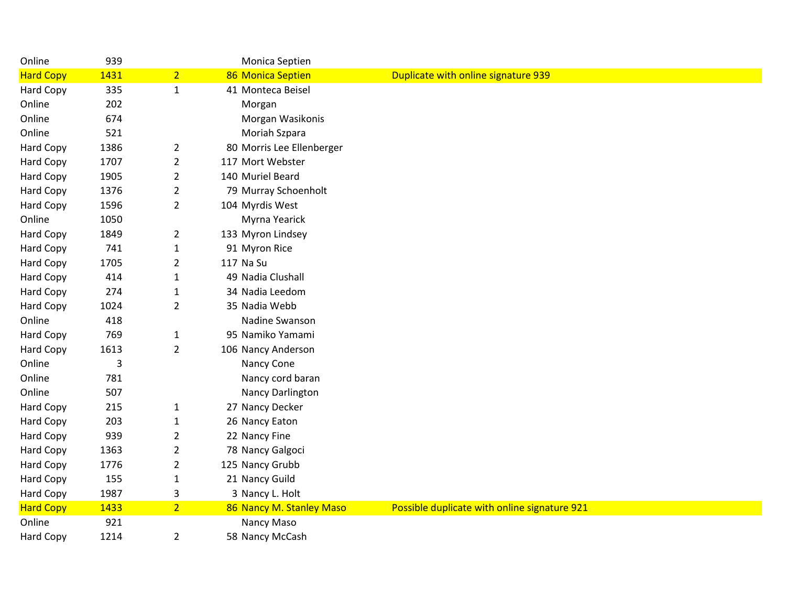| Online           | 939  |                | Monica Septien            |                                              |
|------------------|------|----------------|---------------------------|----------------------------------------------|
| <b>Hard Copy</b> | 1431 | 2 <sup>1</sup> | 86 Monica Septien         | Duplicate with online signature 939          |
| Hard Copy        | 335  | $\mathbf{1}$   | 41 Monteca Beisel         |                                              |
| Online           | 202  |                | Morgan                    |                                              |
| Online           | 674  |                | Morgan Wasikonis          |                                              |
| Online           | 521  |                | Moriah Szpara             |                                              |
| <b>Hard Copy</b> | 1386 | $\overline{2}$ | 80 Morris Lee Ellenberger |                                              |
| Hard Copy        | 1707 | $\overline{2}$ | 117 Mort Webster          |                                              |
| <b>Hard Copy</b> | 1905 | $\overline{2}$ | 140 Muriel Beard          |                                              |
| Hard Copy        | 1376 | $\overline{2}$ | 79 Murray Schoenholt      |                                              |
| Hard Copy        | 1596 | $\overline{2}$ | 104 Myrdis West           |                                              |
| Online           | 1050 |                | Myrna Yearick             |                                              |
| <b>Hard Copy</b> | 1849 | $\overline{2}$ | 133 Myron Lindsey         |                                              |
| Hard Copy        | 741  | $\mathbf{1}$   | 91 Myron Rice             |                                              |
| <b>Hard Copy</b> | 1705 | $\overline{2}$ | 117 Na Su                 |                                              |
| Hard Copy        | 414  | $\mathbf{1}$   | 49 Nadia Clushall         |                                              |
| Hard Copy        | 274  | $\mathbf{1}$   | 34 Nadia Leedom           |                                              |
| <b>Hard Copy</b> | 1024 | $\overline{2}$ | 35 Nadia Webb             |                                              |
| Online           | 418  |                | Nadine Swanson            |                                              |
| Hard Copy        | 769  | $\mathbf{1}$   | 95 Namiko Yamami          |                                              |
| <b>Hard Copy</b> | 1613 | $\overline{2}$ | 106 Nancy Anderson        |                                              |
| Online           | 3    |                | Nancy Cone                |                                              |
| Online           | 781  |                | Nancy cord baran          |                                              |
| Online           | 507  |                | Nancy Darlington          |                                              |
| Hard Copy        | 215  | 1              | 27 Nancy Decker           |                                              |
| Hard Copy        | 203  | $\mathbf{1}$   | 26 Nancy Eaton            |                                              |
| Hard Copy        | 939  | $\overline{2}$ | 22 Nancy Fine             |                                              |
| <b>Hard Copy</b> | 1363 | $\overline{2}$ | 78 Nancy Galgoci          |                                              |
| Hard Copy        | 1776 | $\overline{2}$ | 125 Nancy Grubb           |                                              |
| Hard Copy        | 155  | $\mathbf{1}$   | 21 Nancy Guild            |                                              |
| Hard Copy        | 1987 | 3              | 3 Nancy L. Holt           |                                              |
| <b>Hard Copy</b> | 1433 | 2 <sup>1</sup> | 86 Nancy M. Stanley Maso  | Possible duplicate with online signature 921 |
| Online           | 921  |                | Nancy Maso                |                                              |
| Hard Copy        | 1214 | $\overline{2}$ | 58 Nancy McCash           |                                              |
|                  |      |                |                           |                                              |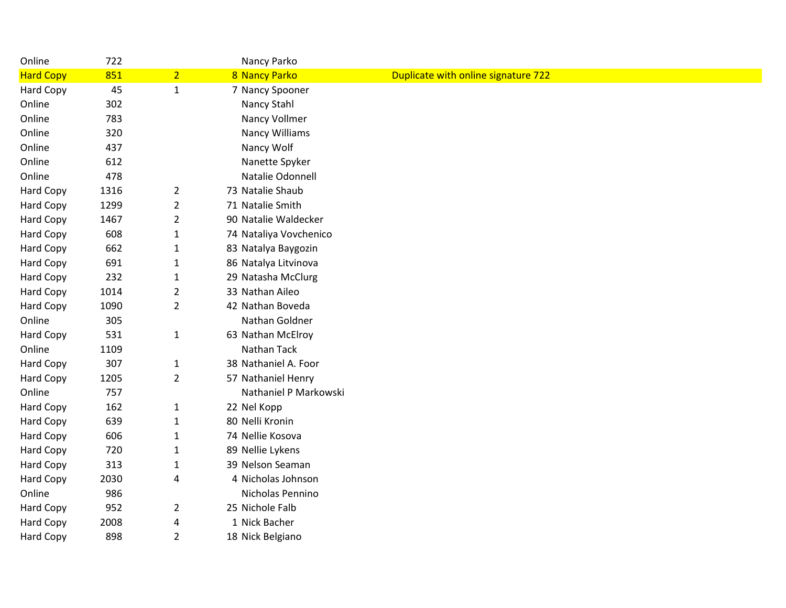| Online           | 722  |                | Nancy Parko            |                                     |
|------------------|------|----------------|------------------------|-------------------------------------|
| <b>Hard Copy</b> | 851  | $\overline{2}$ | 8 Nancy Parko          | Duplicate with online signature 722 |
| Hard Copy        | 45   | $\mathbf{1}$   | 7 Nancy Spooner        |                                     |
| Online           | 302  |                | Nancy Stahl            |                                     |
| Online           | 783  |                | Nancy Vollmer          |                                     |
| Online           | 320  |                | <b>Nancy Williams</b>  |                                     |
| Online           | 437  |                | Nancy Wolf             |                                     |
| Online           | 612  |                | Nanette Spyker         |                                     |
| Online           | 478  |                | Natalie Odonnell       |                                     |
| Hard Copy        | 1316 | $\overline{2}$ | 73 Natalie Shaub       |                                     |
| Hard Copy        | 1299 | $\overline{2}$ | 71 Natalie Smith       |                                     |
| Hard Copy        | 1467 | $\overline{2}$ | 90 Natalie Waldecker   |                                     |
| Hard Copy        | 608  | $\mathbf{1}$   | 74 Nataliya Vovchenico |                                     |
| Hard Copy        | 662  | 1              | 83 Natalya Baygozin    |                                     |
| Hard Copy        | 691  | $\mathbf{1}$   | 86 Natalya Litvinova   |                                     |
| Hard Copy        | 232  | 1              | 29 Natasha McClurg     |                                     |
| Hard Copy        | 1014 | $\overline{2}$ | 33 Nathan Aileo        |                                     |
| <b>Hard Copy</b> | 1090 | $\overline{2}$ | 42 Nathan Boveda       |                                     |
| Online           | 305  |                | Nathan Goldner         |                                     |
| Hard Copy        | 531  | $\mathbf{1}$   | 63 Nathan McElroy      |                                     |
| Online           | 1109 |                | Nathan Tack            |                                     |
| Hard Copy        | 307  | $\mathbf{1}$   | 38 Nathaniel A. Foor   |                                     |
| Hard Copy        | 1205 | $\overline{2}$ | 57 Nathaniel Henry     |                                     |
| Online           | 757  |                | Nathaniel P Markowski  |                                     |
| <b>Hard Copy</b> | 162  | $\mathbf{1}$   | 22 Nel Kopp            |                                     |
| Hard Copy        | 639  | $\mathbf{1}$   | 80 Nelli Kronin        |                                     |
| Hard Copy        | 606  | $\mathbf{1}$   | 74 Nellie Kosova       |                                     |
| Hard Copy        | 720  | 1              | 89 Nellie Lykens       |                                     |
| Hard Copy        | 313  | $\mathbf{1}$   | 39 Nelson Seaman       |                                     |
| Hard Copy        | 2030 | 4              | 4 Nicholas Johnson     |                                     |
| Online           | 986  |                | Nicholas Pennino       |                                     |
| Hard Copy        | 952  | $\overline{2}$ | 25 Nichole Falb        |                                     |
| Hard Copy        | 2008 | 4              | 1 Nick Bacher          |                                     |
| <b>Hard Copy</b> | 898  | $\overline{2}$ | 18 Nick Belgiano       |                                     |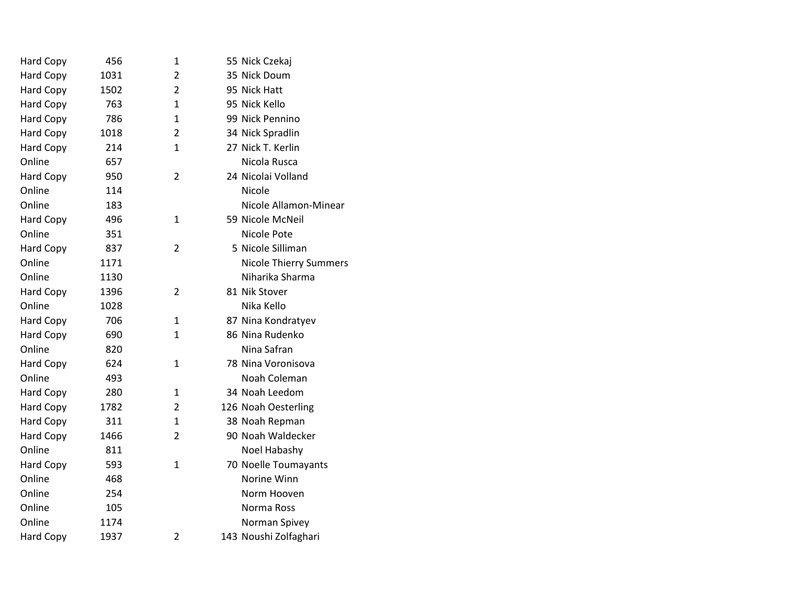| Hard Copy        | 456  | $\mathbf{1}$   | 55 Nick Czekaj                |  |
|------------------|------|----------------|-------------------------------|--|
| Hard Copy        | 1031 | 2              | 35 Nick Doum                  |  |
| Hard Copy        | 1502 | 2              | 95 Nick Hatt                  |  |
| Hard Copy        | 763  | 1              | 95 Nick Kello                 |  |
| Hard Copy        | 786  | 1              | 99 Nick Pennino               |  |
| Hard Copy        | 1018 | 2              | 34 Nick Spradlin              |  |
| Hard Copy        | 214  | $\mathbf{1}$   | 27 Nick T. Kerlin             |  |
| Online           | 657  |                | Nicola Rusca                  |  |
| Hard Copy        | 950  | $\overline{2}$ | 24 Nicolai Volland            |  |
| Online           | 114  |                | Nicole                        |  |
| Online           | 183  |                | Nicole Allamon-Minear         |  |
| Hard Copy        | 496  | $\mathbf{1}$   | 59 Nicole McNeil              |  |
| Online           | 351  |                | Nicole Pote                   |  |
| <b>Hard Copy</b> | 837  | $\overline{2}$ | 5 Nicole Silliman             |  |
| Online           | 1171 |                | <b>Nicole Thierry Summers</b> |  |
| Online           | 1130 |                | Niharika Sharma               |  |
| Hard Copy        | 1396 | $\overline{2}$ | 81 Nik Stover                 |  |
| Online           | 1028 |                | Nika Kello                    |  |
| Hard Copy        | 706  | $\mathbf{1}$   | 87 Nina Kondratyev            |  |
| Hard Copy        | 690  | 1              | 86 Nina Rudenko               |  |
| Online           | 820  |                | Nina Safran                   |  |
| <b>Hard Copy</b> | 624  | $\mathbf{1}$   | 78 Nina Voronisova            |  |
| Online           | 493  |                | Noah Coleman                  |  |
| Hard Copy        | 280  | $\mathbf{1}$   | 34 Noah Leedom                |  |
| Hard Copy        | 1782 | 2              | 126 Noah Oesterling           |  |
| Hard Copy        | 311  | 1              | 38 Noah Repman                |  |
| Hard Copy        | 1466 | $\overline{2}$ | 90 Noah Waldecker             |  |
| Online           | 811  |                | Noel Habashy                  |  |
| Hard Copy        | 593  | 1              | 70 Noelle Toumayants          |  |
| Online           | 468  |                | Norine Winn                   |  |
| Online           | 254  |                | Norm Hooven                   |  |
| Online           | 105  |                | Norma Ross                    |  |
| Online           | 1174 |                | Norman Spivey                 |  |
| Hard Copy        | 1937 | $\overline{2}$ | 143 Noushi Zolfaghari         |  |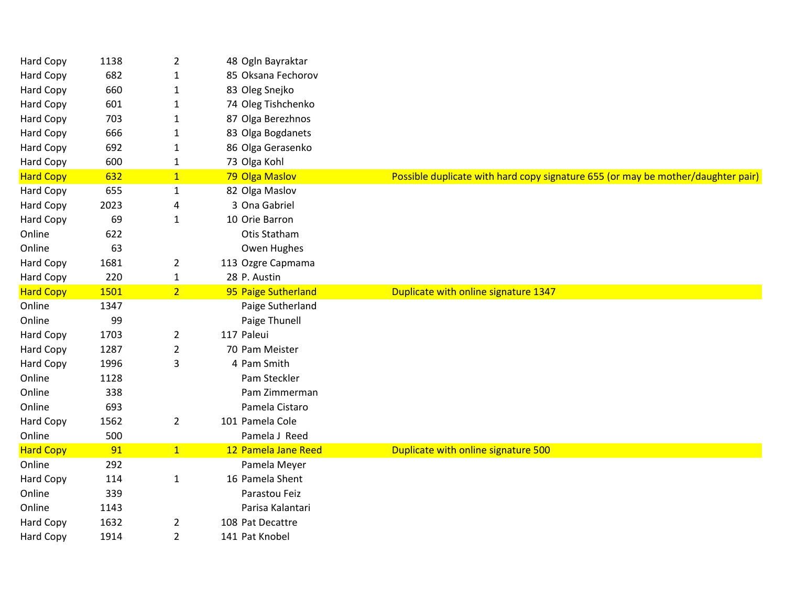| Hard Copy        | 1138 | $\overline{2}$ | 48 Ogln Bayraktar   |                                                                                  |
|------------------|------|----------------|---------------------|----------------------------------------------------------------------------------|
| Hard Copy        | 682  | $\mathbf{1}$   | 85 Oksana Fechorov  |                                                                                  |
| Hard Copy        | 660  | 1              | 83 Oleg Snejko      |                                                                                  |
| Hard Copy        | 601  | $\mathbf{1}$   | 74 Oleg Tishchenko  |                                                                                  |
| <b>Hard Copy</b> | 703  | $\mathbf{1}$   | 87 Olga Berezhnos   |                                                                                  |
| Hard Copy        | 666  | 1              | 83 Olga Bogdanets   |                                                                                  |
| Hard Copy        | 692  | $\mathbf{1}$   | 86 Olga Gerasenko   |                                                                                  |
| Hard Copy        | 600  | $\mathbf{1}$   | 73 Olga Kohl        |                                                                                  |
| <b>Hard Copy</b> | 632  | $\mathbf{1}$   | 79 Olga Maslov      | Possible duplicate with hard copy signature 655 (or may be mother/daughter pair) |
| <b>Hard Copy</b> | 655  | $\mathbf{1}$   | 82 Olga Maslov      |                                                                                  |
| Hard Copy        | 2023 | 4              | 3 Ona Gabriel       |                                                                                  |
| Hard Copy        | 69   | $\mathbf{1}$   | 10 Orie Barron      |                                                                                  |
| Online           | 622  |                | Otis Statham        |                                                                                  |
| Online           | 63   |                | Owen Hughes         |                                                                                  |
| <b>Hard Copy</b> | 1681 | $\overline{2}$ | 113 Ozgre Capmama   |                                                                                  |
| Hard Copy        | 220  | $\mathbf{1}$   | 28 P. Austin        |                                                                                  |
| <b>Hard Copy</b> | 1501 | $\overline{2}$ | 95 Paige Sutherland | Duplicate with online signature 1347                                             |
| Online           | 1347 |                | Paige Sutherland    |                                                                                  |
| Online           | 99   |                | Paige Thunell       |                                                                                  |
| <b>Hard Copy</b> | 1703 | $\overline{2}$ | 117 Paleui          |                                                                                  |
| Hard Copy        | 1287 | $\overline{2}$ | 70 Pam Meister      |                                                                                  |
| <b>Hard Copy</b> | 1996 | 3              | 4 Pam Smith         |                                                                                  |
| Online           | 1128 |                | Pam Steckler        |                                                                                  |
| Online           | 338  |                | Pam Zimmerman       |                                                                                  |
| Online           | 693  |                | Pamela Cistaro      |                                                                                  |
| Hard Copy        | 1562 | $\overline{2}$ | 101 Pamela Cole     |                                                                                  |
| Online           | 500  |                | Pamela J Reed       |                                                                                  |
| <b>Hard Copy</b> | 91   | 1              | 12 Pamela Jane Reed | Duplicate with online signature 500                                              |
| Online           | 292  |                | Pamela Meyer        |                                                                                  |
| Hard Copy        | 114  | $\mathbf{1}$   | 16 Pamela Shent     |                                                                                  |
| Online           | 339  |                | Parastou Feiz       |                                                                                  |
| Online           | 1143 |                | Parisa Kalantari    |                                                                                  |
| Hard Copy        | 1632 | $\overline{2}$ | 108 Pat Decattre    |                                                                                  |
| Hard Copy        | 1914 | $\overline{2}$ | 141 Pat Knobel      |                                                                                  |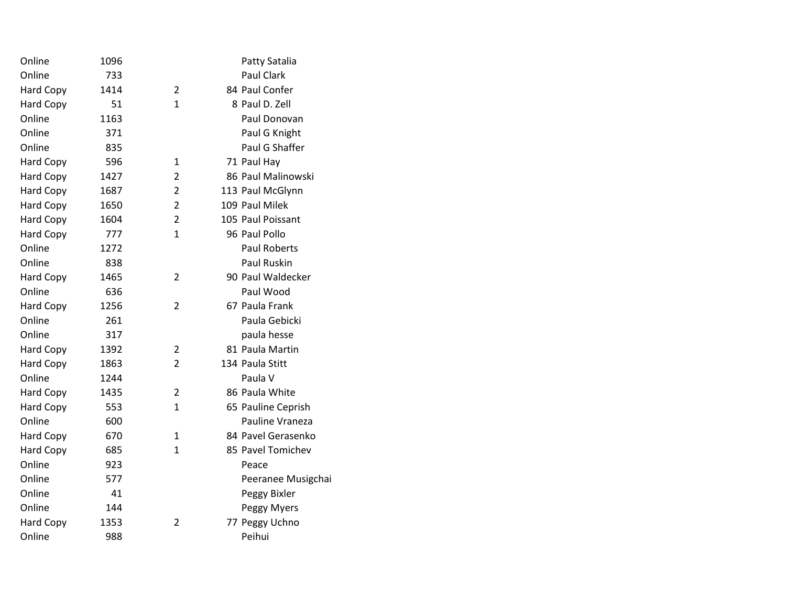| Online           | 1096 |                | Patty Satalia       |
|------------------|------|----------------|---------------------|
| Online           | 733  |                | <b>Paul Clark</b>   |
| <b>Hard Copy</b> | 1414 | 2              | 84 Paul Confer      |
| <b>Hard Copy</b> | 51   | $\mathbf{1}$   | 8 Paul D. Zell      |
| Online           | 1163 |                | Paul Donovan        |
| Online           | 371  |                | Paul G Knight       |
| Online           | 835  |                | Paul G Shaffer      |
| <b>Hard Copy</b> | 596  | $\mathbf{1}$   | 71 Paul Hay         |
| <b>Hard Copy</b> | 1427 | $\overline{2}$ | 86 Paul Malinowski  |
| <b>Hard Copy</b> | 1687 | $\overline{2}$ | 113 Paul McGlynn    |
| <b>Hard Copy</b> | 1650 | $\overline{2}$ | 109 Paul Milek      |
| <b>Hard Copy</b> | 1604 | $\overline{2}$ | 105 Paul Poissant   |
| <b>Hard Copy</b> | 777  | 1              | 96 Paul Pollo       |
| Online           | 1272 |                | <b>Paul Roberts</b> |
| Online           | 838  |                | Paul Ruskin         |
| <b>Hard Copy</b> | 1465 | 2              | 90 Paul Waldecker   |
| Online           | 636  |                | Paul Wood           |
| <b>Hard Copy</b> | 1256 | $\overline{2}$ | 67 Paula Frank      |
| Online           | 261  |                | Paula Gebicki       |
| Online           | 317  |                | paula hesse         |
| <b>Hard Copy</b> | 1392 | $\overline{2}$ | 81 Paula Martin     |
| Hard Copy        | 1863 | $\overline{2}$ | 134 Paula Stitt     |
| Online           | 1244 |                | Paula V             |
| <b>Hard Copy</b> | 1435 | $\overline{2}$ | 86 Paula White      |
| <b>Hard Copy</b> | 553  | $\mathbf{1}$   | 65 Pauline Ceprish  |
| Online           | 600  |                | Pauline Vraneza     |
| <b>Hard Copy</b> | 670  | $\mathbf{1}$   | 84 Pavel Gerasenko  |
| <b>Hard Copy</b> | 685  | $\mathbf{1}$   | 85 Pavel Tomichev   |
| Online           | 923  |                | Peace               |
| Online           | 577  |                | Peeranee Musigchai  |
| Online           | 41   |                | Peggy Bixler        |
| Online           | 144  |                | Peggy Myers         |
| <b>Hard Copy</b> | 1353 | 2              | 77 Peggy Uchno      |
| Online           | 988  |                | Peihui              |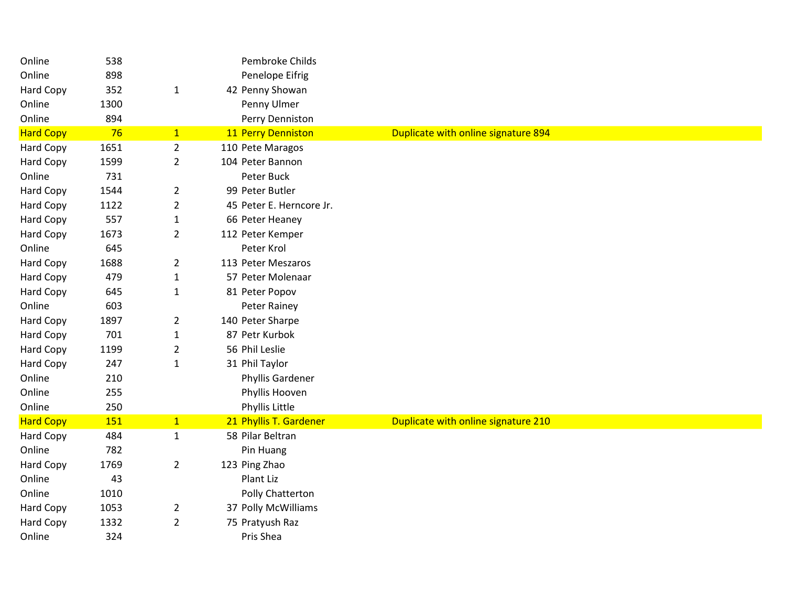| Online           | 538  |                | Pembroke Childs          |                                     |
|------------------|------|----------------|--------------------------|-------------------------------------|
| Online           | 898  |                | Penelope Eifrig          |                                     |
| Hard Copy        | 352  | $\mathbf{1}$   | 42 Penny Showan          |                                     |
| Online           | 1300 |                | Penny Ulmer              |                                     |
| Online           | 894  |                | Perry Denniston          |                                     |
| <b>Hard Copy</b> | 76   | $\mathbf{1}$   | 11 Perry Denniston       | Duplicate with online signature 894 |
| Hard Copy        | 1651 | $\overline{2}$ | 110 Pete Maragos         |                                     |
| Hard Copy        | 1599 | $\overline{2}$ | 104 Peter Bannon         |                                     |
| Online           | 731  |                | Peter Buck               |                                     |
| Hard Copy        | 1544 | $\overline{2}$ | 99 Peter Butler          |                                     |
| Hard Copy        | 1122 | $\overline{2}$ | 45 Peter E. Herncore Jr. |                                     |
| Hard Copy        | 557  | $\mathbf{1}$   | 66 Peter Heaney          |                                     |
| Hard Copy        | 1673 | $\overline{2}$ | 112 Peter Kemper         |                                     |
| Online           | 645  |                | Peter Krol               |                                     |
| Hard Copy        | 1688 | $\overline{2}$ | 113 Peter Meszaros       |                                     |
| Hard Copy        | 479  | $\mathbf{1}$   | 57 Peter Molenaar        |                                     |
| Hard Copy        | 645  | $\mathbf{1}$   | 81 Peter Popov           |                                     |
| Online           | 603  |                | Peter Rainey             |                                     |
| Hard Copy        | 1897 | $\overline{2}$ | 140 Peter Sharpe         |                                     |
| Hard Copy        | 701  | $\mathbf{1}$   | 87 Petr Kurbok           |                                     |
| Hard Copy        | 1199 | $\overline{2}$ | 56 Phil Leslie           |                                     |
| Hard Copy        | 247  | $\mathbf{1}$   | 31 Phil Taylor           |                                     |
| Online           | 210  |                | Phyllis Gardener         |                                     |
| Online           | 255  |                | Phyllis Hooven           |                                     |
| Online           | 250  |                | Phyllis Little           |                                     |
| <b>Hard Copy</b> | 151  | $\mathbf{1}$   | 21 Phyllis T. Gardener   | Duplicate with online signature 210 |
| Hard Copy        | 484  | $\mathbf{1}$   | 58 Pilar Beltran         |                                     |
| Online           | 782  |                | Pin Huang                |                                     |
| Hard Copy        | 1769 | $\overline{2}$ | 123 Ping Zhao            |                                     |
| Online           | 43   |                | Plant Liz                |                                     |
| Online           | 1010 |                | Polly Chatterton         |                                     |
| Hard Copy        | 1053 | $\overline{2}$ | 37 Polly McWilliams      |                                     |
| Hard Copy        | 1332 | $\overline{2}$ | 75 Pratyush Raz          |                                     |
| Online           | 324  |                | Pris Shea                |                                     |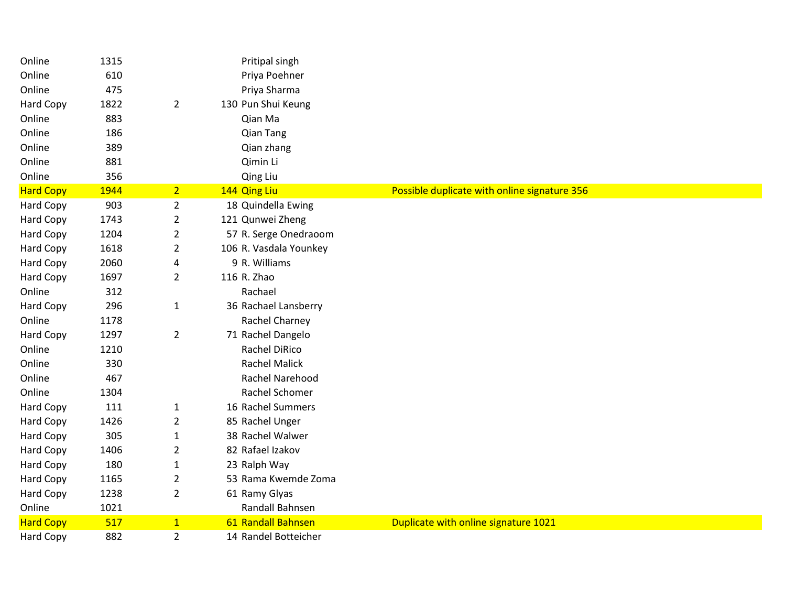| Online           | 1315 |                | Pritipal singh         |                                              |
|------------------|------|----------------|------------------------|----------------------------------------------|
| Online           | 610  |                | Priya Poehner          |                                              |
| Online           | 475  |                | Priya Sharma           |                                              |
| Hard Copy        | 1822 | $\overline{2}$ | 130 Pun Shui Keung     |                                              |
| Online           | 883  |                | Qian Ma                |                                              |
| Online           | 186  |                | <b>Qian Tang</b>       |                                              |
| Online           | 389  |                | Qian zhang             |                                              |
| Online           | 881  |                | Qimin Li               |                                              |
| Online           | 356  |                | Qing Liu               |                                              |
| <b>Hard Copy</b> | 1944 | 2 <sup>1</sup> | 144 Qing Liu           | Possible duplicate with online signature 356 |
| Hard Copy        | 903  | $\overline{2}$ | 18 Quindella Ewing     |                                              |
| <b>Hard Copy</b> | 1743 | $\overline{2}$ | 121 Qunwei Zheng       |                                              |
| <b>Hard Copy</b> | 1204 | $\overline{2}$ | 57 R. Serge Onedraoom  |                                              |
| <b>Hard Copy</b> | 1618 | $\overline{2}$ | 106 R. Vasdala Younkey |                                              |
| <b>Hard Copy</b> | 2060 | 4              | 9 R. Williams          |                                              |
| Hard Copy        | 1697 | $\overline{2}$ | 116 R. Zhao            |                                              |
| Online           | 312  |                | Rachael                |                                              |
| Hard Copy        | 296  | $\mathbf{1}$   | 36 Rachael Lansberry   |                                              |
| Online           | 1178 |                | Rachel Charney         |                                              |
| <b>Hard Copy</b> | 1297 | $\overline{2}$ | 71 Rachel Dangelo      |                                              |
| Online           | 1210 |                | Rachel DiRico          |                                              |
| Online           | 330  |                | <b>Rachel Malick</b>   |                                              |
| Online           | 467  |                | Rachel Narehood        |                                              |
| Online           | 1304 |                | Rachel Schomer         |                                              |
| <b>Hard Copy</b> | 111  | $\mathbf{1}$   | 16 Rachel Summers      |                                              |
| Hard Copy        | 1426 | $\overline{2}$ | 85 Rachel Unger        |                                              |
| Hard Copy        | 305  | $\mathbf{1}$   | 38 Rachel Walwer       |                                              |
| Hard Copy        | 1406 | $\overline{2}$ | 82 Rafael Izakov       |                                              |
| <b>Hard Copy</b> | 180  | $\mathbf{1}$   | 23 Ralph Way           |                                              |
| Hard Copy        | 1165 | $\overline{2}$ | 53 Rama Kwemde Zoma    |                                              |
| Hard Copy        | 1238 | $\overline{2}$ | 61 Ramy Glyas          |                                              |
| Online           | 1021 |                | Randall Bahnsen        |                                              |
| <b>Hard Copy</b> | 517  | $\mathbf{1}$   | 61 Randall Bahnsen     | Duplicate with online signature 1021         |
| Hard Copy        | 882  | $\overline{2}$ | 14 Randel Botteicher   |                                              |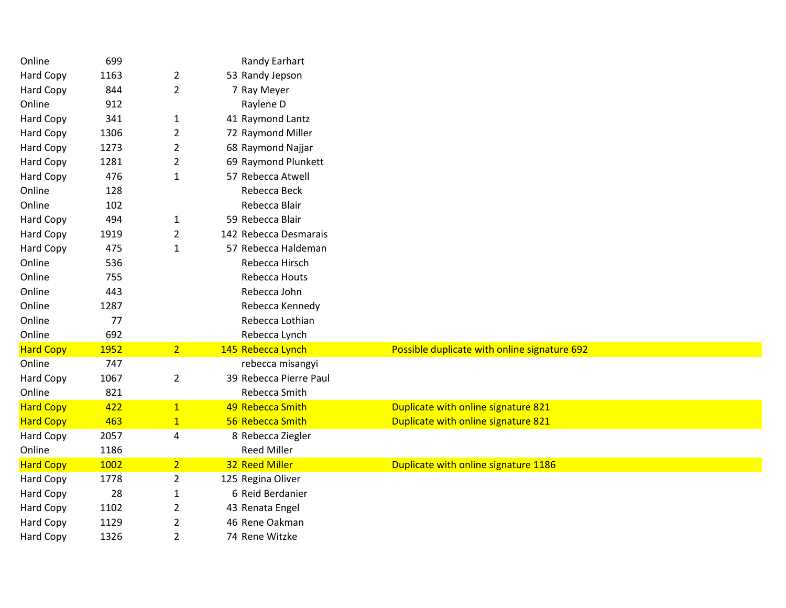| Online           | 699  |                | Randy Earhart          |                                              |  |  |  |
|------------------|------|----------------|------------------------|----------------------------------------------|--|--|--|
| <b>Hard Copy</b> | 1163 | $\overline{2}$ | 53 Randy Jepson        |                                              |  |  |  |
| Hard Copy        | 844  | $\overline{2}$ | 7 Ray Meyer            |                                              |  |  |  |
| Online           | 912  |                | Raylene D              |                                              |  |  |  |
| Hard Copy        | 341  | $\mathbf{1}$   | 41 Raymond Lantz       |                                              |  |  |  |
| Hard Copy        | 1306 | $\overline{2}$ | 72 Raymond Miller      |                                              |  |  |  |
| Hard Copy        | 1273 | $\overline{2}$ | 68 Raymond Najjar      |                                              |  |  |  |
| Hard Copy        | 1281 | $\overline{2}$ | 69 Raymond Plunkett    |                                              |  |  |  |
| Hard Copy        | 476  | $\mathbf{1}$   | 57 Rebecca Atwell      |                                              |  |  |  |
| Online           | 128  |                | Rebecca Beck           |                                              |  |  |  |
| Online           | 102  |                | Rebecca Blair          |                                              |  |  |  |
| Hard Copy        | 494  | $\mathbf{1}$   | 59 Rebecca Blair       |                                              |  |  |  |
| Hard Copy        | 1919 | $\overline{2}$ | 142 Rebecca Desmarais  |                                              |  |  |  |
| <b>Hard Copy</b> | 475  | $\mathbf{1}$   | 57 Rebecca Haldeman    |                                              |  |  |  |
| Online           | 536  |                | Rebecca Hirsch         |                                              |  |  |  |
| Online           | 755  |                | Rebecca Houts          |                                              |  |  |  |
| Online           | 443  |                | Rebecca John           |                                              |  |  |  |
| Online           | 1287 |                | Rebecca Kennedy        |                                              |  |  |  |
| Online           | 77   |                | Rebecca Lothian        |                                              |  |  |  |
| Online           | 692  |                | Rebecca Lynch          |                                              |  |  |  |
| <b>Hard Copy</b> | 1952 | 2 <sup>7</sup> | 145 Rebecca Lynch      | Possible duplicate with online signature 692 |  |  |  |
| Online           | 747  |                | rebecca misangyi       |                                              |  |  |  |
| Hard Copy        | 1067 | $\overline{2}$ | 39 Rebecca Pierre Paul |                                              |  |  |  |
| Online           | 821  |                | Rebecca Smith          |                                              |  |  |  |
| <b>Hard Copy</b> | 422  | $\mathbf{1}$   | 49 Rebecca Smith       | Duplicate with online signature 821          |  |  |  |
| <b>Hard Copy</b> | 463  | $\mathbf{1}$   | 56 Rebecca Smith       | Duplicate with online signature 821          |  |  |  |
| Hard Copy        | 2057 | 4              | 8 Rebecca Ziegler      |                                              |  |  |  |
| Online           | 1186 |                | <b>Reed Miller</b>     |                                              |  |  |  |
| <b>Hard Copy</b> | 1002 | 2 <sup>1</sup> | 32 Reed Miller         | Duplicate with online signature 1186         |  |  |  |
| Hard Copy        | 1778 | $\overline{2}$ | 125 Regina Oliver      |                                              |  |  |  |
| Hard Copy        | 28   | $\mathbf{1}$   | 6 Reid Berdanier       |                                              |  |  |  |
| Hard Copy        | 1102 | $\overline{c}$ | 43 Renata Engel        |                                              |  |  |  |
| Hard Copy        | 1129 | $\overline{2}$ | 46 Rene Oakman         |                                              |  |  |  |
| <b>Hard Copy</b> | 1326 | $\overline{2}$ | 74 Rene Witzke         |                                              |  |  |  |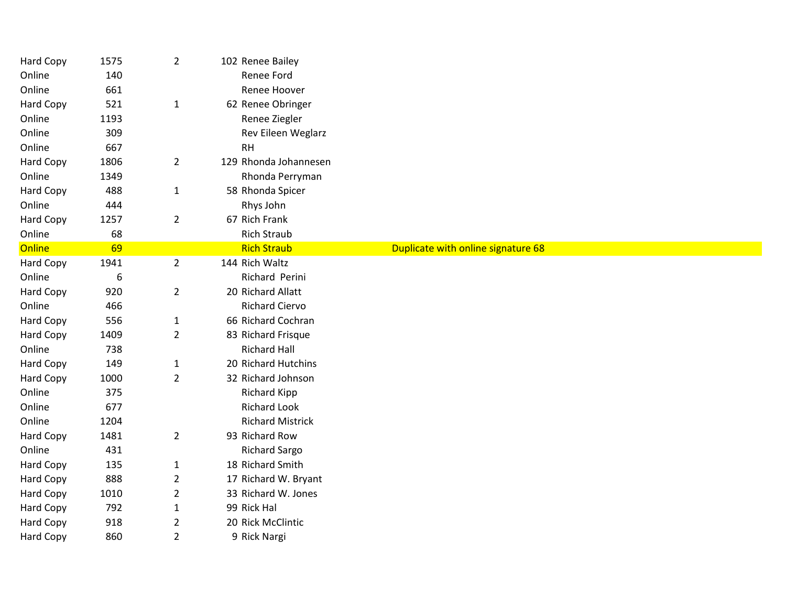| Hard Copy        | 1575 | $\overline{2}$ | 102 Renee Bailey        |                                    |  |
|------------------|------|----------------|-------------------------|------------------------------------|--|
| Online           | 140  |                | Renee Ford              |                                    |  |
| Online           | 661  |                | Renee Hoover            |                                    |  |
| Hard Copy        | 521  | $\mathbf{1}$   | 62 Renee Obringer       |                                    |  |
| Online           | 1193 |                | Renee Ziegler           |                                    |  |
| Online           | 309  |                | Rev Eileen Weglarz      |                                    |  |
| Online           | 667  |                | RH                      |                                    |  |
| Hard Copy        | 1806 | $\overline{2}$ | 129 Rhonda Johannesen   |                                    |  |
| Online           | 1349 |                | Rhonda Perryman         |                                    |  |
| Hard Copy        | 488  | $\mathbf{1}$   | 58 Rhonda Spicer        |                                    |  |
| Online           | 444  |                | Rhys John               |                                    |  |
| Hard Copy        | 1257 | $\overline{2}$ | 67 Rich Frank           |                                    |  |
| Online           | 68   |                | <b>Rich Straub</b>      |                                    |  |
| Online           | 69   |                | <b>Rich Straub</b>      | Duplicate with online signature 68 |  |
| Hard Copy        | 1941 | $\overline{2}$ | 144 Rich Waltz          |                                    |  |
| Online           | 6    |                | Richard Perini          |                                    |  |
| Hard Copy        | 920  | $\overline{2}$ | 20 Richard Allatt       |                                    |  |
| Online           | 466  |                | <b>Richard Ciervo</b>   |                                    |  |
| Hard Copy        | 556  | $\mathbf{1}$   | 66 Richard Cochran      |                                    |  |
| <b>Hard Copy</b> | 1409 | $\overline{2}$ | 83 Richard Frisque      |                                    |  |
| Online           | 738  |                | <b>Richard Hall</b>     |                                    |  |
| Hard Copy        | 149  | $\mathbf{1}$   | 20 Richard Hutchins     |                                    |  |
| Hard Copy        | 1000 | $\overline{2}$ | 32 Richard Johnson      |                                    |  |
| Online           | 375  |                | <b>Richard Kipp</b>     |                                    |  |
| Online           | 677  |                | <b>Richard Look</b>     |                                    |  |
| Online           | 1204 |                | <b>Richard Mistrick</b> |                                    |  |
| Hard Copy        | 1481 | $\overline{2}$ | 93 Richard Row          |                                    |  |
| Online           | 431  |                | <b>Richard Sargo</b>    |                                    |  |
| Hard Copy        | 135  | $\mathbf{1}$   | 18 Richard Smith        |                                    |  |
| Hard Copy        | 888  | $\overline{2}$ | 17 Richard W. Bryant    |                                    |  |
| <b>Hard Copy</b> | 1010 | $\overline{2}$ | 33 Richard W. Jones     |                                    |  |
| Hard Copy        | 792  | $\mathbf{1}$   | 99 Rick Hal             |                                    |  |
| Hard Copy        | 918  | $\overline{2}$ | 20 Rick McClintic       |                                    |  |
| Hard Copy        | 860  | $\overline{2}$ | 9 Rick Nargi            |                                    |  |
|                  |      |                |                         |                                    |  |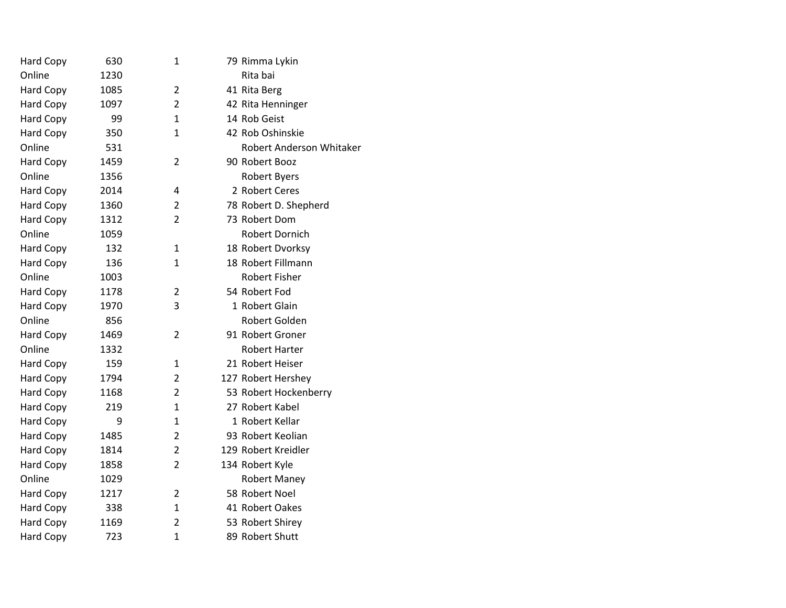| Hard Copy        | 630  | $\mathbf{1}$   | 79 Rimma Lykin           |
|------------------|------|----------------|--------------------------|
| Online           | 1230 |                | Rita bai                 |
| Hard Copy        | 1085 | $\overline{2}$ | 41 Rita Berg             |
| Hard Copy        | 1097 | $\overline{2}$ | 42 Rita Henninger        |
| Hard Copy        | 99   | $\mathbf{1}$   | 14 Rob Geist             |
| <b>Hard Copy</b> | 350  | 1              | 42 Rob Oshinskie         |
| Online           | 531  |                | Robert Anderson Whitaker |
| <b>Hard Copy</b> | 1459 | $\overline{2}$ | 90 Robert Booz           |
| Online           | 1356 |                | <b>Robert Byers</b>      |
| Hard Copy        | 2014 | 4              | 2 Robert Ceres           |
| Hard Copy        | 1360 | $\overline{2}$ | 78 Robert D. Shepherd    |
| Hard Copy        | 1312 | $\overline{2}$ | 73 Robert Dom            |
| Online           | 1059 |                | Robert Dornich           |
| Hard Copy        | 132  | 1              | 18 Robert Dvorksy        |
| Hard Copy        | 136  | $\mathbf{1}$   | 18 Robert Fillmann       |
| Online           | 1003 |                | <b>Robert Fisher</b>     |
| <b>Hard Copy</b> | 1178 | $\overline{2}$ | 54 Robert Fod            |
| Hard Copy        | 1970 | 3              | 1 Robert Glain           |
| Online           | 856  |                | Robert Golden            |
| Hard Copy        | 1469 | $\overline{2}$ | 91 Robert Groner         |
| Online           | 1332 |                | <b>Robert Harter</b>     |
| Hard Copy        | 159  | 1              | 21 Robert Heiser         |
| Hard Copy        | 1794 | $\overline{2}$ | 127 Robert Hershey       |
| Hard Copy        | 1168 | $\overline{2}$ | 53 Robert Hockenberry    |
| Hard Copy        | 219  | $\mathbf{1}$   | 27 Robert Kabel          |
| Hard Copy        | 9    | $\mathbf{1}$   | 1 Robert Kellar          |
| Hard Copy        | 1485 | $\overline{2}$ | 93 Robert Keolian        |
| Hard Copy        | 1814 | $\overline{2}$ | 129 Robert Kreidler      |
| Hard Copy        | 1858 | $\overline{2}$ | 134 Robert Kyle          |
| Online           | 1029 |                | <b>Robert Maney</b>      |
| Hard Copy        | 1217 | $\overline{2}$ | 58 Robert Noel           |
| Hard Copy        | 338  | $\mathbf{1}$   | 41 Robert Oakes          |
| Hard Copy        | 1169 | $\overline{2}$ | 53 Robert Shirey         |
| <b>Hard Copy</b> | 723  | $\mathbf{1}$   | 89 Robert Shutt          |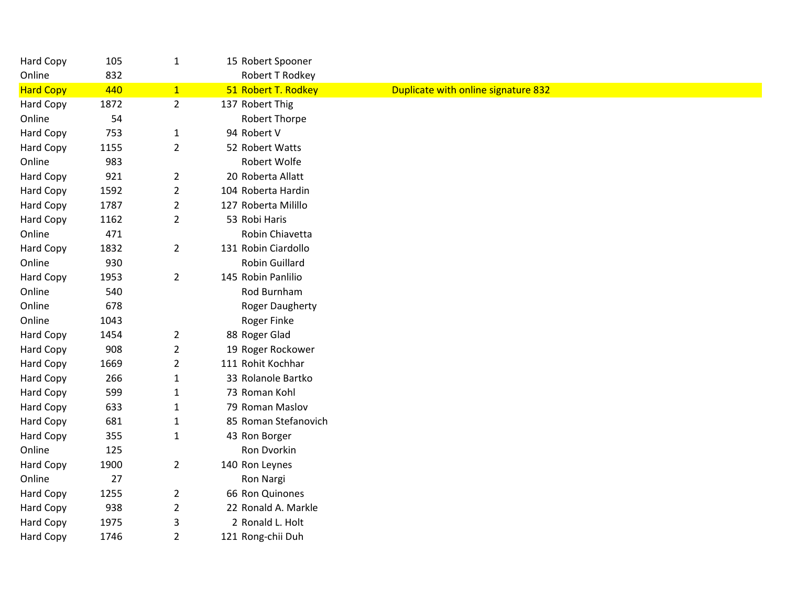| Hard Copy        | 105  | $\mathbf{1}$   | 15 Robert Spooner      |                                     |
|------------------|------|----------------|------------------------|-------------------------------------|
| Online           | 832  |                | Robert T Rodkey        |                                     |
| <b>Hard Copy</b> | 440  | $\mathbf{1}$   | 51 Robert T. Rodkey    | Duplicate with online signature 832 |
| Hard Copy        | 1872 | $\overline{2}$ | 137 Robert Thig        |                                     |
| Online           | 54   |                | Robert Thorpe          |                                     |
| Hard Copy        | 753  | $\mathbf{1}$   | 94 Robert V            |                                     |
| Hard Copy        | 1155 | $\overline{2}$ | 52 Robert Watts        |                                     |
| Online           | 983  |                | Robert Wolfe           |                                     |
| Hard Copy        | 921  | $\overline{2}$ | 20 Roberta Allatt      |                                     |
| Hard Copy        | 1592 | $\overline{2}$ | 104 Roberta Hardin     |                                     |
| Hard Copy        | 1787 | $\overline{2}$ | 127 Roberta Milillo    |                                     |
| Hard Copy        | 1162 | $\overline{2}$ | 53 Robi Haris          |                                     |
| Online           | 471  |                | Robin Chiavetta        |                                     |
| Hard Copy        | 1832 | $\overline{2}$ | 131 Robin Ciardollo    |                                     |
| Online           | 930  |                | Robin Guillard         |                                     |
| Hard Copy        | 1953 | $\overline{2}$ | 145 Robin Panlilio     |                                     |
| Online           | 540  |                | Rod Burnham            |                                     |
| Online           | 678  |                | <b>Roger Daugherty</b> |                                     |
| Online           | 1043 |                | Roger Finke            |                                     |
| Hard Copy        | 1454 | $\overline{2}$ | 88 Roger Glad          |                                     |
| Hard Copy        | 908  | $\overline{2}$ | 19 Roger Rockower      |                                     |
| Hard Copy        | 1669 | $\overline{2}$ | 111 Rohit Kochhar      |                                     |
| Hard Copy        | 266  | $\mathbf{1}$   | 33 Rolanole Bartko     |                                     |
| Hard Copy        | 599  | $\mathbf{1}$   | 73 Roman Kohl          |                                     |
| Hard Copy        | 633  | $\mathbf{1}$   | 79 Roman Maslov        |                                     |
| Hard Copy        | 681  | $\mathbf{1}$   | 85 Roman Stefanovich   |                                     |
| Hard Copy        | 355  | $\mathbf 1$    | 43 Ron Borger          |                                     |
| Online           | 125  |                | Ron Dvorkin            |                                     |
| Hard Copy        | 1900 | $\overline{2}$ | 140 Ron Leynes         |                                     |
| Online           | 27   |                | Ron Nargi              |                                     |
| Hard Copy        | 1255 | $\overline{2}$ | 66 Ron Quinones        |                                     |
| Hard Copy        | 938  | $\overline{2}$ | 22 Ronald A. Markle    |                                     |
| Hard Copy        | 1975 | 3              | 2 Ronald L. Holt       |                                     |
| Hard Copy        | 1746 | $\overline{2}$ | 121 Rong-chii Duh      |                                     |
|                  |      |                |                        |                                     |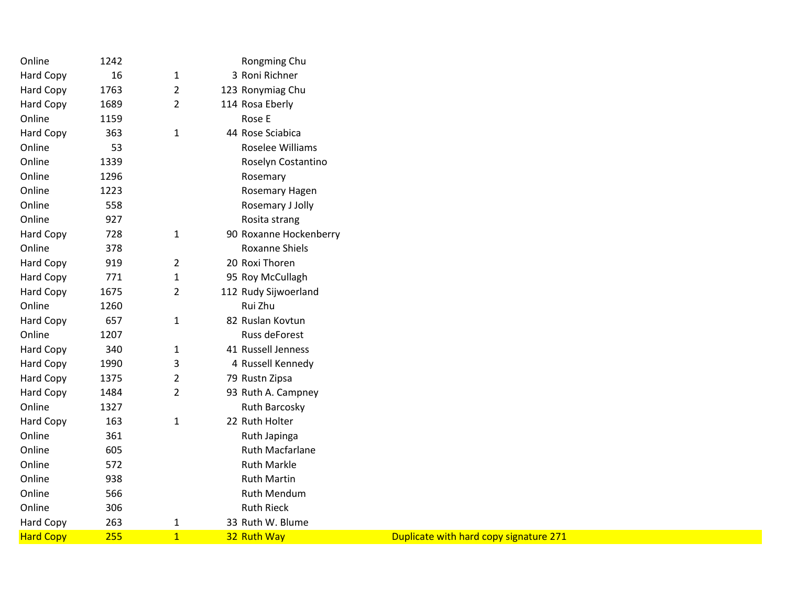| Online           | 1242 |                | Rongming Chu           |                                        |
|------------------|------|----------------|------------------------|----------------------------------------|
| Hard Copy        | 16   | 1              | 3 Roni Richner         |                                        |
| Hard Copy        | 1763 | $\overline{2}$ | 123 Ronymiag Chu       |                                        |
| Hard Copy        | 1689 | $\overline{2}$ | 114 Rosa Eberly        |                                        |
| Online           | 1159 |                | Rose E                 |                                        |
| <b>Hard Copy</b> | 363  | 1              | 44 Rose Sciabica       |                                        |
| Online           | 53   |                | Roselee Williams       |                                        |
| Online           | 1339 |                | Roselyn Costantino     |                                        |
| Online           | 1296 |                | Rosemary               |                                        |
| Online           | 1223 |                | Rosemary Hagen         |                                        |
| Online           | 558  |                | Rosemary J Jolly       |                                        |
| Online           | 927  |                | Rosita strang          |                                        |
| Hard Copy        | 728  | 1              | 90 Roxanne Hockenberry |                                        |
| Online           | 378  |                | <b>Roxanne Shiels</b>  |                                        |
| <b>Hard Copy</b> | 919  | $\overline{2}$ | 20 Roxi Thoren         |                                        |
| Hard Copy        | 771  | $\mathbf 1$    | 95 Roy McCullagh       |                                        |
| <b>Hard Copy</b> | 1675 | $\overline{2}$ | 112 Rudy Sijwoerland   |                                        |
| Online           | 1260 |                | Rui Zhu                |                                        |
| <b>Hard Copy</b> | 657  | 1              | 82 Ruslan Kovtun       |                                        |
| Online           | 1207 |                | Russ deForest          |                                        |
| <b>Hard Copy</b> | 340  | 1              | 41 Russell Jenness     |                                        |
| Hard Copy        | 1990 | 3              | 4 Russell Kennedy      |                                        |
| Hard Copy        | 1375 | 2              | 79 Rustn Zipsa         |                                        |
| Hard Copy        | 1484 | $\overline{2}$ | 93 Ruth A. Campney     |                                        |
| Online           | 1327 |                | <b>Ruth Barcosky</b>   |                                        |
| <b>Hard Copy</b> | 163  | 1              | 22 Ruth Holter         |                                        |
| Online           | 361  |                | Ruth Japinga           |                                        |
| Online           | 605  |                | <b>Ruth Macfarlane</b> |                                        |
| Online           | 572  |                | <b>Ruth Markle</b>     |                                        |
| Online           | 938  |                | <b>Ruth Martin</b>     |                                        |
| Online           | 566  |                | Ruth Mendum            |                                        |
| Online           | 306  |                | <b>Ruth Rieck</b>      |                                        |
| Hard Copy        | 263  | 1              | 33 Ruth W. Blume       |                                        |
| <b>Hard Copy</b> | 255  | $\overline{1}$ | 32 Ruth Way            | Duplicate with hard copy signature 271 |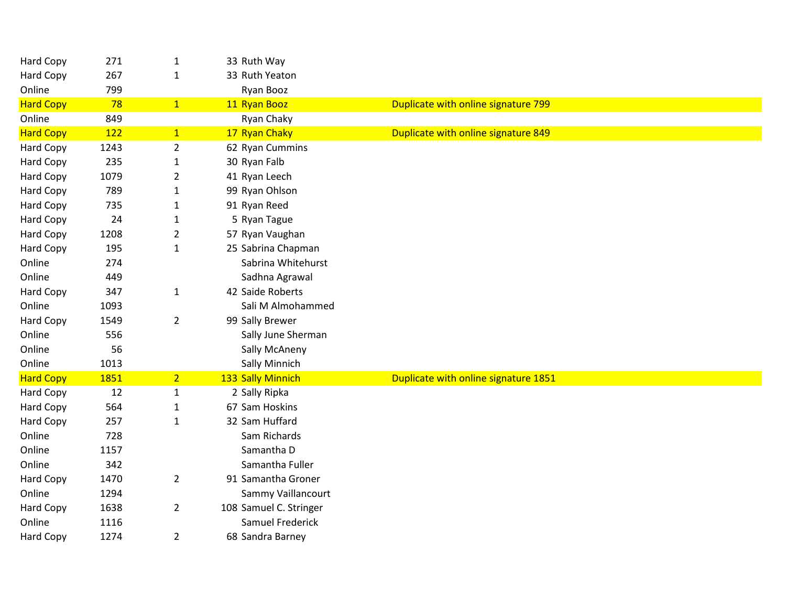| Hard Copy        | 271  | $\mathbf{1}$   | 33 Ruth Way            |                                      |
|------------------|------|----------------|------------------------|--------------------------------------|
| <b>Hard Copy</b> | 267  | $\mathbf{1}$   | 33 Ruth Yeaton         |                                      |
| Online           | 799  |                | Ryan Booz              |                                      |
| <b>Hard Copy</b> | 78   | 1              | 11 Ryan Booz           | Duplicate with online signature 799  |
| Online           | 849  |                | Ryan Chaky             |                                      |
| <b>Hard Copy</b> | 122  | 1              | 17 Ryan Chaky          | Duplicate with online signature 849  |
| Hard Copy        | 1243 | $\overline{2}$ | 62 Ryan Cummins        |                                      |
| Hard Copy        | 235  | $\mathbf{1}$   | 30 Ryan Falb           |                                      |
| Hard Copy        | 1079 | $\overline{2}$ | 41 Ryan Leech          |                                      |
| Hard Copy        | 789  | $\mathbf{1}$   | 99 Ryan Ohlson         |                                      |
| Hard Copy        | 735  | $\mathbf{1}$   | 91 Ryan Reed           |                                      |
| Hard Copy        | 24   | $\mathbf{1}$   | 5 Ryan Tague           |                                      |
| Hard Copy        | 1208 | $\overline{2}$ | 57 Ryan Vaughan        |                                      |
| Hard Copy        | 195  | $\mathbf{1}$   | 25 Sabrina Chapman     |                                      |
| Online           | 274  |                | Sabrina Whitehurst     |                                      |
| Online           | 449  |                | Sadhna Agrawal         |                                      |
| <b>Hard Copy</b> | 347  | $\mathbf{1}$   | 42 Saide Roberts       |                                      |
| Online           | 1093 |                | Sali M Almohammed      |                                      |
| Hard Copy        | 1549 | $\overline{2}$ | 99 Sally Brewer        |                                      |
| Online           | 556  |                | Sally June Sherman     |                                      |
| Online           | 56   |                | Sally McAneny          |                                      |
| Online           | 1013 |                | Sally Minnich          |                                      |
| <b>Hard Copy</b> | 1851 | 2 <sub>1</sub> | 133 Sally Minnich      | Duplicate with online signature 1851 |
| <b>Hard Copy</b> | 12   | $\mathbf{1}$   | 2 Sally Ripka          |                                      |
| Hard Copy        | 564  | $\mathbf{1}$   | 67 Sam Hoskins         |                                      |
| Hard Copy        | 257  | $\mathbf{1}$   | 32 Sam Huffard         |                                      |
| Online           | 728  |                | Sam Richards           |                                      |
| Online           | 1157 |                | Samantha D             |                                      |
| Online           | 342  |                | Samantha Fuller        |                                      |
| Hard Copy        | 1470 | $\overline{2}$ | 91 Samantha Groner     |                                      |
| Online           | 1294 |                | Sammy Vaillancourt     |                                      |
| Hard Copy        | 1638 | $\overline{2}$ | 108 Samuel C. Stringer |                                      |
| Online           | 1116 |                | Samuel Frederick       |                                      |
| Hard Copy        | 1274 | $\overline{2}$ | 68 Sandra Barney       |                                      |
|                  |      |                |                        |                                      |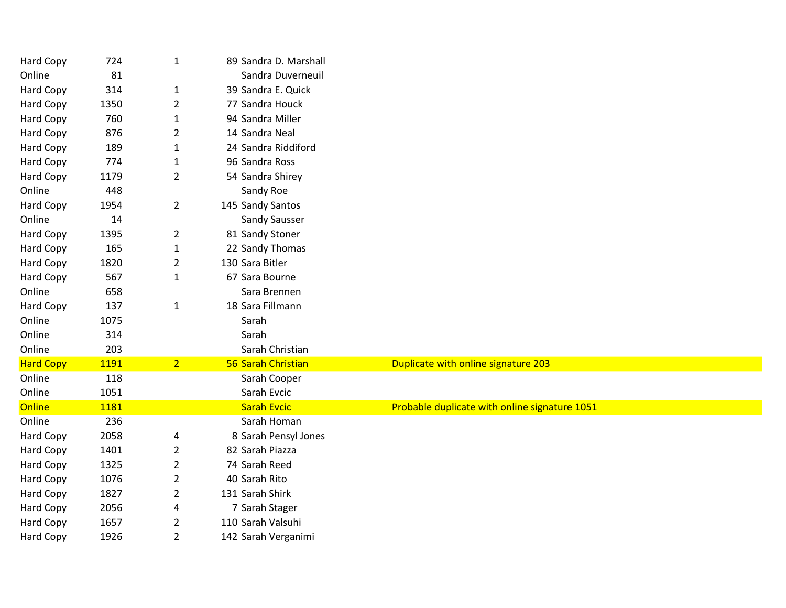| Hard Copy        | 724  | $\mathbf{1}$   | 89 Sandra D. Marshall |                                               |
|------------------|------|----------------|-----------------------|-----------------------------------------------|
| Online           | 81   |                | Sandra Duverneuil     |                                               |
| Hard Copy        | 314  | $\mathbf{1}$   | 39 Sandra E. Quick    |                                               |
| Hard Copy        | 1350 | $\overline{2}$ | 77 Sandra Houck       |                                               |
| <b>Hard Copy</b> | 760  | $\mathbf{1}$   | 94 Sandra Miller      |                                               |
| Hard Copy        | 876  | $\overline{2}$ | 14 Sandra Neal        |                                               |
| Hard Copy        | 189  | $\mathbf{1}$   | 24 Sandra Riddiford   |                                               |
| Hard Copy        | 774  | $\mathbf{1}$   | 96 Sandra Ross        |                                               |
| Hard Copy        | 1179 | $\overline{2}$ | 54 Sandra Shirey      |                                               |
| Online           | 448  |                | Sandy Roe             |                                               |
| Hard Copy        | 1954 | $\overline{2}$ | 145 Sandy Santos      |                                               |
| Online           | 14   |                | Sandy Sausser         |                                               |
| Hard Copy        | 1395 | $\overline{2}$ | 81 Sandy Stoner       |                                               |
| Hard Copy        | 165  | $\mathbf{1}$   | 22 Sandy Thomas       |                                               |
| Hard Copy        | 1820 | $\overline{2}$ | 130 Sara Bitler       |                                               |
| Hard Copy        | 567  | $\mathbf{1}$   | 67 Sara Bourne        |                                               |
| Online           | 658  |                | Sara Brennen          |                                               |
| Hard Copy        | 137  | $\mathbf{1}$   | 18 Sara Fillmann      |                                               |
| Online           | 1075 |                | Sarah                 |                                               |
| Online           | 314  |                | Sarah                 |                                               |
| Online           | 203  |                | Sarah Christian       |                                               |
| <b>Hard Copy</b> | 1191 | 2 <sup>1</sup> | 56 Sarah Christian    | Duplicate with online signature 203           |
| Online           | 118  |                | Sarah Cooper          |                                               |
| Online           | 1051 |                | Sarah Evcic           |                                               |
| <b>Online</b>    | 1181 |                | <b>Sarah Evcic</b>    | Probable duplicate with online signature 1051 |
| Online           | 236  |                | Sarah Homan           |                                               |
| Hard Copy        | 2058 | 4              | 8 Sarah Pensyl Jones  |                                               |
| Hard Copy        | 1401 | $\overline{2}$ | 82 Sarah Piazza       |                                               |
| Hard Copy        | 1325 | $\overline{2}$ | 74 Sarah Reed         |                                               |
| Hard Copy        | 1076 | $\overline{2}$ | 40 Sarah Rito         |                                               |
| Hard Copy        | 1827 | $\overline{2}$ | 131 Sarah Shirk       |                                               |
| Hard Copy        | 2056 | 4              | 7 Sarah Stager        |                                               |
| Hard Copy        | 1657 | $\overline{2}$ | 110 Sarah Valsuhi     |                                               |
| Hard Copy        | 1926 | $\overline{2}$ | 142 Sarah Verganimi   |                                               |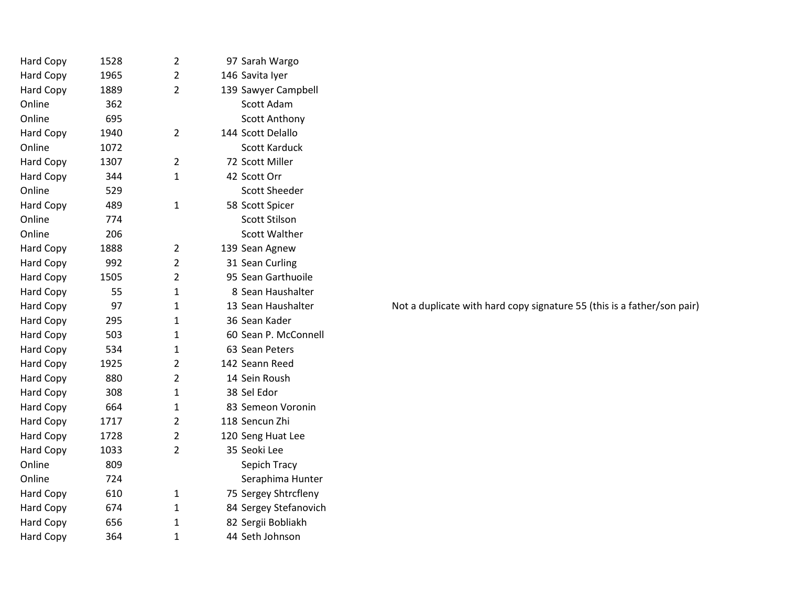| Hard Copy        | 1528 | $\overline{2}$ | 97 Sarah Wargo        |                                                                         |
|------------------|------|----------------|-----------------------|-------------------------------------------------------------------------|
| Hard Copy        | 1965 | 2              | 146 Savita Iyer       |                                                                         |
| Hard Copy        | 1889 | $\overline{2}$ | 139 Sawyer Campbell   |                                                                         |
| Online           | 362  |                | Scott Adam            |                                                                         |
| Online           | 695  |                | <b>Scott Anthony</b>  |                                                                         |
| Hard Copy        | 1940 | $\overline{2}$ | 144 Scott Delallo     |                                                                         |
| Online           | 1072 |                | Scott Karduck         |                                                                         |
| Hard Copy        | 1307 | $\overline{2}$ | 72 Scott Miller       |                                                                         |
| <b>Hard Copy</b> | 344  | $\mathbf{1}$   | 42 Scott Orr          |                                                                         |
| Online           | 529  |                | <b>Scott Sheeder</b>  |                                                                         |
| <b>Hard Copy</b> | 489  | $\mathbf{1}$   | 58 Scott Spicer       |                                                                         |
| Online           | 774  |                | Scott Stilson         |                                                                         |
| Online           | 206  |                | <b>Scott Walther</b>  |                                                                         |
| <b>Hard Copy</b> | 1888 | 2              | 139 Sean Agnew        |                                                                         |
| Hard Copy        | 992  | $\overline{2}$ | 31 Sean Curling       |                                                                         |
| Hard Copy        | 1505 | $\overline{2}$ | 95 Sean Garthuoile    |                                                                         |
| Hard Copy        | 55   | $\mathbf{1}$   | 8 Sean Haushalter     |                                                                         |
| Hard Copy        | 97   | $\mathbf{1}$   | 13 Sean Haushalter    | Not a duplicate with hard copy signature 55 (this is a father/son pair) |
| Hard Copy        | 295  | 1              | 36 Sean Kader         |                                                                         |
| Hard Copy        | 503  | $\mathbf{1}$   | 60 Sean P. McConnell  |                                                                         |
| Hard Copy        | 534  | 1              | 63 Sean Peters        |                                                                         |
| Hard Copy        | 1925 | $\overline{2}$ | 142 Seann Reed        |                                                                         |
| <b>Hard Copy</b> | 880  | 2              | 14 Sein Roush         |                                                                         |
| <b>Hard Copy</b> | 308  | $\mathbf{1}$   | 38 Sel Edor           |                                                                         |
| Hard Copy        | 664  | 1              | 83 Semeon Voronin     |                                                                         |
| Hard Copy        | 1717 | $\overline{2}$ | 118 Sencun Zhi        |                                                                         |
| Hard Copy        | 1728 | $\overline{2}$ | 120 Seng Huat Lee     |                                                                         |
| <b>Hard Copy</b> | 1033 | $\overline{2}$ | 35 Seoki Lee          |                                                                         |
| Online           | 809  |                | Sepich Tracy          |                                                                         |
| Online           | 724  |                | Seraphima Hunter      |                                                                         |
| Hard Copy        | 610  | 1              | 75 Sergey Shtrcfleny  |                                                                         |
| Hard Copy        | 674  | 1              | 84 Sergey Stefanovich |                                                                         |
| <b>Hard Copy</b> | 656  | $\mathbf{1}$   | 82 Sergii Bobliakh    |                                                                         |
| Hard Copy        | 364  | $\mathbf{1}$   | 44 Seth Johnson       |                                                                         |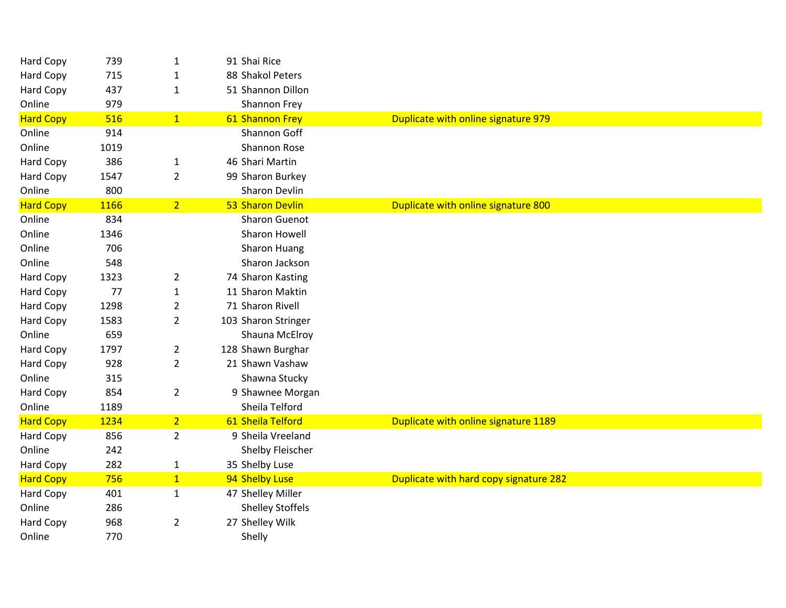| Hard Copy        | 739  | $\mathbf{1}$   | 91 Shai Rice            |                                        |
|------------------|------|----------------|-------------------------|----------------------------------------|
| Hard Copy        | 715  | $\mathbf{1}$   | 88 Shakol Peters        |                                        |
| <b>Hard Copy</b> | 437  | $\mathbf{1}$   | 51 Shannon Dillon       |                                        |
| Online           | 979  |                | Shannon Frey            |                                        |
| <b>Hard Copy</b> | 516  | 1              | 61 Shannon Frey         | Duplicate with online signature 979    |
| Online           | 914  |                | Shannon Goff            |                                        |
| Online           | 1019 |                | Shannon Rose            |                                        |
| Hard Copy        | 386  | $\mathbf{1}$   | 46 Shari Martin         |                                        |
| <b>Hard Copy</b> | 1547 | $\overline{2}$ | 99 Sharon Burkey        |                                        |
| Online           | 800  |                | <b>Sharon Devlin</b>    |                                        |
| <b>Hard Copy</b> | 1166 | 2 <sup>1</sup> | 53 Sharon Devlin        | Duplicate with online signature 800    |
| Online           | 834  |                | <b>Sharon Guenot</b>    |                                        |
| Online           | 1346 |                | Sharon Howell           |                                        |
| Online           | 706  |                | Sharon Huang            |                                        |
| Online           | 548  |                | Sharon Jackson          |                                        |
| Hard Copy        | 1323 | $\overline{2}$ | 74 Sharon Kasting       |                                        |
| Hard Copy        | 77   | $\mathbf{1}$   | 11 Sharon Maktin        |                                        |
| <b>Hard Copy</b> | 1298 | $\overline{2}$ | 71 Sharon Rivell        |                                        |
| Hard Copy        | 1583 | $\overline{2}$ | 103 Sharon Stringer     |                                        |
| Online           | 659  |                | Shauna McElroy          |                                        |
| Hard Copy        | 1797 | $\overline{2}$ | 128 Shawn Burghar       |                                        |
| <b>Hard Copy</b> | 928  | $\overline{2}$ | 21 Shawn Vashaw         |                                        |
| Online           | 315  |                | Shawna Stucky           |                                        |
| Hard Copy        | 854  | $\overline{2}$ | 9 Shawnee Morgan        |                                        |
| Online           | 1189 |                | Sheila Telford          |                                        |
| <b>Hard Copy</b> | 1234 | 2 <sub>1</sub> | 61 Sheila Telford       | Duplicate with online signature 1189   |
| Hard Copy        | 856  | $\overline{2}$ | 9 Sheila Vreeland       |                                        |
| Online           | 242  |                | Shelby Fleischer        |                                        |
| Hard Copy        | 282  | $\mathbf{1}$   | 35 Shelby Luse          |                                        |
| <b>Hard Copy</b> | 756  | 1              | 94 Shelby Luse          | Duplicate with hard copy signature 282 |
| <b>Hard Copy</b> | 401  | $\mathbf{1}$   | 47 Shelley Miller       |                                        |
| Online           | 286  |                | <b>Shelley Stoffels</b> |                                        |
| Hard Copy        | 968  | $\overline{2}$ | 27 Shelley Wilk         |                                        |
| Online           | 770  |                | Shelly                  |                                        |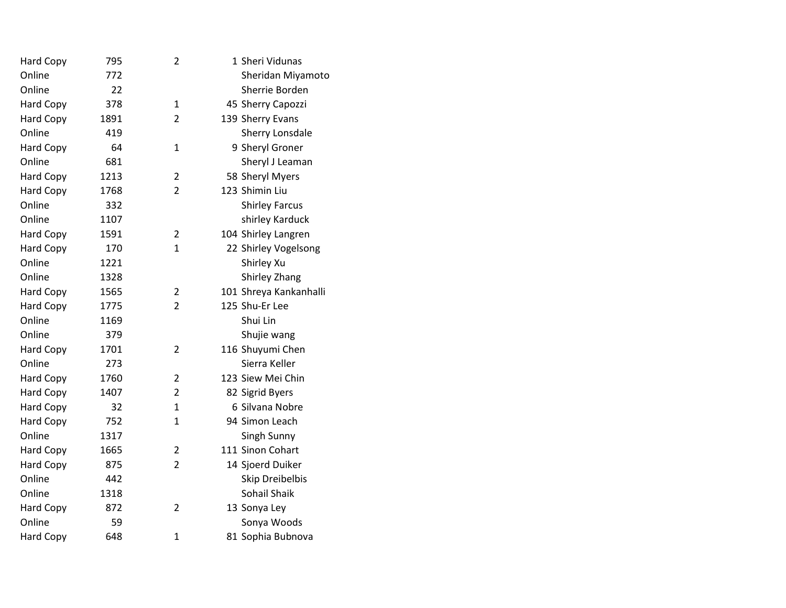|      | 2              | 1 Sheri Vidunas        |
|------|----------------|------------------------|
| 772  |                | Sheridan Miyamoto      |
| 22   |                | Sherrie Borden         |
| 378  | $\mathbf{1}$   | 45 Sherry Capozzi      |
| 1891 | $\overline{2}$ | 139 Sherry Evans       |
| 419  |                | Sherry Lonsdale        |
| 64   | $\mathbf{1}$   | 9 Sheryl Groner        |
| 681  |                | Sheryl J Leaman        |
| 1213 | $\overline{2}$ | 58 Sheryl Myers        |
| 1768 | $\overline{2}$ | 123 Shimin Liu         |
| 332  |                | <b>Shirley Farcus</b>  |
| 1107 |                | shirley Karduck        |
| 1591 | $\overline{2}$ | 104 Shirley Langren    |
| 170  | $\mathbf{1}$   | 22 Shirley Vogelsong   |
| 1221 |                | Shirley Xu             |
| 1328 |                | Shirley Zhang          |
| 1565 | $\overline{2}$ | 101 Shreya Kankanhalli |
| 1775 | $\overline{2}$ | 125 Shu-Er Lee         |
| 1169 |                | Shui Lin               |
| 379  |                | Shujie wang            |
| 1701 | $\overline{2}$ | 116 Shuyumi Chen       |
| 273  |                | Sierra Keller          |
| 1760 | $\overline{2}$ | 123 Siew Mei Chin      |
| 1407 | $\overline{2}$ | 82 Sigrid Byers        |
| 32   | $\mathbf{1}$   | 6 Silvana Nobre        |
| 752  | $\mathbf{1}$   | 94 Simon Leach         |
| 1317 |                | Singh Sunny            |
| 1665 | $\overline{2}$ | 111 Sinon Cohart       |
| 875  | $\overline{2}$ | 14 Sjoerd Duiker       |
| 442  |                | Skip Dreibelbis        |
| 1318 |                | Sohail Shaik           |
| 872  | $\overline{2}$ | 13 Sonya Ley           |
| 59   |                | Sonya Woods            |
| 648  | $\mathbf{1}$   | 81 Sophia Bubnova      |
|      | 795            |                        |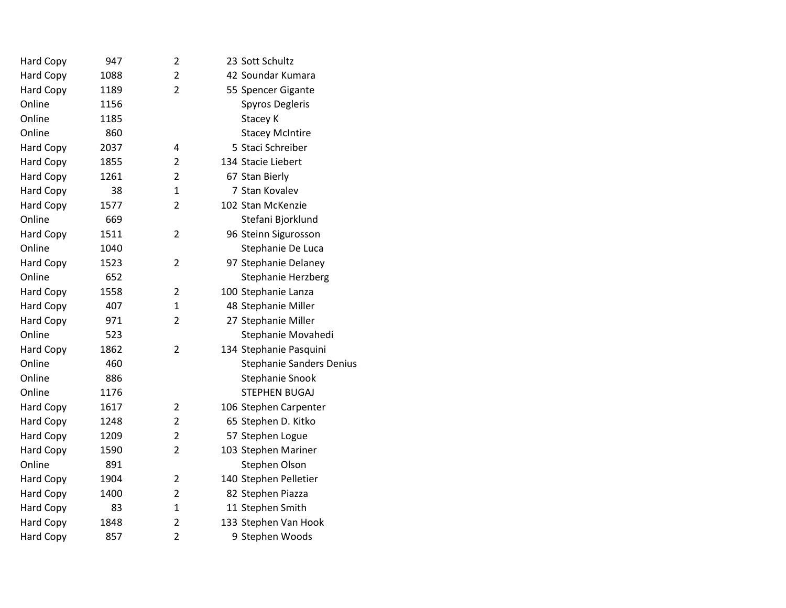| Hard Copy        | 947  | 2              | 23 Sott Schultz                 |
|------------------|------|----------------|---------------------------------|
| <b>Hard Copy</b> | 1088 | $\overline{2}$ | 42 Soundar Kumara               |
| Hard Copy        | 1189 | 2              | 55 Spencer Gigante              |
| Online           | 1156 |                | <b>Spyros Degleris</b>          |
| Online           | 1185 |                | Stacey K                        |
| Online           | 860  |                | <b>Stacey McIntire</b>          |
| <b>Hard Copy</b> | 2037 | 4              | 5 Staci Schreiber               |
| <b>Hard Copy</b> | 1855 | 2              | 134 Stacie Liebert              |
| Hard Copy        | 1261 | 2              | 67 Stan Bierly                  |
| Hard Copy        | 38   | $\mathbf{1}$   | 7 Stan Kovalev                  |
| Hard Copy        | 1577 | $\overline{2}$ | 102 Stan McKenzie               |
| Online           | 669  |                | Stefani Bjorklund               |
| <b>Hard Copy</b> | 1511 | $\overline{2}$ | 96 Steinn Sigurosson            |
| Online           | 1040 |                | Stephanie De Luca               |
| <b>Hard Copy</b> | 1523 | $\overline{2}$ | 97 Stephanie Delaney            |
| Online           | 652  |                | <b>Stephanie Herzberg</b>       |
| Hard Copy        | 1558 | $\overline{2}$ | 100 Stephanie Lanza             |
| <b>Hard Copy</b> | 407  | 1              | 48 Stephanie Miller             |
| <b>Hard Copy</b> | 971  | $\overline{2}$ | 27 Stephanie Miller             |
| Online           | 523  |                | Stephanie Movahedi              |
| Hard Copy        | 1862 | $\overline{2}$ | 134 Stephanie Pasquini          |
| Online           | 460  |                | <b>Stephanie Sanders Denius</b> |
| Online           | 886  |                | Stephanie Snook                 |
| Online           | 1176 |                | <b>STEPHEN BUGAJ</b>            |
| Hard Copy        | 1617 | $\overline{2}$ | 106 Stephen Carpenter           |
| Hard Copy        | 1248 | $\overline{2}$ | 65 Stephen D. Kitko             |
| <b>Hard Copy</b> | 1209 | $\overline{2}$ | 57 Stephen Logue                |
| <b>Hard Copy</b> | 1590 | $\overline{2}$ | 103 Stephen Mariner             |
| Online           | 891  |                | Stephen Olson                   |
| Hard Copy        | 1904 | 2              | 140 Stephen Pelletier           |
| <b>Hard Copy</b> | 1400 | $\overline{2}$ | 82 Stephen Piazza               |
| Hard Copy        | 83   | 1              | 11 Stephen Smith                |
| Hard Copy        | 1848 | 2              | 133 Stephen Van Hook            |
| <b>Hard Copy</b> | 857  | $\overline{2}$ | 9 Stephen Woods                 |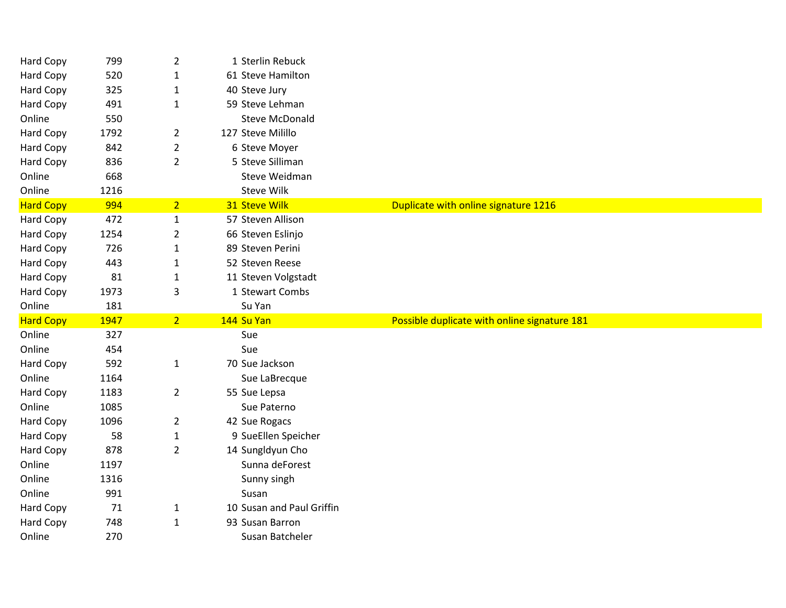| Hard Copy        | 799        | $\overline{2}$ | 1 Sterlin Rebuck          |                                              |
|------------------|------------|----------------|---------------------------|----------------------------------------------|
| Hard Copy        | 520        | 1              | 61 Steve Hamilton         |                                              |
| Hard Copy        | 325        | $\mathbf{1}$   | 40 Steve Jury             |                                              |
| <b>Hard Copy</b> | 491        | $\mathbf{1}$   | 59 Steve Lehman           |                                              |
| Online           | 550        |                | <b>Steve McDonald</b>     |                                              |
| Hard Copy        | 1792       | $\overline{2}$ | 127 Steve Milillo         |                                              |
| Hard Copy        | 842        | $\overline{2}$ | 6 Steve Moyer             |                                              |
| <b>Hard Copy</b> | 836        | $\overline{2}$ | 5 Steve Silliman          |                                              |
| Online           | 668        |                | Steve Weidman             |                                              |
| Online           | 1216       |                | <b>Steve Wilk</b>         |                                              |
| <b>Hard Copy</b> | 994        | 2 <sup>7</sup> | 31 Steve Wilk             | Duplicate with online signature 1216         |
| Hard Copy        | 472        | $\mathbf{1}$   | 57 Steven Allison         |                                              |
| Hard Copy        | 1254       | $\overline{2}$ | 66 Steven Eslinjo         |                                              |
| Hard Copy        | 726        | 1              | 89 Steven Perini          |                                              |
| <b>Hard Copy</b> | 443        | $\mathbf{1}$   | 52 Steven Reese           |                                              |
| Hard Copy        | 81         | $\mathbf{1}$   | 11 Steven Volgstadt       |                                              |
| Hard Copy        | 1973       | 3              | 1 Stewart Combs           |                                              |
|                  |            |                |                           |                                              |
| Online           | 181        |                | Su Yan                    |                                              |
| <b>Hard Copy</b> | 1947       | 2 <sup>1</sup> | 144 Su Yan                | Possible duplicate with online signature 181 |
| Online           | 327        |                | Sue                       |                                              |
| Online           | 454        |                | Sue                       |                                              |
| <b>Hard Copy</b> | 592        | $\mathbf{1}$   | 70 Sue Jackson            |                                              |
| Online           | 1164       |                | Sue LaBrecque             |                                              |
| Hard Copy        | 1183       | $\overline{2}$ | 55 Sue Lepsa              |                                              |
| Online           | 1085       |                | Sue Paterno               |                                              |
| Hard Copy        | 1096       | $\overline{2}$ | 42 Sue Rogacs             |                                              |
| Hard Copy        | 58         | $\mathbf{1}$   | 9 SueEllen Speicher       |                                              |
| Hard Copy        | 878        | $\overline{2}$ | 14 Sungldyun Cho          |                                              |
| Online           | 1197       |                | Sunna deForest            |                                              |
| Online           | 1316       |                | Sunny singh               |                                              |
| Online           | 991        |                | Susan                     |                                              |
| Hard Copy        | 71         | 1              | 10 Susan and Paul Griffin |                                              |
| Hard Copy        | 748<br>270 | $\mathbf{1}$   | 93 Susan Barron           |                                              |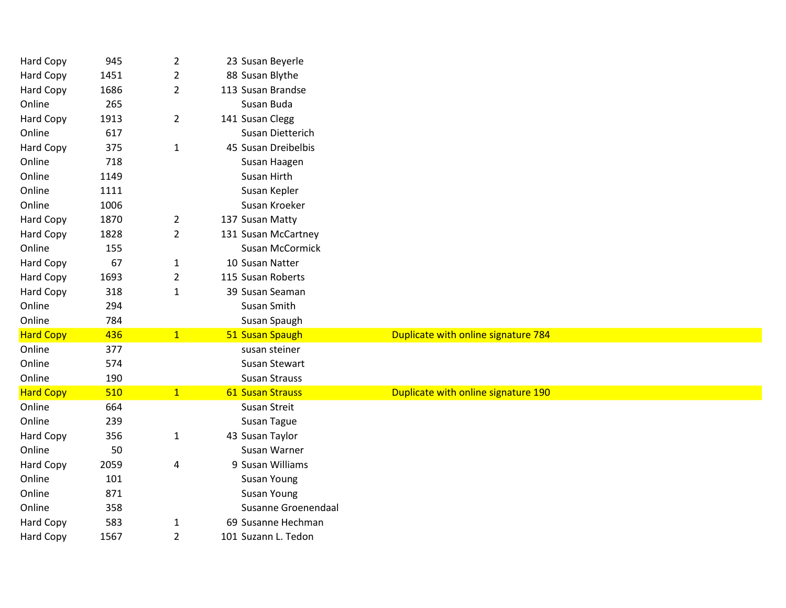| Hard Copy        | 945  | $\overline{2}$ | 23 Susan Beyerle           |                                     |
|------------------|------|----------------|----------------------------|-------------------------------------|
| Hard Copy        | 1451 | 2              | 88 Susan Blythe            |                                     |
| Hard Copy        | 1686 | $\overline{2}$ | 113 Susan Brandse          |                                     |
| Online           | 265  |                | Susan Buda                 |                                     |
| Hard Copy        | 1913 | $\overline{2}$ | 141 Susan Clegg            |                                     |
| Online           | 617  |                | Susan Dietterich           |                                     |
| <b>Hard Copy</b> | 375  | $\mathbf{1}$   | 45 Susan Dreibelbis        |                                     |
| Online           | 718  |                | Susan Haagen               |                                     |
| Online           | 1149 |                | Susan Hirth                |                                     |
| Online           | 1111 |                | Susan Kepler               |                                     |
| Online           | 1006 |                | Susan Kroeker              |                                     |
| Hard Copy        | 1870 | $\overline{2}$ | 137 Susan Matty            |                                     |
| Hard Copy        | 1828 | $\overline{2}$ | 131 Susan McCartney        |                                     |
| Online           | 155  |                | Susan McCormick            |                                     |
| Hard Copy        | 67   | $\mathbf{1}$   | 10 Susan Natter            |                                     |
| Hard Copy        | 1693 | $\overline{2}$ | 115 Susan Roberts          |                                     |
| Hard Copy        | 318  | $\mathbf{1}$   | 39 Susan Seaman            |                                     |
| Online           | 294  |                | Susan Smith                |                                     |
| Online           | 784  |                | Susan Spaugh               |                                     |
| <b>Hard Copy</b> | 436  | 1              | 51 Susan Spaugh            | Duplicate with online signature 784 |
| Online           | 377  |                | susan steiner              |                                     |
| Online           | 574  |                | Susan Stewart              |                                     |
| Online           | 190  |                | <b>Susan Strauss</b>       |                                     |
| <b>Hard Copy</b> | 510  | 1              | 61 Susan Strauss           | Duplicate with online signature 190 |
| Online           | 664  |                | <b>Susan Streit</b>        |                                     |
| Online           | 239  |                | Susan Tague                |                                     |
| Hard Copy        | 356  | $\mathbf{1}$   | 43 Susan Taylor            |                                     |
| Online           | 50   |                | Susan Warner               |                                     |
| Hard Copy        | 2059 | 4              | 9 Susan Williams           |                                     |
| Online           | 101  |                | Susan Young                |                                     |
| Online           | 871  |                | Susan Young                |                                     |
| Online           | 358  |                | <b>Susanne Groenendaal</b> |                                     |
| Hard Copy        | 583  | $\mathbf{1}$   | 69 Susanne Hechman         |                                     |
| Hard Copy        | 1567 | $\overline{2}$ | 101 Suzann L. Tedon        |                                     |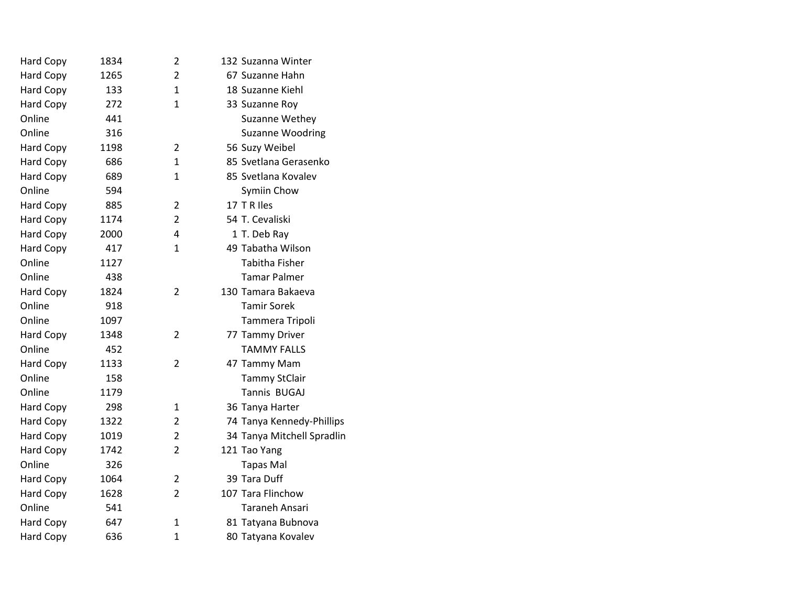| Hard Copy        | 1834 | 2              | 132 Suzanna Winter         |
|------------------|------|----------------|----------------------------|
| Hard Copy        | 1265 | $\overline{2}$ | 67 Suzanne Hahn            |
| Hard Copy        | 133  | 1              | 18 Suzanne Kiehl           |
| Hard Copy        | 272  | $\mathbf{1}$   | 33 Suzanne Roy             |
| Online           | 441  |                | Suzanne Wethey             |
| Online           | 316  |                | <b>Suzanne Woodring</b>    |
| <b>Hard Copy</b> | 1198 | $\overline{2}$ | 56 Suzy Weibel             |
| <b>Hard Copy</b> | 686  | 1              | 85 Svetlana Gerasenko      |
| Hard Copy        | 689  | 1              | 85 Svetlana Kovalev        |
| Online           | 594  |                | Symiin Chow                |
| <b>Hard Copy</b> | 885  | $\overline{2}$ | 17 T R Iles                |
| <b>Hard Copy</b> | 1174 | $\overline{2}$ | 54 T. Cevaliski            |
| Hard Copy        | 2000 | 4              | 1 T. Deb Ray               |
| <b>Hard Copy</b> | 417  | $\mathbf{1}$   | 49 Tabatha Wilson          |
| Online           | 1127 |                | <b>Tabitha Fisher</b>      |
| Online           | 438  |                | <b>Tamar Palmer</b>        |
| Hard Copy        | 1824 | $\overline{2}$ | 130 Tamara Bakaeva         |
| Online           | 918  |                | <b>Tamir Sorek</b>         |
| Online           | 1097 |                | Tammera Tripoli            |
| <b>Hard Copy</b> | 1348 | $\overline{2}$ | 77 Tammy Driver            |
| Online           | 452  |                | <b>TAMMY FALLS</b>         |
| <b>Hard Copy</b> | 1133 | $\overline{2}$ | 47 Tammy Mam               |
| Online           | 158  |                | <b>Tammy StClair</b>       |
| Online           | 1179 |                | Tannis BUGAJ               |
| <b>Hard Copy</b> | 298  | 1              | 36 Tanya Harter            |
| <b>Hard Copy</b> | 1322 | $\overline{2}$ | 74 Tanya Kennedy-Phillips  |
| <b>Hard Copy</b> | 1019 | $\overline{2}$ | 34 Tanya Mitchell Spradlin |
| Hard Copy        | 1742 | 2              | 121 Tao Yang               |
| Online           | 326  |                | <b>Tapas Mal</b>           |
| Hard Copy        | 1064 | $\overline{2}$ | 39 Tara Duff               |
| <b>Hard Copy</b> | 1628 | $\overline{2}$ | 107 Tara Flinchow          |
| Online           | 541  |                | <b>Taraneh Ansari</b>      |
| <b>Hard Copy</b> | 647  | $\mathbf{1}$   | 81 Tatyana Bubnova         |
| Hard Copy        | 636  | $\mathbf{1}$   | 80 Tatyana Kovalev         |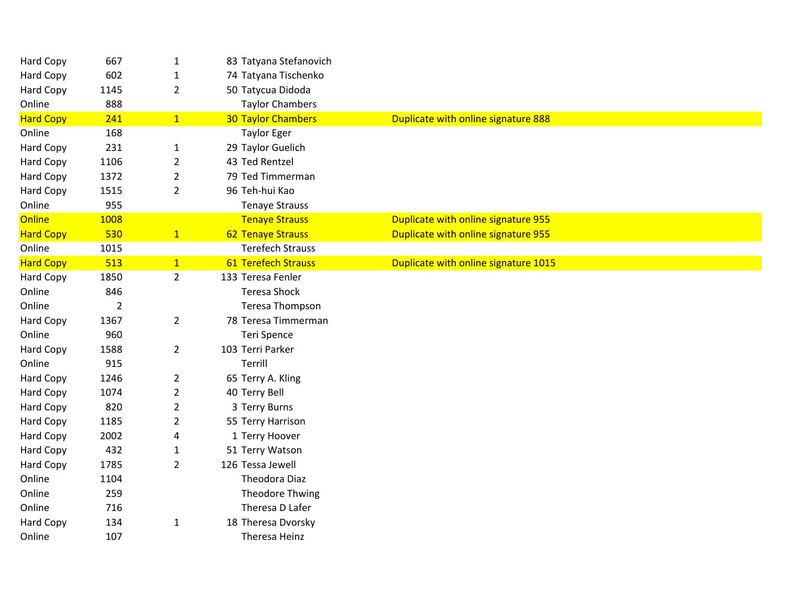| 667            | $\mathbf{1}$   | 83 Tatyana Stefanovich     |                                      |
|----------------|----------------|----------------------------|--------------------------------------|
| 602            | 1              | 74 Tatyana Tischenko       |                                      |
| 1145           | $\overline{2}$ | 50 Tatycua Didoda          |                                      |
| 888            |                | <b>Taylor Chambers</b>     |                                      |
| 241            | 1              | <b>30 Taylor Chambers</b>  | Duplicate with online signature 888  |
| 168            |                | <b>Taylor Eger</b>         |                                      |
| 231            | $\mathbf{1}$   | 29 Taylor Guelich          |                                      |
| 1106           | $\overline{2}$ | 43 Ted Rentzel             |                                      |
| 1372           | $\overline{2}$ | 79 Ted Timmerman           |                                      |
| 1515           | $\overline{2}$ | 96 Teh-hui Kao             |                                      |
| 955            |                | <b>Tenaye Strauss</b>      |                                      |
| 1008           |                | <b>Tenaye Strauss</b>      | Duplicate with online signature 955  |
| 530            | $\mathbf{1}$   | <b>62 Tenaye Strauss</b>   | Duplicate with online signature 955  |
| 1015           |                | <b>Terefech Strauss</b>    |                                      |
| 513            | 1              | <b>61 Terefech Strauss</b> | Duplicate with online signature 1015 |
| 1850           | $\overline{2}$ | 133 Teresa Fenler          |                                      |
| 846            |                | <b>Teresa Shock</b>        |                                      |
| $\overline{2}$ |                | Teresa Thompson            |                                      |
| 1367           | $\overline{2}$ | 78 Teresa Timmerman        |                                      |
| 960            |                | Teri Spence                |                                      |
| 1588           | $\overline{2}$ | 103 Terri Parker           |                                      |
| 915            |                | Terrill                    |                                      |
| 1246           | $\overline{2}$ | 65 Terry A. Kling          |                                      |
| 1074           | $\overline{2}$ | 40 Terry Bell              |                                      |
| 820            | $\overline{2}$ | 3 Terry Burns              |                                      |
| 1185           | $\overline{2}$ | 55 Terry Harrison          |                                      |
| 2002           | 4              | 1 Terry Hoover             |                                      |
| 432            | $\mathbf{1}$   | 51 Terry Watson            |                                      |
| 1785           | $\overline{2}$ | 126 Tessa Jewell           |                                      |
| 1104           |                | Theodora Diaz              |                                      |
| 259            |                | Theodore Thwing            |                                      |
| 716            |                | Theresa D Lafer            |                                      |
| 134            | $\mathbf{1}$   | 18 Theresa Dvorsky         |                                      |
| 107            |                | Theresa Heinz              |                                      |
|                |                |                            |                                      |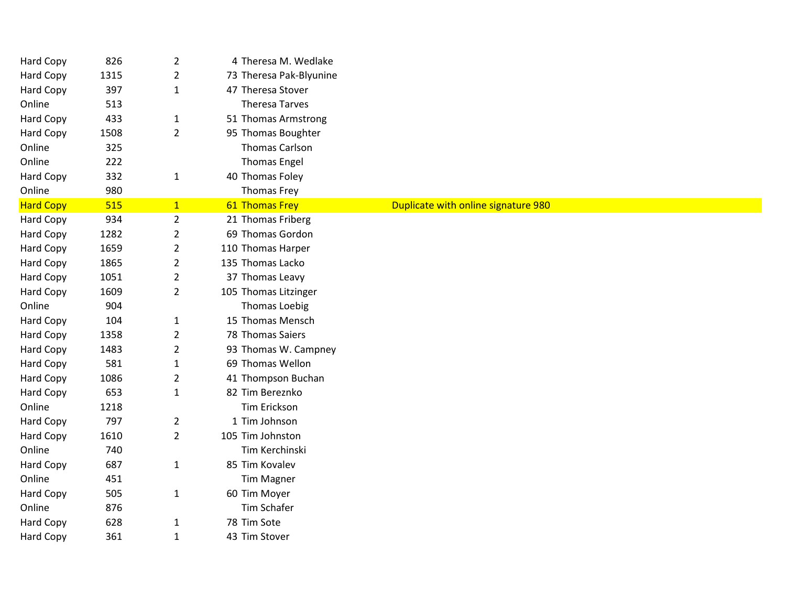| <b>Hard Copy</b> | 826  | $\overline{2}$ | 4 Theresa M. Wedlake    |                                     |
|------------------|------|----------------|-------------------------|-------------------------------------|
| Hard Copy        | 1315 | $\overline{2}$ | 73 Theresa Pak-Blyunine |                                     |
| <b>Hard Copy</b> | 397  | $\mathbf{1}$   | 47 Theresa Stover       |                                     |
| Online           | 513  |                | <b>Theresa Tarves</b>   |                                     |
| Hard Copy        | 433  | $\mathbf{1}$   | 51 Thomas Armstrong     |                                     |
| Hard Copy        | 1508 | $\overline{2}$ | 95 Thomas Boughter      |                                     |
| Online           | 325  |                | <b>Thomas Carlson</b>   |                                     |
| Online           | 222  |                | <b>Thomas Engel</b>     |                                     |
| Hard Copy        | 332  | $\mathbf{1}$   | 40 Thomas Foley         |                                     |
| Online           | 980  |                | <b>Thomas Frey</b>      |                                     |
| <b>Hard Copy</b> | 515  | 1              | 61 Thomas Frey          | Duplicate with online signature 980 |
| Hard Copy        | 934  | $\overline{2}$ | 21 Thomas Friberg       |                                     |
| <b>Hard Copy</b> | 1282 | $\overline{2}$ | 69 Thomas Gordon        |                                     |
| Hard Copy        | 1659 | $\overline{2}$ | 110 Thomas Harper       |                                     |
| <b>Hard Copy</b> | 1865 | $\overline{2}$ | 135 Thomas Lacko        |                                     |
| Hard Copy        | 1051 | 2              | 37 Thomas Leavy         |                                     |
| <b>Hard Copy</b> | 1609 | $\overline{2}$ | 105 Thomas Litzinger    |                                     |
| Online           | 904  |                | <b>Thomas Loebig</b>    |                                     |
| Hard Copy        | 104  | $\mathbf{1}$   | 15 Thomas Mensch        |                                     |
| <b>Hard Copy</b> | 1358 | $\overline{2}$ | 78 Thomas Saiers        |                                     |
| Hard Copy        | 1483 | $\overline{2}$ | 93 Thomas W. Campney    |                                     |
| <b>Hard Copy</b> | 581  | $\mathbf{1}$   | 69 Thomas Wellon        |                                     |
| Hard Copy        | 1086 | $\overline{2}$ | 41 Thompson Buchan      |                                     |
| <b>Hard Copy</b> | 653  | $\mathbf{1}$   | 82 Tim Bereznko         |                                     |
| Online           | 1218 |                | Tim Erickson            |                                     |
| Hard Copy        | 797  | $\overline{2}$ | 1 Tim Johnson           |                                     |
| Hard Copy        | 1610 | $\overline{2}$ | 105 Tim Johnston        |                                     |
| Online           | 740  |                | Tim Kerchinski          |                                     |
| Hard Copy        | 687  | $\mathbf{1}$   | 85 Tim Kovalev          |                                     |
| Online           | 451  |                | <b>Tim Magner</b>       |                                     |
| Hard Copy        | 505  | $\mathbf{1}$   | 60 Tim Moyer            |                                     |
| Online           | 876  |                | <b>Tim Schafer</b>      |                                     |
| Hard Copy        | 628  | $\mathbf{1}$   | 78 Tim Sote             |                                     |
| Hard Copy        | 361  | $\mathbf{1}$   | 43 Tim Stover           |                                     |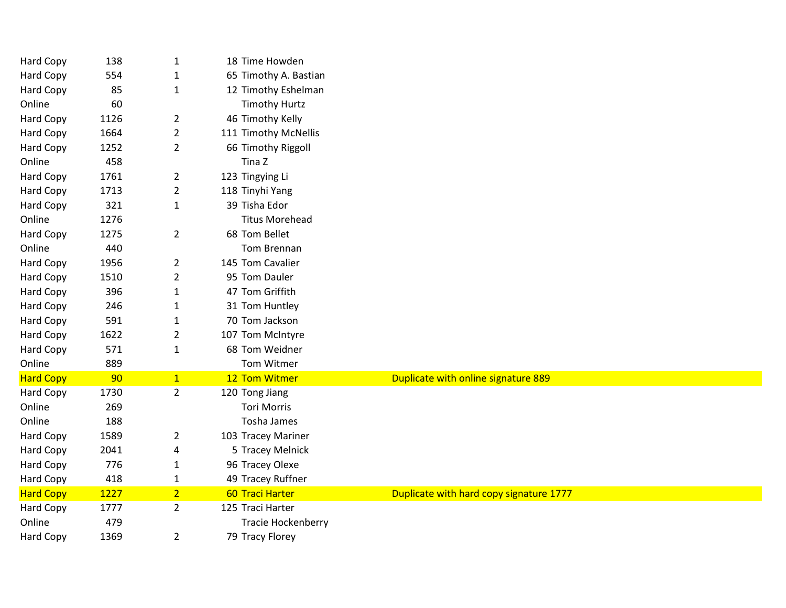| Hard Copy        | 138  | 1              | 18 Time Howden        |                                         |
|------------------|------|----------------|-----------------------|-----------------------------------------|
| Hard Copy        | 554  | 1              | 65 Timothy A. Bastian |                                         |
| Hard Copy        | 85   | $\mathbf{1}$   | 12 Timothy Eshelman   |                                         |
| Online           | 60   |                | <b>Timothy Hurtz</b>  |                                         |
| Hard Copy        | 1126 | $\overline{2}$ | 46 Timothy Kelly      |                                         |
| Hard Copy        | 1664 | $\overline{2}$ | 111 Timothy McNellis  |                                         |
| Hard Copy        | 1252 | $\overline{2}$ | 66 Timothy Riggoll    |                                         |
| Online           | 458  |                | Tina Z                |                                         |
| Hard Copy        | 1761 | $\overline{2}$ | 123 Tingying Li       |                                         |
| <b>Hard Copy</b> | 1713 | $\overline{2}$ | 118 Tinyhi Yang       |                                         |
| Hard Copy        | 321  | $\mathbf{1}$   | 39 Tisha Edor         |                                         |
| Online           | 1276 |                | <b>Titus Morehead</b> |                                         |
| <b>Hard Copy</b> | 1275 | $\overline{2}$ | 68 Tom Bellet         |                                         |
| Online           | 440  |                | Tom Brennan           |                                         |
| <b>Hard Copy</b> | 1956 | $\overline{2}$ | 145 Tom Cavalier      |                                         |
| Hard Copy        | 1510 | $\overline{2}$ | 95 Tom Dauler         |                                         |
| Hard Copy        | 396  | $\mathbf{1}$   | 47 Tom Griffith       |                                         |
| Hard Copy        | 246  | 1              | 31 Tom Huntley        |                                         |
| <b>Hard Copy</b> | 591  | $\mathbf{1}$   | 70 Tom Jackson        |                                         |
| Hard Copy        | 1622 | $\overline{2}$ | 107 Tom McIntyre      |                                         |
| Hard Copy        | 571  | $\mathbf{1}$   | 68 Tom Weidner        |                                         |
| Online           | 889  |                | Tom Witmer            |                                         |
| <b>Hard Copy</b> | 90   | 1              | 12 Tom Witmer         | Duplicate with online signature 889     |
| <b>Hard Copy</b> | 1730 | $\overline{2}$ | 120 Tong Jiang        |                                         |
| Online           | 269  |                | <b>Tori Morris</b>    |                                         |
| Online           | 188  |                | Tosha James           |                                         |
| Hard Copy        | 1589 | $\overline{2}$ | 103 Tracey Mariner    |                                         |
| Hard Copy        | 2041 | 4              | 5 Tracey Melnick      |                                         |
| Hard Copy        | 776  | 1              | 96 Tracey Olexe       |                                         |
| <b>Hard Copy</b> | 418  | $\mathbf{1}$   | 49 Tracey Ruffner     |                                         |
| <b>Hard Copy</b> | 1227 | $\overline{2}$ | 60 Traci Harter       | Duplicate with hard copy signature 1777 |
| Hard Copy        | 1777 | $\overline{2}$ | 125 Traci Harter      |                                         |
| Online           | 479  |                | Tracie Hockenberry    |                                         |
| Hard Copy        | 1369 | $\overline{2}$ | 79 Tracy Florey       |                                         |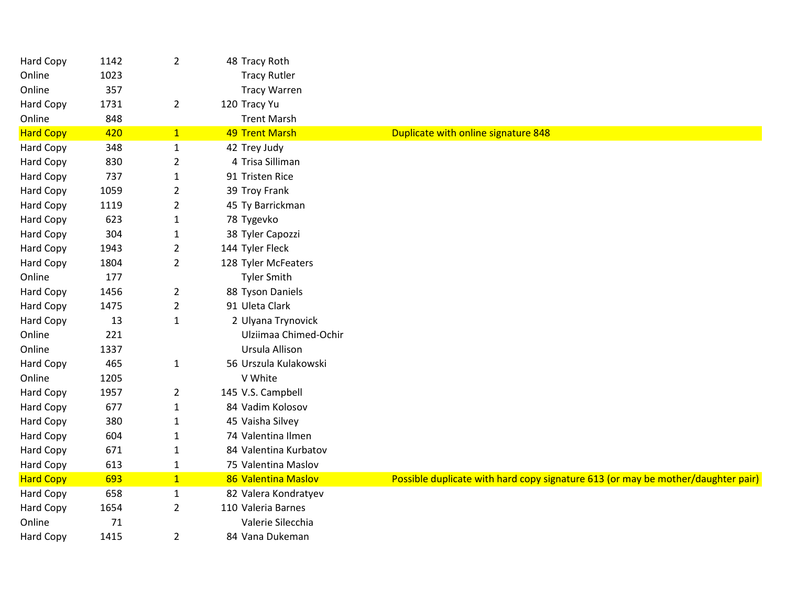| Hard Copy        | 1142 | $\overline{2}$ | 48 Tracy Roth         |                                                                                  |
|------------------|------|----------------|-----------------------|----------------------------------------------------------------------------------|
| Online           | 1023 |                | <b>Tracy Rutler</b>   |                                                                                  |
| Online           | 357  |                | <b>Tracy Warren</b>   |                                                                                  |
| Hard Copy        | 1731 | $\overline{2}$ | 120 Tracy Yu          |                                                                                  |
| Online           | 848  |                | <b>Trent Marsh</b>    |                                                                                  |
| <b>Hard Copy</b> | 420  | $\mathbf{1}$   | <b>49 Trent Marsh</b> | <b>Duplicate with online signature 848</b>                                       |
| Hard Copy        | 348  | $\mathbf{1}$   | 42 Trey Judy          |                                                                                  |
| Hard Copy        | 830  | $\overline{2}$ | 4 Trisa Silliman      |                                                                                  |
| Hard Copy        | 737  | $\mathbf{1}$   | 91 Tristen Rice       |                                                                                  |
| Hard Copy        | 1059 | $\overline{2}$ | 39 Troy Frank         |                                                                                  |
| Hard Copy        | 1119 | $\overline{2}$ | 45 Ty Barrickman      |                                                                                  |
| Hard Copy        | 623  | $\mathbf{1}$   | 78 Tygevko            |                                                                                  |
| Hard Copy        | 304  | $\mathbf{1}$   | 38 Tyler Capozzi      |                                                                                  |
| Hard Copy        | 1943 | $\overline{2}$ | 144 Tyler Fleck       |                                                                                  |
| Hard Copy        | 1804 | $\overline{2}$ | 128 Tyler McFeaters   |                                                                                  |
| Online           | 177  |                | <b>Tyler Smith</b>    |                                                                                  |
| Hard Copy        | 1456 | $\overline{2}$ | 88 Tyson Daniels      |                                                                                  |
| Hard Copy        | 1475 | $\overline{2}$ | 91 Uleta Clark        |                                                                                  |
| Hard Copy        | 13   | 1              | 2 Ulyana Trynovick    |                                                                                  |
| Online           | 221  |                | Ulziimaa Chimed-Ochir |                                                                                  |
| Online           | 1337 |                | Ursula Allison        |                                                                                  |
| <b>Hard Copy</b> | 465  | $\mathbf{1}$   | 56 Urszula Kulakowski |                                                                                  |
| Online           | 1205 |                | V White               |                                                                                  |
| <b>Hard Copy</b> | 1957 | $\overline{2}$ | 145 V.S. Campbell     |                                                                                  |
| Hard Copy        | 677  | $\mathbf{1}$   | 84 Vadim Kolosov      |                                                                                  |
| Hard Copy        | 380  | $\mathbf{1}$   | 45 Vaisha Silvey      |                                                                                  |
| Hard Copy        | 604  | $\mathbf{1}$   | 74 Valentina Ilmen    |                                                                                  |
| Hard Copy        | 671  | $\mathbf{1}$   | 84 Valentina Kurbatov |                                                                                  |
| Hard Copy        | 613  | $\mathbf 1$    | 75 Valentina Maslov   |                                                                                  |
| <b>Hard Copy</b> | 693  | $\mathbf{1}$   | 86 Valentina Maslov   | Possible duplicate with hard copy signature 613 (or may be mother/daughter pair) |
| Hard Copy        | 658  | $\mathbf{1}$   | 82 Valera Kondratyev  |                                                                                  |
| Hard Copy        | 1654 | $\overline{2}$ | 110 Valeria Barnes    |                                                                                  |
| Online           | 71   |                | Valerie Silecchia     |                                                                                  |
| Hard Copy        | 1415 | $\overline{2}$ | 84 Vana Dukeman       |                                                                                  |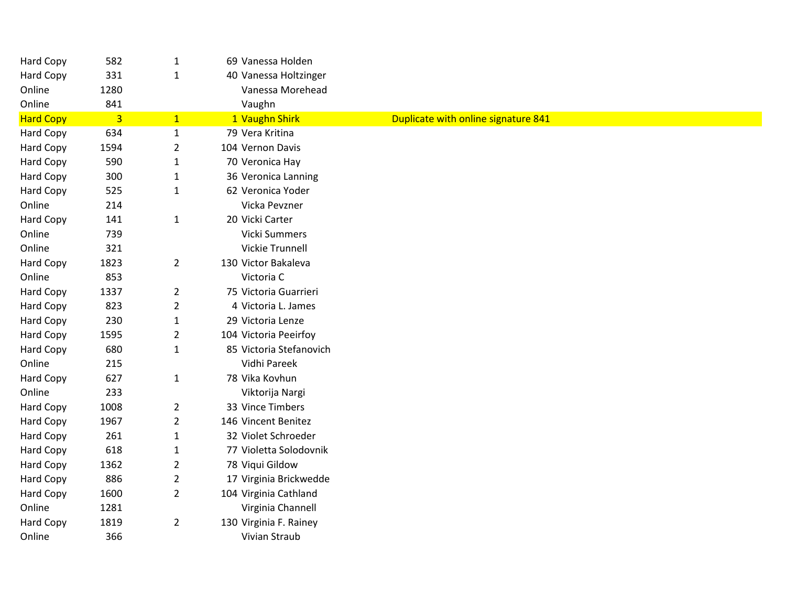| Hard Copy        | 582            | $\mathbf{1}$   | 69 Vanessa Holden       |                                     |
|------------------|----------------|----------------|-------------------------|-------------------------------------|
| Hard Copy        | 331            | $\mathbf{1}$   | 40 Vanessa Holtzinger   |                                     |
| Online           | 1280           |                | Vanessa Morehead        |                                     |
| Online           | 841            |                | Vaughn                  |                                     |
| <b>Hard Copy</b> | $\overline{3}$ | $\mathbf{1}$   | 1 Vaughn Shirk          | Duplicate with online signature 841 |
| Hard Copy        | 634            | $\mathbf{1}$   | 79 Vera Kritina         |                                     |
| Hard Copy        | 1594           | $\overline{2}$ | 104 Vernon Davis        |                                     |
| Hard Copy        | 590            | $\mathbf{1}$   | 70 Veronica Hay         |                                     |
| Hard Copy        | 300            | $\mathbf{1}$   | 36 Veronica Lanning     |                                     |
| Hard Copy        | 525            | $\mathbf{1}$   | 62 Veronica Yoder       |                                     |
| Online           | 214            |                | Vicka Pevzner           |                                     |
| Hard Copy        | 141            | $\mathbf{1}$   | 20 Vicki Carter         |                                     |
| Online           | 739            |                | Vicki Summers           |                                     |
| Online           | 321            |                | <b>Vickie Trunnell</b>  |                                     |
| Hard Copy        | 1823           | $\overline{2}$ | 130 Victor Bakaleva     |                                     |
| Online           | 853            |                | Victoria C              |                                     |
| Hard Copy        | 1337           | $\overline{2}$ | 75 Victoria Guarrieri   |                                     |
| Hard Copy        | 823            | $\overline{2}$ | 4 Victoria L. James     |                                     |
| Hard Copy        | 230            | $\mathbf{1}$   | 29 Victoria Lenze       |                                     |
| Hard Copy        | 1595           | $\overline{2}$ | 104 Victoria Peeirfoy   |                                     |
| Hard Copy        | 680            | $\mathbf{1}$   | 85 Victoria Stefanovich |                                     |
| Online           | 215            |                | Vidhi Pareek            |                                     |
| Hard Copy        | 627            | $\mathbf{1}$   | 78 Vika Kovhun          |                                     |
| Online           | 233            |                | Viktorija Nargi         |                                     |
| Hard Copy        | 1008           | $\overline{2}$ | 33 Vince Timbers        |                                     |
| Hard Copy        | 1967           | $\overline{2}$ | 146 Vincent Benitez     |                                     |
| Hard Copy        | 261            | $\mathbf{1}$   | 32 Violet Schroeder     |                                     |
| Hard Copy        | 618            | $\mathbf{1}$   | 77 Violetta Solodovnik  |                                     |
| Hard Copy        | 1362           | $\overline{2}$ | 78 Viqui Gildow         |                                     |
| Hard Copy        | 886            | $\overline{2}$ | 17 Virginia Brickwedde  |                                     |
| Hard Copy        | 1600           | $\overline{2}$ | 104 Virginia Cathland   |                                     |
| Online           | 1281           |                | Virginia Channell       |                                     |
| Hard Copy        | 1819           | $\overline{2}$ | 130 Virginia F. Rainey  |                                     |
| Online           | 366            |                | Vivian Straub           |                                     |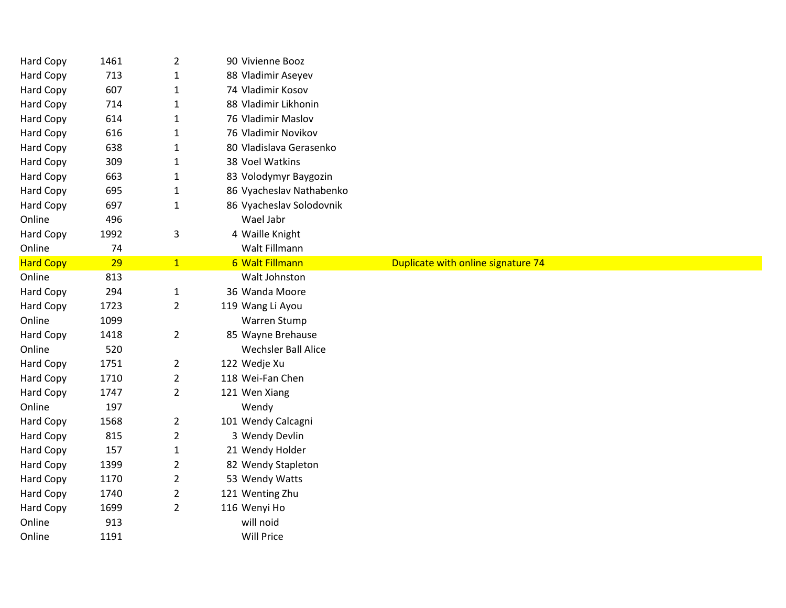| Hard Copy        | 1461 | $\overline{2}$ | 90 Vivienne Booz           |                                    |  |
|------------------|------|----------------|----------------------------|------------------------------------|--|
| Hard Copy        | 713  | $\mathbf{1}$   | 88 Vladimir Aseyev         |                                    |  |
| <b>Hard Copy</b> | 607  | $\mathbf{1}$   | 74 Vladimir Kosov          |                                    |  |
| <b>Hard Copy</b> | 714  | $\mathbf{1}$   | 88 Vladimir Likhonin       |                                    |  |
| <b>Hard Copy</b> | 614  | $\mathbf{1}$   | 76 Vladimir Maslov         |                                    |  |
| Hard Copy        | 616  | 1              | 76 Vladimir Novikov        |                                    |  |
| Hard Copy        | 638  | 1              | 80 Vladislava Gerasenko    |                                    |  |
| Hard Copy        | 309  | $\mathbf{1}$   | 38 Voel Watkins            |                                    |  |
| Hard Copy        | 663  | $\mathbf{1}$   | 83 Volodymyr Baygozin      |                                    |  |
| <b>Hard Copy</b> | 695  | $\mathbf{1}$   | 86 Vyacheslav Nathabenko   |                                    |  |
| Hard Copy        | 697  | $\mathbf{1}$   | 86 Vyacheslav Solodovnik   |                                    |  |
| Online           | 496  |                | Wael Jabr                  |                                    |  |
| <b>Hard Copy</b> | 1992 | 3              | 4 Waille Knight            |                                    |  |
| Online           | 74   |                | Walt Fillmann              |                                    |  |
| <b>Hard Copy</b> | 29   | 1              | 6 Walt Fillmann            | Duplicate with online signature 74 |  |
| Online           | 813  |                | Walt Johnston              |                                    |  |
| Hard Copy        | 294  | $\mathbf 1$    | 36 Wanda Moore             |                                    |  |
| Hard Copy        | 1723 | $\overline{2}$ | 119 Wang Li Ayou           |                                    |  |
| Online           | 1099 |                | Warren Stump               |                                    |  |
| Hard Copy        | 1418 | $\overline{2}$ | 85 Wayne Brehause          |                                    |  |
| Online           | 520  |                | <b>Wechsler Ball Alice</b> |                                    |  |
| Hard Copy        | 1751 | $\overline{2}$ | 122 Wedje Xu               |                                    |  |
| Hard Copy        | 1710 | $\overline{2}$ | 118 Wei-Fan Chen           |                                    |  |
| Hard Copy        | 1747 | $\overline{2}$ | 121 Wen Xiang              |                                    |  |
| Online           | 197  |                | Wendy                      |                                    |  |
| Hard Copy        | 1568 | $\overline{2}$ | 101 Wendy Calcagni         |                                    |  |
| Hard Copy        | 815  | $\overline{2}$ | 3 Wendy Devlin             |                                    |  |
| <b>Hard Copy</b> | 157  | $\mathbf{1}$   | 21 Wendy Holder            |                                    |  |
| <b>Hard Copy</b> | 1399 | $\overline{2}$ | 82 Wendy Stapleton         |                                    |  |
| <b>Hard Copy</b> | 1170 | $\overline{2}$ | 53 Wendy Watts             |                                    |  |
| Hard Copy        | 1740 | $\overline{2}$ | 121 Wenting Zhu            |                                    |  |
| Hard Copy        | 1699 | $\overline{2}$ | 116 Wenyi Ho               |                                    |  |
| Online           | 913  |                | will noid                  |                                    |  |
| Online           | 1191 |                | Will Price                 |                                    |  |
|                  |      |                |                            |                                    |  |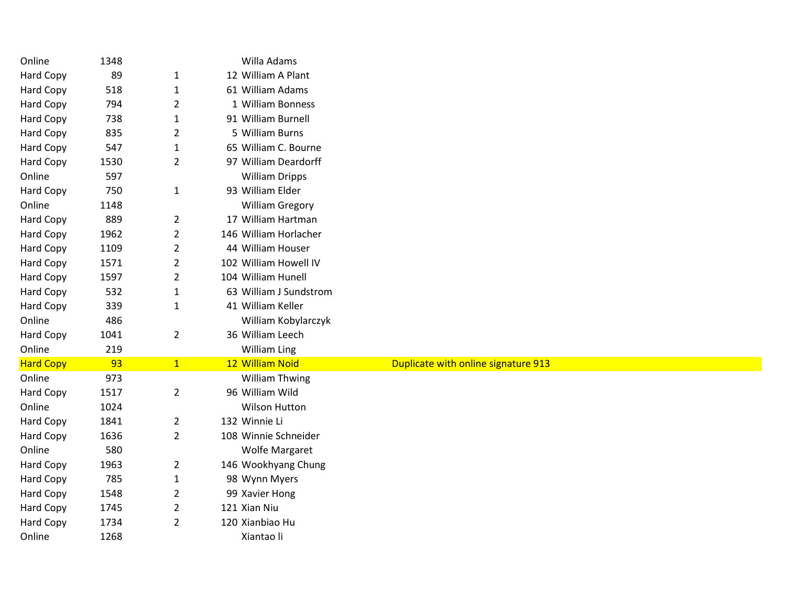| Online           | 1348 |                | Willa Adams            |                                     |
|------------------|------|----------------|------------------------|-------------------------------------|
| Hard Copy        | 89   | 1              | 12 William A Plant     |                                     |
| Hard Copy        | 518  | $\mathbf{1}$   | 61 William Adams       |                                     |
| <b>Hard Copy</b> | 794  | $\overline{2}$ | 1 William Bonness      |                                     |
| Hard Copy        | 738  | 1              | 91 William Burnell     |                                     |
| <b>Hard Copy</b> | 835  | $\overline{2}$ | 5 William Burns        |                                     |
| Hard Copy        | 547  | $\mathbf{1}$   | 65 William C. Bourne   |                                     |
| <b>Hard Copy</b> | 1530 | $\overline{2}$ | 97 William Deardorff   |                                     |
| Online           | 597  |                | <b>William Dripps</b>  |                                     |
| Hard Copy        | 750  | $\mathbf{1}$   | 93 William Elder       |                                     |
| Online           | 1148 |                | <b>William Gregory</b> |                                     |
| Hard Copy        | 889  | $\overline{2}$ | 17 William Hartman     |                                     |
| Hard Copy        | 1962 | $\overline{2}$ | 146 William Horlacher  |                                     |
| Hard Copy        | 1109 | $\overline{2}$ | 44 William Houser      |                                     |
| <b>Hard Copy</b> | 1571 | $\overline{2}$ | 102 William Howell IV  |                                     |
| Hard Copy        | 1597 | $\overline{2}$ | 104 William Hunell     |                                     |
| <b>Hard Copy</b> | 532  | $\mathbf{1}$   | 63 William J Sundstrom |                                     |
| Hard Copy        | 339  | $\mathbf{1}$   | 41 William Keller      |                                     |
| Online           | 486  |                | William Kobylarczyk    |                                     |
| Hard Copy        | 1041 | $\overline{2}$ | 36 William Leech       |                                     |
| Online           | 219  |                | <b>William Ling</b>    |                                     |
| <b>Hard Copy</b> | 93   | $\mathbf{1}$   | 12 William Noid        | Duplicate with online signature 913 |
| Online           | 973  |                | <b>William Thwing</b>  |                                     |
| Hard Copy        | 1517 | $\overline{2}$ | 96 William Wild        |                                     |
| Online           | 1024 |                | <b>Wilson Hutton</b>   |                                     |
| Hard Copy        | 1841 | $\overline{2}$ | 132 Winnie Li          |                                     |
| Hard Copy        | 1636 | $\overline{2}$ | 108 Winnie Schneider   |                                     |
| Online           | 580  |                | <b>Wolfe Margaret</b>  |                                     |
| <b>Hard Copy</b> | 1963 | $\overline{2}$ | 146 Wookhyang Chung    |                                     |
| <b>Hard Copy</b> | 785  | $\mathbf{1}$   | 98 Wynn Myers          |                                     |
| Hard Copy        | 1548 | $\overline{2}$ | 99 Xavier Hong         |                                     |
| Hard Copy        | 1745 | $\overline{2}$ | 121 Xian Niu           |                                     |
| Hard Copy        | 1734 | $\overline{2}$ | 120 Xianbiao Hu        |                                     |
| Online           | 1268 |                | Xiantao li             |                                     |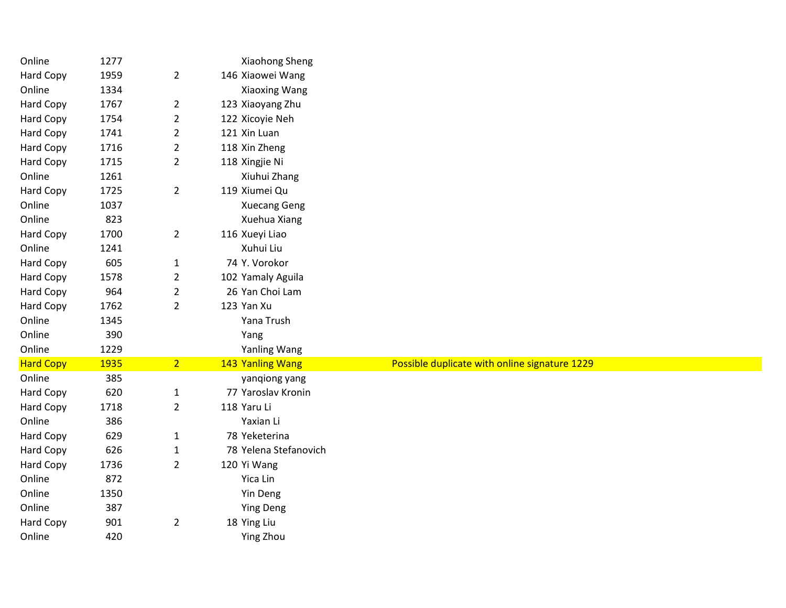| Online           | 1277 |                | Xiaohong Sheng        |                                               |
|------------------|------|----------------|-----------------------|-----------------------------------------------|
| <b>Hard Copy</b> | 1959 | $\overline{2}$ | 146 Xiaowei Wang      |                                               |
| Online           | 1334 |                | Xiaoxing Wang         |                                               |
| <b>Hard Copy</b> | 1767 | $\overline{2}$ | 123 Xiaoyang Zhu      |                                               |
| Hard Copy        | 1754 | $\overline{2}$ | 122 Xicoyie Neh       |                                               |
| <b>Hard Copy</b> | 1741 | $\overline{2}$ | 121 Xin Luan          |                                               |
| Hard Copy        | 1716 | $\overline{2}$ | 118 Xin Zheng         |                                               |
| <b>Hard Copy</b> | 1715 | $\overline{2}$ | 118 Xingjie Ni        |                                               |
| Online           | 1261 |                | Xiuhui Zhang          |                                               |
| Hard Copy        | 1725 | $\overline{2}$ | 119 Xiumei Qu         |                                               |
| Online           | 1037 |                | <b>Xuecang Geng</b>   |                                               |
| Online           | 823  |                | Xuehua Xiang          |                                               |
| Hard Copy        | 1700 | $\overline{2}$ | 116 Xueyi Liao        |                                               |
| Online           | 1241 |                | Xuhui Liu             |                                               |
| Hard Copy        | 605  | $\mathbf{1}$   | 74 Y. Vorokor         |                                               |
| <b>Hard Copy</b> | 1578 | $\overline{2}$ | 102 Yamaly Aguila     |                                               |
| Hard Copy        | 964  | $\overline{2}$ | 26 Yan Choi Lam       |                                               |
| <b>Hard Copy</b> | 1762 | $\overline{2}$ | 123 Yan Xu            |                                               |
| Online           | 1345 |                | Yana Trush            |                                               |
| Online           | 390  |                | Yang                  |                                               |
| Online           | 1229 |                | Yanling Wang          |                                               |
| <b>Hard Copy</b> | 1935 | 2 <sup>1</sup> | 143 Yanling Wang      | Possible duplicate with online signature 1229 |
| Online           | 385  |                | yangiong yang         |                                               |
| Hard Copy        | 620  | $\mathbf{1}$   | 77 Yaroslav Kronin    |                                               |
| Hard Copy        | 1718 | $\overline{2}$ | 118 Yaru Li           |                                               |
| Online           | 386  |                | Yaxian Li             |                                               |
| <b>Hard Copy</b> | 629  | $\mathbf{1}$   | 78 Yeketerina         |                                               |
| Hard Copy        | 626  | $\mathbf{1}$   | 78 Yelena Stefanovich |                                               |
| <b>Hard Copy</b> | 1736 | $\overline{2}$ | 120 Yi Wang           |                                               |
| Online           | 872  |                | Yica Lin              |                                               |
| Online           | 1350 |                | Yin Deng              |                                               |
| Online           | 387  |                | <b>Ying Deng</b>      |                                               |
| Hard Copy        | 901  | $\overline{2}$ | 18 Ying Liu           |                                               |
| Online           | 420  |                | Ying Zhou             |                                               |